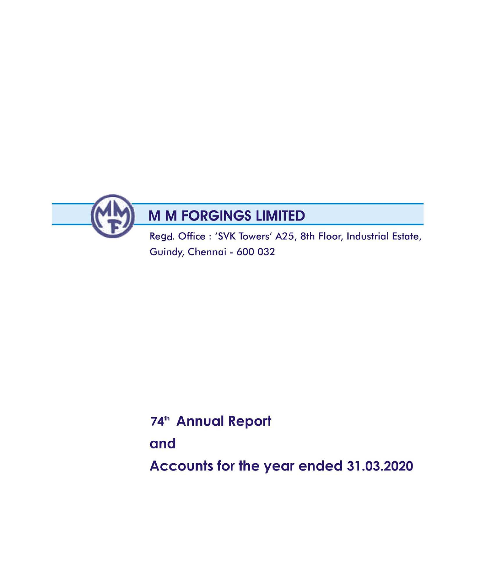

Guindy, Chennai - 600 032

# 74<sup>th</sup> Annual Report

and

Accounts for the year ended 31.03.2020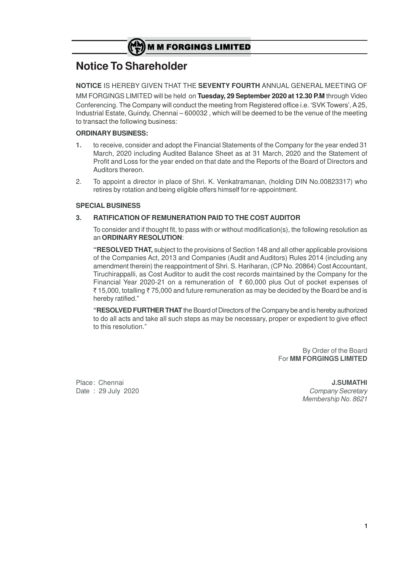# **Notice To Shareholder**

**NOTICE** IS HEREBY GIVEN THAT THE **SEVENTY FOURTH** ANNUAL GENERAL MEETING OF MM FORGINGS LIMITED will be held on **Tuesday, 29 September 2020 at 12.30 P.M** through Video Conferencing. The Company will conduct the meeting from Registered office i.e. 'SVK Towers', A 25, Industrial Estate, Guindy, Chennai – 600032 , which will be deemed to be the venue of the meeting to transact the following business:

# **ORDINARY BUSINESS:**

- **1.** to receive, consider and adopt the Financial Statements of the Company for the year ended 31 March, 2020 including Audited Balance Sheet as at 31 March, 2020 and the Statement of Profit and Loss for the year ended on that date and the Reports of the Board of Directors and Auditors thereon.
- 2. To appoint a director in place of Shri. K. Venkatramanan, (holding DIN No.00823317) who retires by rotation and being eligible offers himself for re-appointment.

# **SPECIAL BUSINESS**

# **3. RATIFICATION OF REMUNERATION PAID TO THE COST AUDITOR**

To consider and if thought fit, to pass with or without modification(s), the following resolution as an **ORDINARY RESOLUTION**:

**"RESOLVED THAT,** subject to the provisions of Section 148 and all other applicable provisions of the Companies Act, 2013 and Companies (Audit and Auditors) Rules 2014 (including any amendment therein) the reappointment of Shri. S. Hariharan, (CP No. 20864) Cost Accountant, Tiruchirappalli, as Cost Auditor to audit the cost records maintained by the Company for the Financial Year 2020-21 on a remuneration of  $\bar{\tau}$  60,000 plus Out of pocket expenses of  $\bar{\tau}$  15,000, totalling  $\bar{\tau}$  75,000 and future remuneration as may be decided by the Board be and is hereby ratified."

**"RESOLVED FURTHER THAT** the Board of Directors of the Company be and is hereby authorized to do all acts and take all such steps as may be necessary, proper or expedient to give effect to this resolution."

> By Order of the Board For **MM FORGINGS LIMITED**

Place: Chennai **J.SUMATHI** Date : 29 July 2020 **Company Secretary** Membership No. 8621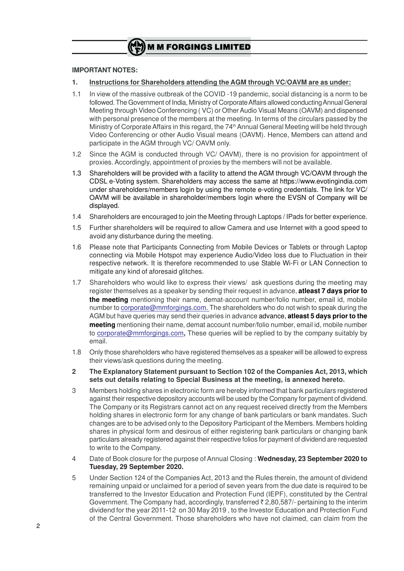# **IMPORTANT NOTES:**

- **1. Instructions for Shareholders attending the AGM through VC/OAVM are as under:**
- 1.1 In view of the massive outbreak of the COVID -19 pandemic, social distancing is a norm to be followed. The Government of India, Ministry of Corporate Affairs allowed conducting Annual General Meeting through Video Conferencing ( VC) or Other Audio Visual Means (OAVM) and dispensed with personal presence of the members at the meeting. In terms of the circulars passed by the Ministry of Corporate Affairs in this regard, the 74<sup>th</sup> Annual General Meeting will be held through Video Conferencing or other Audio Visual means (OAVM). Hence, Members can attend and participate in the AGM through VC/ OAVM only.
- 1.2 Since the AGM is conducted through VC/ OAVM), there is no provision for appointment of proxies. Accordingly, appointment of proxies by the members will not be available.
- 1.3 Shareholders will be provided with a facility to attend the AGM through VC/OAVM through the CDSL e-Voting system. Shareholders may access the same at https://www.evotingindia.com under shareholders/members login by using the remote e-voting credentials. The link for VC/ OAVM will be available in shareholder/members login where the EVSN of Company will be displayed.
- 1.4 Shareholders are encouraged to join the Meeting through Laptops / IPads for better experience.
- 1.5 Further shareholders will be required to allow Camera and use Internet with a good speed to avoid any disturbance during the meeting.
- 1.6 Please note that Participants Connecting from Mobile Devices or Tablets or through Laptop connecting via Mobile Hotspot may experience Audio/Video loss due to Fluctuation in their respective network. It is therefore recommended to use Stable Wi-Fi or LAN Connection to mitigate any kind of aforesaid glitches.
- 1.7 Shareholders who would like to express their views/ ask questions during the meeting may register themselves as a speaker by sending their request in advance, **atleast 7 days prior to the meeting** mentioning their name, demat-account number/folio number, email id, mobile number to corporate@mmforgings.com. The shareholders who do not wish to speak during the AGM but have queries may send their queries in advance advance, **atleast 5 days prior to the meeting** mentioning their name, demat account number/folio number, email id, mobile number to corporate@mmforgings.com**,** These queries will be replied to by the company suitably by email.
- 1.8 Only those shareholders who have registered themselves as a speaker will be allowed to express their views/ask questions during the meeting.
- **2 The Explanatory Statement pursuant to Section 102 of the Companies Act, 2013, which sets out details relating to Special Business at the meeting, is annexed hereto.**
- 3 Members holding shares in electronic form are hereby informed that bank particulars registered against their respective depository accounts will be used by the Company for payment of dividend. The Company or its Registrars cannot act on any request received directly from the Members holding shares in electronic form for any change of bank particulars or bank mandates. Such changes are to be advised only to the Depository Participant of the Members. Members holding shares in physical form and desirous of either registering bank particulars or changing bank particulars already registered against their respective folios for payment of dividend are requested to write to the Company.
- 4 Date of Book closure for the purpose of Annual Closing : **Wednesday, 23 September 2020 to Tuesday, 29 September 2020.**
- 5 Under Section 124 of the Companies Act, 2013 and the Rules therein, the amount of dividend remaining unpaid or unclaimed for a period of seven years from the due date is required to be transferred to the Investor Education and Protection Fund (IEPF), constituted by the Central Government. The Company had, accordingly, transferred  $\bar{\zeta}$  2,80,587/- pertaining to the interim dividend for the year 2011-12 on 30 May 2019 , to the Investor Education and Protection Fund of the Central Government. Those shareholders who have not claimed, can claim from the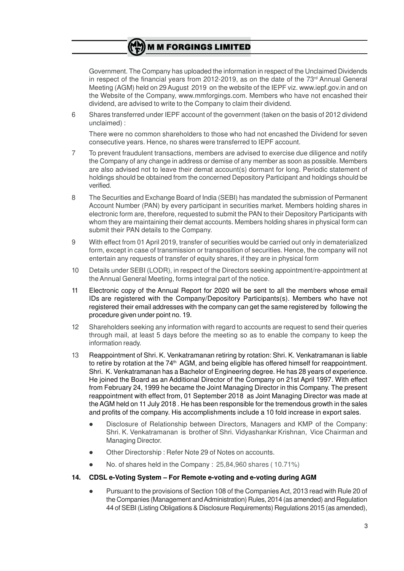Government. The Company has uploaded the information in respect of the Unclaimed Dividends in respect of the financial years from 2012-2019, as on the date of the  $73<sup>rd</sup>$  Annual General Meeting (AGM) held on 29 August 2019 on the website of the IEPF viz. www.iepf.gov.in and on the Website of the Company, www.mmforgings.com. Members who have not encashed their dividend, are advised to write to the Company to claim their dividend.

6 Shares transferred under IEPF account of the government (taken on the basis of 2012 dividend unclaimed) :

There were no common shareholders to those who had not encashed the Dividend for seven consecutive years. Hence, no shares were transferred to IEPF account.

- 7 To prevent fraudulent transactions, members are advised to exercise due diligence and notify the Company of any change in address or demise of any member as soon as possible. Members are also advised not to leave their demat account(s) dormant for long. Periodic statement of holdings should be obtained from the concerned Depository Participant and holdings should be verified.
- 8 The Securities and Exchange Board of India (SEBI) has mandated the submission of Permanent Account Number (PAN) by every participant in securities market. Members holding shares in electronic form are, therefore, requested to submit the PAN to their Depository Participants with whom they are maintaining their demat accounts. Members holding shares in physical form can submit their PAN details to the Company.
- 9 With effect from 01 April 2019, transfer of securities would be carried out only in dematerialized form, except in case of transmission or transposition of securities. Hence, the company will not entertain any requests of transfer of equity shares, if they are in physical form
- 10 Details under SEBI (LODR), in respect of the Directors seeking appointment/re-appointment at the Annual General Meeting, forms integral part of the notice.
- 11 Electronic copy of the Annual Report for 2020 will be sent to all the members whose email IDs are registered with the Company/Depository Participants(s). Members who have not registered their email addresses with the company can get the same registered by following the procedure given under point no. 19.
- 12 Shareholders seeking any information with regard to accounts are request to send their queries through mail, at least 5 days before the meeting so as to enable the company to keep the information ready.
- 13 Reappointment of Shri. K. Venkatramanan retiring by rotation: Shri. K. Venkatramanan is liable to retire by rotation at the 74<sup>th</sup> AGM, and being eligible has offered himself for reappointment. Shri. K. Venkatramanan has a Bachelor of Engineering degree. He has 28 years of experience. He joined the Board as an Additional Director of the Company on 21st April 1997. With effect from February 24, 1999 he became the Joint Managing Director in this Company. The present reappointment with effect from, 01 September 2018 as Joint Managing Director was made at the AGM held on 11 July 2018 . He has been responsible for the tremendous growth in the sales and profits of the company. His accomplishments include a 10 fold increase in export sales.
	- Disclosure of Relationship between Directors, Managers and KMP of the Company: Shri. K. Venkatramanan is brother of Shri. Vidyashankar Krishnan, Vice Chairman and Managing Director.
	- Other Directorship: Refer Note 29 of Notes on accounts.
	- l No. of shares held in the Company : 25,84,960 shares ( 10.71%)

# **14. CDSL e-Voting System – For Remote e-voting and e-voting during AGM**

l Pursuant to the provisions of Section 108 of the Companies Act, 2013 read with Rule 20 of the Companies (Management and Administration) Rules, 2014 (as amended) and Regulation 44 of SEBI (Listing Obligations & Disclosure Requirements) Regulations 2015 (as amended),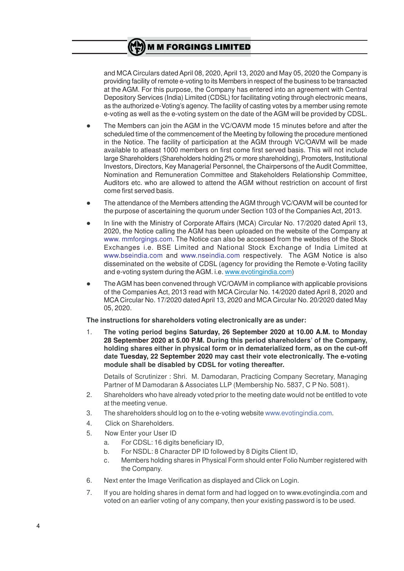

and MCA Circulars dated April 08, 2020, April 13, 2020 and May 05, 2020 the Company is providing facility of remote e-voting to its Members in respect of the business to be transacted at the AGM. For this purpose, the Company has entered into an agreement with Central Depository Services (India) Limited (CDSL) for facilitating voting through electronic means, as the authorized e-Voting's agency. The facility of casting votes by a member using remote e-voting as well as the e-voting system on the date of the AGM will be provided by CDSL.

- The Members can join the AGM in the VC/OAVM mode 15 minutes before and after the scheduled time of the commencement of the Meeting by following the procedure mentioned in the Notice. The facility of participation at the AGM through VC/OAVM will be made available to atleast 1000 members on first come first served basis. This will not include large Shareholders (Shareholders holding 2% or more shareholding), Promoters, Institutional Investors, Directors, Key Managerial Personnel, the Chairpersons of the Audit Committee, Nomination and Remuneration Committee and Stakeholders Relationship Committee, Auditors etc. who are allowed to attend the AGM without restriction on account of first come first served basis.
- The attendance of the Members attending the AGM through VC/OAVM will be counted for the purpose of ascertaining the quorum under Section 103 of the Companies Act, 2013.
- In line with the Ministry of Corporate Affairs (MCA) Circular No. 17/2020 dated April 13, 2020, the Notice calling the AGM has been uploaded on the website of the Company at www. mmforgings.com. The Notice can also be accessed from the websites of the Stock Exchanges i.e. BSE Limited and National Stock Exchange of India Limited at www.bseindia.com and www.nseindia.com respectively. The AGM Notice is also disseminated on the website of CDSL (agency for providing the Remote e-Voting facility and e-voting system during the AGM. i.e. www.evotingindia.com)
- l The AGM has been convened through VC/OAVM in compliance with applicable provisions of the Companies Act, 2013 read with MCA Circular No. 14/2020 dated April 8, 2020 and MCA Circular No. 17/2020 dated April 13, 2020 and MCA Circular No. 20/2020 dated May 05, 2020.

**The instructions for shareholders voting electronically are as under:**

1. **The voting period begins Saturday, 26 September 2020 at 10.00 A.M. to Monday 28 September 2020 at 5.00 P.M. During this period shareholders' of the Company, holding shares either in physical form or in dematerialized form, as on the cut-off date Tuesday, 22 September 2020 may cast their vote electronically. The e-voting module shall be disabled by CDSL for voting thereafter.**

Details of Scrutinizer : Shri. M. Damodaran, Practicing Company Secretary, Managing Partner of M Damodaran & Associates LLP (Membership No. 5837, C P No. 5081).

- 2. Shareholders who have already voted prior to the meeting date would not be entitled to vote at the meeting venue.
- 3. The shareholders should log on to the e-voting website www.evotingindia.com.
- 4. Click on Shareholders.
- 5. Now Enter your User ID
	- a. For CDSL: 16 digits beneficiary ID,
	- b. For NSDL: 8 Character DP ID followed by 8 Digits Client ID,
	- c. Members holding shares in Physical Form should enter Folio Number registered with the Company.
- 6. Next enter the Image Verification as displayed and Click on Login.
- 7. If you are holding shares in demat form and had logged on to www.evotingindia.com and voted on an earlier voting of any company, then your existing password is to be used.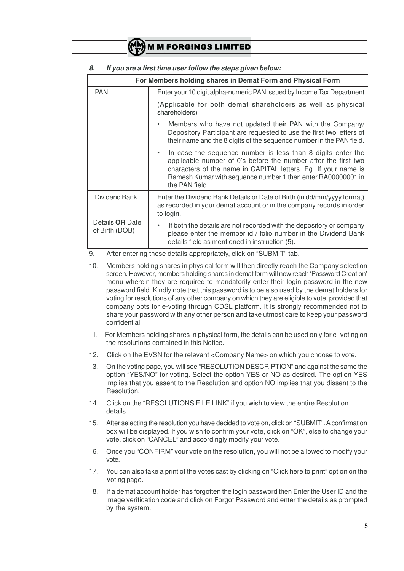|                                   | For Members holding shares in Demat Form and Physical Form                                                                                                                                                                                                                                     |  |  |  |  |  |
|-----------------------------------|------------------------------------------------------------------------------------------------------------------------------------------------------------------------------------------------------------------------------------------------------------------------------------------------|--|--|--|--|--|
| <b>PAN</b>                        | Enter your 10 digit alpha-numeric PAN issued by Income Tax Department                                                                                                                                                                                                                          |  |  |  |  |  |
|                                   | (Applicable for both demat shareholders as well as physical<br>shareholders)                                                                                                                                                                                                                   |  |  |  |  |  |
|                                   | Members who have not updated their PAN with the Company/<br>$\bullet$<br>Depository Participant are requested to use the first two letters of<br>their name and the 8 digits of the sequence number in the PAN field.                                                                          |  |  |  |  |  |
|                                   | In case the sequence number is less than 8 digits enter the<br>$\bullet$<br>applicable number of 0's before the number after the first two<br>characters of the name in CAPITAL letters. Eg. If your name is<br>Ramesh Kumar with sequence number 1 then enter RA00000001 in<br>the PAN field. |  |  |  |  |  |
| Dividend Bank                     | Enter the Dividend Bank Details or Date of Birth (in dd/mm/yyyy format)<br>as recorded in your demat account or in the company records in order<br>to login.                                                                                                                                   |  |  |  |  |  |
| Details OR Date<br>of Birth (DOB) | If both the details are not recorded with the depository or company<br>$\bullet$<br>please enter the member id / folio number in the Dividend Bank<br>details field as mentioned in instruction (5).                                                                                           |  |  |  |  |  |

## *8. If you are a first time user follow the steps given below:*

9. After entering these details appropriately, click on "SUBMIT" tab.

- 10. Members holding shares in physical form will then directly reach the Company selection screen. However, members holding shares in demat form will now reach 'Password Creation' menu wherein they are required to mandatorily enter their login password in the new password field. Kindly note that this password is to be also used by the demat holders for voting for resolutions of any other company on which they are eligible to vote, provided that company opts for e-voting through CDSL platform. It is strongly recommended not to share your password with any other person and take utmost care to keep your password confidential.
- 11. For Members holding shares in physical form, the details can be used only for e- voting on the resolutions contained in this Notice.
- 12. Click on the EVSN for the relevant <Company Name> on which you choose to vote.
- 13. On the voting page, you will see "RESOLUTION DESCRIPTION" and against the same the option "YES/NO" for voting. Select the option YES or NO as desired. The option YES implies that you assent to the Resolution and option NO implies that you dissent to the Resolution.
- 14. Click on the "RESOLUTIONS FILE LINK" if you wish to view the entire Resolution details.
- 15. After selecting the resolution you have decided to vote on, click on "SUBMIT". A confirmation box will be displayed. If you wish to confirm your vote, click on "OK", else to change your vote, click on "CANCEL" and accordingly modify your vote.
- 16. Once you "CONFIRM" your vote on the resolution, you will not be allowed to modify your vote.
- 17. You can also take a print of the votes cast by clicking on "Click here to print" option on the Voting page.
- 18. If a demat account holder has forgotten the login password then Enter the User ID and the image verification code and click on Forgot Password and enter the details as prompted by the system.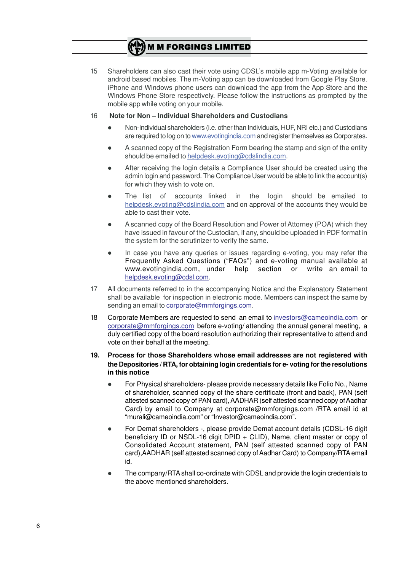15 Shareholders can also cast their vote using CDSL's mobile app m-Voting available for android based mobiles. The m-Voting app can be downloaded from Google Play Store. iPhone and Windows phone users can download the app from the App Store and the Windows Phone Store respectively. Please follow the instructions as prompted by the mobile app while voting on your mobile.

## 16 **Note for Non – Individual Shareholders and Custodians**

- l Non-Individual shareholders (i.e. other than Individuals, HUF, NRI etc.) and Custodians are required to log on to www.evotingindia.com and register themselves as Corporates.
- l A scanned copy of the Registration Form bearing the stamp and sign of the entity should be emailed to helpdesk.evoting@cdslindia.com.
- After receiving the login details a Compliance User should be created using the admin login and password. The Compliance User would be able to link the account(s) for which they wish to vote on.
- The list of accounts linked in the login should be emailed to helpdesk.evoting@cdslindia.com and on approval of the accounts they would be able to cast their vote.
- l A scanned copy of the Board Resolution and Power of Attorney (POA) which they have issued in favour of the Custodian, if any, should be uploaded in PDF format in the system for the scrutinizer to verify the same.
- In case you have any queries or issues regarding e-voting, you may refer the Frequently Asked Questions ("FAQs") and e-voting manual available at www.evotingindia.com, under help section or write an email to helpdesk.evoting@cdsl.com.
- 17 All documents referred to in the accompanying Notice and the Explanatory Statement shall be available for inspection in electronic mode. Members can inspect the same by sending an email to corporate@mmforgings.com.
- 18 Corporate Members are requested to send an email to investors@cameoindia.com or corporate@mmforgings.com before e-voting/ attending the annual general meeting, a duly certified copy of the board resolution authorizing their representative to attend and vote on their behalf at the meeting.

## **19. Process for those Shareholders whose email addresses are not registered with the Depositories / RTA, for obtaining login credentials for e- voting for the resolutions in this notice**

- l For Physical shareholders- please provide necessary details like Folio No., Name of shareholder, scanned copy of the share certificate (front and back), PAN (self attested scanned copy of PAN card), AADHAR (self attested scanned copy of Aadhar Card) by email to Company at corporate@mmforgings.com /RTA email id at "murali@cameoindia.com" or "Investor@cameoindia.com".
- For Demat shareholders -, please provide Demat account details (CDSL-16 digit beneficiary ID or NSDL-16 digit DPID + CLID), Name, client master or copy of Consolidated Account statement, PAN (self attested scanned copy of PAN card),AADHAR (self attested scanned copy of Aadhar Card) to Company/RTA email id.
- l The company/RTA shall co-ordinate with CDSL and provide the login credentials to the above mentioned shareholders.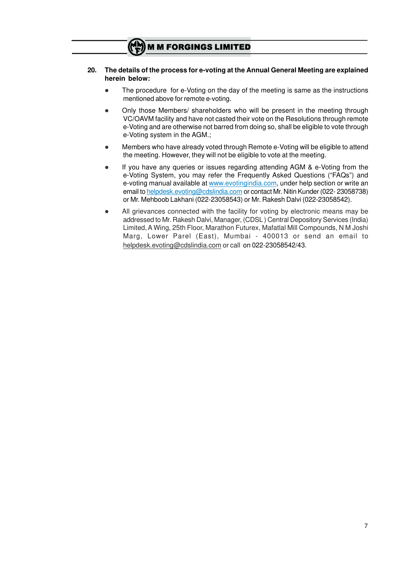## **20. The details of the process for e-voting at the Annual General Meeting are explained herein below:**

- The procedure for e-Voting on the day of the meeting is same as the instructions mentioned above for remote e-voting.
- Only those Members/ shareholders who will be present in the meeting through VC/OAVM facility and have not casted their vote on the Resolutions through remote e-Voting and are otherwise not barred from doing so, shall be eligible to vote through e-Voting system in the AGM.;
- **•** Members who have already voted through Remote e-Voting will be eligible to attend the meeting. However, they will not be eligible to vote at the meeting.
- If you have any queries or issues regarding attending AGM & e-Voting from the e-Voting System, you may refer the Frequently Asked Questions ("FAQs") and e-voting manual available at www.evotingindia.com, under help section or write an email to helpdesk.evoting@cdslindia.com or contact Mr. Nitin Kunder (022- 23058738) or Mr. Mehboob Lakhani (022-23058543) or Mr. Rakesh Dalvi (022-23058542).
- All grievances connected with the facility for voting by electronic means may be addressed to Mr. Rakesh Dalvi, Manager, (CDSL ) Central Depository Services (India) Limited, A Wing, 25th Floor, Marathon Futurex, Mafatlal Mill Compounds, N M Joshi Marg, Lower Parel (East), Mumbai - 400013 or send an email to helpdesk.evoting@cdslindia.com or call on 022-23058542/43.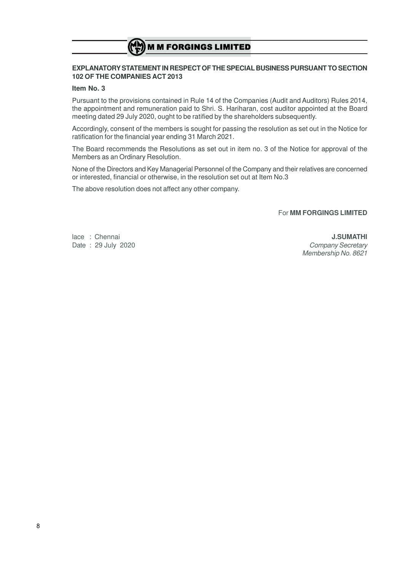# **EXPLANATORY STATEMENT IN RESPECT OF THE SPECIAL BUSINESS PURSUANT TO SECTION 102 OF THE COMPANIES ACT 2013**

## **Item No. 3**

Pursuant to the provisions contained in Rule 14 of the Companies (Audit and Auditors) Rules 2014, the appointment and remuneration paid to Shri. S. Hariharan, cost auditor appointed at the Board meeting dated 29 July 2020, ought to be ratified by the shareholders subsequently.

Accordingly, consent of the members is sought for passing the resolution as set out in the Notice for ratification for the financial year ending 31 March 2021.

The Board recommends the Resolutions as set out in item no. 3 of the Notice for approval of the Members as an Ordinary Resolution.

None of the Directors and Key Managerial Personnel of the Company and their relatives are concerned or interested, financial or otherwise, in the resolution set out at Item No.3

The above resolution does not affect any other company.

## For **MM FORGINGS LIMITED**

lace : Chennai **J.SUMATHI**

Date : 29 July 2020 **Company Secretary** Membership No. 8621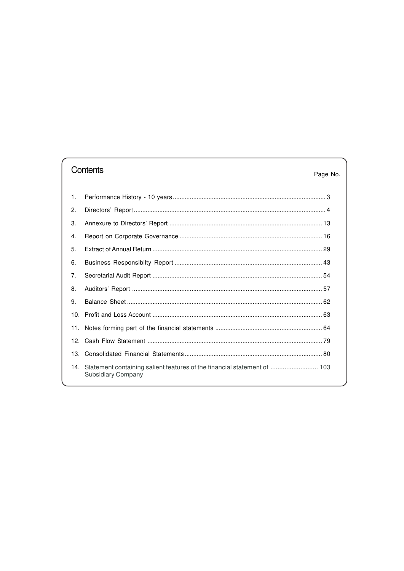# Contents

# Page No.

| $\mathbf{1}$ . |                                                                                                |  |
|----------------|------------------------------------------------------------------------------------------------|--|
| 2.             |                                                                                                |  |
| 3.             |                                                                                                |  |
| $\mathbf{4}$   |                                                                                                |  |
| 5.             |                                                                                                |  |
| 6.             |                                                                                                |  |
| 7 <sub>1</sub> |                                                                                                |  |
| 8.             |                                                                                                |  |
| 9.             |                                                                                                |  |
|                |                                                                                                |  |
| 11.            |                                                                                                |  |
|                |                                                                                                |  |
|                |                                                                                                |  |
| 14.            | Statement containing salient features of the financial statement of  103<br>Subsidiary Company |  |
|                |                                                                                                |  |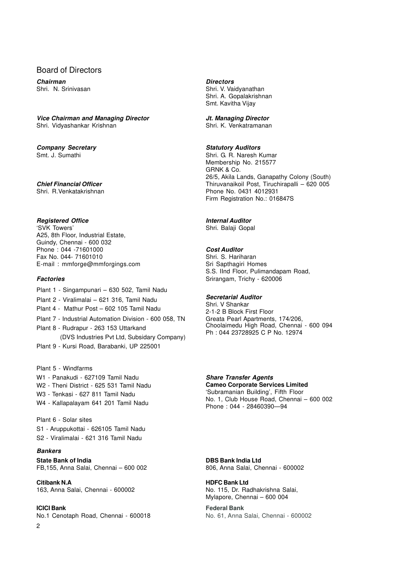# Board of Directors

*Chairman Directors*

#### *Vice Chairman and Managing Director Jt. Managing Director*

Shri. Vidvashankar Krishnan Shri. K. Venkatramanan

# *Company Secretary Statutory Auditors*

# *Registered Office Internal Auditor*

'SVK Towers' Shri. Balaji Gopal A25, 8th Floor, Industrial Estate, Guindy, Chennai - 600 032 Phone : 044 -71601000 *Cost Auditor* Fax No. 044- 71601010 E-mail : mmforge@mmforgings.com Sri Sapthagiri Homes

- Plant 1 Singampunari 630 502, Tamil Nadu
- Plant 2 Viralimalai 621 316, Tamil Nadu *Secretarial Auditor*
- 
- Plant 7 Industrial Automation Division 600 058, TN
- Plant 8 Rudrapur 263 153 Uttarkand
- (DVS Industries Pvt Ltd, Subsidary Company) Plant 9 - Kursi Road, Barabanki, UP 225001

Plant 5 - Windfarms

- W1 Panakudi 627109 Tamil Nadu *Share Transfer Agents*
- 
- W3 Tenkasi 627 811 Tamil Nadu
- 

Plant 6 - Solar sites S1 - Aruppukottai - 626105 Tamil Nadu S2 - Viralimalai - 621 316 Tamil Nadu

# *Bankers*

 $\mathfrak{O}$ 

**State Bank of India DBS Bank India Ltd** FB,155, Anna Salai, Chennai – 600 002 806, Anna Salai, Chennai - 600002

**Citibank N.A HDFC Bank Ltd** 163, Anna Salai, Chennai - 600002 No. 115, Dr. Radhakrishna Salai,

**ICICI Bank Federal Bank** No.1 Cenotaph Road, Chennai - 600018 No. 61, Anna Salai, Chennai - 600002

Shri. N. Srinivasan Shri. V. Vaidyanathan Shri. A. Gopalakrishnan Smt. Kavitha Vijay

Smt. J. Sumathi Smt. G. R. Naresh Kumar Membership No. 215577 GRNK & Co. 26/5, Akila Lands, Ganapathy Colony (South) *Chief Financial Officer* Thiruvanaikoil Post, Tiruchirapalli – 620 005 Phone No. 0431 4012931 Firm Registration No.: 016847S

S.S. IInd Floor, Pulimandapam Road, **Factories Similarly 200006** Srirangam, Trichy - 620006

Plant 4 - Mathur Post – 602 105 Tamil Nadu 2-1-2 B Block First Floor<br>Plant 7 - Industrial Automation Division - 600 058, TN Greata Pearl Apartments, 174/206, Choolaimedu High Road, Chennai - 600 094 Ph : 044 23728925 C P No. 12974

W2 - Theni District - 625 531 Tamil Nadu **Cameo Corporate Services Limited** No. 1, Club House Road, Chennai – 600 002<br>W4 - Kallapalayam 641 201 Tamil Nadu Phone : 044 - 28460390—94

Mylapore, Chennai – 600 004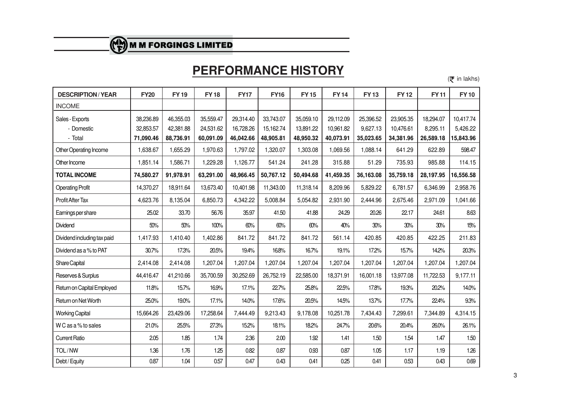# **PERFORMANCE HISTORY**

 $(\bar{\mathbf{\mathcal{F}}}$  in lakhs)

| <b>DESCRIPTION/YEAR</b>     | <b>FY20</b> | <b>FY19</b> | <b>FY18</b> | <b>FY17</b> | <b>FY16</b> | <b>FY15</b> | <b>FY14</b> | <b>FY13</b> | <b>FY12</b> | <b>FY11</b> | <b>FY10</b> |
|-----------------------------|-------------|-------------|-------------|-------------|-------------|-------------|-------------|-------------|-------------|-------------|-------------|
| <b>INCOME</b>               |             |             |             |             |             |             |             |             |             |             |             |
| Sales - Exports             | 38,236.89   | 46,355.03   | 35,559.47   | 29,314.40   | 33,743.07   | 35,059.10   | 29,112.09   | 25,396.52   | 23,905.35   | 18,294.07   | 10,417.74   |
| - Domestic                  | 32,853.57   | 42,381.88   | 24,531.62   | 16,728.26   | 15,162.74   | 13,891.22   | 10,961.82   | 9,627.13    | 10,476.61   | 8,295.11    | 5,426.22    |
| - Total                     | 71,090.46   | 88,736.91   | 60,091.09   | 46,042.66   | 48,905.81   | 48,950.32   | 40,073.91   | 35,023.65   | 34,381.96   | 26,589.18   | 15,843.96   |
| Other Operating Income      | 1,638.67    | 1,655.29    | 1,970.63    | 1,797.02    | 1,320.07    | 1,303.08    | 1,069.56    | 1,088.14    | 641.29      | 622.89      | 598.47      |
| Other Income                | 1,851.14    | 1,586.71    | 1,229.28    | 1,126.77    | 541.24      | 241.28      | 315.88      | 51.29       | 735.93      | 985.88      | 114.15      |
| <b>TOTAL INCOME</b>         | 74,580.27   | 91,978.91   | 63,291.00   | 48,966.45   | 50,767.12   | 50,494.68   | 41,459.35   | 36,163.08   | 35,759.18   | 28,197.95   | 16,556.58   |
| <b>Operating Profit</b>     | 14,370.27   | 18,911.64   | 13,673.40   | 10,401.98   | 11,343.00   | 11,318.14   | 8,209.96    | 5,829.22    | 6,781.57    | 6,346.99    | 2,958.76    |
| Profit After Tax            | 4,623.76    | 8,135.04    | 6,850.73    | 4,342.22    | 5,008.84    | 5,054.82    | 2,931.90    | 2,444.96    | 2,675.46    | 2,971.09    | 1,041.66    |
| Earnings per share          | 25.02       | 33.70       | 56.76       | 35.97       | 41.50       | 41.88       | 24.29       | 20.26       | 22.17       | 24.61       | 8.63        |
| Dividend                    | 50%         | 50%         | 100%        | 60%         | 60%         | 60%         | 40%         | 30%         | 30%         | 30%         | 15%         |
| Dividend including tax paid | 1,417.93    | 1,410.40    | 1,402.86    | 841.72      | 841.72      | 841.72      | 561.14      | 420.85      | 420.85      | 422.25      | 211.83      |
| Dividend as a % to PAT      | 30.7%       | 17.3%       | 20.5%       | 19.4%       | 16.8%       | 16.7%       | 19.1%       | 17.2%       | 15.7%       | 14.2%       | 20.3%       |
| Share Capital               | 2,414.08    | 2,414.08    | 1,207.04    | 1,207.04    | 1,207.04    | 1,207.04    | 1,207.04    | 1,207.04    | 1,207.04    | 1,207.04    | 1,207.04    |
| Reserves & Surplus          | 44,416.47   | 41,210.66   | 35,700.59   | 30,252.69   | 26,752.19   | 22,585.00   | 18,371.91   | 16,001.18   | 13,977.08   | 11,722.53   | 9,177.11    |
| Return on Capital Employed  | 11.8%       | 15.7%       | 16.9%       | 17.1%       | 22.7%       | 25.8%       | 22.5%       | 17.8%       | 19.3%       | 20.2%       | 14.0%       |
| Return on Net Worth         | 25.0%       | 19.0%       | 17.1%       | 14.0%       | 17.6%       | 20.5%       | 14.5%       | 13.7%       | 17.7%       | 22.4%       | 9.3%        |
| <b>Working Capital</b>      | 15,664.26   | 23,429.06   | 17,258.64   | 7,444.49    | 9,213.43    | 9,178.08    | 10,251.78   | 7,434.43    | 7,299.61    | 7,344.89    | 4,314.15    |
| W C as a % to sales         | 21.0%       | 25.5%       | 27.3%       | 15.2%       | 18.1%       | 18.2%       | 24.7%       | 20.6%       | 20.4%       | 26.0%       | 26.1%       |
| <b>Current Ratio</b>        | 2.05        | 1.85        | 1.74        | 2.36        | 2.00        | 1.92        | 1.41        | 1.50        | 1.54        | 1.47        | 1.50        |
| TOL/NW                      | 1.36        | 1.76        | 1.25        | 0.82        | 0.87        | 0.93        | 0.87        | 1.05        | 1.17        | 1.19        | 1.26        |
| Debt / Equity               | 0.87        | 1.04        | 0.57        | 0.47        | 0.43        | 0.41        | 0.25        | 0.41        | 0.53        | 0.43        | 0.69        |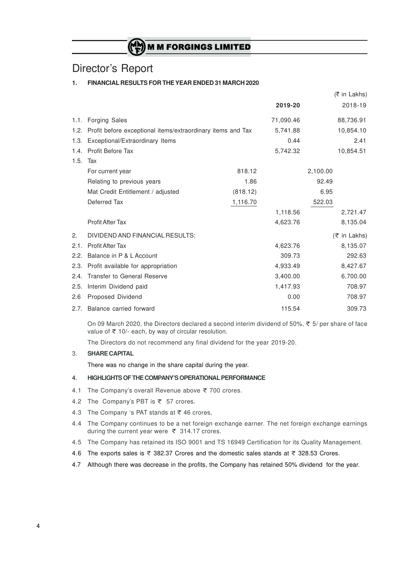# Director's Report

# **1. FINANCIAL RESULTS FOR THE YEAR ENDED 31 MARCH 2020**

|      |                                                             |          |           | (₹ in Lakhs) |
|------|-------------------------------------------------------------|----------|-----------|--------------|
|      |                                                             |          | 2019-20   | 2018-19      |
|      | 1.1. Forging Sales                                          |          | 71,090.46 | 88,736.91    |
| 1.2. | Profit before exceptional items/extraordinary items and Tax |          | 5,741.88  | 10,854.10    |
| 1.3. | Exceptional/Extraordinary Items                             |          | 0.44      | 2.41         |
| 1.4. | <b>Profit Before Tax</b>                                    |          | 5,742.32  | 10,854.51    |
| 1.5. | Tax                                                         |          |           |              |
|      | For current year                                            | 818.12   |           | 2,100.00     |
|      | Relating to previous years                                  | 1.86     |           | 92.49        |
|      | Mat Credit Entitlement / adjusted                           | (818.12) |           | 6.95         |
|      | Deferred Tax                                                | 1,116.70 |           | 522.03       |
|      |                                                             |          | 1,118.56  | 2,721.47     |
|      | <b>Profit After Tax</b>                                     |          | 4,623.76  | 8,135.04     |
| 2.   | DIVIDEND AND FINANCIAL RESULTS:                             |          |           | (₹ in Lakhs) |
| 2.1. | <b>Profit After Tax</b>                                     |          | 4,623.76  | 8,135.07     |
| 2.2. | Balance in P & L Account                                    |          | 309.73    | 292.63       |
| 2.3. | Profit available for appropriation                          |          | 4,933.49  | 8,427.67     |
| 2.4. | <b>Transfer to General Reserve</b>                          |          | 3,400.00  | 6,700.00     |
| 2.5. | Interim Dividend paid                                       |          | 1,417.93  | 708.97       |
| 2.6  | Proposed Dividend                                           |          | 0.00      | 708.97       |
|      | 2.7. Balance carried forward                                |          | 115.54    | 309.73       |

On 09 March 2020, the Directors declared a second interim dividend of 50%,  $\bar{\xi}$  5/ per share of face value of  $\bar{\tau}$  10/- each, by way of circular resolution.

The Directors do not recommend any final dividend for the year 2019-20.

### 3. **SHARE CAPITAL**

There was no change in the share capital during the year.

### 4. **HIGHLIGHTS OF THE COMPANY'S OPERATIONAL PERFORMANCE**

- 4.1 The Company's overall Revenue above  $\bar{\tau}$  700 crores.
- 4.2 The Company's PBT is  $\overline{\tau}$  57 crores.
- 4.3 The Company 's PAT stands at  $\overline{\tau}$  46 crores.
- 4.4 The Company continues to be a net foreign exchange earner. The net foreign exchange earnings during the current year were  $\bar{\tau}$  314.17 crores.
- 4.5 The Company has retained its ISO 9001 and TS 16949 Certification for its Quality Management.
- 4.6 The exports sales is  $\overline{\tau}$  382.37 Crores and the domestic sales stands at  $\overline{\tau}$  328.53 Crores.
- 4.7 Although there was decrease in the profits, the Company has retained 50% dividend for the year.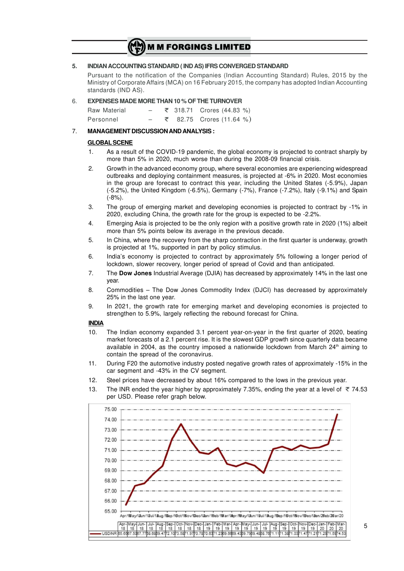#### **5. INDIAN ACCOUNTING STANDARD ( IND AS) IFRS CONVERGED STANDARD**

Pursuant to the notification of the Companies (Indian Accounting Standard) Rules, 2015 by the Ministry of Corporate Affairs (MCA) on 16 February 2015, the company has adopted Indian Accounting standards (IND AS).

#### 6. **EXPENSES MADE MORE THAN 10 % OF THE TURNOVER**

 $\text{Raw Material}$  – ₹ 318.71 Crores (44.83 %) Personnel – ₹ 82.75 Crores (11.64 %)

#### 7. **MANAGEMENT DISCUSSION AND ANALYSIS :**

#### **GLOBAL SCENE**

- 1. As a result of the COVID-19 pandemic, the global economy is projected to contract sharply by more than 5% in 2020, much worse than during the 2008-09 financial crisis.
- 2. Growth in the advanced economy group, where several economies are experiencing widespread outbreaks and deploying containment measures, is projected at -6% in 2020. Most economies in the group are forecast to contract this year, including the United States (-5.9%), Japan (-5.2%), the United Kingdom (-6.5%), Germany (-7%), France (-7.2%), Italy (-9.1%) and Spain  $(-8%)$ .
- 3. The group of emerging market and developing economies is projected to contract by -1% in 2020, excluding China, the growth rate for the group is expected to be -2.2%.
- 4. Emerging Asia is projected to be the only region with a positive growth rate in 2020 (1%) albeit more than 5% points below its average in the previous decade.
- 5. In China, where the recovery from the sharp contraction in the first quarter is underway, growth is projected at 1%, supported in part by policy stimulus.
- 6. India's economy is projected to contract by approximately 5% following a longer period of lockdown, slower recovery, longer period of spread of Covid and than anticipated.
- 7. The **Dow Jones** Industrial Average (DJIA) has decreased by approximately 14% in the last one year.
- 8. Commodities The Dow Jones Commodity Index (DJCI) has decreased by approximately 25% in the last one year.
- 9. In 2021, the growth rate for emerging market and developing economies is projected to strengthen to 5.9%, largely reflecting the rebound forecast for China.

#### **INDIA**

- 10. The Indian economy expanded 3.1 percent year-on-year in the first quarter of 2020, beating market forecasts of a 2.1 percent rise. It is the slowest GDP growth since quarterly data became available in 2004, as the country imposed a nationwide lockdown from March  $24<sup>th</sup>$  aiming to contain the spread of the coronavirus.
- 11. During F20 the automotive industry posted negative growth rates of approximately -15% in the car segment and -43% in the CV segment.
- 12. Steel prices have decreased by about 16% compared to the lows in the previous year.
- 13. The INR ended the year higher by approximately 7.35%, ending the year at a level of  $\overline{\tau}$  74.53 per USD. Please refer graph below.

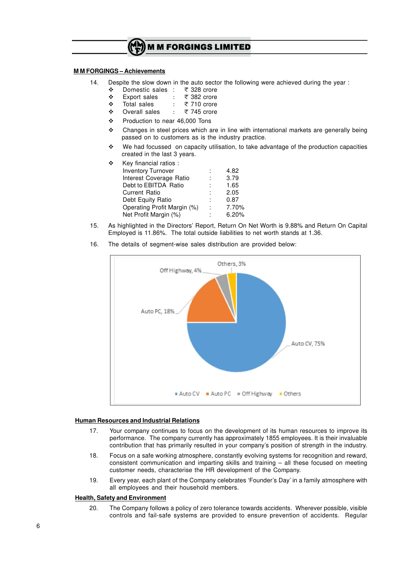

#### **M M FORGINGS – Achievements**

- 14. Despite the slow down in the auto sector the following were achieved during the year :
	- **V** Domestic sales : ₹328 crore<br>V Export sales : ₹382 crore
	- **V** Export sales :<br>
	∴ 382 cales :
	- Total sales  $\qquad : \quad \overline{\mathcal{F}}$  710 crore
	- ◆ Overall sales : ₹745 crore
	- v Production to near 46,000 Tons
	- $\cdot$  Changes in steel prices which are in line with international markets are generally being passed on to customers as is the industry practice.
	- $\cdot \cdot$  We had focussed on capacity utilisation, to take advantage of the production capacities created in the last 3 years.

| Key financial ratios:       |   |       |
|-----------------------------|---|-------|
| <b>Inventory Turnover</b>   |   | 4.82  |
| Interest Coverage Ratio     |   | 3.79  |
| Debt to EBITDA Ratio        |   | 1.65  |
| <b>Current Ratio</b>        |   | 2.05  |
| Debt Equity Ratio           |   | 0.87  |
| Operating Profit Margin (%) | ÷ | 7.70% |
| Net Profit Margin (%)       |   | 6.20% |

15. As highlighted in the Directors' Report, Return On Net Worth is 9.88% and Return On Capital Employed is 11.86%. The total outside liabilities to net worth stands at 1.36.



16. The details of segment-wise sales distribution are provided below:

### **Human Resources and Industrial Relations**

- 17. Your company continues to focus on the development of its human resources to improve its performance. The company currently has approximately 1855 employees. It is their invaluable contribution that has primarily resulted in your company's position of strength in the industry.
- 18. Focus on a safe working atmosphere, constantly evolving systems for recognition and reward, consistent communication and imparting skills and training – all these focused on meeting customer needs, characterise the HR development of the Company.
- 19. Every year, each plant of the Company celebrates 'Founder's Day' in a family atmosphere with all employees and their household members.

### **Health, Safety and Environment**

20. The Company follows a policy of zero tolerance towards accidents. Wherever possible, visible controls and fail-safe systems are provided to ensure prevention of accidents. Regular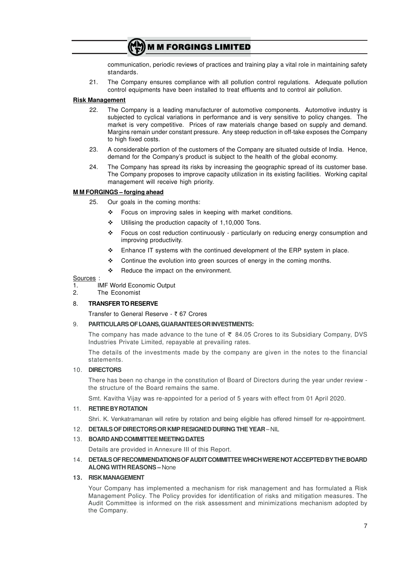communication, periodic reviews of practices and training play a vital role in maintaining safety standards.

21. The Company ensures compliance with all pollution control regulations. Adequate pollution control equipments have been installed to treat effluents and to control air pollution.

### **Risk Management**

- 22. The Company is a leading manufacturer of automotive components. Automotive industry is subjected to cyclical variations in performance and is very sensitive to policy changes. The market is very competitive. Prices of raw materials change based on supply and demand. Margins remain under constant pressure. Any steep reduction in off-take exposes the Company to high fixed costs.
- 23. A considerable portion of the customers of the Company are situated outside of India. Hence, demand for the Company's product is subject to the health of the global economy.
- 24. The Company has spread its risks by increasing the geographic spread of its customer base. The Company proposes to improve capacity utilization in its existing facilities. Working capital management will receive high priority.

### **M M FORGINGS – forging ahead**

- 25. Our goals in the coming months:
	- $\div$  Focus on improving sales in keeping with market conditions.
	- $\div$  Utilising the production capacity of 1,10,000 Tons.
	- \* Focus on cost reduction continuously particularly on reducing energy consumption and improving productivity.
	- $\div$  Enhance IT systems with the continued development of the ERP system in place.
	- \* Continue the evolution into green sources of energy in the coming months.
	- \* Reduce the impact on the environment.

#### **Sources**

- 1. IMF World Economic Output
- 2. The Economist

#### 8. **TRANSFER TO RESERVE**

Transfer to General Reserve - ₹ 67 Crores

#### 9. **PARTICULARSOFLOANS,GUARANTEESORINVESTMENTS:**

The company has made advance to the tune of  $\bar{\tau}$  84.05 Crores to its Subsidiary Company, DVS Industries Private Limited, repayable at prevailing rates.

The details of the investments made by the company are given in the notes to the financial statements.

### 10. **DIRECTORS**

There has been no change in the constitution of Board of Directors during the year under review the structure of the Board remains the same.

Smt. Kavitha Vijay was re-appointed for a period of 5 years with effect from 01 April 2020.

#### 11. **RETIREBYROTATION**

Shri. K. Venkatramanan will retire by rotation and being eligible has offered himself for re-appointment.

### 12. **DETAILSOFDIRECTORSORKMPRESIGNED DURING THEYEAR**–NIL

### 13. **BOARDANDCOMMITTEEMEETINGDATES**

Details are provided in Annexure III of this Report.

### 14. **DETAILSOFRECOMMENDATIONSOFAUDITCOMMITTEEWHICHWERENOTACCEPTEDBYTHE BOARD ALONG WITH REASONS –** None

#### **13. RISKMANAGEMENT**

Your Company has implemented a mechanism for risk management and has formulated a Risk Management Policy. The Policy provides for identification of risks and mitigation measures. The Audit Committee is informed on the risk assessment and minimizations mechanism adopted by the Company.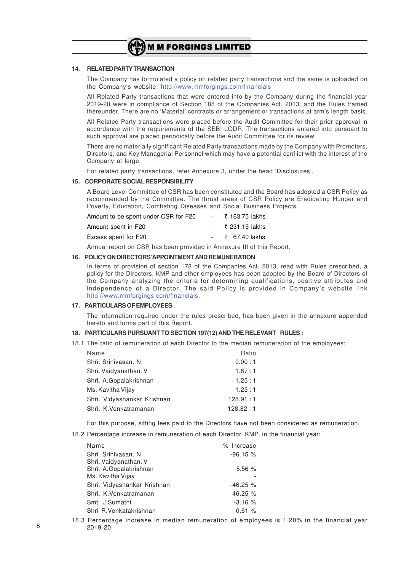

#### **14. RELATEDPARTYTRANSACTION**

The Company has formulated a policy on related party transactions and the same is uploaded on the Company's website, http://www.mmforgings.com/financials

All Related Party transactions that were entered into by the Company during the financial year 2019-20 were in compliance of Section 188 of the Companies Act, 2013, and the Rules framed thereunder. There are no 'Material' contracts or arrangement or transactions at arm's length basis.

All Related Party transactions were placed before the Audit Committee for their prior approval in accordance with the requirements of the SEBI LODR. The transactions entered into pursuant to such approval are placed periodically before the Audit Committee for its review.

There are no materially significant Related Party transactions made by the Company with Promoters, Directors, and Key Managerial Personnel which may have a potential conflict with the interest of the Company at large.

For related party transactions, refer Annexure 3, under the head 'Disclosures'.

#### **15. CORPORATESOCIALRESPONSIBILITY**

A Board Level Committee of CSR has been constituted and the Board has adopted a CSR Policy as recommended by the Committee. The thrust areas of CSR Policy are Eradicating Hunger and Poverty, Education, Combating Diseases and Social Business Projects.

| Amount to be spent under CSR for F20 | - ₹ 163.75 lakhs |
|--------------------------------------|------------------|
| Amount spent in F20                  | - ₹231.15 lakhs  |
| Excess spent for F20                 | - ₹ 67.40 lakhs  |

Annual report on CSR has been provided in Annexure III of this Report.

## **16. POLICYONDIRECTORS'APPOINTMENTANDREMUNERATION**

In terms of provision of section 178 of the Companies Act, 2013, read with Rules prescribed, a policy for the Directors, KMP and other employees has been adopted by the Board of Directors of the Company analyzing the criteria for determining qualifications, positive attributes and independence of a Director. The said Policy is provided in Company's website link http://www.mmforgings.com/financials.

#### **17. PARTICULARSOFEMPLOYEES**

The information required under the rules prescribed, has been given in the annexure appended hereto and forms part of this Report.

#### **18. PARTICULARS PURSUANT TO SECTION 197(12)AND THE RELEVANT RULES:**

18.1 The ratio of remuneration of each Director to the median remuneration of the employees:

| Name                        | Ratio    |
|-----------------------------|----------|
| Shri, Srinivasan, N         | 0.00:1   |
| Shri. Vaidyanathan. V       | 1.67:1   |
| Shri. A.Gopalakrishnan      | 1.25:1   |
| Ms. Kavitha Vijay           | 1.25:1   |
| Shri. Vidyashankar Krishnan | 128.91:1 |
| Shri, K. Venkatramanan      | 128.82:1 |

For this purpose, sitting fees paid to the Directors have not been considered as remuneration.

18.2 Percentage increase in remuneration of each Director, KMP, in the financial year:

| Name                        | % Increase  |
|-----------------------------|-------------|
| Shri, Srinivasan, N         | $-96.15%$   |
| Shri. Vaidyanathan. V       |             |
| Shri. A.Gopalakrishnan      | $-5.56%$    |
| Ms. Kavitha Vijay           |             |
| Shri. Vidyashankar Krishnan | $-46.25 \%$ |
| Shri. K.Venkatramanan       | $-46.25%$   |
| Smt. J.Sumathi              | $-3.16%$    |
| Shri R. Venkatakrishnan     | $-0.61%$    |

18.3 Percentage increase in median remuneration of employees is 1.20% in the financial year 2019-20.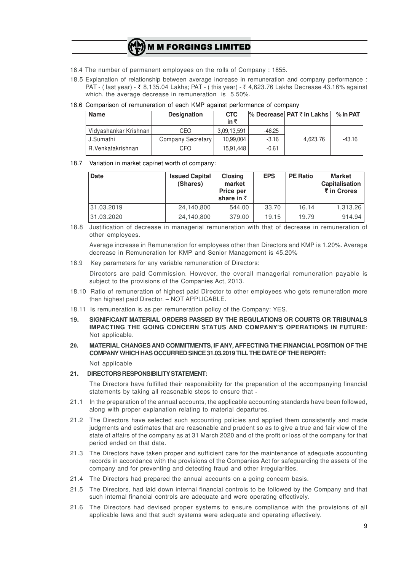- 18.4 The number of permanent employees on the rolls of Company : 1855.
- 18.5 Explanation of relationship between average increase in remuneration and company performance : PAT - (last year) -  $\bar{\xi}$  8,135.04 Lakhs; PAT - (this year) -  $\bar{\xi}$  4,623.76 Lakhs Decrease 43.16% against which, the average decrease in remuneration is 5.50%.

#### 18.6 Comparison of remuneration of each KMP against performance of company

| <b>Name</b>           | <b>Designation</b> | <b>CTC</b><br>in $\bar{z}$ |          | $\%$ Decrease PAT ₹ in Lakhs | $%$ in PAT |
|-----------------------|--------------------|----------------------------|----------|------------------------------|------------|
| Vidyashankar Krishnan | CEO                | 3.09.13.591                | $-46.25$ |                              |            |
| J.Sumathi             | Company Secretary  | 10.99.004                  | $-3.16$  | 4.623.76                     | $-43.16$   |
| R.Venkatakrishnan     | CFO                | 15.91.448                  | $-0.61$  |                              |            |

#### 18.7 Variation in market cap/net worth of company:

| <b>Date</b> | <b>Issued Capital</b><br>(Shares) | <b>Closing</b><br>market<br>Price per<br>share in $\bar{z}$ | <b>EPS</b> | <b>PE Ratio</b> | <b>Market</b><br>Capitalisation<br>₹ in Crores |
|-------------|-----------------------------------|-------------------------------------------------------------|------------|-----------------|------------------------------------------------|
| 31.03.2019  | 24,140,800                        | 544.00                                                      | 33.70      | 16.14           | 1,313.26                                       |
| 31.03.2020  | 24,140,800                        | 379.00                                                      | 19.15      | 19.79           | 914.94                                         |

18.8 Justification of decrease in managerial remuneration with that of decrease in remuneration of other employees.

Average increase in Remuneration for employees other than Directors and KMP is 1.20%. Average decrease in Remuneration for KMP and Senior Management is 45.20%

18.9 Key parameters for any variable remuneration of Directors:

Directors are paid Commission. However, the overall managerial remuneration payable is subject to the provisions of the Companies Act, 2013.

- 18.10 Ratio of remuneration of highest paid Director to other employees who gets remuneration more than highest paid Director. – NOT APPLICABLE.
- 18.11 Is remuneration is as per remuneration policy of the Company: YES.
- **19. SIGNIFICANT MATERIAL ORDERS PASSED BY THE REGULATIONS OR COURTS OR TRIBUNALS IMPACTING THE GOING CONCERN STATUS AND COMPANY'S OPERATIONS IN FUTURE**: Not applicable.
- **20. MATERIAL CHANGES AND COMMITMENTS, IF ANY, AFFECTING THE FINANCIALPOSITION OF THE COMPANY WHICH HAS OCCURRED SINCE 31.03.2019 TILLTHE DATE OF THE REPORT:**

Not applicable

#### **21. DIRECTORSRESPONSIBILITYSTATEMENT:**

The Directors have fulfilled their responsibility for the preparation of the accompanying financial statements by taking all reasonable steps to ensure that -

- 21.1 In the preparation of the annual accounts, the applicable accounting standards have been followed, along with proper explanation relating to material departures.
- 21.2 The Directors have selected such accounting policies and applied them consistently and made judgments and estimates that are reasonable and prudent so as to give a true and fair view of the state of affairs of the company as at 31 March 2020 and of the profit or loss of the company for that period ended on that date.
- 21.3 The Directors have taken proper and sufficient care for the maintenance of adequate accounting records in accordance with the provisions of the Companies Act for safeguarding the assets of the company and for preventing and detecting fraud and other irregularities.
- 21.4 The Directors had prepared the annual accounts on a going concern basis.
- 21.5 The Directors, had laid down internal financial controls to be followed by the Company and that such internal financial controls are adequate and were operating effectively.
- 21.6 The Directors had devised proper systems to ensure compliance with the provisions of all applicable laws and that such systems were adequate and operating effectively.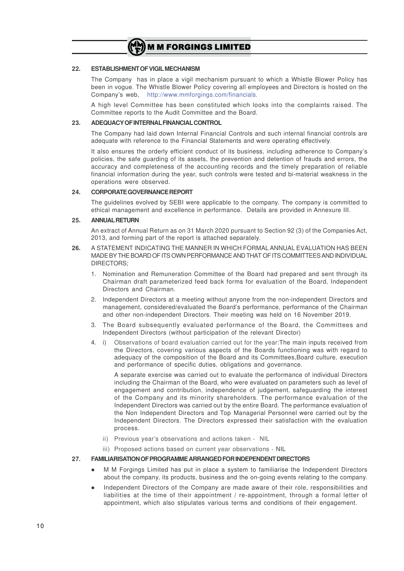

#### **22. ESTABLISHMENTOFVIGILMECHANISM**

The Company has in place a vigil mechanism pursuant to which a Whistle Blower Policy has been in vogue. The Whistle Blower Policy covering all employees and Directors is hosted on the Company's web, http://www.mmforgings.com/financials.

A high level Committee has been constituted which looks into the complaints raised. The Committee reports to the Audit Committee and the Board.

### **23. ADEQUACYOFINTERNALFINANCIALCONTROL**

The Company had laid down Internal Financial Controls and such internal financial controls are adequate with reference to the Financial Statements and were operating effectively.

It also ensures the orderly efficient conduct of its business, including adherence to Company's policies, the safe guarding of its assets, the prevention and detention of frauds and errors, the accuracy and completeness of the accounting records and the timely preparation of reliable financial information during the year, such controls were tested and bi-material weakness in the operations were observed.

#### **24. CORPORATEGOVERNANCEREPORT**

The guidelines evolved by SEBI were applicable to the company. The company is committed to ethical management and excellence in performance. Details are provided in Annexure III.

#### **25. ANNUALRETURN**

An extract of Annual Return as on 31 March 2020 pursuant to Section 92 (3) of the Companies Act, 2013, and forming part of the report is attached separately.

- **26.** A STATEMENT INDICATING THE MANNER IN WHICH FORMAL ANNUAL EVALUATION HAS BEEN MADE BY THE BOARD OF ITS OWN PERFORMANCE AND THAT OF ITS COMMITTEES AND INDIVIDUAL DIRECTORS;
	- 1. Nomination and Remuneration Committee of the Board had prepared and sent through its Chairman draft parameterized feed back forms for evaluation of the Board, Independent Directors and Chairman.
	- 2. Independent Directors at a meeting without anyone from the non-independent Directors and management, considered/evaluated the Board's performance, performance of the Chairman and other non-independent Directors. Their meeting was held on 16 November 2019.
	- 3. The Board subsequently evaluated performance of the Board, the Committees and Independent Directors (without participation of the relevant Director)
	- 4. i) Observations of board evaluation carried out for the year:The main inputs received from the Directors, covering various aspects of the Boards functioning was with regard to adequacy of the composition of the Board and its Committees,Board culture, execution and performance of specific duties, obligations and governance.

A separate exercise was carried out to evaluate the performance of individual Directors including the Chairman of the Board, who were evaluated on parameters such as level of engagement and contribution, independence of judgement, safeguarding the interest of the Company and its minority shareholders. The performance evaluation of the Independent Directors was carried out by the entire Board. The performance evaluation of the Non Independent Directors and Top Managerial Personnel were carried out by the Independent Directors. The Directors expressed their satisfaction with the evaluation process.

- ii) Previous year's observations and actions taken NIL
- iii) Proposed actions based on current year observations NIL

#### **27. FAMILIARISATIONOFPROGRAMMEARRANGEDFORINDEPENDENTDIRECTORS**

- M M Forgings Limited has put in place a system to familiarise the Independent Directors about the company, its products, business and the on-going events relating to the company.
- l Independent Directors of the Company are made aware of their role, responsibilities and liabilities at the time of their appointment / re-appointment, through a formal letter of appointment, which also stipulates various terms and conditions of their engagement.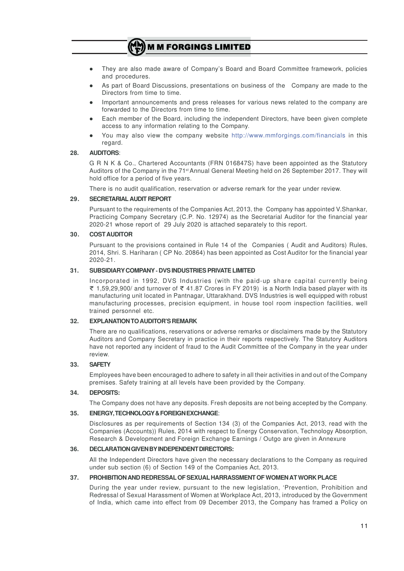- l They are also made aware of Company's Board and Board Committee framework, policies and procedures.
- As part of Board Discussions, presentations on business of the Company are made to the Directors from time to time.
- Important announcements and press releases for various news related to the company are forwarded to the Directors from time to time.
- Each member of the Board, including the independent Directors, have been given complete access to any information relating to the Company.
- You may also view the company website http://www.mmforgings.com/financials in this regard.

## **28. AUDITORS**:

G R N K & Co., Chartered Accountants (FRN 016847S) have been appointed as the Statutory Auditors of the Company in the 71st Annual General Meeting held on 26 September 2017. They will hold office for a period of five years.

There is no audit qualification, reservation or adverse remark for the year under review.

### **29. SECRETARIAL AUDIT REPORT**

Pursuant to the requirements of the Companies Act, 2013, the Company has appointed V.Shankar, Practicing Company Secretary (C.P. No. 12974) as the Secretarial Auditor for the financial year 2020-21 whose report of 29 July 2020 is attached separately to this report.

### **30. COSTAUDITOR**

Pursuant to the provisions contained in Rule 14 of the Companies ( Audit and Auditors) Rules, 2014, Shri. S. Hariharan ( CP No. 20864) has been appointed as Cost Auditor for the financial year 2020-21.

### **31. SUBSIDIARYCOMPANY- DVS INDUSTRIES PRIVATE LIMITED**

Incorporated in 1992, DVS Industries (with the paid-up share capital currently being ₹ 1,59,29,900/ and turnover of ₹ 41.87 Crores in FY 2019) is a North India based player with its manufacturing unit located in Pantnagar, Uttarakhand. DVS Industries is well equipped with robust manufacturing processes, precision equipment, in house tool room inspection facilities, well trained personnel etc.

### **32. EXPLANATIONTOAUDITOR'S REMARK**

There are no qualifications, reservations or adverse remarks or disclaimers made by the Statutory Auditors and Company Secretary in practice in their reports respectively. The Statutory Auditors have not reported any incident of fraud to the Audit Committee of the Company in the year under review.

#### **33. SAFETY**

Employees have been encouraged to adhere to safety in all their activities in and out of the Company premises. Safety training at all levels have been provided by the Company.

#### **34. DEPOSITS:**

The Company does not have any deposits. Fresh deposits are not being accepted by the Company.

### **35. ENERGY,TECHNOLOGY&FOREIGNEXCHANGE**:

Disclosures as per requirements of Section 134 (3) of the Companies Act, 2013, read with the Companies (Accounts)) Rules, 2014 with respect to Energy Conservation, Technology Absorption, Research & Development and Foreign Exchange Earnings / Outgo are given in Annexure

#### **36. DECLARATIONGIVENBYINDEPENDENTDIRECTORS:**

All the Independent Directors have given the necessary declarations to the Company as required under sub section (6) of Section 149 of the Companies Act, 2013.

#### **37. PROHIBITIONAND REDRESSALOF SEXUALHARRASSMENT OF WOMENAT WORK PLACE**

During the year under review, pursuant to the new legislation, 'Prevention, Prohibition and Redressal of Sexual Harassment of Women at Workplace Act, 2013, introduced by the Government of India, which came into effect from 09 December 2013, the Company has framed a Policy on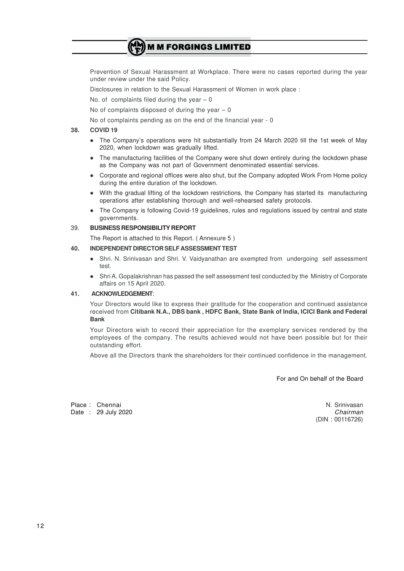Prevention of Sexual Harassment at Workplace. There were no cases reported during the year under review under the said Policy.

Disclosures in relation to the Sexual Harassment of Women in work place :

No. of complaints filed during the year  $-0$ 

No of complaints disposed of during the year  $-0$ 

No of complaints pending as on the end of the financial year - 0

#### **38. COVID 19**

- The Company's operations were hit substantially from 24 March 2020 till the 1st week of May 2020, when lockdown was gradually lifted.
- The manufacturing facilities of the Company were shut down entirely during the lockdown phase as the Company was not part of Government denominated essential services.
- Corporate and regional offices were also shut, but the Company adopted Work From Home policy during the entire duration of the lockdown.
- With the gradual lifting of the lockdown restrictions, the Company has started its manufacturing operations after establishing thorough and well-rehearsed safety protocols.
- The Company is following Covid-19 guidelines, rules and regulations issued by central and state governments.

#### 39. **BUSINESS RESPONSIBILITY REPORT**

The Report is attached to this Report. ( Annexure 5 )

#### **40. INDEPENDENT DIRECTOR SELF ASSESSMENT TEST**

- Shri. N. Srinivasan and Shri. V. Vaidyanathan are exempted from undergoing self assessment test.
- Shri A. Gopalakrishnan has passed the self assessment test conducted by the Ministry of Corporate affairs on 15 April 2020.

#### **41. ACKNOWLEDGEMENT**:

Your Directors would like to express their gratitude for the cooperation and continued assistance received from **Citibank N.A., DBS bank , HDFC Bank, State Bank of India, ICICI Bank and Federal Bank**

Your Directors wish to record their appreciation for the exemplary services rendered by the employees of the company. The results achieved would not have been possible but for their outstanding effort.

Above all the Directors thank the shareholders for their continued confidence in the management.

For and On behalf of the Board

Place : Chennai N. Srinivasan N. Srinivasan N. Srinivasan N. Srinivasan N. Srinivasan N. Srinivasan N. Srinivasan N. Srinivasan N. Srinivasan N. Srinivasan N. Srinivasan N. Srinivasan N. Srinivasan N. Srinivasan N. Sriniva Date : 29 July 2020 *Chairman*

(DIN : 00116726)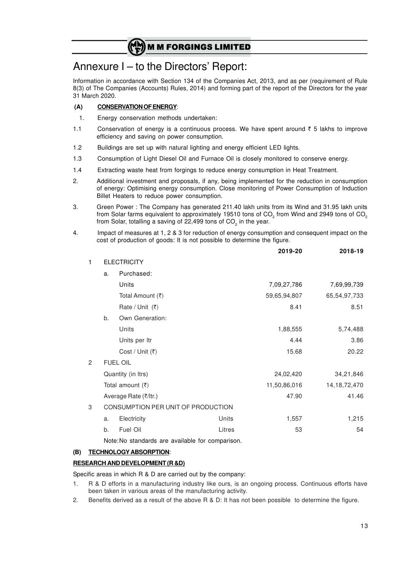# Annexure I – to the Directors' Report:

Information in accordance with Section 134 of the Companies Act, 2013, and as per (requirement of Rule 8(3) of The Companies (Accounts) Rules, 2014) and forming part of the report of the Directors for the year 31 March 2020.

## **(A) CONSERVATION OF ENERGY**:

- 1. Energy conservation methods undertaken:
- 1.1 Conservation of energy is a continuous process. We have spent around  $\bar{\tau}$  5 lakhs to improve efficiency and saving on power consumption.
- 1.2 Buildings are set up with natural lighting and energy efficient LED lights.
- 1.3 Consumption of Light Diesel Oil and Furnace Oil is closely monitored to conserve energy.
- 1.4 Extracting waste heat from forgings to reduce energy consumption in Heat Treatment.
- 2. Additional investment and proposals, if any, being implemented for the reduction in consumption of energy: Optimising energy consumption. Close monitoring of Power Consumption of Induction Billet Heaters to reduce power consumption.
- 3. Green Power : The Company has generated 211.40 lakh units from its Wind and 31.95 lakh units from Solar farms equivalent to approximately 19510 tons of CO<sub>2</sub> from Wind and 2949 tons of CO<sub>2</sub> from Solar, totalling a saving of 22,499 tons of CO $_{\tiny 2}$  in the year.
- 4. Impact of measures at 1, 2 & 3 for reduction of energy consumption and consequent impact on the cost of production of goods: It is not possible to determine the figure.

|   |    |                                                  |        | 2019-20      | 2018-19         |
|---|----|--------------------------------------------------|--------|--------------|-----------------|
| 1 |    | <b>ELECTRICITY</b>                               |        |              |                 |
|   | a. | Purchased:                                       |        |              |                 |
|   |    | Units                                            |        | 7,09,27,786  | 7,69,99,739     |
|   |    | Total Amount (₹)                                 |        | 59,65,94,807 | 65,54,97,733    |
|   |    | Rate / Unit $(3)$                                |        | 8.41         | 8.51            |
|   | b. | Own Generation:                                  |        |              |                 |
|   |    | Units                                            |        | 1,88,555     | 5,74,488        |
|   |    | Units per Itr                                    |        | 4.44         | 3.86            |
|   |    | Cost / Unit (₹)                                  |        | 15.68        | 20.22           |
| 2 |    | <b>FUEL OIL</b>                                  |        |              |                 |
|   |    | Quantity (in Itrs)                               |        | 24,02,420    | 34,21,846       |
|   |    | Total amount $(3)$                               |        | 11,50,86,016 | 14, 18, 72, 470 |
|   |    | Average Rate (₹/ltr.)                            |        | 47.90        | 41.46           |
| 3 |    | CONSUMPTION PER UNIT OF PRODUCTION               |        |              |                 |
|   | a. | Electricity                                      | Units  | 1,557        | 1,215           |
|   | b. | Fuel Oil                                         | Litres | 53           | 54              |
|   |    | Note: No standards are available for comparison. |        |              |                 |

### **(B) TECHNOLOGY ABSORPTION**:

### **RESEARCH AND DEVELOPMENT (R &D)**

Specific areas in which R & D are carried out by the company:

- 1. R & D efforts in a manufacturing industry like ours, is an ongoing process. Continuous efforts have been taken in various areas of the manufacturing activity.
- 2. Benefits derived as a result of the above R & D: It has not been possible to determine the figure.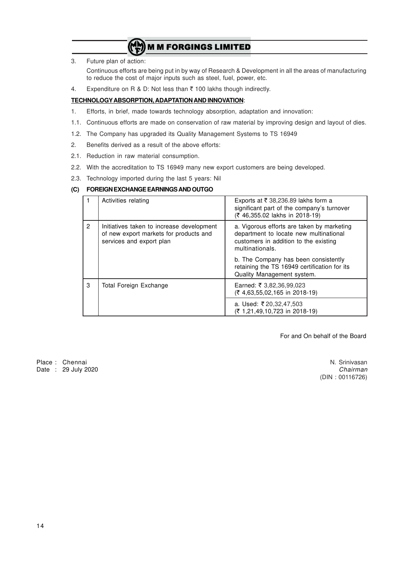3. Future plan of action:

Continuous efforts are being put in by way of Research & Development in all the areas of manufacturing to reduce the cost of major inputs such as steel, fuel, power, etc.

4. Expenditure on R & D: Not less than  $\bar{\tau}$  100 lakhs though indirectly.

## **TECHNOLOGYABSORPTION, ADAPTATION AND INNOVATION**:

- 1. Efforts, in brief, made towards technology absorption, adaptation and innovation:
- 1.1. Continuous efforts are made on conservation of raw material by improving design and layout of dies.
- 1.2. The Company has upgraded its Quality Management Systems to TS 16949
- 2. Benefits derived as a result of the above efforts:
- 2.1. Reduction in raw material consumption.
- 2.2. With the accreditation to TS 16949 many new export customers are being developed.
- 2.3. Technology imported during the last 5 years: Nil

## **(C) FOREIGN EXCHANGE EARNINGS AND OUTGO**

|              | Activities relating                                                                                             | Exports at ₹ 38,236.89 lakhs form a<br>significant part of the company's turnover<br>(₹ 46,355.02 lakhs in 2018-19)                              |
|--------------|-----------------------------------------------------------------------------------------------------------------|--------------------------------------------------------------------------------------------------------------------------------------------------|
| $\mathbf{2}$ | Initiatives taken to increase development<br>of new export markets for products and<br>services and export plan | a. Vigorous efforts are taken by marketing<br>department to locate new multinational<br>customers in addition to the existing<br>multinationals. |
|              |                                                                                                                 | b. The Company has been consistently<br>retaining the TS 16949 certification for its<br>Quality Management system.                               |
| 3            | Total Foreign Exchange                                                                                          | Earned: ₹ 3,82,36,99,023<br>$(7, 4, 63, 55, 02, 165)$ in 2018-19)                                                                                |
|              |                                                                                                                 | a. Used: ₹20,32,47,503<br>(₹ 1,21,49,10,723 in 2018-19)                                                                                          |

For and On behalf of the Board

Place : Chennai N. Srinivasan (1999)<br>Date : 29 July 2020 Date : 29 July 2020

(DIN : 00116726)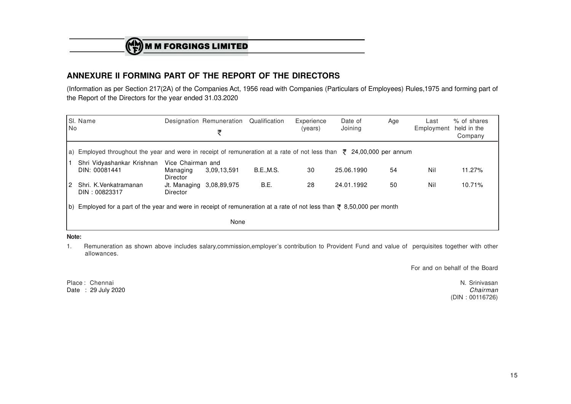$\binom{(\mathbf{A})}{\mathbf{F}}$  M M FORGINGS LIMITED

# **ANNEXURE II FORMING PART OF THE REPORT OF THE DIRECTORS**

 (Information as per Section 217(2A) of the Companies Act, 1956 read with Companies (Particulars of Employees) Rules,1975 and forming part ofthe Report of the Directors for the year ended 31.03.2020

| l No | SI. Name                                                                                                                         |                                           | Designation Remuneration<br>₹ | Qualification    | Experience<br>(years) | Date of<br>Joining | Age | Last<br>Employment | % of shares<br>held in the<br>Company |
|------|----------------------------------------------------------------------------------------------------------------------------------|-------------------------------------------|-------------------------------|------------------|-----------------------|--------------------|-----|--------------------|---------------------------------------|
|      | a) Employed throughout the year and were in receipt of remuneration at a rate of not less than $\bar{\tau}$ 24,00,000 per annum  |                                           |                               |                  |                       |                    |     |                    |                                       |
|      | Shri Vidyashankar Krishnan<br>DIN: 00081441                                                                                      | Vice Chairman and<br>Managing<br>Director | 3.09.13.591                   | <b>B.E.,M.S.</b> | 30                    | 25.06.1990         | 54  | Nil                | 11.27%                                |
| ا 2  | Shri, K.Venkatramanan<br>DIN: 00823317                                                                                           | Jt. Managing 3,08,89,975<br>Director      |                               | B.E.             | 28                    | 24.01.1992         | 50  | Nil                | 10.71%                                |
| lb). | Employed for a part of the year and were in receipt of remuneration at a rate of not less than $\overline{z}$ 8,50,000 per month |                                           |                               |                  |                       |                    |     |                    |                                       |
|      |                                                                                                                                  |                                           | None                          |                  |                       |                    |     |                    |                                       |

#### **Note:**

1. Remuneration as shown above includes salary,commission,employer's contribution to Provident Fund and value of perquisites together with otherallowances.

For and on behalf of the Board

Place: Chennai Date: 29 July 2020

e: Chennai N. Srinivasan : 29 July 2020 *Chairman* (DIN : 00116726)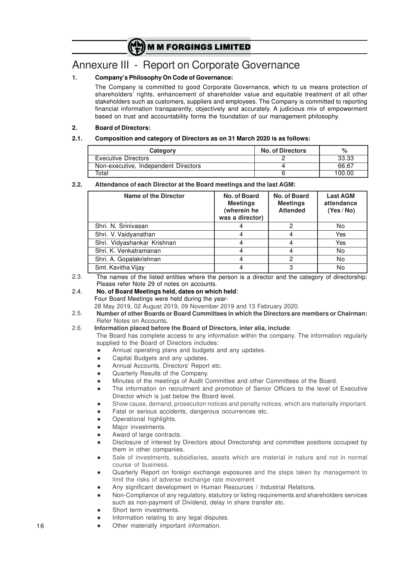# Annexure III - Report on Corporate Governance

## **1. Company's Philosophy On Code of Governance:**

The Company is committed to good Corporate Governance, which to us means protection of shareholders' rights, enhancement of shareholder value and equitable treatment of all other stakeholders such as customers, suppliers and employees. The Company is committed to reporting financial information transparently, objectively and accurately. A judicious mix of empowerment based on trust and accountability forms the foundation of our management philosophy.

### **2. Board of Directors:**

### **2.1. Composition and category of Directors as on 31 March 2020 is as follows:**

| Category                             | <b>No. of Directors</b> | $\%$   |
|--------------------------------------|-------------------------|--------|
| Executive Directors                  |                         | 33.33  |
| Non-executive, Independent Directors |                         | 66.67  |
| Total                                |                         | 100.00 |

#### **2.2. Attendance of each Director at the Board meetings and the last AGM:**

| <b>Name of the Director</b> | No. of Board<br><b>Meetings</b><br>(wherein he<br>was a director) | No. of Board<br><b>Meetings</b><br><b>Attended</b> | <b>Last AGM</b><br>attendance<br>(Yes/No) |
|-----------------------------|-------------------------------------------------------------------|----------------------------------------------------|-------------------------------------------|
| Shri, N. Srinivasan         |                                                                   | 2                                                  | No                                        |
| Shri. V. Vaidyanathan       |                                                                   | 4                                                  | Yes                                       |
| Shri. Vidyashankar Krishnan |                                                                   |                                                    | Yes                                       |
| Shri, K. Venkatramanan      |                                                                   |                                                    | No                                        |
| Shri. A. Gopalakrishnan     |                                                                   | ິ                                                  | No                                        |
| Smt. Kavitha Vijay          |                                                                   | 3                                                  | No                                        |

2.3. The names of the listed entities where the person is a director and the category of directorship: Please refer Note 29 of notes on accounts.

2.4. **No. of Board Meetings held, dates on which held**: Four Board Meetings were held during the year-

28 May 2019, 02 August 2019, 09 November 2019 and 13 February 2020.

2.5. **Number of other Boards or Board Committees in which the Directors are members or Chairman:** Refer Notes on Accounts**.**

#### 2.6. **Information placed before the Board of Directors, inter alia, include**:

The Board has complete access to any information within the company. The information regularly supplied to the Board of Directors includes:

- Annual operating plans and budgets and any updates.
- Capital Budgets and any updates.
- Annual Accounts, Directors' Report etc.
- Quarterly Results of the Company.
- l Minutes of the meetings of Audit Committee and other Committees of the Board.
- The information on recruitment and promotion of Senior Officers to the level of Executive Director which is just below the Board level.
- Show cause, demand, prosecution notices and penalty notices, which are materially important.
- Fatal or serious accidents, dangerous occurrences etc.
- Operational highlights.
- Major investments.
- Award of large contracts.
- Disclosure of interest by Directors about Directorship and committee positions occupied by them in other companies.
- Sale of investments, subsidiaries, assets which are material in nature and not in normal course of business.
- l Quarterly Report on foreign exchange exposures and the steps taken by management to limit the risks of adverse exchange rate movement
- Any significant development in Human Resources / Industrial Relations.
- l Non-Compliance of any regulatory, statutory or listing requirements and shareholders services such as non-payment of Dividend, delay in share transfer etc.
- Short term investments.
- Information relating to any legal disputes.
- Other materially important information.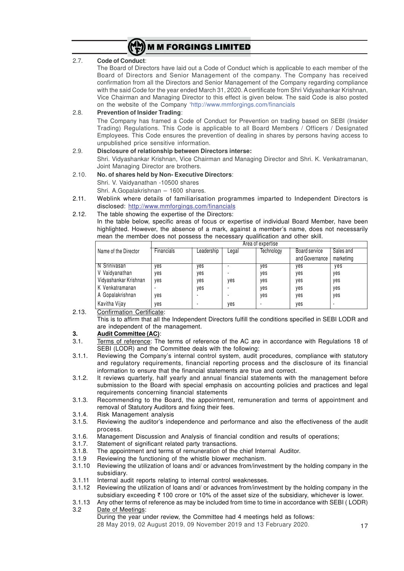

### 2.7. **Code of Conduct**:

The Board of Directors have laid out a Code of Conduct which is applicable to each member of the Board of Directors and Senior Management of the company. The Company has received confirmation from all the Directors and Senior Management of the Company regarding compliance with the said Code for the year ended March 31, 2020. A certificate from Shri Vidyashankar Krishnan, Vice Chairman and Managing Director to this effect is given below. The said Code is also posted on the website of the Company 'http://www.mmforgings.com/financials

#### 2.8. **Prevention of Insider Trading**: The Company has framed a Code of Conduct for Prevention on trading based on SEBI (Insider Trading) Regulations. This Code is applicable to all Board Members / Officers / Designated Employees. This Code ensures the prevention of dealing in shares by persons having access to unpublished price sensitive information. 2.9. **Disclosure of relationship between Directors interse:**

# Shri. Vidyashankar Krishnan, Vice Chairman and Managing Director and Shri. K. Venkatramanan, Joint Managing Director are brothers.

2.10. **No. of shares held by Non- Executive Directors**: Shri. V. Vaidyanathan -10500 shares

Shri. A.Gopalakrishnan – 1600 shares.

2.11. Weblink where details of familiarisation programmes imparted to Independent Directors is disclosed: http://www.mmforgings.com/financials

## 2.12. The table showing the expertise of the Directors:

In the table below, specific areas of focus or expertise of individual Board Member, have been highlighted. However, the absence of a mark, against a member's name, does not necessarily mean the member does not possess the necessary qualification and other skill.

| Area of expertise     |            |            |       |            |                                 |                        |
|-----------------------|------------|------------|-------|------------|---------------------------------|------------------------|
| Name of the Director  | Financials | Leadership | ∟egal | Technology | Board service<br>and Governance | Sales and<br>marketimg |
| N Srinivasan          | ves        | yes        |       | yes        | ves                             | yes                    |
| V Vaidyanathan        | ves        | yes        |       | yes        | yes                             | yes                    |
| Vidyashankar Krishnan | yes        | yes        | ves   | yes        | yes                             | yes                    |
| K Venkatramanan       |            | yes        |       | yes        | yes                             | yes                    |
| A Gopalakrishnan      | yes        |            |       | yes        | yes                             | yes                    |
| Kavitha Vijay         | ves        |            | yes   |            | ves                             | -                      |

- 2.13. Confirmation Certificate:
	- This is to affirm that all the Independent Directors fulfill the conditions specified in SEBI LODR and are independent of the management.

### **3. Audit Committee (AC)**:

- 3.1. Terms of reference: The terms of reference of the AC are in accordance with Regulations 18 of SEBI (LODR) and the Committee deals with the following:
- 3.1.1. Reviewing the Company's internal control system, audit procedures, compliance with statutory and regulatory requirements, financial reporting process and the disclosure of its financial information to ensure that the financial statements are true and correct.
- 3.1.2. It reviews quarterly, half yearly and annual financial statements with the management before submission to the Board with special emphasis on accounting policies and practices and legal requirements concerning financial statements
- 3.1.3. Recommending to the Board, the appointment, remuneration and terms of appointment and removal of Statutory Auditors and fixing their fees.
- 3.1.4. Risk Management analysis
- 3.1.5. Reviewing the auditor's independence and performance and also the effectiveness of the audit process.
- 3.1.6. Management Discussion and Analysis of financial condition and results of operations;<br>3.1.7. Statement of significant related party transactions.
- Statement of significant related party transactions.
- 3.1.8. The appointment and terms of remuneration of the chief Internal Auditor.
- 3.1.9 Reviewing the functioning of the whistle blower mechanism.
- 3.1.10 Reviewing the utilization of loans and/ or advances from/investment by the holding company in the subsidiary.
- 3.1.11 Internal audit reports relating to internal control weaknesses.
- 3.1.12 Reviewing the utilization of loans and/ or advances from/investment by the holding company in the subsidiary exceeding  $\bar{\tau}$  100 crore or 10% of the asset size of the subsidiary, whichever is lower.
- 3.1.13 Any other terms of reference as may be included from time to time in accordance with SEBI ( LODR) 3.2 Date of Meetings:
	- During the year under review, the Committee had 4 meetings held as follows:

28 May 2019, 02 August 2019, 09 November 2019 and 13 February 2020.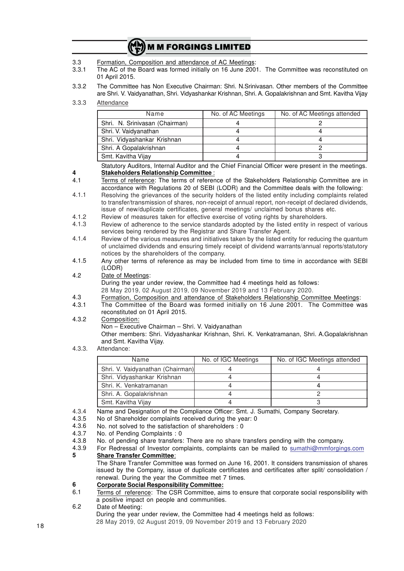| (MM) M M FORGINGS LIMITED |  |
|---------------------------|--|
|---------------------------|--|

- 3.3 Formation, Composition and attendance of AC Meetings:
- 3.3.1 The AC of the Board was formed initially on 16 June 2001. The Committee was reconstituted on 01 April 2015.
- 3.3.2 The Committee has Non Executive Chairman: Shri. N.Srinivasan. Other members of the Committee are Shri. V. Vaidyanathan, Shri. Vidyashankar Krishnan, Shri. A. Gopalakrishnan and Smt. Kavitha Vijay
- 3.3.3 Attendance

**4**

| Name                           | No. of AC Meetings | No. of AC Meetings attended |
|--------------------------------|--------------------|-----------------------------|
| Shri. N. Srinivasan (Chairman) |                    |                             |
| Shri. V. Vaidyanathan          |                    |                             |
| Shri. Vidyashankar Krishnan    |                    |                             |
| Shri. A Gopalakrishnan         |                    |                             |
| Smt. Kavitha Vijay             |                    |                             |

Statutory Auditors, Internal Auditor and the Chief Financial Officer were present in the meetings. **Stakeholders Relationship Committee** :

- 4.1 Terms of reference: The terms of reference of the Stakeholders Relationship Committee are in accordance with Regulations 20 of SEBI (LODR) and the Committee deals with the following:
- 4.1.1 Resolving the grievances of the security holders of the listed entity including complaints related to transfer/transmission of shares, non-receipt of annual report, non-receipt of declared dividends, issue of new/duplicate certificates, general meetings/ unclaimed bonus shares etc.
- 4.1.2 Review of measures taken for effective exercise of voting rights by shareholders.
- 4.1.3 Review of adherence to the service standards adopted by the listed entity in respect of various services being rendered by the Registrar and Share Transfer Agent.
- 4.1.4 Review of the various measures and initiatives taken by the listed entity for reducing the quantum of unclaimed dividends and ensuring timely receipt of dividend warrants/annual reports/statutory notices by the shareholders of the company.
- 4.1.5 Any other terms of reference as may be included from time to time in accordance with SEBI (LODR)
- 4.2 Date of Meetings: During the year under review, the Committee had 4 meetings held as follows:
	- 28 May 2019, 02 August 2019, 09 November 2019 and 13 February 2020.
- 4.3 Formation, Composition and attendance of Stakeholders Relationship Committee Meetings:
- 4.3.1 The Committee of the Board was formed initially on 16 June 2001. The Committee was reconstituted on 01 April 2015.
- 4.3.2 Composition:

Non – Executive Chairman – Shri. V. Vaidyanathan

Other members: Shri. Vidyashankar Krishnan, Shri. K. Venkatramanan, Shri. A.Gopalakrishnan and Smt. Kavitha Vijay.

4.3.3. Attendance:

| Name                             | No. of IGC Meetings | No. of IGC Meetings attended |
|----------------------------------|---------------------|------------------------------|
| Shri. V. Vaidyanathan (Chairman) |                     |                              |
| Shri. Vidyashankar Krishnan      |                     |                              |
| Shri, K. Venkatramanan           |                     |                              |
| Shri. A. Gopalakrishnan          |                     |                              |
| Smt. Kavitha Vijay               |                     |                              |

- 4.3.4 Name and Designation of the Compliance Officer: Smt. J. Sumathi, Company Secretary.
- 4.3.5 No of Shareholder complaints received during the year: 0
- 4.3.6 No. not solved to the satisfaction of shareholders : 0
- 4.3.7 No. of Pending Complaints : 0
- 4.3.8 No. of pending share transfers: There are no share transfers pending with the company.
- 4.3.9 **5** For Redressal of Investor complaints, complaints can be mailed to sumathi@mmforgings.com **Share Transfer Committee**:

The Share Transfer Committee was formed on June 16, 2001. It considers transmission of shares issued by the Company, issue of duplicate certificates and certificates after split/ consolidation / renewal. During the year the Committee met 7 times.

#### **6 Corporate Social Responsibility Committee:**

- 6.1 Terms of reference: The CSR Committee, aims to ensure that corporate social responsibility with a positive impact on people and communities.
- 6.2 Date of Meeting:

During the year under review, the Committee had 4 meetings held as follows: 28 May 2019, 02 August 2019, 09 November 2019 and 13 February 2020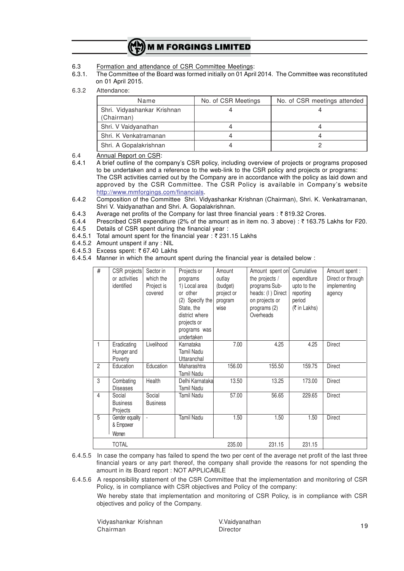- 6.3 Formation and attendance of CSR Committee Meetings:
- 6.3.1. The Committee of the Board was formed initially on 01 April 2014. The Committee was reconstituted on 01 April 2015.
- 6.3.2 Attendance:

| Name                                      | No. of CSR Meetings | No. of CSR meetings attended |
|-------------------------------------------|---------------------|------------------------------|
| Shri. Vidyashankar Krishnan<br>(Chairman) |                     |                              |
| Shri. V Vaidyanathan                      |                     |                              |
| Shri. K Venkatramanan                     |                     |                              |
| Shri. A Gopalakrishnan                    |                     |                              |

6.4 Annual Report on CSR:<br>6.4.1 A brief outline of the counter

6.4.1 A brief outline of the company's CSR policy, including overview of projects or programs proposed to be undertaken and a reference to the web-link to the CSR policy and projects or programs: The CSR activities carried out by the Company are in accordance with the policy as laid down and approved by the CSR Committee. The CSR Policy is available in Company's website http://www.mmforgings.com/financials.

- 6.4.2 Composition of the Committee Shri. Vidyashankar Krishnan (Chairman), Shri. K. Venkatramanan, Shri V. Vaidyanathan and Shri. A. Gopalakrishnan.
- 6.4.3 Average net profits of the Company for last three financial years :  $\bar{\tau}$  819.32 Crores.<br>6.4.4 Prescribed CSB expenditure (2% of the amount as in item no. 3 above) :  $\bar{\tau}$  163.75
- Prescribed CSR expenditure (2% of the amount as in item no. 3 above) : ₹ 163.75 Lakhs for F20.
- 6.4.5 Details of CSR spent during the financial year :
- 6.4.5.1 Total amount spent for the financial year:  $\bar{\tau}$  231.15 Lakhs
- 6.4.5.2 Amount unspent if any : NIL
- 6.4.5.3 Excess spent:  $\overline{6}$  67.40 Lakhs
- 6.4.5.4 Manner in which the amount spent during the financial year is detailed below :

| $\#$           | CSR projects<br>or activities<br>identified | Sector in<br>which the<br>Project is<br>covered | Projects or<br>programs<br>1) Local area<br>or other<br>(2) Specify the<br>State, the<br>district where<br>projects or<br>programs was<br>undertaken | Amount<br>outlay<br>(budget)<br>project or<br>program<br>wise | Amount spent on<br>the projects /<br>programs Sub-<br>heads: (I) Direct<br>on projects or<br>programs (2)<br>Overheads | Cumulative<br>expenditure<br>upto to the<br>reporting<br>period<br>(₹ in Lakhs) | Amount spent :<br>Direct or through<br>implementing<br>agency |
|----------------|---------------------------------------------|-------------------------------------------------|------------------------------------------------------------------------------------------------------------------------------------------------------|---------------------------------------------------------------|------------------------------------------------------------------------------------------------------------------------|---------------------------------------------------------------------------------|---------------------------------------------------------------|
| $\mathbf{1}$   | Eradicating<br>Hunger and<br>Poverty        | Livelihood                                      | Karnataka<br><b>Tamil Nadu</b><br>Uttaranchal                                                                                                        | 7.00                                                          | 4.25                                                                                                                   | 4.25                                                                            | <b>Direct</b>                                                 |
| $\overline{2}$ | Education                                   | Education                                       | Maharashtra<br><b>Tamil Nadu</b>                                                                                                                     | 156.00                                                        | 155.50                                                                                                                 | 159.75                                                                          | <b>Direct</b>                                                 |
| 3              | Combating<br><b>Diseases</b>                | Health                                          | Delhi Karnataka<br><b>Tamil Nadu</b>                                                                                                                 | 13.50                                                         | 13.25                                                                                                                  | 173.00                                                                          | <b>Direct</b>                                                 |
| $\overline{4}$ | Social<br><b>Business</b><br>Projects       | Social<br><b>Business</b>                       | <b>Tamil Nadu</b>                                                                                                                                    | 57.00                                                         | 56.65                                                                                                                  | 229.65                                                                          | <b>Direct</b>                                                 |
| 5              | Gender equality<br>& Empower<br>Women       |                                                 | <b>Tamil Nadu</b>                                                                                                                                    | 1.50                                                          | 1.50                                                                                                                   | 1.50                                                                            | <b>Direct</b>                                                 |
|                | <b>TOTAL</b>                                |                                                 |                                                                                                                                                      | 235.00                                                        | 231.15                                                                                                                 | 231.15                                                                          |                                                               |

6.4.5.5 In case the company has failed to spend the two per cent of the average net profit of the last three financial years or any part thereof, the company shall provide the reasons for not spending the amount in its Board report : NOT APPLICABLE

6.4.5.6 A responsibility statement of the CSR Committee that the implementation and monitoring of CSR Policy, is in compliance with CSR objectives and Policy of the company:

We hereby state that implementation and monitoring of CSR Policy, is in compliance with CSR objectives and policy of the Company.

Vidyashankar Krishnan V.Vaidyanathan Chairman Director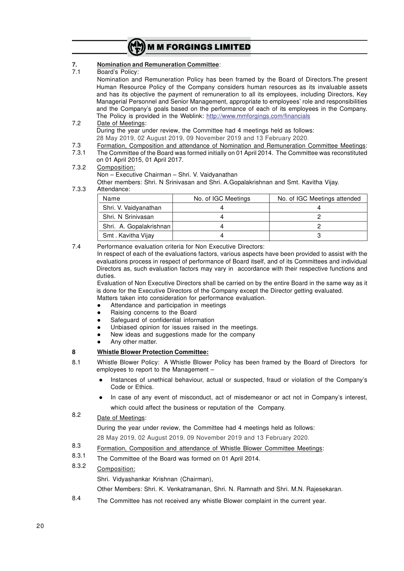

## **7. Nomination and Remuneration Committee**:

7.1 Board's Policy:

Nomination and Remuneration Policy has been framed by the Board of Directors.The present Human Resource Policy of the Company considers human resources as its invaluable assets and has its objective the payment of remuneration to all its employees, including Directors, Key Managerial Personnel and Senior Management, appropriate to employees' role and responsibilities and the Company's goals based on the performance of each of its employees in the Company. The Policy is provided in the Weblink: http://www.mmforgings.com/financials

- 7.2 Date of Meetings: During the year under review, the Committee had 4 meetings held as follows: 28 May 2019, 02 August 2019, 09 November 2019 and 13 February 2020.
- 7.3 Formation, Composition and attendance of Nomination and Remuneration Committee Meetings:
- 7.3.1 The Committee of the Board was formed initially on 01 April 2014. The Committee was reconstituted on 01 April 2015, 01 April 2017.
- 7.3.2 Composition: Non – Executive Chairman – Shri. V. Vaidyanathan Other members: Shri. N Srinivasan and Shri. A.Gopalakrishnan and Smt. Kavitha Vijay.
- 7.3.3 Attendance:

| Name                    | No. of IGC Meetings | No. of IGC Meetings attended |  |
|-------------------------|---------------------|------------------------------|--|
| Shri. V. Vaidyanathan   |                     |                              |  |
| Shri. N Srinivasan      |                     |                              |  |
| Shri. A. Gopalakrishnan |                     |                              |  |
| Smt. Kavitha Vijay      |                     |                              |  |

7.4 Performance evaluation criteria for Non Executive Directors:

In respect of each of the evaluations factors, various aspects have been provided to assist with the evaluations process in respect of performance of Board itself, and of its Committees and individual Directors as, such evaluation factors may vary in accordance with their respective functions and duties.

Evaluation of Non Executive Directors shall be carried on by the entire Board in the same way as it is done for the Executive Directors of the Company except the Director getting evaluated. Matters taken into consideration for performance evaluation.

- Attendance and participation in meetings
- Raising concerns to the Board
- Safeguard of confidential information
- Unbiased opinion for issues raised in the meetings.
- New ideas and suggestions made for the company
- Any other matter.

# **8 Whistle Blower Protection Committee:**

- 8.1 Whistle Blower Policy: A Whistle Blower Policy has been framed by the Board of Directors for employees to report to the Management –
	- l Instances of unethical behaviour, actual or suspected, fraud or violation of the Company's Code or Ethics.
	- In case of any event of misconduct, act of misdemeanor or act not in Company's interest, which could affect the business or reputation of the Company.

#### 8.2 Date of Meetings:

During the year under review, the Committee had 4 meetings held as follows: 28 May 2019, 02 August 2019, 09 November 2019 and 13 February 2020.

- 8.3 Formation, Composition and attendance of Whistle Blower Committee Meetings:
- 8.3.1 The Committee of the Board was formed on 01 April 2014.

#### 8.3.2 Composition:

Shri. Vidyashankar Krishnan (Chairman),

Other Members: Shri. K. Venkatramanan, Shri. N. Ramnath and Shri. M.N. Rajesekaran.

8.4 The Committee has not received any whistle Blower complaint in the current year.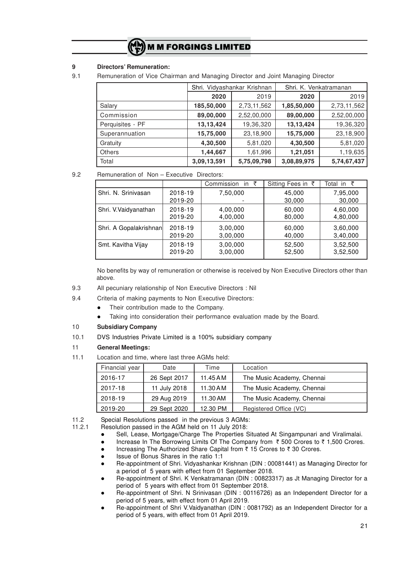## **9 Directors' Remuneration:**

<sup>9.1</sup> Remuneration of Vice Chairman and Managing Director and Joint Managing Director

|                  | Shri. Vidyashankar Krishnan |             | Shri, K. Venkatramanan |             |
|------------------|-----------------------------|-------------|------------------------|-------------|
|                  | 2020                        | 2019        |                        | 2019        |
| Salary           | 185,50,000                  | 2,73,11,562 | 1,85,50,000            | 2,73,11,562 |
| Commission       | 89,00,000                   | 2,52,00,000 | 89,00,000              | 2,52,00,000 |
| Perquisites - PF | 13,13,424                   | 19,36,320   | 13,13,424              | 19,36,320   |
| Superannuation   | 15,75,000                   | 23,18,900   | 15,75,000              | 23,18,900   |
| Gratuity         | 4,30,500                    | 5,81,020    | 4,30,500               | 5,81,020    |
| <b>Others</b>    | 1,44,667                    | 1,61,996    | 1,21,051               | 1,19,635    |
| Total            | 3,09,13,591                 | 5,75,09,798 | 3,08,89,975            | 5,74,67,437 |

9.2 Remuneration of Non – Executive Directors:

|                        |                    | Commission<br>in $\bar{z}$ | Sitting Fees in ₹ | Total in $\bar{z}$ |
|------------------------|--------------------|----------------------------|-------------------|--------------------|
| Shri, N. Srinivasan    | 2018-19<br>2019-20 | 7,50,000                   | 45,000<br>30,000  | 7,95,000<br>30,000 |
| Shri. V.Vaidyanathan   | 2018-19            | 4,00,000                   | 60,000            | 4,60,000           |
|                        | 2019-20            | 4,00,000                   | 80,000            | 4,80,000           |
| Shri. A Gopalakrishnan | 2018-19            | 3,00,000                   | 60,000            | 3,60,000           |
|                        | 2019-20            | 3,00,000                   | 40,000            | 3,40,000           |
| Smt. Kavitha Vijay     | 2018-19            | 3,00,000                   | 52,500            | 3,52,500           |
|                        | 2019-20            | 3,00,000                   | 52,500            | 3,52,500           |

No benefits by way of remuneration or otherwise is received by Non Executive Directors other than above.

- 9.3 All pecuniary relationship of Non Executive Directors : Nil
- 9.4 Criteria of making payments to Non Executive Directors:
	- Their contribution made to the Company.
	- Taking into consideration their performance evaluation made by the Board.

### 10 **Subsidiary Company**

10.1 DVS Industries Private Limited is a 100% subsidiary company

## 11 **General Meetings:**

11.1 Location and time, where last three AGMs held:

| Financial year | Date         | Time       | Location                   |
|----------------|--------------|------------|----------------------------|
| 2016-17        | 26 Sept 2017 | $11.45$ AM | The Music Academy, Chennai |
| 2017-18        | 11 July 2018 | $11.30$ AM | The Music Academy, Chennai |
| 2018-19        | 29 Aug 2019  | 11.30 AM   | The Music Academy, Chennai |
| 2019-20        | 29 Sept 2020 | 12.30 PM   | Registered Office (VC)     |

11.2 Special Resolutions passed in the previous 3 AGMs:<br>11.2.1 Besolution passed in the AGM held on 11 July 2018:

- Resolution passed in the AGM held on 11 July 2018:
	- Sell, Lease, Mortgage/Charge The Properties Situated At Singampunari and Viralimalai.
	- Increase In The Borrowing Limits Of The Company from  $\bar{\tau}$  500 Crores to  $\bar{\tau}$  1,500 Crores.
	- Increasing The Authorized Share Capital from  $\bar{\tau}$  15 Crores to  $\bar{\tau}$  30 Crores.
	- l Issue of Bonus Shares in the ratio 1:1
	- l Re-appointment of Shri. Vidyashankar Krishnan (DIN : 00081441) as Managing Director for a period of 5 years with effect from 01 September 2018.
	- Re-appointment of Shri. K Venkatramanan (DIN : 00823317) as Jt Managing Director for a period of 5 years with effect from 01 September 2018.
	- Re-appointment of Shri. N Srinivasan (DIN : 00116726) as an Independent Director for a period of 5 years, with effect from 01 April 2019.
	- Re-appointment of Shri V.Vaidyanathan (DIN : 0081792) as an Independent Director for a period of 5 years, with effect from 01 April 2019.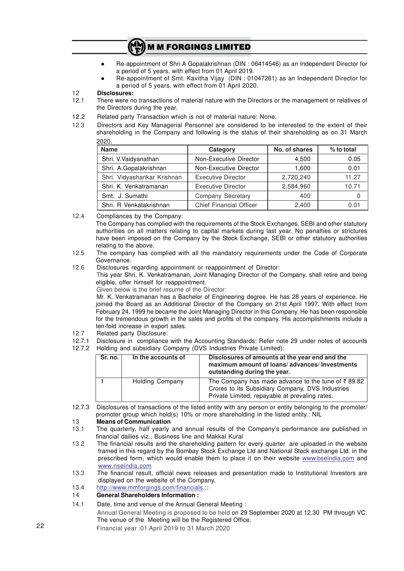- **•** Re-appointment of Shri A Gopalakrishnan (DIN : 06414546) as an Independent Director for a period of 5 years, with effect from 01 April 2019.
- Re-appointment of Smt. Kavitha Vijay (DIN : 01047261) as an Independent Director for a period of 5 years, with effect from 01 April 2020.

#### 12 **Disclosures:**

- 12.1 There were no transactions of material nature with the Directors or the management or relatives of the Directors during the year.
- 12.2 Related party Transaction which is not of material nature: None.
- 12.3 Directors and Key Managerial Personnel are considered to be interested to the extent of their shareholding in the Company and following is the status of their shareholding as on 31 March 2020.

| <b>Name</b>                 | Category                  | No. of shares | $%$ to total |
|-----------------------------|---------------------------|---------------|--------------|
| Shri. V.Vaidyanathan        | Non-Executive Director    | 4,500         | 0.05         |
| Shri. A.Gopalakrishnan      | Non-Executive Director    | 1,600         | 0.01         |
| Shri. Vidyashankar Krishnan | <b>Executive Director</b> | 2,720,240     | 11.27        |
| Shri, K. Venkatramanan      | <b>Executive Director</b> | 2,584,960     | 10.71        |
| Smt. J. Sumathi             | Company Secretary         | 400           | 0            |
| Shri, R Venkatakrishnan     | Chief Financial Officer   | 2,400         | 0.01         |

12.4 Compliances by the Company:

The Company has complied with the requirements of the Stock Exchanges, SEBI and other statutory authorities on all matters relating to capital markets during last year. No penalties or strictures have been imposed on the Company by the Stock Exchange, SEBI or other statutory authorities relating to the above.

- 12.5 The company has complied with all the mandatory requirements under the Code of Corporate Governance.
- 12.6 Disclosures regarding appointment or reappointment of Director:

This year Shri. K. Venkatramanan, Joint Managing Director of the Company, shall retire and being eligible, offer himself for reappointment.

Given below is the brief resume of the Director:

Mr. K. Venkatramanan has a Bachelor of Engineering degree. He has 28 years of experience. He joined the Board as an Additional Director of the Company on 21st April 1997. With effect from February 24, 1999 he became the Joint Managing Director in this Company. He has been responsible for the tremendous growth in the sales and profits of the company. His accomplishments include a ten-fold increase in export sales.

- 12.7 Related party Disclosure:
- 12.7.1 Disclosure in compliance with the Accounting Standards: Refer note 29 under notes of accounts
- 12.7.2 Holding and subsidiary Company (DVS Industries Private Limited):

| Sr. no. | In the accounts of | Disclosures of amounts at the year end and the<br>maximum amount of loans/advances/Investments<br>outstanding during the year.                                       |
|---------|--------------------|----------------------------------------------------------------------------------------------------------------------------------------------------------------------|
|         | Holding Company    | The Company has made advance to the tune of $\bar{\tau}$ 89.82<br>Crores to its Subsidiary Company, DVS Industries<br>Private Limited, repayable at prevaling rates. |

12.7.3 Disclosures of transactions of the listed entity with any person or entity belonging to the promoter/ promoter group which hold(s) 10% or more shareholding in the listed entity.: NIL

# 13 **Means of Communication**

- The quarterly, half yearly and annual results of the Company's performance are published in financial dailies viz., Business line and Makkal Kural
- 13.2 The financial results and the shareholding pattern for every quarter are uploaded in the website framed in this regard by the Bombay Stock Exchange Ltd and National Stock exchange Ltd. in the prescribed form, which would enable them to place it on their website www.bseindia.com and www.nseindia.com
- 13.3 The financial result, official news releases and presentation made to Institutional Investors are displayed on the website of the Company,
- 13.4 http://www.mmforgings.com/financials.;:

### 14 **General Shareholders Information :**

- 14.1 Date, time and venue of the Annual General Meeting :
- Annual General Meeting is proposed to be held on 29 September 2020 at 12.30 PM through VC. The venue of the Meeting will be the Registered Office.

Financial year :01 April 2019 to 31 March 2020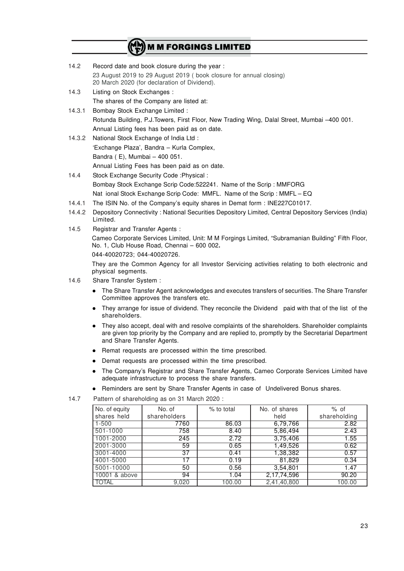| 14.2 | Record date and book closure during the year:                                                                      |  |
|------|--------------------------------------------------------------------------------------------------------------------|--|
|      | 23 August 2019 to 29 August 2019 (book closure for annual closing)<br>20 March 2020 (for declaration of Dividend). |  |
| 14.3 | Listing on Stock Exchanges :                                                                                       |  |

The shares of the Company are listed at:

# 14.3.1 Bombay Stock Exchange Limited : Rotunda Building, P.J.Towers, First Floor, New Trading Wing, Dalal Street, Mumbai –400 001. Annual Listing fees has been paid as on date.

- 14.3.2 National Stock Exchange of India Ltd : 'Exchange Plaza', Bandra – Kurla Complex, Bandra ( E), Mumbai – 400 051. Annual Listing Fees has been paid as on date.
- 14.4 Stock Exchange Security Code :Physical : Bombay Stock Exchange Scrip Code:522241. Name of the Scrip : MMFORG Nat ional Stock Exchange Scrip Code: MMFL. Name of the Scrip : MMFL – EQ
- 14.4.1 The ISIN No. of the Company's equity shares in Demat form : INE227C01017.
- 14.4.2 Depository Connectivity : National Securities Depository Limited, Central Depository Services (India) Limited.
- 14.5 Registrar and Transfer Agents : Cameo Corporate Services Limited, Unit: M M Forgings Limited, "Subramanian Building" Fifth Floor, No. 1, Club House Road, Chennai – 600 002**.** 044-40020723; 044-40020726.

They are the Common Agency for all Investor Servicing activities relating to both electronic and physical segments.

- 14.6 Share Transfer System :
	- The Share Transfer Agent acknowledges and executes transfers of securities. The Share Transfer Committee approves the transfers etc.
	- They arrange for issue of dividend. They reconcile the Dividend paid with that of the list of the shareholders.
	- They also accept, deal with and resolve complaints of the shareholders. Shareholder complaints are given top priority by the Company and are replied to, promptly by the Secretarial Department and Share Transfer Agents.
	- Remat requests are processed within the time prescribed.
	- Demat requests are processed within the time prescribed.
	- The Company's Registrar and Share Transfer Agents, Cameo Corporate Services Limited have adequate infrastructure to process the share transfers.
	- Reminders are sent by Share Transfer Agents in case of Undelivered Bonus shares.

14.7 Pattern of shareholding as on 31 March 2020 :

| No. of equity | No. of       | % to total | No. of shares | $%$ of       |
|---------------|--------------|------------|---------------|--------------|
| shares held   | shareholders |            | held          | shareholding |
| $1 - 500$     | 7760         | 86.03      | 6,79,766      | 2.82         |
| 501-1000      | 758          | 8.40       | 5,86,494      | 2.43         |
| 1001-2000     | 245          | 2.72       | 3,75,406      | 1.55         |
| 2001-3000     | 59           | 0.65       | 1,49,526      | 0.62         |
| 3001-4000     | 37           | 0.41       | 1,38,382      | 0.57         |
| 4001-5000     | 17           | 0.19       | 81,829        | 0.34         |
| 5001-10000    | 50           | 0.56       | 3,54,801      | 1.47         |
| 10001 & above | 94           | 1.04       | 2,17,74,596   | 90.20        |
| <b>TOTAL</b>  | 9,020        | 100.00     | 2,41,40,800   | 100.00       |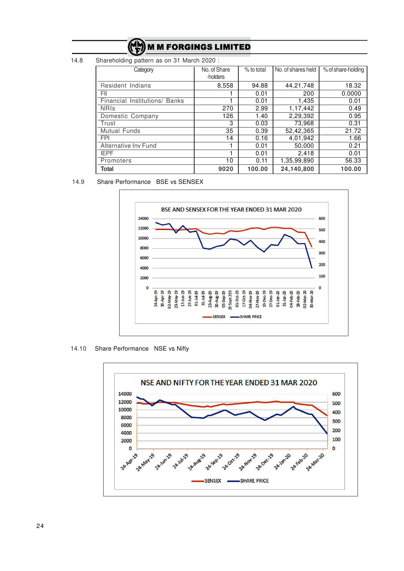14.8 Shareholding pattern as on 31 March 2020 :

| Category                      | No. of Share<br>-holders | % to total | No. of shares held | % of share-holding |
|-------------------------------|--------------------------|------------|--------------------|--------------------|
| Resident Indians              | 8,558                    | 94.88      | 44,21,748          | 18.32              |
| FII                           |                          | 0.01       | 200                | 0.0000             |
| Financial Institutions/ Banks |                          | 0.01       | 1,435              | 0.01               |
| <b>NRIS</b>                   | 270                      | 2.99       | 1,17,442           | 0.49               |
| Domestic Company              | 126                      | 1.40       | 2,29,392           | 0.95               |
| Trust                         | 3                        | 0.03       | 73,968             | 0.31               |
| Mutual Funds                  | 35                       | 0.39       | 52,42,365          | 21.72              |
| <b>FPI</b>                    | 14                       | 0.16       | 4,01,942           | 1.66               |
| Alternative Inv Fund          |                          | 0.01       | 50,000             | 0.21               |
| <b>IEPF</b>                   |                          | 0.01       | 2,418              | 0.01               |
| Promoters                     | 10                       | 0.11       | 1,35,99,890        | 56.33              |
| Total                         | 9020                     | 100.00     | 24,140,800         | 100.00             |

## 14.9 Share Performance BSE vs SENSEX



14.10 Share Performance NSE vs Nifty

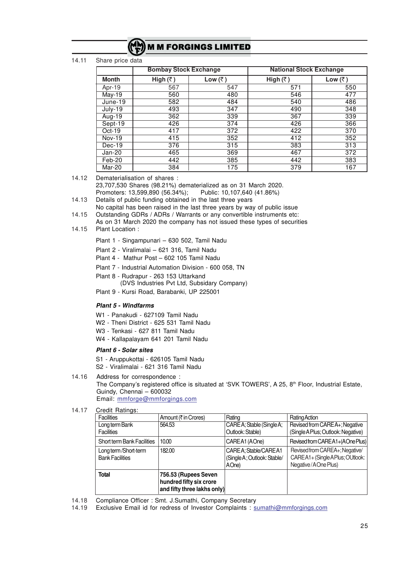|  |  | (M) M M FORGINGS LIMITED |  |  |
|--|--|--------------------------|--|--|
|  |  |                          |  |  |
|  |  |                          |  |  |

#### 14.11 Share price data

|               | <b>Bombay Stock Exchange</b> |         | <b>National Stock Exchange</b> |         |
|---------------|------------------------------|---------|--------------------------------|---------|
| <b>Month</b>  | High $(\bar{z})$             | Low (₹) | High $(\bar{z})$               | Low (₹) |
| Apr-19        | 567                          | 547     | 571                            | 550     |
| <b>May-19</b> | 560                          | 480     | 546                            | 477     |
| June-19       | 582                          | 484     | 540                            | 486     |
| $July-19$     | 493                          | 347     | 490                            | 348     |
| Aug-19        | 362                          | 339     | 367                            | 339     |
| Sept-19       | 426                          | 374     | 426                            | 366     |
| $Oct-19$      | 417                          | 372     | 422                            | 370     |
| <b>Nov-19</b> | 415                          | 352     | 412                            | 352     |
| Dec-19        | 376                          | 315     | 383                            | 313     |
| Jan-20        | 465                          | 369     | 467                            | 372     |
| Feb-20        | 442                          | 385     | 442                            | 383     |
| Mar-20        | 384                          | 175     | 379                            | 167     |

14.12 Dematerialisation of shares :

23,707,530 Shares (98.21%) dematerialized as on 31 March 2020. Promoters: 13,599,890 (56.34%); Public: 10,107,640 (41.86%)

- 14.13 Details of public funding obtained in the last three years
- No capital has been raised in the last three years by way of public issue 14.15 Outstanding GDRs / ADRs / Warrants or any convertible instruments etc:
- As on 31 March 2020 the company has not issued these types of securities 14.15 Plant Location :
	- Plant 1 Singampunari 630 502, Tamil Nadu
	- Plant 2 Viralimalai 621 316, Tamil Nadu
	- Plant 4 Mathur Post 602 105 Tamil Nadu
	- Plant 7 Industrial Automation Division 600 058, TN
	- Plant 8 Rudrapur 263 153 Uttarkand (DVS Industries Pvt Ltd, Subsidary Company)
	- Plant 9 Kursi Road, Barabanki, UP 225001

#### *Plant 5 - Windfarms*

- W1 Panakudi 627109 Tamil Nadu
- W2 Theni District 625 531 Tamil Nadu
- W3 Tenkasi 627 811 Tamil Nadu
- W4 Kallapalayam 641 201 Tamil Nadu

#### *Plant 6 - Solar sites*

- S1 Aruppukottai 626105 Tamil Nadu
- S2 Viralimalai 621 316 Tamil Nadu
- 14.16 Address for correspondence :

The Company's registered office is situated at 'SVK TOWERS', A 25,  $8<sup>th</sup>$  Floor, Industrial Estate, Guindy, Chennai – 600032 Email: mmforge@mmforgings.com

14.17 Credit Ratings:

| <b>Facilities</b>                 | Amount (₹ in Crores)                            | Rating                      | Rating Action                      |
|-----------------------------------|-------------------------------------------------|-----------------------------|------------------------------------|
| Long term Bank                    | 564.53                                          | CARE A; Stable (Single A;   | Revised from CAREA+; Negative      |
| <b>Facilities</b>                 |                                                 | Outlook: Stable)            | (Single A Plus; Outlook: Negative) |
| <b>Short term Bank Facilities</b> | 10.00                                           | CAREA1 (AOne)               | Revised from CAREA1+(AOne Plus)    |
| Long term/Short-term              | 182.00                                          | CARE A; Stable/CARE A1      | Revised from CAREA+; Negative/     |
| <b>Bank Facilities</b>            |                                                 | (Single A; Outlook: Stable/ | CAREA1+(SingleAPlus;OUtlook:       |
|                                   |                                                 | AOne)                       | Negative/AOne Plus)                |
| <b>Total</b>                      | 756.53 (Rupees Seven<br>hundred fifty six crore |                             |                                    |
|                                   | and fifty three lakhs only)                     |                             |                                    |

14.18 Compliance Officer : Smt. J.Sumathi, Company Secretary

14.19 Exclusive Email id for redress of Investor Complaints : sumathi@mmforgings.com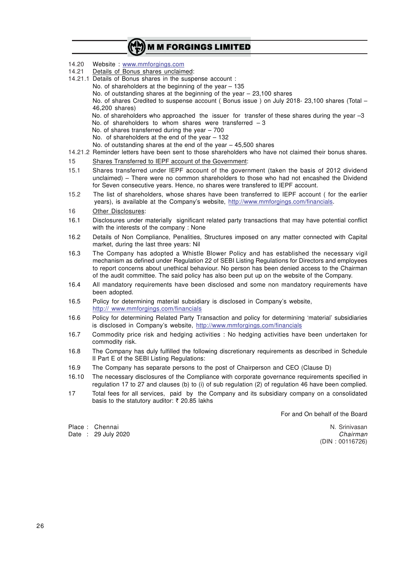|                | MM) M M FORGINGS LIMITED                                                                                                                                                                                                                                                                                                                                                                                                                                                                                                                                                                                                                                    |
|----------------|-------------------------------------------------------------------------------------------------------------------------------------------------------------------------------------------------------------------------------------------------------------------------------------------------------------------------------------------------------------------------------------------------------------------------------------------------------------------------------------------------------------------------------------------------------------------------------------------------------------------------------------------------------------|
| 14.20<br>14.21 | Website: www.mmforgings.com<br>Details of Bonus shares unclaimed:<br>14.21.1 Details of Bonus shares in the suspense account :<br>No. of shareholders at the beginning of the year $-135$<br>No. of outstanding shares at the beginning of the year $-23,100$ shares<br>No. of shares Credited to suspense account (Bonus issue) on July 2018-23,100 shares (Total -<br>46,200 shares)<br>No. of shareholders who approached the issuer for transfer of these shares during the year -3<br>No. of shareholders to whom shares were transferred $-3$<br>No. of shares transferred during the year $-700$<br>No. of shareholders at the end of the year - 132 |
|                | No. of outstanding shares at the end of the year $-45,500$ shares<br>14.21.2 Reminder letters have been sent to those shareholders who have not claimed their bonus shares.                                                                                                                                                                                                                                                                                                                                                                                                                                                                                 |
| 15             | Shares Transferred to IEPF account of the Government:                                                                                                                                                                                                                                                                                                                                                                                                                                                                                                                                                                                                       |
| 15.1           | Shares transferred under IEPF account of the government (taken the basis of 2012 dividend<br>unclaimed) - There were no common shareholders to those who had not encashed the Dividend<br>for Seven consecutive years. Hence, no shares were transfered to IEPF account.                                                                                                                                                                                                                                                                                                                                                                                    |
| 15.2           | The list of shareholders, whose shares have been transferred to IEPF account (for the earlier<br>years), is available at the Company's website, http://www.mmforgings.com/financials.                                                                                                                                                                                                                                                                                                                                                                                                                                                                       |
| 16             | Other Disclosures:                                                                                                                                                                                                                                                                                                                                                                                                                                                                                                                                                                                                                                          |
| 16.1           | Disclosures under materially significant related party transactions that may have potential conflict<br>with the interests of the company : None                                                                                                                                                                                                                                                                                                                                                                                                                                                                                                            |
| 16.2           | Details of Non Compliance, Penalities, Structures imposed on any matter connected with Capital<br>market, during the last three years: Nil                                                                                                                                                                                                                                                                                                                                                                                                                                                                                                                  |
| 16.3           | The Company has adopted a Whistle Blower Policy and has established the necessary vigil<br>mechanism as defined under Regulation 22 of SEBI Listing Regulations for Directors and employees<br>to report concerns about unethical behaviour. No person has been denied access to the Chairman<br>of the audit committee. The said policy has also been put up on the website of the Company.                                                                                                                                                                                                                                                                |
| 16.4           | All mandatory requirements have been disclosed and some non mandatory requirements have<br>been adopted.                                                                                                                                                                                                                                                                                                                                                                                                                                                                                                                                                    |
| 16.5           | Policy for determining material subsidiary is disclosed in Company's website,<br>http:// www.mmforgings.com/financials                                                                                                                                                                                                                                                                                                                                                                                                                                                                                                                                      |
| 16.6           | Policy for determining Related Party Transaction and policy for determining 'material' subsidiaries<br>is disclosed in Company's website, http://www.mmforgings.com/financials                                                                                                                                                                                                                                                                                                                                                                                                                                                                              |
| 16.7           | Commodity price risk and hedging activities : No hedging activities have been undertaken for<br>commodity risk.                                                                                                                                                                                                                                                                                                                                                                                                                                                                                                                                             |
| 16.8           | The Company has duly fulfilled the following discretionary requirements as described in Schedule<br>II Part E of the SEBI Listing Regulations:                                                                                                                                                                                                                                                                                                                                                                                                                                                                                                              |
| 16.9           | The Company has separate persons to the post of Chairperson and CEO (Clause D)                                                                                                                                                                                                                                                                                                                                                                                                                                                                                                                                                                              |
| 16.10          | The necessary disclosures of the Compliance with corporate governance requirements specified in<br>regulation 17 to 27 and clauses (b) to (i) of sub regulation (2) of regulation 46 have been complied.                                                                                                                                                                                                                                                                                                                                                                                                                                                    |
| 17             | Total fees for all services, paid by the Company and its subsidiary company on a consolidated<br>basis to the statutory auditor: ₹ 20.85 lakhs                                                                                                                                                                                                                                                                                                                                                                                                                                                                                                              |

For and On behalf of the Board

Place : Chennai National Accords (National Accords) (National Accords (National Accords (National Accords (Nati Date : 29 July 2020 *Chairman*

Chairman<br>(DIN : 00116726)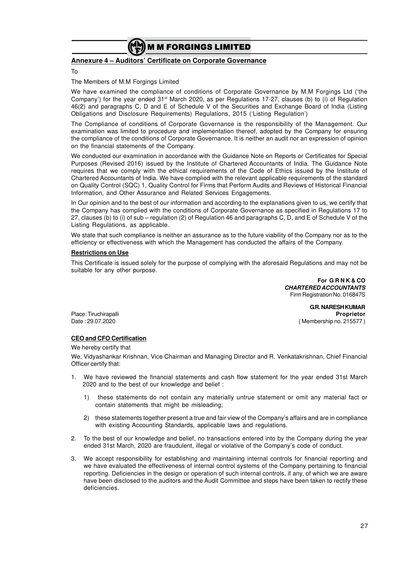

## **Annexure 4 – Auditors' Certificate on Corporate Governance**

To

#### The Members of M.M Forgings Limited

We have examined the compliance of conditions of Corporate Governance by M.M Forgings Ltd ('the Company') for the year ended 31st March 2020, as per Regulations 17-27, clauses (b) to (i) of Regulation 46(2) and paragraphs C, D and E of Schedule V of the Securities and Exchange Board of India (Listing Obligations and Disclosure Requirements) Regulations, 2015 ('Listing Regulation')

The Compliance of conditions of Corporate Governance is the responsibility of the Management. Our examination was limited to procedure and implementation thereof, adopted by the Company for ensuring the compliance of the conditions of Corporate Governance. It is neither an audit nor an expression of opinion on the financial statements of the Company.

We conducted our examination in accordance with the Guidance Note on Reports or Certificates for Special Purposes (Revised 2016) issued by the Institute of Chartered Accountants of India. The Guidance Note requires that we comply with the ethical requirements of the Code of Ethics issued by the Institute of Chartered Accountants of India. We have complied with the relevant applicable requirements of the standard on Quality Control (SQC) 1, Quality Control for Firms that Perform Audits and Reviews of Historical Financial Information, and Other Assurance and Related Services Engagements.

In Our opinion and to the best of our information and according to the explanations given to us, we certify that the Company has complied with the conditions of Corporate Governance as specified in Regulations 17 to 27, clauses (b) to (i) of sub – regulation (2) of Regulation 46 and paragraphs C, D, and E of Schedule V of the Listing Regulations, as applicable.

We state that such compliance is neither an assurance as to the future viability of the Company nor as to the efficiency or effectiveness with which the Management has conducted the affairs of the Company.

#### **Restrictions on Use**

This Certificate is issued solely for the purpose of complying with the aforesaid Regulations and may not be suitable for any other purpose.

> **For G R N K & CO** *CHARTERED ACCOUNTANTS* Firm Registration No. 016847S

**G.R. NARESH KUMAR** Place: Tiruchirapalli **Proprietor** Date : 29.07.2020 ( Membership no. 215577 )

#### **CEO and CFO Certification**

#### We hereby certify that

We, Vidyashankar Krishnan, Vice Chairman and Managing Director and R. Venkatakrishnan, Chief Financial Officer certify that:

- 1. We have reviewed the financial statements and cash flow statement for the year ended 31st March 2020 and to the best of our knowledge and belief :
	- 1) these statements do not contain any materially untrue statement or omit any material fact or contain statements that might be misleading;
	- 2) these statements together present a true and fair view of the Company's affairs and are in compliance with existing Accounting Standards, applicable laws and regulations.
- 2. To the best of our knowledge and belief, no transactions entered into by the Company during the year ended 31st March, 2020 are fraudulent, illegal or violative of the Company's code of conduct.
- 3. We accept responsibility for establishing and maintaining internal controls for financial reporting and we have evaluated the effectiveness of internal control systems of the Company pertaining to financial reporting. Deficiencies in the design or operation of such internal controls, if any, of which we are aware have been disclosed to the auditors and the Audit Committee and steps have been taken to rectify these deficiencies.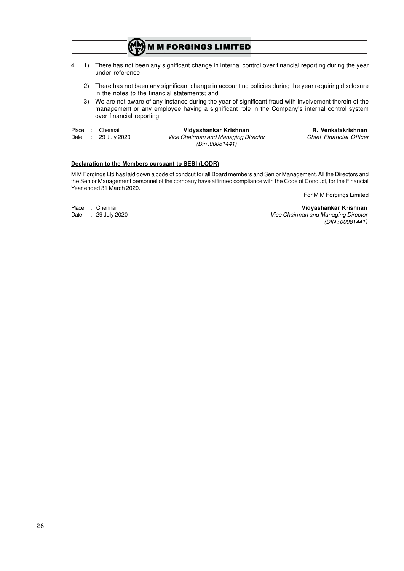4. 1) There has not been any significant change in internal control over financial reporting during the year under reference;

**M M FORGINGS LIMITED** 

- 2) There has not been any significant change in accounting policies during the year requiring disclosure in the notes to the financial statements; and
- 3) We are not aware of any instance during the year of significant fraud with involvement therein of the management or any employee having a significant role in the Company's internal control system over financial reporting.
- 
- 

Place : Chennai **Vidyashankar Krishnan R. Venkatakrishnan** Date : 29 July 2020 *Vice Chairman and Managing Director Chief Financial Officer (Din :00081441)*

#### **Declaration to the Members pursuant to SEBI (LODR)**

M M Forgings Ltd has laid down a code of condcut for all Board members and Senior Management. All the Directors and the Senior Management personnel of the company have affirmed compliance with the Code of Conduct, for the Financial Year ended 31 March 2020.

For M M Forgings Limited

Place : Chennai **Vidyashankar Krishnan Vice Chairman and Managing Director** *(DIN : 00081441)*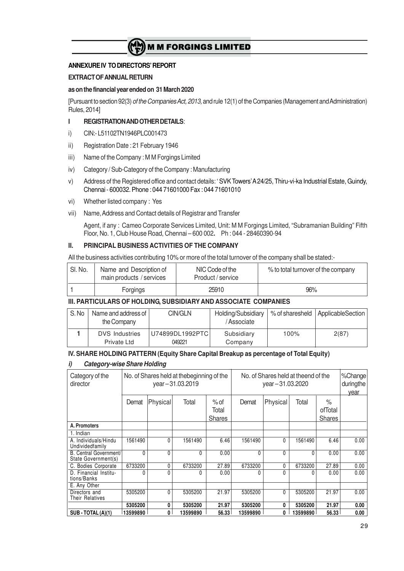### **ANNEXURE IV TO DIRECTORS' REPORT**

#### **EXTRACT OF ANNUAL RETURN**

#### **as on the financial year ended on 31 March 2020**

[Pursuant to section 92(3) *of the Companies Act, 2013,* and rule 12(1) of the Companies (Management and Administration) Rules, 2014]

#### **I REGISTRATION AND OTHER DETAILS**:

- i) CIN:- L51102TN1946PLC001473
- ii) Registration Date : 21 February 1946
- iii) Name of the Company : M M Forgings Limited
- iv) Category / Sub-Category of the Company : Manufacturing
- v) Address of the Registered office and contact details: ' SVK Towers' A 24/25, Thiru-vi-ka Industrial Estate, Guindy, Chennai - 600032. Phone : 044 71601000 Fax : 044 71601010
- vi) Whether listed company : Yes
- vii) Name, Address and Contact details of Registrar and Transfer

Agent, if any : Cameo Corporate Services Limited, Unit: M M Forgings Limited, "Subramanian Building" Fifth Floor, No. 1, Club House Road, Chennai – 600 002**.** Ph : 044 - 28460390-94

#### **II. PRINCIPAL BUSINESS ACTIVITIES OF THE COMPANY**

All the business activities contributing 10% or more of the total turnover of the company shall be stated:-

| ' SI. No. | Name and Description of<br>main products / services | NIC Code of the<br>Product / service | % to total turnover of the company |
|-----------|-----------------------------------------------------|--------------------------------------|------------------------------------|
|           | Forgings                                            | 25910                                | 96%                                |

#### **III. PARTICULARS OF HOLDING, SUBSIDIARY AND ASSOCIATE COMPANIES**

| S.No | Name and address of<br>the Company   | CIN/GLN                   | Holding/Subsidiary<br>/Associate | % of sharesheld | ApplicableSection |
|------|--------------------------------------|---------------------------|----------------------------------|-----------------|-------------------|
|      | <b>DVS</b> Industries<br>Private Ltd | U74899DL1992PTC<br>049221 | Subsidiary<br>Company            | 100%            | 2(87)             |

#### **IV. SHARE HOLDING PATTERN (Equity Share Capital Breakup as percentage of Total Equity)**

#### *i) Category-wise Share Holding*

| Category of the<br>director                   | No. of Shares held at the beginning of the<br>year-31.03.2019 |              |          |               | No. of Shares held at theend of the<br>year-31.03.2020 | %Change<br>duringthe<br>year |          |               |      |
|-----------------------------------------------|---------------------------------------------------------------|--------------|----------|---------------|--------------------------------------------------------|------------------------------|----------|---------------|------|
|                                               | Demat                                                         | Physical     | Total    | $%$ of        | Demat                                                  | Physical                     | Total    | $\%$          |      |
|                                               |                                                               |              |          | Total         |                                                        |                              |          | ofTotal       |      |
|                                               |                                                               |              |          | <b>Shares</b> |                                                        |                              |          | <b>Shares</b> |      |
| A. Promoters                                  |                                                               |              |          |               |                                                        |                              |          |               |      |
| 1. Indian                                     |                                                               |              |          |               |                                                        |                              |          |               |      |
| A. Individuals/Hindu<br>Undividedfamily       | 1561490                                                       | $\mathbf{0}$ | 1561490  | 6.46          | 1561490                                                | 0                            | 1561490  | 6.46          | 0.00 |
| B. Central Government/<br>State Government(s) | 0                                                             | $\Omega$     | $\Omega$ | 0.00          | $\Omega$                                               | 0                            | 0        | 0.00          | 0.00 |
| C. Bodies Corporate                           | 6733200                                                       | $\Omega$     | 6733200  | 27.89         | 6733200                                                | 0                            | 6733200  | 27.89         | 0.00 |
| D. Financial Institu-<br>tions/Banks          | 0                                                             | ŋ            | 0        | 0.00          |                                                        | 0                            |          | 0.00          | 0.00 |
| E. Any Other                                  |                                                               |              |          |               |                                                        |                              |          |               |      |
| Directors and<br>Their Relatives              | 5305200                                                       | $\Omega$     | 5305200  | 21.97         | 5305200                                                | 0                            | 5305200  | 21.97         | 0.00 |
|                                               | 5305200                                                       | 0            | 5305200  | 21.97         | 5305200                                                | 0                            | 5305200  | 21.97         | 0.00 |
| $SUB - TOTAL(A)(1)$                           | 13599890                                                      | 0            | 13599890 | 56.33         | 13599890                                               | 0                            | 13599890 | 56.33         | 0.00 |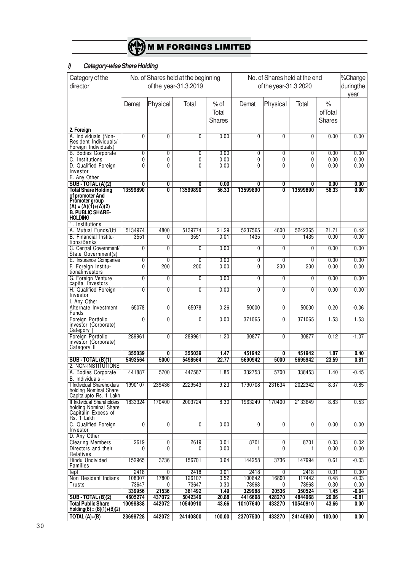

# *i) Category-wise Share Holding*

| Category of the                                    |                   | No. of Shares held at the beginning |                       |               | No. of Shares held at the end |                 |                   |               | %Change            |
|----------------------------------------------------|-------------------|-------------------------------------|-----------------------|---------------|-------------------------------|-----------------|-------------------|---------------|--------------------|
| director                                           |                   |                                     | of the year-31.3.2019 |               | of the year-31.3.2020         |                 |                   |               | duringthe          |
|                                                    |                   |                                     |                       |               |                               |                 |                   |               | year               |
|                                                    | Demat             | Physical                            | Total                 | $%$ of        | Demat                         | Physical        | Total             | $\%$          |                    |
|                                                    |                   |                                     |                       | Total         |                               |                 |                   | ofTotal       |                    |
|                                                    |                   |                                     |                       | Shares        |                               |                 |                   | <b>Shares</b> |                    |
| 2. Foreign                                         |                   |                                     |                       |               |                               |                 |                   |               |                    |
| A. Individuals (Non-                               | 0                 | $\overline{0}$                      | 0                     | 0.00          | 0                             | $\mathbf{0}$    | 0                 | 0.00          | 0.00               |
| Resident Individuals/<br>Foreign Individuals)      |                   |                                     |                       |               |                               |                 |                   |               |                    |
| <b>B. Bodies Corporate</b>                         | 0                 | 0                                   | 0                     | 0.00          | 0                             | 0               | 0                 | 0.00          | 0.00               |
| C. Institutions                                    | $\overline{0}$    | $\overline{0}$                      | Ō                     | 0.00          | $\overline{0}$                | $\overline{0}$  | $\overline{0}$    | 0.00          | 0.00               |
| D. Qualified Foreign<br>Investor                   | 0                 | $\overline{0}$                      | $\overline{0}$        | 0.00          | $\overline{0}$                | $\overline{0}$  | 0                 | 0.00          | 0.00               |
| E. Any Other                                       |                   |                                     |                       |               |                               |                 |                   |               |                    |
| <b>SUB - TOTAL (A)(2)</b>                          | 0                 | 0                                   | 0                     | 0.00          | 0                             | 0               | 0                 | 0.00          | 0.00               |
| <b>Total Share Holding</b><br>of promoter And      | 13599890          | Ō                                   | 13599890              | 56.33         | 13599890                      | 0               | 13599890          | 56.33         | 0.00               |
| Promoter group                                     |                   |                                     |                       |               |                               |                 |                   |               |                    |
| $(A) = (A)(1) + (A)(2)$<br><b>B. PUBLIC SHARE-</b> |                   |                                     |                       |               |                               |                 |                   |               |                    |
| <b>HOLDING</b>                                     |                   |                                     |                       |               |                               |                 |                   |               |                    |
| 1. Institutions                                    |                   |                                     |                       |               |                               |                 |                   |               |                    |
| A. Mutual Funds/Uti<br>B. Financial Institu-       | 5134974<br>3551   | 4800<br>0                           | 5139774<br>3551       | 21.29<br>0.01 | 5237565<br>1435               | 4800<br>0       | 5242365<br>1435   | 21.71<br>0.00 | 0.42<br>$-0.00$    |
| tions/Banks                                        |                   |                                     |                       |               |                               |                 |                   |               |                    |
| C. Central Government/<br>State Government(s)      | $\overline{0}$    | $\overline{0}$                      | $\overline{0}$        | 0.00          | $\overline{0}$                | $\overline{0}$  | $\overline{0}$    | 0.00          | 0.00               |
| E. Insurance Companies                             | 0                 | 0                                   | 0                     | 0.00          | 0                             | $\overline{0}$  | 0                 | 0.00          | 0.00               |
| F. Foreign Institu-                                | $\overline{0}$    | 200                                 | 200                   | 0.00          | 0                             | 200             | 200               | 0.00          | 0.00               |
| tionalinvestors<br>G. Foreign Venture              | $\overline{0}$    | $\overline{0}$                      | $\overline{0}$        | 0.00          | $\overline{0}$                | $\mathbf{0}$    | 0                 | 0.00          | 0.00               |
| capital Investors                                  |                   |                                     |                       |               |                               |                 |                   |               |                    |
| H. Qualified Foreign<br>Investor                   | $\overline{0}$    | $\overline{0}$                      | $\overline{0}$        | 0.00          | $\overline{0}$                | $\overline{0}$  | $\overline{0}$    | 0.00          | 0.00               |
| I. Any Other                                       |                   |                                     |                       |               |                               |                 |                   |               |                    |
| Alternate Investment                               | 65078             | $\overline{0}$                      | 65078                 | 0.26          | 50000                         | $\mathbf{0}$    | 50000             | 0.20          | $-0.06$            |
| Funds<br>Foreign Portfolio                         | $\overline{0}$    | $\overline{0}$                      | $\overline{0}$        | 0.00          | 371065                        | $\overline{0}$  | 371065            | 1.53          | 1.53               |
| investor (Corporate)<br>Category                   |                   |                                     |                       |               |                               |                 |                   |               |                    |
| Foreign Portfolio                                  | 289961            | $\overline{0}$                      | 289961                | 1.20          | 30877                         | $\overline{0}$  | 30877             | 0.12          | $-1.07$            |
| investor (Corporate)                               |                   |                                     |                       |               |                               |                 |                   |               |                    |
| Category II                                        | 355039            | 0                                   | 355039                | 1.47          | 451942                        | 0               | 451942            | 1.87          | 0.40               |
| <b>SUB-TOTAL (B)(1)</b>                            | 5493564           | 5000                                | 5498564               | 22.77         | 5690942                       | 5000            | 5695942           | 23.59         | 0.81               |
| 2. NON-INSTITUTIONS<br>A. Bodies Corporate         | 441887            | 5700                                | 447587                | 1.85          | 332753                        | 5700            | 338453            | 1.40          | $-0.45$            |
| B. Individuals -                                   |                   |                                     |                       |               |                               |                 |                   |               |                    |
| <b>I Individual Shareholders</b>                   | 1990107           | 239436                              | 2229543               | 9.23          | 1790708                       | 231634          | 2022342           | 8.37          | $-0.85$            |
| holding Nominal Share<br>Capitalupto Rs. 1 Lakh    |                   |                                     |                       |               |                               |                 |                   |               |                    |
| Il Individual Shareholders                         | 1833324           | 170400                              | 2003724               | 8.30          | 1963249                       | 170400          | 2133649           | 8.83          | 0.53               |
| holding Nominal Share<br>Capitalin Excess of       |                   |                                     |                       |               |                               |                 |                   |               |                    |
| Rs. 1 Lakh                                         |                   |                                     |                       |               |                               |                 |                   |               |                    |
| C. Qualified Foreign<br>Investor                   | $\overline{0}$    | $\overline{0}$                      | $\overline{0}$        | 0.00          | $\overline{0}$                | $\overline{0}$  | 0                 | 0.00          | 0.00               |
| D. Any Other                                       |                   |                                     |                       |               |                               |                 |                   |               |                    |
| <b>Clearing Members</b>                            | 2619              | 0                                   | 2619                  | 0.01          | 8701                          | $\mathbf{0}$    | 8701              | 0.03          | 0.02               |
| Directors and their<br>Relatives                   | 0                 | $\overline{0}$                      | 0                     | 0.00          | 1                             | 0               | 1                 | 0.00          | 0.00               |
| <b>Hindu Undivided</b>                             | 152965            | 3736                                | 156701                | 0.64          | 144258                        | 3736            | 147994            | 0.61          | $-0.03$            |
| Families<br>lepf                                   | 2418              | 0                                   | 2418                  | 0.01          | 2418                          | 0               | 2418              | 0.01          | 0.00               |
| Non Resident Indians                               | 108307            | 17800                               | 126107                | 0.52          | 100642                        | 16800           | 117442            | 0.48          | $-0.03$            |
| Trusts                                             | 73647             | 0                                   | 73647                 | 0.30          | 73968                         | 0               | 73968             | 0.30          | 0.00               |
| <b>SUB-TOTAL (B)(2)</b>                            | 339956<br>4605274 | 21536<br>437072                     | 361492<br>5042346     | 1.49<br>20.88 | 329988<br>4416698             | 20536<br>428270 | 350524<br>4844968 | 1.45<br>20.06 | $-0.04$<br>$-0.81$ |
| <b>Total Public Share</b>                          | 10098838          | 442072                              | 10540910              | 43.66         | 10107640                      | 433270          | 10540910          | 43.66         | 0.00               |
| $Holding(B) = (B)(1)+(B)(2)$                       |                   |                                     |                       |               |                               |                 |                   |               |                    |
| TOTAL $(A)+(B)$                                    | 23698728          | 442072                              | 24140800              | 100.00        | 23707530                      | 433270          | 24140800          | 100.00        | 0.00               |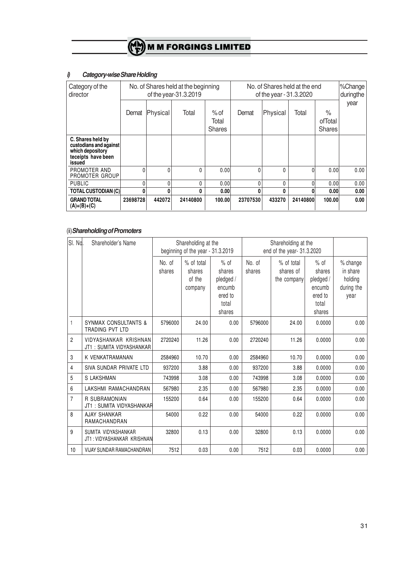## *i) Category-wise Share Holding*

| Category of the<br>director                                                                     | No. of Shares held at the beginning<br>of the year-31.3.2019 |          |          |                                  | No. of Shares held at the end<br>of the year - 31.3.2020 |              |          |                                  | SChange<br>duringthe |
|-------------------------------------------------------------------------------------------------|--------------------------------------------------------------|----------|----------|----------------------------------|----------------------------------------------------------|--------------|----------|----------------------------------|----------------------|
|                                                                                                 | Demat                                                        | Physical | Total    | $%$ of<br>Total<br><b>Shares</b> | Demat                                                    | Physical     | Total    | $\%$<br>ofTotal<br><b>Shares</b> | year                 |
| C. Shares held by<br>custodians and against<br>which depository<br>teceipts have been<br>issued |                                                              |          |          |                                  |                                                          |              |          |                                  |                      |
| PROMOTER AND<br>PROMOTER GROUP                                                                  | 0                                                            | $\Omega$ | 0        | 0.00                             | 0                                                        | $\mathbf{0}$ |          | 0.00                             | 0.00                 |
| <b>PUBLIC</b>                                                                                   | U                                                            | U        | 0        | 0.00                             | $\Omega$                                                 | $\mathbf{0}$ |          | 0.00                             | 0.00                 |
| <b>TOTAL CUSTODIAN (C)</b>                                                                      | 0                                                            | 0        | 0        | 0.00                             | 0                                                        | 0            |          | 0.00                             | 0.00                 |
| <b>GRAND TOTAL</b><br>$(A)+(B)+(C)$                                                             | 23698728                                                     | 442072   | 24140800 | 100.00                           | 23707530                                                 | 433270       | 24140800 | 100.00                           | 0.00                 |

## (ii)*Shareholding of Promoters*

| SI. No.        | Shareholder's Name                                 |         | Shareholding at the<br>beginning of the year - 31.3.2019 |           |         | Shareholding at the<br>end of the year- 31.3.2020 |           |            |  |
|----------------|----------------------------------------------------|---------|----------------------------------------------------------|-----------|---------|---------------------------------------------------|-----------|------------|--|
|                |                                                    |         |                                                          |           |         |                                                   |           |            |  |
|                |                                                    | No. of  | $%$ of total                                             | $%$ of    | No. of  | % of total                                        | $%$ of    | % change   |  |
|                |                                                    | shares  | shares                                                   | shares    | shares  | shares of                                         | shares    | in share   |  |
|                |                                                    |         | of the                                                   | pledged / |         | the company                                       | pledged / | holding    |  |
|                |                                                    |         | company                                                  | encumb    |         |                                                   | encumb    | during the |  |
|                |                                                    |         |                                                          | ered to   |         |                                                   | ered to   | year       |  |
|                |                                                    |         |                                                          | total     |         |                                                   | total     |            |  |
|                |                                                    |         |                                                          | shares    |         |                                                   | shares    |            |  |
| $\mathbf{1}$   | <b>SYNMAX CONSULTANTS &amp;</b><br>TRADING PVT LTD | 5796000 | 24.00                                                    | 0.00      | 5796000 | 24.00                                             | 0.0000    | 0.00       |  |
| $\overline{c}$ | VIDYASHANKAR KRISHNAN<br>JT1: SUMITA VIDYASHANKAR  | 2720240 | 11.26                                                    | 0.00      | 2720240 | 11.26                                             | 0.0000    | 0.00       |  |
| 3              | K VENKATRAMANAN                                    | 2584960 | 10.70                                                    | 0.00      | 2584960 | 10.70                                             | 0.0000    | 0.00       |  |
| 4              | SIVA SUNDAR PRIVATE LTD                            | 937200  | 3.88                                                     | 0.00      | 937200  | 3.88                                              | 0.0000    | 0.00       |  |
| 5              | S LAKSHMAN                                         | 743998  | 3.08                                                     | 0.00      | 743998  | 3.08                                              | 0.0000    | 0.00       |  |
| 6              | LAKSHMI RAMACHANDRAN                               | 567980  | 2.35                                                     | 0.00      | 567980  | 2.35                                              | 0.0000    | 0.00       |  |
| 7              | R SUBRAMONIAN<br>JT1: SUMITA VIDYASHANKAR          | 155200  | 0.64                                                     | 0.00      | 155200  | 0.64                                              | 0.0000    | 0.00       |  |
| 8              | <b>AJAY SHANKAR</b><br>RAMACHANDRAN                | 54000   | 0.22                                                     | 0.00      | 54000   | 0.22                                              | 0.0000    | 0.00       |  |
| 9              | SUMITA VIDYASHANKAR<br>JT1: VIDYASHANKAR KRISHNAN  | 32800   | 0.13                                                     | 0.00      | 32800   | 0.13                                              | 0.0000    | 0.00       |  |
| 10             | VIJAY SUNDAR RAMACHANDRAN                          | 7512    | 0.03                                                     | 0.00      | 7512    | 0.03                                              | 0.0000    | 0.00       |  |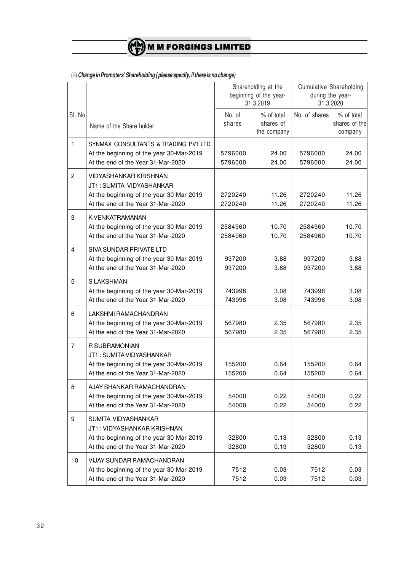(iii) *Change in Promoters' Shareholding ( please specify, if there is no change)*

|                  |                                                                                                                                         |                               | Shareholding at the<br>beginning of the year-<br>31.3.2019 |                               | <b>Cumulative Shareholding</b><br>during the year-<br>31.3.2020 |
|------------------|-----------------------------------------------------------------------------------------------------------------------------------------|-------------------------------|------------------------------------------------------------|-------------------------------|-----------------------------------------------------------------|
| SI. No           | Name of the Share holder                                                                                                                | No. of<br>shares              | % of total<br>shares of<br>the company                     | No. of shares                 | % of total<br>shares of the<br>company                          |
| $\mathbf{1}$     | SYNMAX CONSULTANTS & TRADING PVT LTD<br>At the beginning of the year 30-Mar-2019<br>At the end of the Year 31-Mar-2020                  | 5796000<br>5796000            | 24.00<br>24.00                                             | 5796000<br>5796000            | 24.00<br>24.00                                                  |
| 2                | <b>VIDYASHANKAR KRISHNAN</b><br>JT1: SUMITA VIDYASHANKAR<br>At the beginning of the year 30-Mar-2019                                    | 2720240                       | 11.26                                                      | 2720240                       | 11.26                                                           |
| 3                | At the end of the Year 31-Mar-2020<br>K VENKATRAMANAN<br>At the beginning of the year 30-Mar-2019<br>At the end of the Year 31-Mar-2020 | 2720240<br>2584960<br>2584960 | 11.26<br>10.70<br>10.70                                    | 2720240<br>2584960<br>2584960 | 11.26<br>10.70<br>10.70                                         |
| 4                | SIVA SUNDAR PRIVATE LTD<br>At the beginning of the year 30-Mar-2019<br>At the end of the Year 31-Mar-2020                               | 937200<br>937200              | 3.88<br>3.88                                               | 937200<br>937200              | 3.88<br>3.88                                                    |
| 5                | S LAKSHMAN<br>At the beginning of the year 30-Mar-2019<br>At the end of the Year 31-Mar-2020                                            | 743998<br>743998              | 3.08<br>3.08                                               | 743998<br>743998              | 3.08<br>3.08                                                    |
| 6                | LAKSHMI RAMACHANDRAN<br>At the beginning of the year 30-Mar-2019<br>At the end of the Year 31-Mar-2020                                  | 567980<br>567980              | 2.35<br>2.35                                               | 567980<br>567980              | 2.35<br>2.35                                                    |
| $\overline{7}$   | <b>R SUBRAMONIAN</b><br>JT1: SUMITA VIDYASHANKAR<br>At the beginning of the year 30-Mar-2019<br>At the end of the Year 31-Mar-2020      | 155200<br>155200              | 0.64<br>0.64                                               | 155200<br>155200              | 0.64<br>0.64                                                    |
| 8                | AJAY SHANKAR RAMACHANDRAN<br>At the beginning of the year 30-Mar-2019<br>At the end of the Year 31-Mar-2020                             | 54000<br>54000                | 0.22<br>0.22                                               | 54000<br>54000                | 0.22<br>0.22                                                    |
| $\boldsymbol{9}$ | SUMITA VIDYASHANKAR<br>JT1: VIDYASHANKAR KRISHNAN<br>At the beginning of the year 30-Mar-2019<br>At the end of the Year 31-Mar-2020     | 32800<br>32800                | 0.13<br>0.13                                               | 32800<br>32800                | 0.13<br>0.13                                                    |
| 10               | VIJAY SUNDAR RAMACHANDRAN<br>At the beginning of the year 30-Mar-2019<br>At the end of the Year 31-Mar-2020                             | 7512<br>7512                  | 0.03<br>0.03                                               | 7512<br>7512                  | 0.03<br>0.03                                                    |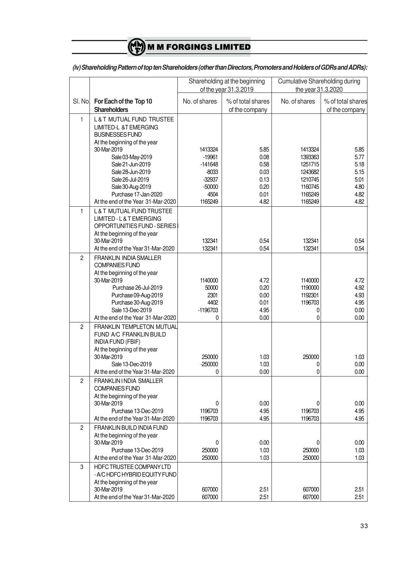|                |                                                                                                                                                                                                                                         |                                                                                        | Shareholding at the beginning<br>of the year 31.3.2019       | <b>Cumulative Shareholding during</b><br>the year 31.3.2020                          |                                                              |  |
|----------------|-----------------------------------------------------------------------------------------------------------------------------------------------------------------------------------------------------------------------------------------|----------------------------------------------------------------------------------------|--------------------------------------------------------------|--------------------------------------------------------------------------------------|--------------------------------------------------------------|--|
| SI. No.        | For Each of the Top 10<br><b>Shareholders</b>                                                                                                                                                                                           | No. of shares                                                                          | % of total shares<br>of the company                          | No. of shares                                                                        | % of total shares<br>of the company                          |  |
| 1              | <b>L&amp;T MUTUAL FUND TRUSTEE</b><br>LIMITED-L &T EMERGING<br><b>BUSINESSES FUND</b><br>At the beginning of the year                                                                                                                   |                                                                                        |                                                              |                                                                                      |                                                              |  |
|                | 30-Mar-2019<br>Sale 03-May-2019<br>Sale 21-Jun-2019<br>Sale 28-Jun-2019<br>Sale 26-Jul-2019<br>Sale 30-Aug-2019<br>Purchase 17-Jan-2020<br>At the end of the Year 31-Mar-2020                                                           | 1413324<br>$-19961$<br>$-141648$<br>$-8033$<br>$-32937$<br>$-50000$<br>4504<br>1165249 | 5.85<br>0.08<br>0.58<br>0.03<br>0.13<br>0.20<br>0.01<br>4.82 | 1413324<br>1393363<br>1251715<br>1243682<br>1210745<br>1160745<br>1165249<br>1165249 | 5.85<br>5.77<br>5.18<br>5.15<br>5.01<br>4.80<br>4.82<br>4.82 |  |
| $\mathbf{1}$   | L & T MUTUAL FUND TRUSTEE<br>LIMITED - L & T EMERGING<br>OPPORTUNITIES FUND - SERIES<br>At the beginning of the year<br>30-Mar-2019<br>At the end of the Year 31-Mar-2020                                                               | 132341<br>132341                                                                       | 0.54<br>0.54                                                 | 132341<br>132341                                                                     | 0.54<br>0.54                                                 |  |
| $\overline{c}$ | <b>FRANKLIN INDIA SMALLER</b><br><b>COMPANIES FUND</b><br>At the beginning of the year<br>30-Mar-2019<br>Purchase 26-Jul-2019<br>Purchase 09-Aug-2019<br>Purchase 30-Aug-2019<br>Sale 13-Dec-2019<br>At the end of the Year 31-Mar-2020 | 1140000<br>50000<br>2301<br>4402<br>$-1196703$<br>0                                    | 4.72<br>0.20<br>0.00<br>0.01<br>4.95<br>0.00                 | 1140000<br>1190000<br>1192301<br>1196703<br>0<br>0                                   | 4.72<br>4.92<br>4.93<br>4.95<br>0.00<br>0.00                 |  |
| $\overline{c}$ | <b>FRANKLIN TEMPLETON MUTUAL</b><br>FUND A/C FRANKLIN BUILD<br><b>INDIA FUND (FBIF)</b><br>At the beginning of the year<br>30-Mar-2019<br>Sale 13-Dec-2019<br>At the end of the Year 31-Mar-2020                                        | 250000<br>$-250000$<br>0                                                               | 1.03<br>1.03<br>0.00                                         | 250000<br>0<br>0                                                                     | 1.03<br>0.00<br>0.00                                         |  |
| $\overline{c}$ | FRANKLIN I NDIA SMALLER<br><b>COMPANIES FUND</b><br>At the beginning of the year<br>30-Mar-2019<br>Purchase 13-Dec-2019<br>At the end of the Year 31-Mar-2020                                                                           | 0<br>1196703<br>1196703                                                                | 0.00<br>4.95<br>4.95                                         | 0<br>1196703<br>1196703                                                              | 0.00<br>4.95<br>4.95                                         |  |
| $\overline{2}$ | <b>FRANKLIN BUILD INDIA FUND</b><br>At the beginning of the year<br>30-Mar-2019<br>Purchase 13-Dec-2019<br>At the end of the Year 31-Mar-2020                                                                                           | 0<br>250000<br>250000                                                                  | 0.00<br>1.03<br>1.03                                         | 0<br>250000<br>250000                                                                | 0.00<br>1.03<br>1.03                                         |  |
| 3              | HDFC TRUSTEE COMPANY LTD<br>- A/C HDFC HYBRID EQUITY FUND<br>At the beginning of the year<br>30-Mar-2019<br>At the end of the Year 31-Mar-2020                                                                                          | 607000<br>607000                                                                       | 2.51<br>2.51                                                 | 607000<br>607000                                                                     | 2.51<br>2.51                                                 |  |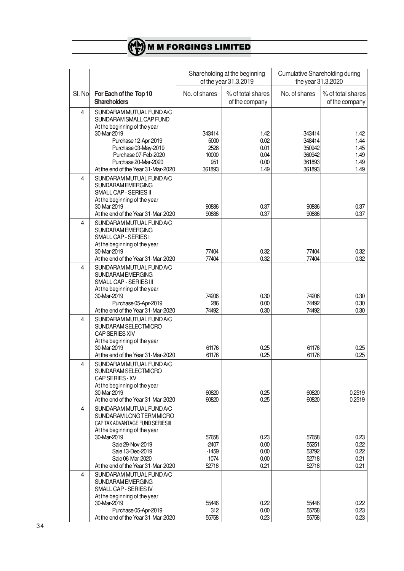

| SI. Nol | For Each of the Top 10<br><b>Shareholders</b>                                                                                                                                                                                             | No. of shares                                    | % of total shares<br>of the company          | No. of shares                                            | % of total shares<br>of the company          |
|---------|-------------------------------------------------------------------------------------------------------------------------------------------------------------------------------------------------------------------------------------------|--------------------------------------------------|----------------------------------------------|----------------------------------------------------------|----------------------------------------------|
| 4       | SUNDARAM MUTUAL FUND A/C<br>SUNDARAM SMALL CAP FUND<br>At the beginning of the year<br>30-Mar-2019<br>Purchase 12-Apr-2019<br>Purchase 03-May-2019<br>Purchase 07-Feb-2020<br>Purchase 20-Mar-2020<br>At the end of the Year 31-Mar-2020  | 343414<br>5000<br>2528<br>10000<br>951<br>361893 | 1.42<br>0.02<br>0.01<br>0.04<br>0.00<br>1.49 | 343414<br>348414<br>350942<br>360942<br>361893<br>361893 | 1.42<br>1.44<br>1.45<br>1.49<br>1.49<br>1.49 |
| 4       | SUNDARAM MUTUAL FUND A/C<br>SUNDARAM EMERGING<br>SMALL CAP - SERIES II<br>At the beginning of the year<br>30-Mar-2019<br>At the end of the Year 31-Mar-2020                                                                               | 90886<br>90886                                   | 0.37<br>0.37                                 | 90886<br>90886                                           | 0.37<br>0.37                                 |
| 4       | SUNDARAM MUTUAL FUND A/C<br>SUNDARAM EMERGING<br>SMALL CAP - SERIES I<br>At the beginning of the year<br>30-Mar-2019<br>At the end of the Year 31-Mar-2020                                                                                | 77404<br>77404                                   | 0.32<br>0.32                                 | 77404<br>77404                                           | 0.32<br>0.32                                 |
| 4       | SUNDARAM MUTUAL FUND A/C<br>SUNDARAM EMERGING<br>SMALL CAP - SERIES III<br>At the beginning of the year<br>30-Mar-2019<br>Purchase 05-Apr-2019<br>At the end of the Year 31-Mar-2020                                                      | 74206<br>286<br>74492                            | 0.30<br>0.00<br>0.30                         | 74206<br>74492<br>74492                                  | 0.30<br>0.30<br>0.30                         |
| 4       | SUNDARAM MUTUAL FUND A/C<br>SUNDARAM SELECTMICRO<br><b>CAP SERIES XIV</b><br>At the beginning of the year<br>30-Mar-2019<br>At the end of the Year 31-Mar-2020                                                                            | 61176<br>61176                                   | 0.25<br>0.25                                 | 61176<br>61176                                           | 0.25<br>0.25                                 |
| 4       | SUNDARAM MUTUAL FUND A/C<br>SUNDARAM SELECTMICRO<br>CAP SERIES - XV<br>At the beginning of the year<br>30-Mar-2019<br>At the end of the Year 31-Mar-2020                                                                                  | 60820<br>60820                                   | 0.25<br>0.25                                 | 60820<br>60820                                           | 0.2519<br>0.2519                             |
| 4       | SUNDARAM MUTUAL FUND A/C<br>SUNDARAM LONG TERM MICRO<br>CAP TAX ADVANTAGE FUND SERIESIII<br>At the beginning of the year<br>30-Mar-2019<br>Sale 29-Nov-2019<br>Sale 13-Dec-2019<br>Sale 06-Mar-2020<br>At the end of the Year 31-Mar-2020 | 57658<br>$-2407$<br>$-1459$<br>$-1074$<br>52718  | 0.23<br>0.00<br>0.00<br>0.00<br>0.21         | 57658<br>55251<br>53792<br>52718<br>52718                | 0.23<br>0.22<br>0.22<br>0.21<br>0.21         |
| 4       | SUNDARAM MUTUAL FUND A/C<br>SUNDARAM EMERGING<br>SMALL CAP - SERIES IV<br>At the beginning of the year<br>30-Mar-2019<br>Purchase 05-Apr-2019<br>At the end of the Year 31-Mar-2020                                                       | 55446<br>312<br>55758                            | 0.22<br>0.00<br>0.23                         | 55446<br>55758<br>55758                                  | 0.22<br>0.23<br>0.23                         |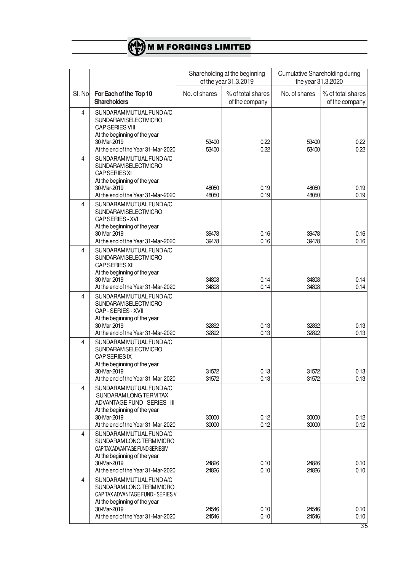|         |                                                                                                                                                                                |                | Shareholding at the beginning<br>of the year 31.3.2019 | Cumulative Shareholding during<br>the year 31.3.2020 |                                     |
|---------|--------------------------------------------------------------------------------------------------------------------------------------------------------------------------------|----------------|--------------------------------------------------------|------------------------------------------------------|-------------------------------------|
| SI. Nol | For Each of the Top 10<br><b>Shareholders</b>                                                                                                                                  | No. of shares  | % of total shares<br>of the company                    | No. of shares                                        | % of total shares<br>of the company |
| 4       | SUNDARAM MUTUAL FUND A/C<br>SUNDARAM SELECTMICRO<br><b>CAP SERIES VIII</b><br>At the beginning of the year<br>30-Mar-2019<br>At the end of the Year 31-Mar-2020                | 53400<br>53400 | 0.22<br>0.22                                           | 53400<br>53400                                       | 0.22<br>0.22                        |
| 4       | SUNDARAM MUTUAL FUND A/C<br>SUNDARAM SELECTMICRO<br>CAP SERIES XI<br>At the beginning of the year<br>30-Mar-2019<br>At the end of the Year 31-Mar-2020                         | 48050<br>48050 | 0.19<br>0.19                                           | 48050<br>48050                                       | 0.19<br>0.19                        |
| 4       | SUNDARAM MUTUAL FUND A/C<br>SUNDARAM SELECTMICRO<br>CAP SERIES - XVI<br>At the beginning of the year<br>30-Mar-2019<br>At the end of the Year 31-Mar-2020                      | 39478<br>39478 | 0.16<br>0.16                                           | 39478<br>39478                                       | 0.16<br>0.16                        |
| 4       | SUNDARAM MUTUAL FUND A/C<br>SUNDARAM SELECTMICRO<br><b>CAP SERIES XII</b><br>At the beginning of the year<br>30-Mar-2019<br>At the end of the Year 31-Mar-2020                 | 34808<br>34808 | 0.14<br>0.14                                           | 34808<br>34808                                       | 0.14<br>0.14                        |
| 4       | SUNDARAM MUTUAL FUND A/C<br>SUNDARAM SELECTMICRO<br>CAP - SERIES - XVII<br>At the beginning of the year<br>30-Mar-2019<br>At the end of the Year 31-Mar-2020                   | 32892<br>32892 | 0.13<br>0.13                                           | 32892<br>32892                                       | 0.13<br>0.13                        |
| 4       | SUNDARAM MUTUAL FUND A/C<br>SUNDARAM SELECTMICRO<br><b>CAP SERIES IX</b><br>At the beginning of the year<br>30-Mar-2019<br>At the end of the Year 31-Mar-2020                  | 31572<br>31572 | 0.13<br>0.13                                           | 31572<br>31572                                       | 0.13<br>0.13                        |
| 4       | SUNDARAM MUTUAL FUND A/C<br>SUNDARAM LONG TERM TAX<br>ADVANTAGE FUND - SERIES - III<br>At the beginning of the year<br>30-Mar-2019<br>At the end of the Year 31-Mar-2020       | 30000<br>30000 | 0.12<br>0.12                                           | 30000<br>30000                                       | 0.12<br>0.12                        |
| 4       | SUNDARAM MUTUAL FUND A/C<br>SUNDARAM LONG TERM MICRO<br>CAP TAX ADVANTAGE FUND SERIESIV<br>At the beginning of the year<br>30-Mar-2019<br>At the end of the Year 31-Mar-2020   | 24826<br>24826 | 0.10<br>0.10                                           | 24826<br>24826                                       | 0.10<br>0.10                        |
| 4       | SUNDARAM MUTUAL FUND A/C<br>SUNDARAM LONG TERM MICRO<br>CAP TAX ADVANTAGE FUND - SERIES V<br>At the beginning of the year<br>30-Mar-2019<br>At the end of the Year 31-Mar-2020 | 24546<br>24546 | 0.10<br>0.10                                           | 24546<br>24546                                       | 0.10<br>0.10                        |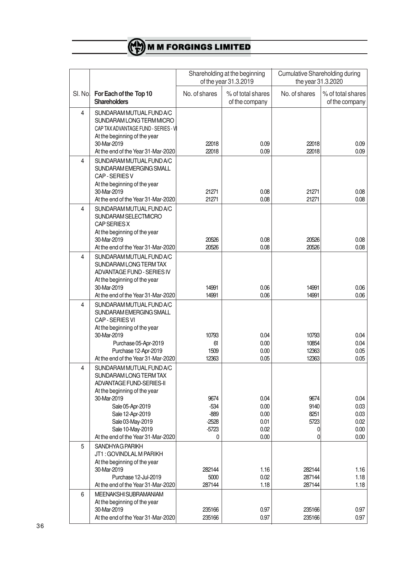|         |                                                                                                                                                                                                                                                     |                                                     | Shareholding at the beginning<br>of the year 31.3.2019 | <b>Cumulative Shareholding during</b><br>the year 31.3.2020 |                                              |
|---------|-----------------------------------------------------------------------------------------------------------------------------------------------------------------------------------------------------------------------------------------------------|-----------------------------------------------------|--------------------------------------------------------|-------------------------------------------------------------|----------------------------------------------|
| SI. Nol | For Each of the Top 10<br><b>Shareholders</b>                                                                                                                                                                                                       | No. of shares                                       | % of total shares<br>of the company                    | No. of shares                                               | % of total shares<br>of the company          |
| 4       | SUNDARAM MUTUAL FUND A/C<br>SUNDARAM LONG TERM MICRO<br>CAP TAX ADVANTAGE FUND - SERIES - V<br>At the beginning of the year<br>30-Mar-2019<br>At the end of the Year 31-Mar-2020                                                                    | 22018<br>22018                                      | 0.09<br>0.09                                           | 22018<br>22018                                              | 0.09<br>0.09                                 |
| 4       | SUNDARAM MUTUAL FUND A/C<br>SUNDARAM EMERGING SMALL<br>CAP - SERIES V<br>At the beginning of the year<br>30-Mar-2019<br>At the end of the Year 31-Mar-2020                                                                                          | 21271<br>21271                                      | 0.08<br>0.08                                           | 21271<br>21271                                              | 0.08<br>0.08                                 |
| 4       | SUNDARAM MUTUAL FUND A/C<br>SUNDARAM SELECTMICRO<br>CAP SERIES X<br>At the beginning of the year<br>30-Mar-2019<br>At the end of the Year 31-Mar-2020                                                                                               | 20526<br>20526                                      | 0.08<br>0.08                                           | 20526<br>20526                                              | 0.08<br>0.08                                 |
| 4       | SUNDARAM MUTUAL FUND A/C<br>SUNDARAM LONG TERM TAX<br>ADVANTAGE FUND - SERIES IV<br>At the beginning of the year<br>30-Mar-2019<br>At the end of the Year 31-Mar-2020                                                                               | 14991<br>14991                                      | 0.06<br>0.06                                           | 14991<br>14991                                              | 0.06<br>0.06                                 |
| 4       | SUNDARAM MUTUAL FUND A/C<br>SUNDARAM EMERGING SMALL<br>CAP - SERIES VI<br>At the beginning of the year<br>30-Mar-2019<br>Purchase 05-Apr-2019<br>Purchase 12-Apr-2019<br>At the end of the Year 31-Mar-2020                                         | 10793<br>61<br>1509<br>12363                        | 0.04<br>0.00<br>0.00<br>0.05                           | 10793<br>10854<br>12363<br>12363                            | 0.04<br>0.04<br>0.05<br>0.05                 |
| 4       | SUNDARAM MUTUAL FUND A/C<br>SUNDARAM LONG TERM TAX<br>ADVANTAGE FUND-SERIES-II<br>At the beginning of the year<br>30-Mar-2019<br>Sale 05-Apr-2019<br>Sale 12-Apr-2019<br>Sale 03-May-2019<br>Sale 10-May-2019<br>At the end of the Year 31-Mar-2020 | 9674<br>$-534$<br>$-889$<br>$-2528$<br>$-5723$<br>0 | 0.04<br>0.00<br>0.00<br>0.01<br>0.02<br>0.00           | 9674<br>9140<br>8251<br>5723<br>0<br>0                      | 0.04<br>0.03<br>0.03<br>0.02<br>0.00<br>0.00 |
| 5       | SANDHYAG PARIKH<br>JT1: GOVINDLAL M PARIKH<br>At the beginning of the year<br>30-Mar-2019<br>Purchase 12-Jul-2019<br>At the end of the Year 31-Mar-2020                                                                                             | 282144<br>5000<br>287144                            | 1.16<br>0.02<br>1.18                                   | 282144<br>287144<br>287144                                  | 1.16<br>1.18<br>1.18                         |
| 6       | MEENAKSHI SUBRAMANIAM<br>At the beginning of the year<br>30-Mar-2019<br>At the end of the Year 31-Mar-2020                                                                                                                                          | 235166<br>235166                                    | 0.97<br>0.97                                           | 235166<br>235166                                            | 0.97<br>0.97                                 |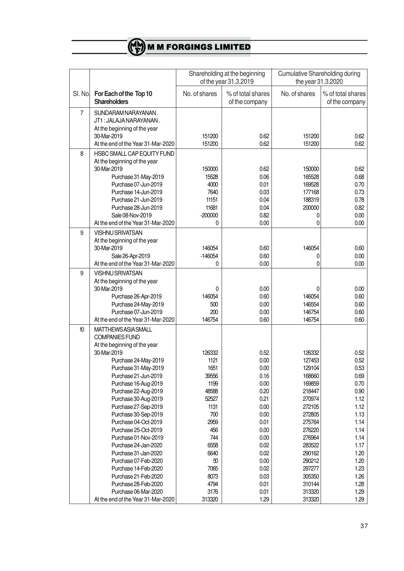|                |                                                                                                                                                                                                                                                                                                                                                                                                                                                                                                                                                                                          |                                                                                                                                                                | Shareholding at the beginning<br>of the year 31.3.2019                                                                                                       | <b>Cumulative Shareholding during</b><br>the year 31.3.2020                                                                                                                                          |                                                                                                                                                              |
|----------------|------------------------------------------------------------------------------------------------------------------------------------------------------------------------------------------------------------------------------------------------------------------------------------------------------------------------------------------------------------------------------------------------------------------------------------------------------------------------------------------------------------------------------------------------------------------------------------------|----------------------------------------------------------------------------------------------------------------------------------------------------------------|--------------------------------------------------------------------------------------------------------------------------------------------------------------|------------------------------------------------------------------------------------------------------------------------------------------------------------------------------------------------------|--------------------------------------------------------------------------------------------------------------------------------------------------------------|
| SI. No.        | For Each of the Top 10<br><b>Shareholders</b>                                                                                                                                                                                                                                                                                                                                                                                                                                                                                                                                            | No. of shares                                                                                                                                                  | % of total shares<br>of the company                                                                                                                          | No. of shares                                                                                                                                                                                        | % of total shares<br>of the company                                                                                                                          |
| $\overline{7}$ | SUNDARAM NARAYANAN.<br>JT1: JALAJA NARAYANAN.<br>At the beginning of the year<br>30-Mar-2019<br>At the end of the Year 31-Mar-2020                                                                                                                                                                                                                                                                                                                                                                                                                                                       | 151200<br>151200                                                                                                                                               | 0.62<br>0.62                                                                                                                                                 | 151200<br>151200                                                                                                                                                                                     | 0.62<br>0.62                                                                                                                                                 |
| 8              | HSBC SMALL CAP EQUITY FUND<br>At the beginning of the year<br>30-Mar-2019<br>Purchase 31-May-2019<br>Purchase 07-Jun-2019<br>Purchase 14-Jun-2019<br>Purchase 21-Jun-2019<br>Purchase 28-Jun-2019<br>Sale 08-Nov-2019<br>At the end of the Year 31-Mar-2020                                                                                                                                                                                                                                                                                                                              | 150000<br>15528<br>4000<br>7640<br>11151<br>11681<br>$-200000$<br>0                                                                                            | 0.62<br>0.06<br>0.01<br>0.03<br>0.04<br>0.04<br>0.82<br>0.00                                                                                                 | 150000<br>165528<br>169528<br>177168<br>188319<br>200000<br>0<br>0                                                                                                                                   | 0.62<br>0.68<br>0.70<br>0.73<br>0.78<br>0.82<br>0.00<br>0.00                                                                                                 |
| 9              | <b>VISHNU SRIVATSAN</b><br>At the beginning of the year<br>30-Mar-2019<br>Sale 26-Apr-2019<br>At the end of the Year 31-Mar-2020                                                                                                                                                                                                                                                                                                                                                                                                                                                         | 146054<br>$-146054$<br>0                                                                                                                                       | 0.60<br>0.60<br>0.00                                                                                                                                         | 146054<br>0<br>0                                                                                                                                                                                     | 0.60<br>0.00<br>0.00                                                                                                                                         |
| 9              | <b>VISHNU SRIVATSAN</b><br>At the beginning of the year<br>30-Mar-2019<br>Purchase 26-Apr-2019<br>Purchase 24-May-2019<br>Purchase 07-Jun-2019<br>At the end of the Year 31-Mar-2020                                                                                                                                                                                                                                                                                                                                                                                                     | 0<br>146054<br>500<br>200<br>146754                                                                                                                            | 0.00<br>0.60<br>0.00<br>0.00<br>0.60                                                                                                                         | 0<br>146054<br>146554<br>146754<br>146754                                                                                                                                                            | 0.00<br>0.60<br>0.60<br>0.60<br>0.60                                                                                                                         |
| 10             | <b>MATTHEWS ASIA SMALL</b><br><b>COMPANIES FUND</b><br>At the beginning of the year<br>30-Mar-2019<br>Purchase 24-May-2019<br>Purchase 31-May-2019<br>Purchase 21-Jun-2019<br>Purchase 16-Aug-2019<br>Purchase 22-Aug-2019<br>Purchase 30-Aug-2019<br>Purchase 27-Sep-2019<br>Purchase 30-Sep-2019<br>Purchase 04-Oct-2019<br>Purchase 25-Oct-2019<br>Purchase 01-Nov-2019<br>Purchase 24-Jan-2020<br>Purchase 31-Jan-2020<br>Purchase 07-Feb-2020<br>Purchase 14-Feb-2020<br>Purchase 21-Feb-2020<br>Purchase 28-Feb-2020<br>Purchase 06-Mar-2020<br>At the end of the Year 31-Mar-2020 | 126332<br>1121<br>1651<br>39556<br>1199<br>48588<br>52527<br>1131<br>700<br>2959<br>456<br>744<br>6558<br>6640<br>50<br>7065<br>8073<br>4794<br>3176<br>313320 | 0.52<br>0.00<br>0.00<br>0.16<br>0.00<br>0.20<br>0.21<br>0.00<br>0.00<br>0.01<br>0.00<br>0.00<br>0.02<br>0.02<br>0.00<br>0.02<br>0.03<br>0.01<br>0.01<br>1.29 | 126332<br>127453<br>129104<br>168660<br>169859<br>218447<br>270974<br>272105<br>272805<br>275764<br>276220<br>276964<br>283522<br>290162<br>290212<br>297277<br>305350<br>310144<br>313320<br>313320 | 0.52<br>0.52<br>0.53<br>0.69<br>0.70<br>0.90<br>1.12<br>1.12<br>1.13<br>1.14<br>1.14<br>1.14<br>1.17<br>1.20<br>1.20<br>1.23<br>1.26<br>1.28<br>1.29<br>1.29 |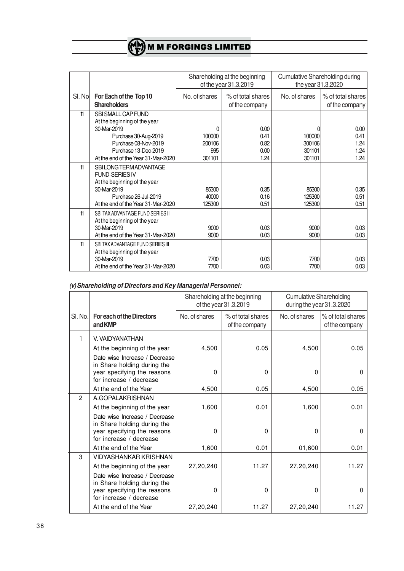| Shareholding at the beginning<br>Cumulative Shareholding during<br>of the year 31.3.2019<br>the year 31.3.2020<br>For Each of the Top 10<br>No. of shares<br>% of total shares<br>No. of shares<br>% of total shares<br>SI. Nol<br><b>Shareholders</b><br>of the company<br>of the company<br>11<br>SBI SMALL CAP FUND<br>At the beginning of the year |             |   |      |  |      |
|--------------------------------------------------------------------------------------------------------------------------------------------------------------------------------------------------------------------------------------------------------------------------------------------------------------------------------------------------------|-------------|---|------|--|------|
|                                                                                                                                                                                                                                                                                                                                                        |             |   |      |  |      |
|                                                                                                                                                                                                                                                                                                                                                        |             |   |      |  |      |
|                                                                                                                                                                                                                                                                                                                                                        |             |   |      |  |      |
|                                                                                                                                                                                                                                                                                                                                                        |             |   |      |  |      |
|                                                                                                                                                                                                                                                                                                                                                        |             |   |      |  |      |
|                                                                                                                                                                                                                                                                                                                                                        |             |   |      |  |      |
|                                                                                                                                                                                                                                                                                                                                                        |             |   |      |  |      |
|                                                                                                                                                                                                                                                                                                                                                        | 30-Mar-2019 | 0 | 0.00 |  | 0.00 |
| 0.41<br>Purchase 30-Aug-2019<br>100000<br>100000                                                                                                                                                                                                                                                                                                       |             |   |      |  | 0.41 |
| Purchase 08-Nov-2019<br>200106<br>0.82<br>300106                                                                                                                                                                                                                                                                                                       |             |   |      |  | 1.24 |
| Purchase 13-Dec-2019<br>995<br>0.00<br>301101                                                                                                                                                                                                                                                                                                          |             |   |      |  | 1.24 |
| 1.24<br>At the end of the Year 31-Mar-2020<br>301101<br>301101                                                                                                                                                                                                                                                                                         |             |   |      |  | 1.24 |
| 11<br>SBILONG TERM ADVANTAGE                                                                                                                                                                                                                                                                                                                           |             |   |      |  |      |
| <b>FUND-SERIES IV</b>                                                                                                                                                                                                                                                                                                                                  |             |   |      |  |      |
| At the beginning of the year                                                                                                                                                                                                                                                                                                                           |             |   |      |  |      |
| 30-Mar-2019<br>85300<br>0.35<br>85300                                                                                                                                                                                                                                                                                                                  |             |   |      |  | 0.35 |
| Purchase 26-Jul-2019<br>0.16<br>125300<br>40000                                                                                                                                                                                                                                                                                                        |             |   |      |  | 0.51 |
| At the end of the Year 31-Mar-2020<br>0.51<br>125300<br>125300                                                                                                                                                                                                                                                                                         |             |   |      |  | 0.51 |
| 11<br>SBI TAX ADVANTAGE FUND SERIES II                                                                                                                                                                                                                                                                                                                 |             |   |      |  |      |
| At the beginning of the year                                                                                                                                                                                                                                                                                                                           |             |   |      |  |      |
| 30-Mar-2019<br>9000<br>0.03<br>9000                                                                                                                                                                                                                                                                                                                    |             |   |      |  | 0.03 |
| 9000<br>At the end of the Year 31-Mar-2020<br>9000<br>0.03                                                                                                                                                                                                                                                                                             |             |   |      |  | 0.03 |
| 11<br>SBITAX ADVANTAGE FUND SERIES III                                                                                                                                                                                                                                                                                                                 |             |   |      |  |      |
| At the beginning of the year                                                                                                                                                                                                                                                                                                                           |             |   |      |  |      |
| 30-Mar-2019<br>0.03<br>7700<br>7700                                                                                                                                                                                                                                                                                                                    |             |   |      |  | 0.03 |
| 7700<br>0.03<br>At the end of the Year 31-Mar-2020<br>7700                                                                                                                                                                                                                                                                                             |             |   |      |  | 0.03 |

# *(v) Shareholding of Directors and Key Managerial Personnel:*

|               |                                                                                                                        | Shareholding at the beginning<br>of the year 31.3.2019 |                                     | <b>Cumulative Shareholding</b><br>during the year 31.3.2020 |                                     |
|---------------|------------------------------------------------------------------------------------------------------------------------|--------------------------------------------------------|-------------------------------------|-------------------------------------------------------------|-------------------------------------|
| SI. No.       | <b>For each of the Directors</b><br>and KMP                                                                            | No. of shares                                          | % of total shares<br>of the company | No. of shares                                               | % of total shares<br>of the company |
| 1             | V. VAIDYANATHAN                                                                                                        |                                                        |                                     |                                                             |                                     |
|               | At the beginning of the year                                                                                           | 4,500                                                  | 0.05                                | 4,500                                                       | 0.05                                |
|               | Date wise Increase / Decrease<br>in Share holding during the<br>year specifying the reasons<br>for increase / decrease | 0                                                      | $\Omega$                            | 0                                                           | $\Omega$                            |
|               | At the end of the Year                                                                                                 | 4,500                                                  | 0.05                                | 4,500                                                       | 0.05                                |
| $\mathcal{P}$ | A.GOPALAKRISHNAN                                                                                                       |                                                        |                                     |                                                             |                                     |
|               | At the beginning of the year                                                                                           | 1,600                                                  | 0.01                                | 1,600                                                       | 0.01                                |
|               | Date wise Increase / Decrease<br>in Share holding during the<br>year specifying the reasons<br>for increase / decrease | $\Omega$                                               | $\Omega$                            | 0                                                           | $\Omega$                            |
|               | At the end of the Year                                                                                                 | 1,600                                                  | 0.01                                | 01,600                                                      | 0.01                                |
| 3             | <b>VIDYASHANKAR KRISHNAN</b><br>At the beginning of the year<br>Date wise Increase / Decrease                          | 27,20,240                                              | 11.27                               | 27,20,240                                                   | 11.27                               |
|               | in Share holding during the<br>year specifying the reasons<br>for increase / decrease                                  | $\Omega$                                               | $\Omega$                            | 0                                                           | $\Omega$                            |
|               | At the end of the Year                                                                                                 | 27,20,240                                              | 11.27                               | 27,20,240                                                   | 11.27                               |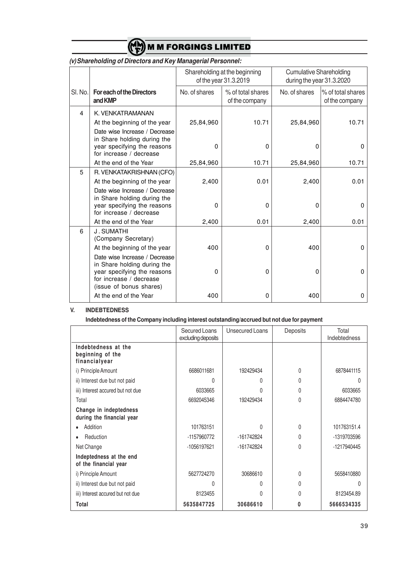

|         |                                                                                                                        | Shareholding at the beginning<br>of the year 31.3.2019 |                                     | <b>Cumulative Shareholding</b><br>during the year 31.3.2020 |                                     |
|---------|------------------------------------------------------------------------------------------------------------------------|--------------------------------------------------------|-------------------------------------|-------------------------------------------------------------|-------------------------------------|
| SI. No. | <b>For each of the Directors</b><br>and KMP                                                                            | No. of shares                                          | % of total shares<br>of the company | No. of shares                                               | % of total shares<br>of the company |
| 4       | K. VENKATRAMANAN                                                                                                       |                                                        |                                     |                                                             |                                     |
|         | At the beginning of the year                                                                                           | 25,84,960                                              | 10.71                               | 25,84,960                                                   | 10.71                               |
|         | Date wise Increase / Decrease<br>in Share holding during the<br>year specifying the reasons<br>for increase / decrease | $\Omega$                                               | $\Omega$                            | 0                                                           | $\Omega$                            |
|         | At the end of the Year                                                                                                 | 25,84,960                                              | 10.71                               | 25,84,960                                                   | 10.71                               |
| 5       | R. VENKATAKRISHNAN (CFO)                                                                                               |                                                        |                                     |                                                             |                                     |
|         | At the beginning of the year                                                                                           | 2,400                                                  | 0.01                                | 2,400                                                       | 0.01                                |
|         | Date wise Increase / Decrease<br>in Share holding during the<br>year specifying the reasons<br>for increase / decrease | $\Omega$                                               | $\Omega$                            | 0                                                           | 0                                   |
|         | At the end of the Year                                                                                                 | 2,400                                                  | 0.01                                | 2,400                                                       | 0.01                                |
| 6       | J. SUMATHI<br>(Company Secretary)<br>At the beginning of the year                                                      | 400                                                    | 0                                   | 400                                                         | 0                                   |
|         | Date wise Increase / Decrease<br>in Share holding during the                                                           |                                                        |                                     |                                                             |                                     |
|         | year specifying the reasons<br>for increase / decrease<br>(issue of bonus shares)                                      | $\Omega$                                               | 0                                   | 0                                                           | 0                                   |
|         | At the end of the Year                                                                                                 | 400                                                    | $\Omega$                            | 400                                                         | 0                                   |

# *(v) Shareholding of Directors and Key Managerial Personnel:*

#### **V. INDEBTEDNESS**

**Indebtedness of the Company including interest outstanding/accrued but not due for payment**

|                                                          | Secured Loans<br>excluding deposits | <b>Unsecured Loans</b> | Deposits     | Total<br>Indebtedness |
|----------------------------------------------------------|-------------------------------------|------------------------|--------------|-----------------------|
| Indebtedness at the<br>beginning of the<br>financialyear |                                     |                        |              |                       |
| i) Principle Amount                                      | 6686011681                          | 192429434              | $\Omega$     | 6878441115            |
| ii) Interest due but not paid                            | U                                   |                        | 0            | Λ                     |
| iii) Interest accured but not due                        | 6033665                             |                        | <sup>0</sup> | 6033665               |
| Total                                                    | 6692045346                          | 192429434              | $\Omega$     | 6884474780            |
| Change in indeptedness<br>during the financial year      |                                     |                        |              |                       |
| Addition                                                 | 101763151                           | U                      | $\Omega$     | 101763151.4           |
| Reduction                                                | -1157960772                         | -161742824             | <sup>0</sup> | -1319703596           |
| Net Change                                               | -1056197621                         | -161742824             | 0            | -1217940445           |
| Indeptedness at the end<br>of the financial year         |                                     |                        |              |                       |
| i) Principle Amount                                      | 5627724270                          | 30686610               | $\Omega$     | 5658410880            |
| ii) Interest due but not paid                            | U                                   | U                      | $\Omega$     | N                     |
| iii) Interest accured but not due                        | 8123455                             | U                      | $\Omega$     | 8123454.89            |
| Total                                                    | 5635847725                          | 30686610               | n            | 5666534335            |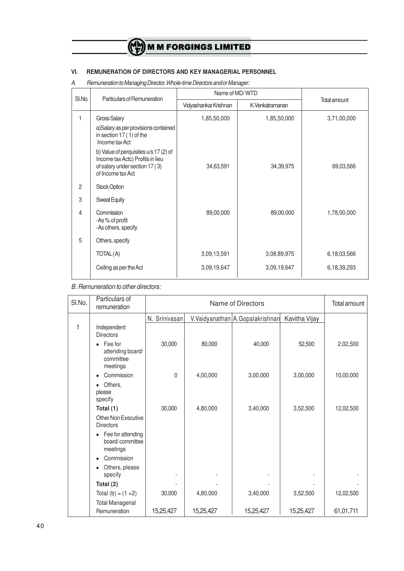## **VI. REMUNERATION OF DIRECTORS AND KEY MANAGERIAL PERSONNEL**

*A. Remuneration to Managing Director, Whole-time Directors and/or Manager:*

| SI.No.<br>Particulars of Remuneration |                                                                                                                                  | Name of MD/WTD        |                 |              |
|---------------------------------------|----------------------------------------------------------------------------------------------------------------------------------|-----------------------|-----------------|--------------|
|                                       |                                                                                                                                  | Vidyashankar Krishnan | K.Venkatramanan | Total amount |
| 1                                     | <b>Gross Salary</b>                                                                                                              | 1,85,50,000           | 1,85,50,000     | 3,71,00,000  |
|                                       | a)Salary as per provisions contained<br>in section 17 (1) of the<br>Income tax Act                                               |                       |                 |              |
|                                       | b) Value of perquisites u/s 17 (2) of<br>Income tax Actc) Profits in lieu<br>of salary under section 17 (3)<br>of Income tax Act | 34,63,591             | 34, 39, 975     | 69,03,566    |
| $\overline{2}$                        | <b>Stock Option</b>                                                                                                              |                       |                 |              |
| 3                                     | <b>Sweat Equity</b>                                                                                                              |                       |                 |              |
| 4                                     | Commission<br>-As % of profit<br>-As others, specify                                                                             | 89,00,000             | 89,00,000       | 1,78,00,000  |
| 5                                     | Others, specify                                                                                                                  |                       |                 |              |
|                                       | TOTAL(A)                                                                                                                         | 3,09,13,591           | 3,08,89,975     | 6,18,03,566  |
|                                       | Ceiling as per the Act                                                                                                           | 3,09,19,647           | 3,09,19,647     | 6,18,39,293  |

*B. Remuneration to other directors:*

| SI.No. | Particulars of<br>remuneration                       | Name of Directors |           |                                 | Total amount  |           |
|--------|------------------------------------------------------|-------------------|-----------|---------------------------------|---------------|-----------|
|        |                                                      | N. Srinivasan     |           | V.Vaidyanathan A.Gopalakrishnan | Kavitha Vijay |           |
| 1      | Independent<br><b>Directors</b>                      |                   |           |                                 |               |           |
|        | Fee for<br>attending board/<br>committee<br>meetings | 30,000            | 80,000    | 40,000                          | 52,500        | 2,02,500  |
|        | Commission<br>$\bullet$                              | $\Omega$          | 4,00,000  | 3,00,000                        | 3,00,000      | 10,00,000 |
|        | Others,<br>٠<br>please<br>specify                    |                   |           |                                 |               |           |
|        | Total (1)                                            | 30,000            | 4,80,000  | 3,40,000                        | 3,52,500      | 12,02,500 |
|        | Other Non Executive<br><b>Directors</b>              |                   |           |                                 |               |           |
|        | Fee for attending<br>board/committee<br>meetings     |                   |           |                                 |               |           |
|        | Commission                                           |                   |           |                                 |               |           |
|        | Others, please<br>$\bullet$<br>specify               |                   |           |                                 |               |           |
|        | Total (2)                                            |                   |           |                                 |               |           |
|        | Total (b) = $(1 + 2)$                                | 30,000            | 4,80,000  | 3,40,000                        | 3,52,500      | 12,02,500 |
|        | <b>Total Managerial</b><br>Remuneration              | 15,25,427         | 15,25,427 | 15,25,427                       | 15,25,427     | 61,01,711 |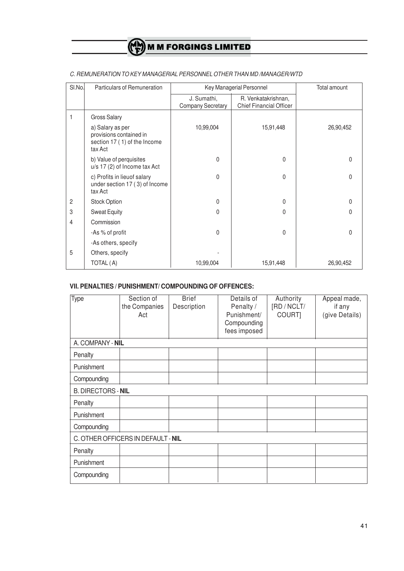| SI.No.         | Particulars of Remuneration                                                            |                                         | Key Managerial Personnel                              |           |  |
|----------------|----------------------------------------------------------------------------------------|-----------------------------------------|-------------------------------------------------------|-----------|--|
|                |                                                                                        | J. Sumathi,<br><b>Company Secretary</b> | R. Venkatakrishnan,<br><b>Chief Financial Officer</b> |           |  |
| $\mathbf{1}$   | <b>Gross Salary</b>                                                                    |                                         |                                                       |           |  |
|                | a) Salary as per<br>provisions contained in<br>section 17 (1) of the Income<br>tax Act | 10,99,004                               | 15,91,448                                             | 26,90,452 |  |
|                | b) Value of perquisites<br>u/s 17 (2) of Income tax Act                                | 0                                       | 0                                                     | 0         |  |
|                | c) Profits in lieuof salary<br>under section 17 (3) of Income<br>tax Act               | $\mathbf{0}$                            | 0                                                     | 0         |  |
| $\overline{2}$ | Stock Option                                                                           | 0                                       | 0                                                     | 0         |  |
| 3              | <b>Sweat Equity</b>                                                                    | $\mathbf{0}$                            | 0                                                     | 0         |  |
| 4              | Commission                                                                             |                                         |                                                       |           |  |
|                | -As % of profit                                                                        | $\mathbf{0}$                            | 0                                                     | 0         |  |
|                | -As others, specify                                                                    |                                         |                                                       |           |  |
| 5              | Others, specify                                                                        |                                         |                                                       |           |  |
|                | TOTAL (A)                                                                              | 10,99,004                               | 15,91,448                                             | 26,90,452 |  |

## *C. REMUNERATION TO KEY MANAGERIAL PERSONNEL OTHER THAN MD /MANAGER/WTD*

# **VII. PENALTIES / PUNISHMENT/ COMPOUNDING OF OFFENCES:**

| Type                      | Section of<br>the Companies<br>Act | <b>Brief</b><br>Description | Details of<br>Penalty /<br>Punishment/<br>Compounding<br>fees imposed | Authority<br>[RD / NCLT/<br>COURT] | Appeal made,<br>if any<br>(give Details) |
|---------------------------|------------------------------------|-----------------------------|-----------------------------------------------------------------------|------------------------------------|------------------------------------------|
| A. COMPANY - NIL          |                                    |                             |                                                                       |                                    |                                          |
| Penalty                   |                                    |                             |                                                                       |                                    |                                          |
| Punishment                |                                    |                             |                                                                       |                                    |                                          |
| Compounding               |                                    |                             |                                                                       |                                    |                                          |
| <b>B. DIRECTORS - NIL</b> |                                    |                             |                                                                       |                                    |                                          |
| Penalty                   |                                    |                             |                                                                       |                                    |                                          |
| Punishment                |                                    |                             |                                                                       |                                    |                                          |
| Compounding               |                                    |                             |                                                                       |                                    |                                          |
|                           | C. OTHER OFFICERS IN DEFAULT - NIL |                             |                                                                       |                                    |                                          |
| Penalty                   |                                    |                             |                                                                       |                                    |                                          |
| Punishment                |                                    |                             |                                                                       |                                    |                                          |
| Compounding               |                                    |                             |                                                                       |                                    |                                          |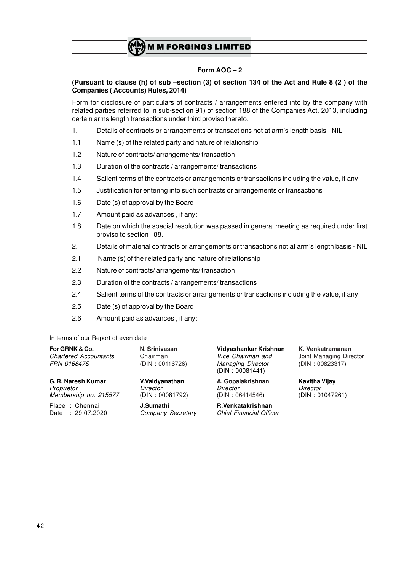## **Form AOC – 2**

### **(Pursuant to clause (h) of sub –section (3) of section 134 of the Act and Rule 8 (2 ) of the Companies ( Accounts) Rules, 2014)**

Form for disclosure of particulars of contracts / arrangements entered into by the company with related parties referred to in sub-section 91) of section 188 of the Companies Act, 2013, including certain arms length transactions under third proviso thereto.

- 1. Details of contracts or arrangements or transactions not at arm's length basis NIL
- 1.1 Name (s) of the related party and nature of relationship
- 1.2 Nature of contracts/ arrangements/ transaction
- 1.3 Duration of the contracts / arrangements/ transactions
- 1.4 Salient terms of the contracts or arrangements or transactions including the value, if any
- 1.5 Justification for entering into such contracts or arrangements or transactions
- 1.6 Date (s) of approval by the Board
- 1.7 Amount paid as advances , if any:
- 1.8 Date on which the special resolution was passed in general meeting as required under first proviso to section 188.
- 2. Details of material contracts or arrangements or transactions not at arm's length basis NIL
- 2.1 Name (s) of the related party and nature of relationship
- 2.2 Nature of contracts/ arrangements/ transaction
- 2.3 Duration of the contracts / arrangements/ transactions
- 2.4 Salient terms of the contracts or arrangements or transactions including the value, if any
- 2.5 Date (s) of approval by the Board
- 2.6 Amount paid as advances , if any:

In terms of our Report of even date

| For GRNK & Co.<br><b>Chartered Accountants</b><br><i>FRN 016847S</i> | N. Srinivasan<br>Chairman<br>(DIN: 00116726) | Vidyashankar Krishnan<br>Vice Chairman and<br><b>Managing Director</b><br>(DIN: 00081441) | K. Venkatramanan<br>Joint Managing Director<br>(DIN: 00823317) |  |
|----------------------------------------------------------------------|----------------------------------------------|-------------------------------------------------------------------------------------------|----------------------------------------------------------------|--|
| G. R. Naresh Kumar                                                   | V.Vaidyanathan                               | A. Gopalakrishnan                                                                         | <b>Kavitha Vijay</b>                                           |  |
| Proprietor                                                           | Director                                     | Director                                                                                  | Director                                                       |  |
| Membership no. 215577                                                | (DIN: 00081792)                              | (DIN: 06414546)                                                                           | (DIN: 01047261)                                                |  |
| Place: Chennai                                                       | J.Sumathi                                    | R.Venkatakrishnan                                                                         |                                                                |  |
| Date: 29.07.2020                                                     | Company Secretary                            | <b>Chief Financial Officer</b>                                                            |                                                                |  |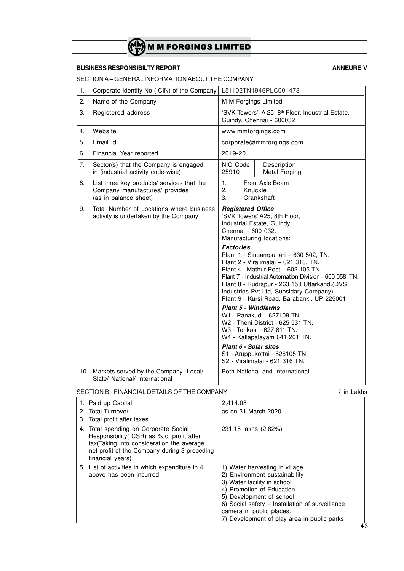# **BUSINESS RESPONSIBILTY REPORT ANNEURE V**

SECTION A – GENERAL INFORMATION ABOUT THE COMPANY

| 1.   | Corporate Identity No (CIN) of the Company                                                            | L51102TN1946PLC001473                                                                                                                                                                                                                                                                                                                                                                                                                                                                                                                                                                                                                                                                                                                               |
|------|-------------------------------------------------------------------------------------------------------|-----------------------------------------------------------------------------------------------------------------------------------------------------------------------------------------------------------------------------------------------------------------------------------------------------------------------------------------------------------------------------------------------------------------------------------------------------------------------------------------------------------------------------------------------------------------------------------------------------------------------------------------------------------------------------------------------------------------------------------------------------|
| 2.   | Name of the Company                                                                                   | M M Forgings Limited                                                                                                                                                                                                                                                                                                                                                                                                                                                                                                                                                                                                                                                                                                                                |
| 3.   | Registered address                                                                                    | 'SVK Towers', A 25, 8 <sup>th</sup> Floor, Industrial Estate,<br>Guindy, Chennai - 600032                                                                                                                                                                                                                                                                                                                                                                                                                                                                                                                                                                                                                                                           |
| 4.   | Website                                                                                               | www.mmforgings.com                                                                                                                                                                                                                                                                                                                                                                                                                                                                                                                                                                                                                                                                                                                                  |
| 5.   | Email Id                                                                                              | corporate@mmforgings.com                                                                                                                                                                                                                                                                                                                                                                                                                                                                                                                                                                                                                                                                                                                            |
| 6.   | Financial Year reported                                                                               | 2019-20                                                                                                                                                                                                                                                                                                                                                                                                                                                                                                                                                                                                                                                                                                                                             |
| 7.   | Sector(s) that the Company is engaged<br>in (industrial activity code-wise)                           | NIC Code<br>Description<br><b>Metal Forging</b><br>25910                                                                                                                                                                                                                                                                                                                                                                                                                                                                                                                                                                                                                                                                                            |
| 8.   | List three key products/ services that the<br>Company manufactures/ provides<br>(as in balance sheet) | 1.<br>Front Axle Beam<br>2.<br>Knuckle<br>3.<br>Crankshaft                                                                                                                                                                                                                                                                                                                                                                                                                                                                                                                                                                                                                                                                                          |
| 9.   | Total Number of Locations where business<br>activity is undertaken by the Company                     | <b>Registered Office</b><br>'SVK Towers' A25, 8th Floor,<br>Industrial Estate, Guindy,<br>Chennai - 600 032.<br>Manufacturing locations:<br><b>Factories</b><br>Plant 1 - Singampunari - 630 502, TN.<br>Plant 2 - Viralimalai - 621 316, TN.<br>Plant 4 - Mathur Post - 602 105 TN.<br>Plant 7 - Industrial Automation Division - 600 058, TN.<br>Plant 8 - Rudrapur - 263 153 Uttarkand.(DVS<br>Industries Pvt Ltd, Subsidary Company)<br>Plant 9 - Kursi Road, Barabanki, UP 225001<br><b>Plant 5 - Windfarms</b><br>W1 - Panakudi - 627109 TN.<br>W2 - Theni District - 625 531 TN.<br>W3 - Tenkasi - 627 811 TN.<br>W4 - Kallapalayam 641 201 TN.<br>Plant 6 - Solar sites<br>S1 - Aruppukottai - 626105 TN.<br>S2 - Viralimalai - 621 316 TN. |
| 10.1 | Markets served by the Company- Local/<br>State/ National/ International                               | Both National and International                                                                                                                                                                                                                                                                                                                                                                                                                                                                                                                                                                                                                                                                                                                     |

# SECTION B - FINANCIAL DETAILS OF THE COMPANY **in Lakhs** ₹ in Lakhs

|     | Paid up Capital                                                                                                                                                                                   | 2,414.08                                                                                                                                                                                                                                                                              |
|-----|---------------------------------------------------------------------------------------------------------------------------------------------------------------------------------------------------|---------------------------------------------------------------------------------------------------------------------------------------------------------------------------------------------------------------------------------------------------------------------------------------|
| 2.1 | <b>Total Turnover</b>                                                                                                                                                                             | as on 31 March 2020                                                                                                                                                                                                                                                                   |
| 3.1 | Total profit after taxes                                                                                                                                                                          |                                                                                                                                                                                                                                                                                       |
| 4.  | Total spending on Corporate Social<br>Responsibility (CSR) as % of profit after<br>tax (Taking into consideration the average<br>net profit of the Company during 3 preceding<br>financial years) | 231.15 lakhs (2.82%)                                                                                                                                                                                                                                                                  |
| 5.1 | List of activities in which expenditure in 4<br>above has been incurred                                                                                                                           | 1) Water harvesting in village<br>2) Environment sustainability<br>3) Water facility in school<br>4) Promotion of Education<br>5) Development of school<br>6) Social safety - Installation of surveillance<br>camera in public places.<br>7) Development of play area in public parks |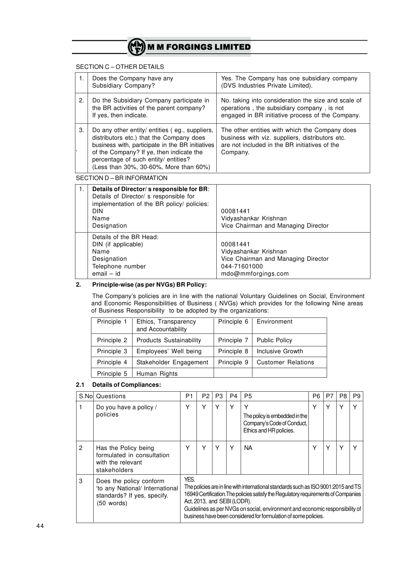#### SECTION C – OTHER DETAILS

|    | Does the Company have any<br>Subsidiary Company?                                                                                                                                                                                                                             | Yes. The Company has one subsidiary company<br>(DVS Industries Private Limited).                                                                               |
|----|------------------------------------------------------------------------------------------------------------------------------------------------------------------------------------------------------------------------------------------------------------------------------|----------------------------------------------------------------------------------------------------------------------------------------------------------------|
| 2. | Do the Subsidiary Company participate in<br>the BR activities of the parent company?<br>If yes, then indicate.                                                                                                                                                               | No. taking into consideration the size and scale of<br>operations, the subsidiary company, is not<br>engaged in BR initiative process of the Company.          |
| 3. | Do any other entity/ entities (eg., suppliers,<br>distributors etc.) that the Company does<br>business with, participate in the BR initiatives<br>of the Company? If ye, then indicate the<br>percentage of such entity/ entities?<br>(Less than 30%, 30-60%, More than 60%) | The other entities with which the Company does<br>business with viz. suppliers, distributors etc.<br>are not included in the BR initiatives of the<br>Company. |

SECTION D – BR INFORMATION

| $\mathbf{1}$ . | Details of Director/s responsible for BR:<br>Details of Director/ s responsible for<br>implementation of the BR policy/ policies:<br><b>DIN</b><br>Name<br>Designation | 00081441<br>Vidyashankar Krishnan<br>Vice Chairman and Managing Director                                       |
|----------------|------------------------------------------------------------------------------------------------------------------------------------------------------------------------|----------------------------------------------------------------------------------------------------------------|
|                | Details of the BR Head:<br>DIN (if applicable)<br>Name<br>Designation<br>Telephone number<br>$email - id$                                                              | 00081441<br>Vidyashankar Krishnan<br>Vice Chairman and Managing Director<br>044-71601000<br>mdo@mmforgings.com |

### **2. Principle-wise (as per NVGs) BR Policy:**

The Company's policies are in line with the national Voluntary Guidelines on Social, Environment and Economic Responsibilities of Business ( NVGs) which provides for the following Nine areas of Business Responsibility to be adopted by the organizations:

| Principle 1 | Ethics, Transparency<br>and Accountability | Principle 6 | Environment               |
|-------------|--------------------------------------------|-------------|---------------------------|
| Principle 2 | <b>Products Sustainability</b>             | Principle 7 | <b>Public Policy</b>      |
| Principle 3 | Employees' Well being                      | Principle 8 | Inclusive Growth          |
| Principle 4 | Stakeholder Engagement                     | Principle 9 | <b>Customer Relations</b> |
| Principle 5 | Human Rights                               |             |                           |

### **2.1 Details of Compliances:**

|   | S.Nol Questions                                                                                           | P <sub>1</sub>                                                                                                                                                                                                                                                                                                                                                     | P <sub>2</sub> | P <sub>3</sub> | P4 | <b>P5</b>                                                                                   | P <sub>6</sub> | P7 | P8 | P9 |
|---|-----------------------------------------------------------------------------------------------------------|--------------------------------------------------------------------------------------------------------------------------------------------------------------------------------------------------------------------------------------------------------------------------------------------------------------------------------------------------------------------|----------------|----------------|----|---------------------------------------------------------------------------------------------|----------------|----|----|----|
|   | Do you have a policy /<br>policies                                                                        | Υ                                                                                                                                                                                                                                                                                                                                                                  | Υ              | ٧              | Υ  | Υ<br>The policy is embedded in the<br>Company's Code of Conduct,<br>Ethics and HR policies. | Υ              | Υ  |    |    |
| 2 | Has the Policy being<br>formulated in consultation<br>with the relevant<br>stakeholders                   | Υ                                                                                                                                                                                                                                                                                                                                                                  | Y              | Υ              | Υ  | <b>NA</b>                                                                                   | Υ              | Υ  |    |    |
| 3 | Does the policy conform<br>'to any National/ International<br>standards? If yes, specify.<br>$(50$ words) | YES.<br>The policies are in line with international standards such as ISO 9001:2015 and TS<br>16949 Certification. The policies satisfy the Regulatory requirements of Companies<br>Act, 2013, and SEBI (LODR).<br>Guidelines as per NVGs on social, environment and economic responsibility of<br>business have been considered for formulation of some policies. |                |                |    |                                                                                             |                |    |    |    |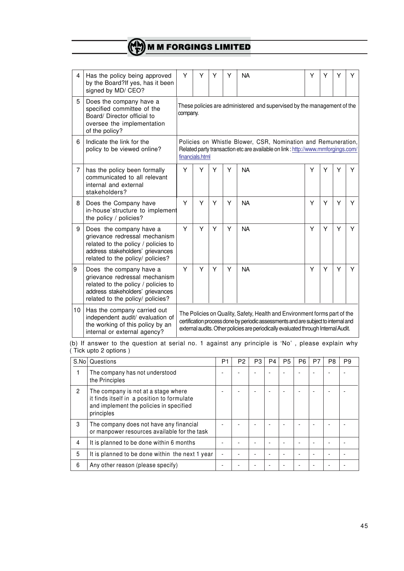| 4  | Has the policy being approved<br>by the Board?If yes, has it been<br>signed by MD/ CEO?                                                                                 | Y                                                                                                                                                                                                                                                     | Υ                                                                                   | Υ | Υ | <b>NA</b> | Y | Y | Y | Υ |
|----|-------------------------------------------------------------------------------------------------------------------------------------------------------------------------|-------------------------------------------------------------------------------------------------------------------------------------------------------------------------------------------------------------------------------------------------------|-------------------------------------------------------------------------------------|---|---|-----------|---|---|---|---|
| 5  | Does the company have a<br>specified committee of the<br>Board/ Director official to<br>oversee the implementation<br>of the policy?                                    |                                                                                                                                                                                                                                                       | These policies are administered and supervised by the management of the<br>company. |   |   |           |   |   |   |   |
| 6  | Indicate the link for the<br>policy to be viewed online?                                                                                                                | Policies on Whistle Blower, CSR, Nomination and Remuneration,<br>Related party transaction etc are available on link : http://www.mmforgings.com/<br>financials.html                                                                                  |                                                                                     |   |   |           |   |   |   |   |
| 7  | has the policy been formally<br>communicated to all relevant<br>internal and external<br>stakeholders?                                                                  | Y                                                                                                                                                                                                                                                     | Y                                                                                   | Y | Y | <b>NA</b> | Y | Y | Y | Y |
| 8  | Does the Company have<br>in-house'structure to implement<br>the policy / policies?                                                                                      | Y                                                                                                                                                                                                                                                     | Υ                                                                                   | Υ | Υ | <b>NA</b> | Y | Y | Y | Y |
| 9  | Does the company have a<br>grievance redressal mechanism<br>related to the policy / policies to<br>address stakeholders' grievances<br>related to the policy/ policies? | Y                                                                                                                                                                                                                                                     | Y                                                                                   | Y | Y | <b>NA</b> | Y | Y | Y | Y |
| ۱9 | Does the company have a<br>grievance redressal mechanism<br>related to the policy / policies to<br>address stakeholders' grievances<br>related to the policy/ policies? | Y                                                                                                                                                                                                                                                     | Υ                                                                                   | Y | Υ | <b>NA</b> | Y | Υ | Y | Y |
| 10 | Has the company carried out<br>independent audit/ evaluation of<br>the working of this policy by an<br>internal or external agency?                                     | The Policies on Quality, Safety, Health and Environment forms part of the<br>certification process done by periodic assessments and are subject to internal and<br>external audits. Other policies are periodically evaluated through Internal Audit. |                                                                                     |   |   |           |   |   |   |   |

(b) If answer to the question at serial no. 1 against any principle is 'No' , please explain why ( Tick upto 2 options )

| S.No         | Questions                                                                                                                                  | P1 | P <sub>2</sub> | P3 | P4 | P <sub>5</sub> | P <sub>6</sub> | P7 | P <sub>8</sub> | P <sub>9</sub> |
|--------------|--------------------------------------------------------------------------------------------------------------------------------------------|----|----------------|----|----|----------------|----------------|----|----------------|----------------|
|              | The company has not understood<br>the Principles                                                                                           |    |                |    |    |                |                |    |                |                |
| $\mathbf{2}$ | The company is not at a stage where<br>it finds itself in a position to formulate<br>and implement the policies in specified<br>principles |    |                |    |    |                |                |    |                |                |
| 3            | The company does not have any financial<br>or manpower resources available for the task                                                    |    |                |    |    |                |                |    |                |                |
| 4            | It is planned to be done within 6 months                                                                                                   |    |                |    |    |                |                |    |                |                |
| 5            | It is planned to be done within the next 1 year                                                                                            | ۰  |                |    |    |                |                |    |                |                |
| 6            | Any other reason (please specify)                                                                                                          |    |                |    |    |                |                |    |                |                |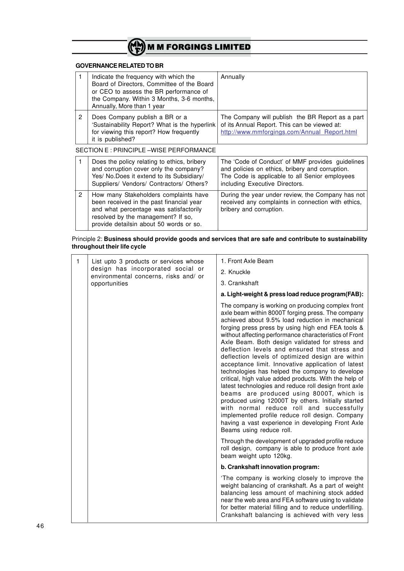

# **GOVERNANCE RELATED TO BR**

|                | Indicate the frequency with which the<br>Board of Directors, Committee of the Board<br>or CEO to assess the BR performance of<br>the Company. Within 3 Months, 3-6 months,<br>Annually, More than 1 year     | Annually                                                                                                                                                                                |
|----------------|--------------------------------------------------------------------------------------------------------------------------------------------------------------------------------------------------------------|-----------------------------------------------------------------------------------------------------------------------------------------------------------------------------------------|
| 2              | Does Company publish a BR or a<br>'Sustainability Report? What is the hyperlink<br>for viewing this report? How frequently<br>it is published?                                                               | The Company will publish the BR Report as a part<br>of its Annual Report. This can be viewed at:<br>http://www.mmforgings.com/Annual_Report.html                                        |
|                | SECTION E : PRINCIPLE-WISE PERFORMANCE                                                                                                                                                                       |                                                                                                                                                                                         |
| 1              | Does the policy relating to ethics, bribery<br>and corruption cover only the company?<br>Yes/ No.Does it extend to its Subsidiary/<br>Suppliers/ Vendors/ Contractors/ Others?                               | The 'Code of Conduct' of MMF provides guidelines<br>and policies on ethics, bribery and corruption.<br>The Code is applicable to all Senior employees<br>including Executive Directors. |
| $\overline{2}$ | How many Stakeholders complaints have<br>been received in the past financial year<br>and what percentage was satisfactorily<br>resolved by the management? If so,<br>provide detailsin about 50 words or so. | During the year under review, the Company has not<br>received any complaints in connection with ethics.<br>bribery and corruption.                                                      |

#### Principle 2: **Business should provide goods and services that are safe and contribute to sustainability throughout their life cycle**

| 1 | List upto 3 products or services whose                                     | 1. Front Axle Beam                                                                                                                                                                                                                                                                                                                                                                                                                                                                                                                                                                                                                                                                                                                                                                                                                                                                                                                             |
|---|----------------------------------------------------------------------------|------------------------------------------------------------------------------------------------------------------------------------------------------------------------------------------------------------------------------------------------------------------------------------------------------------------------------------------------------------------------------------------------------------------------------------------------------------------------------------------------------------------------------------------------------------------------------------------------------------------------------------------------------------------------------------------------------------------------------------------------------------------------------------------------------------------------------------------------------------------------------------------------------------------------------------------------|
|   | design has incorporated social or<br>environmental concerns, risks and/ or | 2. Knuckle                                                                                                                                                                                                                                                                                                                                                                                                                                                                                                                                                                                                                                                                                                                                                                                                                                                                                                                                     |
|   | opportunities                                                              | 3. Crankshaft                                                                                                                                                                                                                                                                                                                                                                                                                                                                                                                                                                                                                                                                                                                                                                                                                                                                                                                                  |
|   |                                                                            | a. Light-weight & press load reduce program(FAB):                                                                                                                                                                                                                                                                                                                                                                                                                                                                                                                                                                                                                                                                                                                                                                                                                                                                                              |
|   |                                                                            | The company is working on producing complex front<br>axle beam within 8000T forging press. The company<br>achieved about 9.5% load reduction in mechanical<br>forging press press by using high end FEA tools &<br>without affecting performance characteristics of Front<br>Axle Beam. Both design validated for stress and<br>deflection levels and ensured that stress and<br>deflection levels of optimized design are within<br>acceptance limit. Innovative application of latest<br>technologies has helped the company to develope<br>critical, high value added products. With the help of<br>latest technologies and reduce roll design front axle<br>beams are produced using 8000T, which is<br>produced using 12000T by others. Initially started<br>with normal reduce roll and successfully<br>implemented profile reduce roll design. Company<br>having a vast experience in developing Front Axle<br>Beams using reduce roll. |
|   |                                                                            | Through the development of upgraded profile reduce<br>roll design, company is able to produce front axle<br>beam weight upto 120kg.                                                                                                                                                                                                                                                                                                                                                                                                                                                                                                                                                                                                                                                                                                                                                                                                            |
|   |                                                                            | b. Crankshaft innovation program:                                                                                                                                                                                                                                                                                                                                                                                                                                                                                                                                                                                                                                                                                                                                                                                                                                                                                                              |
|   |                                                                            | The company is working closely to improve the<br>weight balancing of crankshaft. As a part of weight<br>balancing less amount of machining stock added<br>near the web area and FEA software using to validate<br>for better material filling and to reduce underfilling.<br>Crankshaft balancing is achieved with very less                                                                                                                                                                                                                                                                                                                                                                                                                                                                                                                                                                                                                   |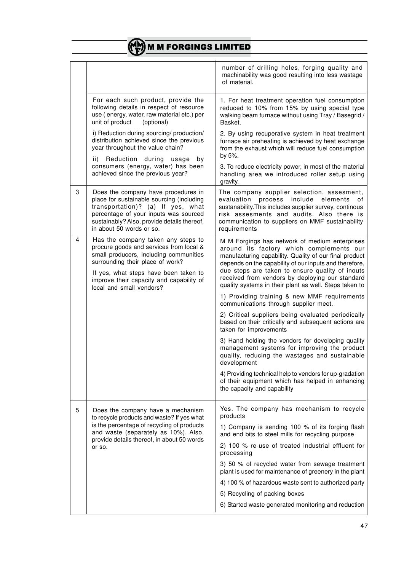|   |                                                                                                                                                                                                                                           | number of drilling holes, forging quality and<br>machinability was good resulting into less wastage<br>of material.                                                                                                                                                       |
|---|-------------------------------------------------------------------------------------------------------------------------------------------------------------------------------------------------------------------------------------------|---------------------------------------------------------------------------------------------------------------------------------------------------------------------------------------------------------------------------------------------------------------------------|
|   | For each such product, provide the<br>following details in respect of resource<br>use (energy, water, raw material etc.) per<br>unit of product<br>(optional)                                                                             | 1. For heat treatment operation fuel consumption<br>reduced to 10% from 15% by using special type<br>walking beam furnace without using Tray / Basegrid /<br>Basket.                                                                                                      |
|   | i) Reduction during sourcing/ production/<br>distribution achieved since the previous<br>year throughout the value chain?<br>ii)<br>Reduction during usage<br>by                                                                          | 2. By using recuperative system in heat treatment<br>furnace air preheating is achieved by heat exchange<br>from the exhaust which will reduce fuel consumption<br>by 5%.                                                                                                 |
|   | consumers (energy, water) has been<br>achieved since the previous year?                                                                                                                                                                   | 3. To reduce electricity power, in most of the material<br>handling area we introduced roller setup using<br>gravity.                                                                                                                                                     |
| 3 | Does the company have procedures in<br>place for sustainable sourcing (including<br>transportation)? (a) If yes, what<br>percentage of your inputs was sourced<br>sustainably? Also, provide details thereof,<br>in about 50 words or so. | The company supplier selection, assesment,<br>process include<br>evaluation<br>elements<br>οf<br>sustanability. This includes supplier survey, continous<br>risk assesments and audits. Also there is<br>communication to suppliers on MMF sustainability<br>requirements |
| 4 | Has the company taken any steps to<br>procure goods and services from local &<br>small producers, including communities<br>surrounding their place of work?                                                                               | M M Forgings has network of medium enterprises<br>around its factory which complements our<br>manufacturing capability. Quality of our final product<br>depends on the capability of our inputs and therefore,                                                            |
|   | If yes, what steps have been taken to<br>improve their capacity and capability of<br>local and small vendors?                                                                                                                             | due steps are taken to ensure quality of inouts<br>received from vendors by deploying our standard<br>quality systems in their plant as well. Steps taken to                                                                                                              |
|   |                                                                                                                                                                                                                                           | 1) Providing training & new MMF requirements<br>communications through supplier meet.                                                                                                                                                                                     |
|   |                                                                                                                                                                                                                                           | 2) Critical suppliers being evaluated periodically<br>based on their critically and subsequent actions are<br>taken for improvements                                                                                                                                      |
|   |                                                                                                                                                                                                                                           | 3) Hand holding the vendors for developing quality<br>management systems for improving the product<br>quality, reducing the wastages and sustainable<br>development                                                                                                       |
|   |                                                                                                                                                                                                                                           | 4) Providing technical help to vendors for up-gradation<br>of their equipment which has helped in enhancing<br>the capacity and capability                                                                                                                                |
| 5 | Does the company have a mechanism<br>to recycle products and waste? If yes what                                                                                                                                                           | Yes. The company has mechanism to recycle<br>products                                                                                                                                                                                                                     |
|   | is the percentage of recycling of products<br>and waste (separately as 10%). Also,<br>provide details thereof, in about 50 words                                                                                                          | 1) Company is sending 100 % of its forging flash<br>and end bits to steel mills for recycling purpose                                                                                                                                                                     |
|   | or so.                                                                                                                                                                                                                                    | 2) 100 % re-use of treated industrial effluent for<br>processing                                                                                                                                                                                                          |
|   |                                                                                                                                                                                                                                           | 3) 50 % of recycled water from sewage treatment<br>plant is used for maintenance of greenery in the plant                                                                                                                                                                 |
|   |                                                                                                                                                                                                                                           | 4) 100 % of hazardous waste sent to authorized party                                                                                                                                                                                                                      |
|   |                                                                                                                                                                                                                                           | 5) Recycling of packing boxes                                                                                                                                                                                                                                             |
|   |                                                                                                                                                                                                                                           | 6) Started waste generated monitoring and reduction                                                                                                                                                                                                                       |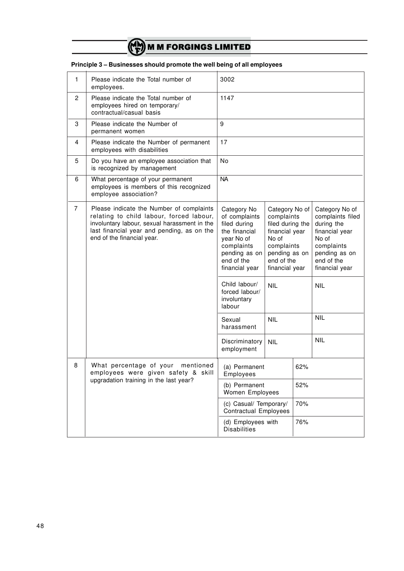

| 1              | Please indicate the Total number of<br>employees.                                                                                                                                                                | 3002                                                                                                                                                                                                                                                           |                                                                                                                                                                                      |            |                                                                                                                                                                                      |  |
|----------------|------------------------------------------------------------------------------------------------------------------------------------------------------------------------------------------------------------------|----------------------------------------------------------------------------------------------------------------------------------------------------------------------------------------------------------------------------------------------------------------|--------------------------------------------------------------------------------------------------------------------------------------------------------------------------------------|------------|--------------------------------------------------------------------------------------------------------------------------------------------------------------------------------------|--|
| 2              | Please indicate the Total number of<br>employees hired on temporary/<br>contractual/casual basis                                                                                                                 | 1147                                                                                                                                                                                                                                                           |                                                                                                                                                                                      |            |                                                                                                                                                                                      |  |
| 3              | Please indicate the Number of<br>permanent women                                                                                                                                                                 | 9                                                                                                                                                                                                                                                              |                                                                                                                                                                                      |            |                                                                                                                                                                                      |  |
| 4              | Please indicate the Number of permanent<br>employees with disabilities                                                                                                                                           | 17                                                                                                                                                                                                                                                             |                                                                                                                                                                                      |            |                                                                                                                                                                                      |  |
| 5              | Do you have an employee association that<br>is recognized by management                                                                                                                                          | N <sub>o</sub>                                                                                                                                                                                                                                                 |                                                                                                                                                                                      |            |                                                                                                                                                                                      |  |
| 6              | What percentage of your permanent<br>employees is members of this recognized<br>employee association?                                                                                                            | <b>NA</b>                                                                                                                                                                                                                                                      |                                                                                                                                                                                      |            |                                                                                                                                                                                      |  |
| $\overline{7}$ | Please indicate the Number of complaints<br>relating to child labour, forced labour,<br>involuntary labour, sexual harassment in the<br>last financial year and pending, as on the<br>end of the financial year. | Category No<br>of complaints<br>filed during<br>the financial<br>year No of<br>complaints<br>pending as on<br>end of the<br>financial year<br>Child labour/<br>forced labour/<br>involuntary<br>labour<br>Sexual<br>harassment<br>Discriminatory<br>employment | Category No of<br>complaints<br>filed during the<br>financial year<br>No of<br>complaints<br>pending as on<br>end of the<br>financial year<br><b>NIL</b><br><b>NIL</b><br><b>NIL</b> |            | Category No of<br>complaints filed<br>during the<br>financial year<br>No of<br>complaints<br>pending as on<br>end of the<br>financial year<br><b>NIL</b><br><b>NIL</b><br><b>NIL</b> |  |
| 8              | What percentage of your<br>mentioned<br>employees were given safety & skill<br>upgradation training in the last year?                                                                                            | (a) Permanent<br>Employees<br>(b) Permanent                                                                                                                                                                                                                    |                                                                                                                                                                                      | 62%<br>52% |                                                                                                                                                                                      |  |
|                |                                                                                                                                                                                                                  | Women Employees                                                                                                                                                                                                                                                |                                                                                                                                                                                      |            |                                                                                                                                                                                      |  |
|                |                                                                                                                                                                                                                  | (c) Casual/ Temporary/<br><b>Contractual Employees</b>                                                                                                                                                                                                         |                                                                                                                                                                                      | 70%        |                                                                                                                                                                                      |  |
|                |                                                                                                                                                                                                                  | (d) Employees with<br><b>Disabilities</b>                                                                                                                                                                                                                      |                                                                                                                                                                                      | 76%        |                                                                                                                                                                                      |  |

# **Principle 3 – Businesses should promote the well being of all employees**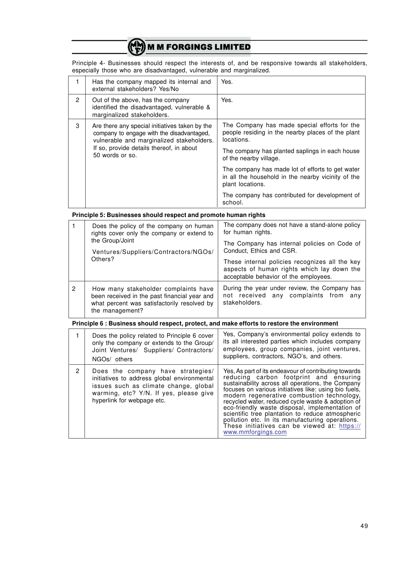Principle 4- Businesses should respect the interests of, and be responsive towards all stakeholders, especially those who are disadvantaged, vulnerable and marginalized.

|                                                             | Has the company mapped its internal and<br>external stakeholders? Yes/No                                                                 | Yes.                                                                                                            |
|-------------------------------------------------------------|------------------------------------------------------------------------------------------------------------------------------------------|-----------------------------------------------------------------------------------------------------------------|
| 2                                                           | Out of the above, has the company<br>identified the disadvantaged, vulnerable &<br>marginalized stakeholders.                            | Yes.                                                                                                            |
| 3                                                           | Are there any special initiatives taken by the<br>company to engage with the disadvantaged,<br>vulnerable and marginalized stakeholders. | The Company has made special efforts for the<br>people residing in the nearby places of the plant<br>locations. |
| If so, provide details thereof, in about<br>50 words or so. | The company has planted saplings in each house<br>of the nearby village.                                                                 |                                                                                                                 |
|                                                             | The company has made lot of efforts to get water<br>in all the household in the nearby vicinity of the<br>plant locations.               |                                                                                                                 |
|                                                             |                                                                                                                                          | The company has contributed for development of<br>school.                                                       |

#### **Principle 5: Businesses should respect and promote human rights**

|         | Does the policy of the company on human<br>rights cover only the company or extend to<br>the Group/Joint<br>Ventures/Suppliers/Contractors/NGOs/       | The company does not have a stand-alone policy<br>for human rights.                                    |  |  |  |  |
|---------|--------------------------------------------------------------------------------------------------------------------------------------------------------|--------------------------------------------------------------------------------------------------------|--|--|--|--|
|         |                                                                                                                                                        | The Company has internal policies on Code of<br>Conduct, Ethics and CSR.                               |  |  |  |  |
| Others? | These internal policies recognizes all the key<br>aspects of human rights which lay down the<br>acceptable behavior of the employees.                  |                                                                                                        |  |  |  |  |
| 2       | How many stakeholder complaints have<br>been received in the past financial year and<br>what percent was satisfactorily resolved by<br>the management? | During the year under review, the Company has<br>not received any complaints from any<br>stakeholders. |  |  |  |  |

#### **Principle 6 : Business should respect, protect, and make efforts to restore the environment**

|   | Does the policy related to Principle 6 cover<br>only the company or extends to the Group/<br>Joint Ventures/ Suppliers/ Contractors/<br>NGOs/ others                                              | Yes, Company's environmental policy extends to<br>its all interested parties which includes company<br>employees, group companies, joint ventures,<br>suppliers, contractors, NGO's, and others.                                                                                                                                                                                                                                                                                                                                                |
|---|---------------------------------------------------------------------------------------------------------------------------------------------------------------------------------------------------|-------------------------------------------------------------------------------------------------------------------------------------------------------------------------------------------------------------------------------------------------------------------------------------------------------------------------------------------------------------------------------------------------------------------------------------------------------------------------------------------------------------------------------------------------|
| 2 | Does the company have strategies/<br>initiatives to address global environmental<br>issues such as climate change, global<br>warming, etc? Y/N. If yes, please give<br>hyperlink for webpage etc. | Yes, As part of its endeavour of contributing towards<br>reducing carbon footprint and ensuring<br>sustainability across all operations, the Company<br>focuses on various initiatives like: using bio fuels,<br>modern regenerative combustion technology,<br>recycled water, reduced cycle waste & adoption of<br>eco-friendly waste disposal, implementation of<br>scientific tree plantation to reduce atmospheric<br>pollution etc. In its manufacturing operations.<br>These initiatives can be viewed at: https://<br>www.mmforgings.com |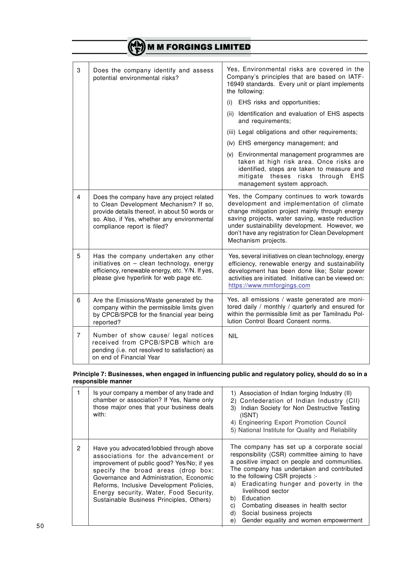|   | <b>MM FORGINGS LIMITED</b>                                                                                                                                                                                         |                                                                                                                                                                                                                                                                                                                           |  |  |
|---|--------------------------------------------------------------------------------------------------------------------------------------------------------------------------------------------------------------------|---------------------------------------------------------------------------------------------------------------------------------------------------------------------------------------------------------------------------------------------------------------------------------------------------------------------------|--|--|
| 3 | Does the company identify and assess<br>potential environmental risks?                                                                                                                                             | Yes, Environmental risks are covered in the<br>Company's principles that are based on IATF-<br>16949 standards. Every unit or plant implements<br>the following:                                                                                                                                                          |  |  |
|   |                                                                                                                                                                                                                    | EHS risks and opportunities;<br>(i)<br>(ii) Identification and evaluation of EHS aspects                                                                                                                                                                                                                                  |  |  |
|   |                                                                                                                                                                                                                    | and requirements;                                                                                                                                                                                                                                                                                                         |  |  |
|   |                                                                                                                                                                                                                    | (iii) Legal obligations and other requirements;                                                                                                                                                                                                                                                                           |  |  |
|   |                                                                                                                                                                                                                    | (iv) EHS emergency management; and                                                                                                                                                                                                                                                                                        |  |  |
|   |                                                                                                                                                                                                                    | (v) Environmental management programmes are<br>taken at high risk area. Once risks are<br>identified, steps are taken to measure and<br>mitigate theses risks through<br>EHS<br>management system approach.                                                                                                               |  |  |
| 4 | Does the company have any project related<br>to Clean Development Mechanism? If so,<br>provide details thereof, in about 50 words or<br>so. Also, if Yes, whether any environmental<br>compliance report is filed? | Yes, the Company continues to work towards<br>development and implementation of climate<br>change mitigation project mainly through energy<br>saving projects, water saving, waste reduction<br>under sustainability development. However, we<br>don't have any registration for Clean Development<br>Mechanism projects. |  |  |
| 5 | Has the company undertaken any other<br>initiatives on - clean technology, energy<br>efficiency, renewable energy, etc. Y/N. If yes,<br>please give hyperlink for web page etc.                                    | Yes, several initiatives on clean technology, energy<br>efficiency, renewable energy and sustainability<br>development has been done like; Solar power<br>activities are initiated. Initiative can be viewed on:<br>https://www.mmforgings.com                                                                            |  |  |
| 6 | Are the Emissions/Waste generated by the<br>company within the permissible limits given<br>by CPCB/SPCB for the financial year being<br>reported?                                                                  | Yes, all emissions / waste generated are moni-<br>tored daily / monthly / quarterly and ensured for<br>within the permissible limit as per Tamilnadu Pol-<br>lution Control Board Consent norms.                                                                                                                          |  |  |
| 7 | Number of show cause/ legal notices<br>received from CPCB/SPCB which are<br>pending (i.e. not resolved to satisfaction) as<br>on end of Financial Year                                                             | <b>NIL</b>                                                                                                                                                                                                                                                                                                                |  |  |

#### **Principle 7: Businesses, when engaged in influencing public and regulatory policy, should do so in a responsible manner**

|   | Is your company a member of any trade and<br>chamber or association? If Yes, Name only<br>those major ones that your business deals<br>with:                                                                                                                                                                                                     | 1) Association of Indian forging Industry (II)<br>2) Confederation of Indian Industry (CII)<br>Indian Society for Non Destructive Testing<br>3)<br>(ISNT)<br>4) Engineering Export Promotion Council<br>5) National Institute for Quality and Reliability                                                                                                                                                                                      |
|---|--------------------------------------------------------------------------------------------------------------------------------------------------------------------------------------------------------------------------------------------------------------------------------------------------------------------------------------------------|------------------------------------------------------------------------------------------------------------------------------------------------------------------------------------------------------------------------------------------------------------------------------------------------------------------------------------------------------------------------------------------------------------------------------------------------|
| 2 | Have you advocated/lobbied through above<br>associations for the advancement or<br>improvement of public good? Yes/No; if yes<br>specify the broad areas (drop box:<br>Governance and Administration. Economic<br>Reforms, Inclusive Development Policies,<br>Energy security, Water, Food Security,<br>Sustainable Business Principles, Others) | The company has set up a corporate social<br>responsibility (CSR) committee aiming to have<br>a positive impact on people and communities.<br>The company has undertaken and contributed<br>to the following CSR projects :-<br>a) Eradicating hunger and poverty in the<br>livelihood sector<br>Education<br>b)<br>Combating diseases in health sector<br>C)<br>Social business projects<br>d)<br>Gender equality and women empowerment<br>e) |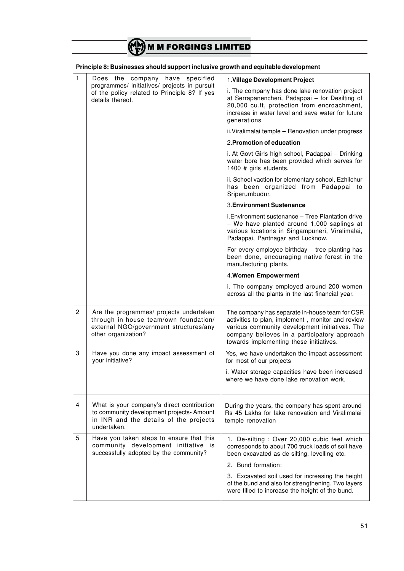|                                                                                                                  | Principle 8: Businesses should support inclusive growth and equitable development                                                                 |                                                                                                                                                                                                                                                  |  |
|------------------------------------------------------------------------------------------------------------------|---------------------------------------------------------------------------------------------------------------------------------------------------|--------------------------------------------------------------------------------------------------------------------------------------------------------------------------------------------------------------------------------------------------|--|
| $\mathbf{1}$                                                                                                     | Does the company have specified                                                                                                                   | 1. Village Development Project                                                                                                                                                                                                                   |  |
| programmes/ initiatives/ projects in pursuit<br>of the policy related to Principle 8? If yes<br>details thereof. |                                                                                                                                                   | i. The company has done lake renovation project<br>at Serrapanencheri, Padappai - for Desilting of<br>20,000 cu.ft, protection from encroachment,<br>increase in water level and save water for future<br>generations                            |  |
|                                                                                                                  |                                                                                                                                                   | ii. Viralimalai temple - Renovation under progress                                                                                                                                                                                               |  |
|                                                                                                                  |                                                                                                                                                   | 2. Promotion of education                                                                                                                                                                                                                        |  |
|                                                                                                                  |                                                                                                                                                   | i. At Govt Girls high school, Padappai - Drinking<br>water bore has been provided which serves for<br>1400 # girls students.                                                                                                                     |  |
|                                                                                                                  |                                                                                                                                                   | ii. School vaction for elementary school, Ezhilchur<br>has been organized from Padappai to<br>Sriperumbudur.                                                                                                                                     |  |
|                                                                                                                  |                                                                                                                                                   | 3. Environment Sustenance                                                                                                                                                                                                                        |  |
|                                                                                                                  |                                                                                                                                                   | i. Environment sustenance - Tree Plantation drive<br>- We have planted around 1,000 saplings at<br>various locations in Singampuneri, Viralimalai,<br>Padappai, Pantnagar and Lucknow.                                                           |  |
|                                                                                                                  |                                                                                                                                                   | For every employee birthday - tree planting has<br>been done, encouraging native forest in the<br>manufacturing plants.                                                                                                                          |  |
|                                                                                                                  |                                                                                                                                                   | 4. Women Empowerment                                                                                                                                                                                                                             |  |
|                                                                                                                  |                                                                                                                                                   | i. The company employed around 200 women<br>across all the plants in the last financial year.                                                                                                                                                    |  |
| $\mathbf{2}^{\prime}$                                                                                            | Are the programmes/ projects undertaken<br>through in-house team/own foundation/<br>external NGO/government structures/any<br>other organization? | The company has separate in-house team for CSR<br>activities to plan, implement, monitor and review<br>various community development initiatives. The<br>company believes in a participatory approach<br>towards implementing these initiatives. |  |
| 3                                                                                                                | Have you done any impact assessment of<br>your initiative?                                                                                        | Yes, we have undertaken the impact assessment<br>for most of our projects                                                                                                                                                                        |  |
|                                                                                                                  |                                                                                                                                                   | i. Water storage capacities have been increased<br>where we have done lake renovation work.                                                                                                                                                      |  |
| 4                                                                                                                | What is your company's direct contribution<br>to community development projects- Amount<br>in INR and the details of the projects<br>undertaken.  | During the years, the company has spent around<br>Rs 45 Lakhs for lake renovation and Viralimalai<br>temple renovation                                                                                                                           |  |
| 5                                                                                                                | Have you taken steps to ensure that this<br>community development initiative is<br>successfully adopted by the community?                         | 1. De-silting: Over 20,000 cubic feet which<br>corresponds to about 700 truck loads of soil have<br>been excavated as de-silting, levelling etc.                                                                                                 |  |
|                                                                                                                  |                                                                                                                                                   | 2. Bund formation:                                                                                                                                                                                                                               |  |
|                                                                                                                  |                                                                                                                                                   | 3. Excavated soil used for increasing the height<br>of the bund and also for strengthening. Two layers<br>were filled to increase the height of the bund.                                                                                        |  |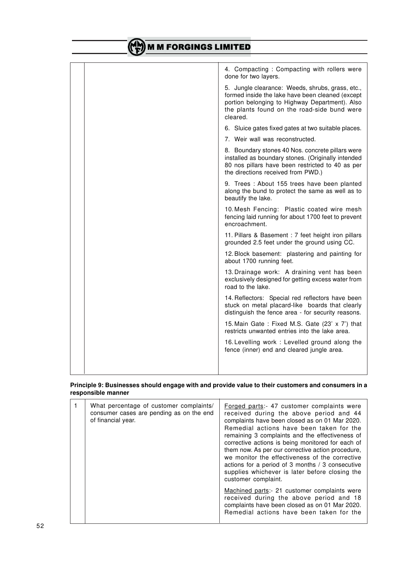| <b>M M FORGINGS LIMITED</b> |                                                                                                                                                                                                                   |  |  |
|-----------------------------|-------------------------------------------------------------------------------------------------------------------------------------------------------------------------------------------------------------------|--|--|
|                             |                                                                                                                                                                                                                   |  |  |
|                             | 4. Compacting: Compacting with rollers were<br>done for two layers.                                                                                                                                               |  |  |
|                             | 5. Jungle clearance: Weeds, shrubs, grass, etc.,<br>formed inside the lake have been cleaned (except<br>portion belonging to Highway Department). Also<br>the plants found on the road-side bund were<br>cleared. |  |  |
|                             | 6. Sluice gates fixed gates at two suitable places.                                                                                                                                                               |  |  |
|                             | 7. Weir wall was reconstructed.                                                                                                                                                                                   |  |  |
|                             | 8. Boundary stones 40 Nos. concrete pillars were<br>installed as boundary stones. (Originally intended<br>80 nos pillars have been restricted to 40 as per<br>the directions received from PWD.)                  |  |  |
|                             | 9. Trees : About 155 trees have been planted<br>along the bund to protect the same as well as to<br>beautify the lake.                                                                                            |  |  |
|                             | 10. Mesh Fencing: Plastic coated wire mesh<br>fencing laid running for about 1700 feet to prevent<br>encroachment.                                                                                                |  |  |
|                             | 11. Pillars & Basement : 7 feet height iron pillars<br>grounded 2.5 feet under the ground using CC.                                                                                                               |  |  |
|                             | 12. Block basement: plastering and painting for<br>about 1700 running feet.                                                                                                                                       |  |  |
|                             | 13. Drainage work: A draining vent has been<br>exclusively designed for getting excess water from<br>road to the lake.                                                                                            |  |  |
|                             | 14. Reflectors: Special red reflectors have been<br>stuck on metal placard-like boards that clearly<br>distinguish the fence area - for security reasons.                                                         |  |  |
|                             | 15. Main Gate: Fixed M.S. Gate (23' x 7') that<br>restricts unwanted entries into the lake area.                                                                                                                  |  |  |
|                             | 16. Levelling work: Levelled ground along the<br>fence (inner) end and cleared jungle area.                                                                                                                       |  |  |
|                             |                                                                                                                                                                                                                   |  |  |

#### **Principle 9: Businesses should engage with and provide value to their customers and consumers in a responsible manner**

| What percentage of customer complaints/<br>consumer cases are pending as on the end<br>of financial year. | Forged parts: 47 customer complaints were<br>received during the above period and 44<br>complaints have been closed as on 01 Mar 2020.<br>Remedial actions have been taken for the<br>remaining 3 complaints and the effectiveness of<br>corrective actions is being monitored for each of<br>them now. As per our corrective action procedure,<br>we monitor the effectiveness of the corrective<br>actions for a period of 3 months / 3 consecutive<br>supplies whichever is later before closing the<br>customer complaint.<br>Machined parts:- 21 customer complaints were<br>received during the above period and 18<br>complaints have been closed as on 01 Mar 2020.<br>Remedial actions have been taken for the |
|-----------------------------------------------------------------------------------------------------------|-------------------------------------------------------------------------------------------------------------------------------------------------------------------------------------------------------------------------------------------------------------------------------------------------------------------------------------------------------------------------------------------------------------------------------------------------------------------------------------------------------------------------------------------------------------------------------------------------------------------------------------------------------------------------------------------------------------------------|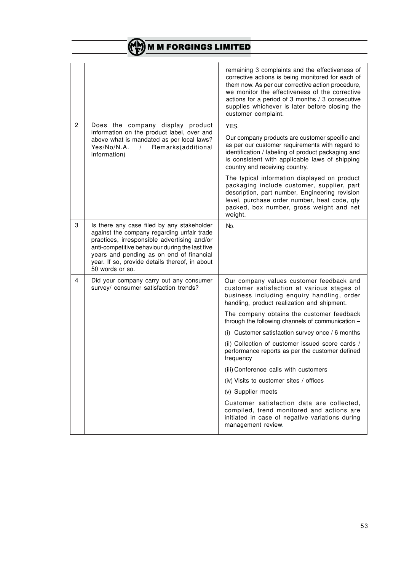|                |                                                                                                                                                                                                                                                                                                             | remaining 3 complaints and the effectiveness of<br>corrective actions is being monitored for each of<br>them now. As per our corrective action procedure,<br>we monitor the effectiveness of the corrective<br>actions for a period of 3 months / 3 consecutive<br>supplies whichever is later before closing the<br>customer complaint. |  |
|----------------|-------------------------------------------------------------------------------------------------------------------------------------------------------------------------------------------------------------------------------------------------------------------------------------------------------------|------------------------------------------------------------------------------------------------------------------------------------------------------------------------------------------------------------------------------------------------------------------------------------------------------------------------------------------|--|
| $\overline{2}$ | Does the company display product                                                                                                                                                                                                                                                                            | YES.                                                                                                                                                                                                                                                                                                                                     |  |
|                | information on the product label, over and<br>above what is mandated as per local laws?<br>Yes/No/N.A.<br>Remarks(additional<br>$\prime$<br>information)                                                                                                                                                    | Our company products are customer specific and<br>as per our customer requirements with regard to<br>identification / labeling of product packaging and<br>is consistent with applicable laws of shipping<br>country and receiving country.                                                                                              |  |
|                |                                                                                                                                                                                                                                                                                                             | The typical information displayed on product<br>packaging include customer, supplier, part<br>description, part number, Engineering revision<br>level, purchase order number, heat code, qty<br>packed, box number, gross weight and net<br>weight.                                                                                      |  |
| 3              | Is there any case filed by any stakeholder<br>against the company regarding unfair trade<br>practices, irresponsible advertising and/or<br>anti-competitive behaviour during the last five<br>years and pending as on end of financial<br>year. If so, provide details thereof, in about<br>50 words or so. | No.                                                                                                                                                                                                                                                                                                                                      |  |
| 4              | Did your company carry out any consumer<br>survey/ consumer satisfaction trends?                                                                                                                                                                                                                            | Our company values customer feedback and<br>customer satisfaction at various stages of<br>business including enquiry handling, order<br>handling, product realization and shipment.                                                                                                                                                      |  |
|                |                                                                                                                                                                                                                                                                                                             | The company obtains the customer feedback<br>through the following channels of communication -                                                                                                                                                                                                                                           |  |
|                |                                                                                                                                                                                                                                                                                                             | (i) Customer satisfaction survey once / 6 months                                                                                                                                                                                                                                                                                         |  |
|                |                                                                                                                                                                                                                                                                                                             | (ii) Collection of customer issued score cards /<br>performance reports as per the customer defined<br>frequency                                                                                                                                                                                                                         |  |
|                |                                                                                                                                                                                                                                                                                                             | (iii) Conference calls with customers                                                                                                                                                                                                                                                                                                    |  |
|                |                                                                                                                                                                                                                                                                                                             | (iv) Visits to customer sites / offices                                                                                                                                                                                                                                                                                                  |  |
|                |                                                                                                                                                                                                                                                                                                             | (v) Supplier meets                                                                                                                                                                                                                                                                                                                       |  |
|                |                                                                                                                                                                                                                                                                                                             | Customer satisfaction data are collected,<br>compiled, trend monitored and actions are<br>initiated in case of negative variations during<br>management review.                                                                                                                                                                          |  |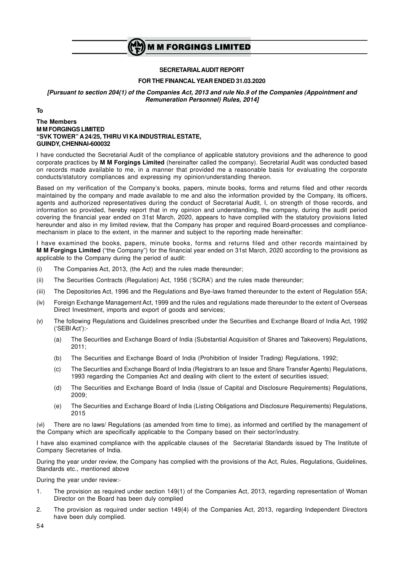

#### **SECRETARIALAUDIT REPORT**

#### **FOR THE FINANCAL YEAR ENDED 31.03.2020**

*[Pursuant to section 204(1) of the Companies Act, 2013 and rule No.9 of the Companies (Appointment and Remuneration Personnel) Rules, 2014]*

**To**

#### **The Members M M FORGINGS LIMITED "SVK TOWER" A 24/25, THIRU VI KA INDUSTRIAL ESTATE, GUINDY, CHENNAI-600032**

I have conducted the Secretarial Audit of the compliance of applicable statutory provisions and the adherence to good corporate practices by **M M Forgings Limited** (hereinafter called the company). Secretarial Audit was conducted based on records made available to me, in a manner that provided me a reasonable basis for evaluating the corporate conducts/statutory compliances and expressing my opinion/understanding thereon.

Based on my verification of the Company's books, papers, minute books, forms and returns filed and other records maintained by the company and made available to me and also the information provided by the Company, its officers, agents and authorized representatives during the conduct of Secretarial Audit, I, on strength of those records, and information so provided, hereby report that in my opinion and understanding, the company, during the audit period covering the financial year ended on 31st March, 2020, appears to have complied with the statutory provisions listed hereunder and also in my limited review, that the Company has proper and required Board-processes and compliancemechanism in place to the extent, in the manner and subject to the reporting made hereinafter:

I have examined the books, papers, minute books, forms and returns filed and other records maintained by **M M Forgings Limited** ("the Company") for the financial year ended on 31st March, 2020 according to the provisions as applicable to the Company during the period of audit:

- (i) The Companies Act, 2013, (the Act) and the rules made thereunder;
- (ii) The Securities Contracts (Regulation) Act, 1956 ('SCRA') and the rules made thereunder;
- (iii) The Depositories Act, 1996 and the Regulations and Bye-laws framed thereunder to the extent of Regulation 55A;
- (iv) Foreign Exchange Management Act, 1999 and the rules and regulations made thereunder to the extent of Overseas Direct Investment, imports and export of goods and services;
- (v) The following Regulations and Guidelines prescribed under the Securities and Exchange Board of India Act, 1992 ('SEBI Act'):-
	- (a) The Securities and Exchange Board of India (Substantial Acquisition of Shares and Takeovers) Regulations, 2011;
	- (b) The Securities and Exchange Board of India (Prohibition of Insider Trading) Regulations, 1992;
	- (c) The Securities and Exchange Board of India (Registrars to an Issue and Share Transfer Agents) Regulations, 1993 regarding the Companies Act and dealing with client to the extent of securities issued;
	- (d) The Securities and Exchange Board of India (Issue of Capital and Disclosure Requirements) Regulations, 2009;
	- (e) The Securities and Exchange Board of India (Listing Obligations and Disclosure Requirements) Regulations, 2015

(vi) There are no laws/ Regulations (as amended from time to time), as informed and certified by the management of the Company which are specifically applicable to the Company based on their sector/industry.

I have also examined compliance with the applicable clauses of the Secretarial Standards issued by The Institute of Company Secretaries of India.

During the year under review, the Company has complied with the provisions of the Act, Rules, Regulations, Guidelines, Standards etc., mentioned above

During the year under review:-

- 1. The provision as required under section 149(1) of the Companies Act, 2013, regarding representation of Woman Director on the Board has been duly complied
- 2. The provision as required under section 149(4) of the Companies Act, 2013, regarding Independent Directors have been duly complied.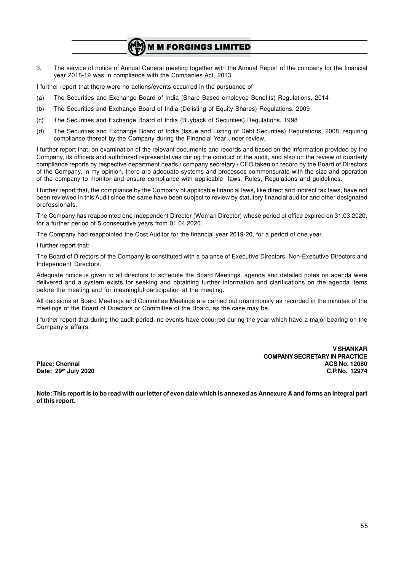3. The service of notice of Annual General meeting together with the Annual Report of the company for the financial year 2018-19 was in compliance with the Companies Act, 2013.

I further report that there were no actions/events occurred in the pursuance of

- (a) The Securities and Exchange Board of India (Share Based employee Benefits) Regulations, 2014
- (b) The Securities and Exchange Board of India (Delisting of Equity Shares) Regulations, 2009
- (c) The Securities and Exchange Board of India (Buyback of Securities) Regulations, 1998
- (d) The Securities and Exchange Board of India (Issue and Listing of Debt Securities) Regulations, 2008; requiring compliance thereof by the Company during the Financial Year under review.

I further report that, on examination of the relevant documents and records and based on the information provided by the Company, its officers and authorized representatives during the conduct of the audit, and also on the review of quarterly compliance reports by respective department heads / company secretary / CEO taken on record by the Board of Directors of the Company, in my opinion, there are adequate systems and processes commensurate with the size and operation of the company to monitor and ensure compliance with applicable laws, Rules, Regulations and guidelines.

I further report that, the compliance by the Company of applicable financial laws, like direct and indirect tax laws, have not been reviewed in this Audit since the same have been subject to review by statutory financial auditor and other designated professionals.

The Company has reappointed one Independent Director (Woman Director) whose period of office expired on 31.03.2020, for a further period of 5 consecutive years from 01.04.2020.

The Company had reappointed the Cost Auditor for the financial year 2019-20, for a period of one year.

I further report that:

The Board of Directors of the Company is constituted with a balance of Executive Directors, Non-Executive Directors and Independent Directors.

Adequate notice is given to all directors to schedule the Board Meetings, agenda and detailed notes on agenda were delivered and a system exists for seeking and obtaining further information and clarifications on the agenda items before the meeting and for meaningful participation at the meeting.

All decisions at Board Meetings and Committee Meetings are carried out unanimously as recorded in the minutes of the meetings of the Board of Directors or Committee of the Board, as the case may be.

I further report that during the audit period, no events have occurred during the year which have a major bearing on the Company's affairs.

**V SHANKAR COMPANY SECRETARY IN PRACTICE Place: Chennai ACS No. 12080 Date: 29th July 2020 C.P.No. 12974**

**Note: This report is to be read with our letter of even date which is annexed as Annexure A and forms an integral part of this report.**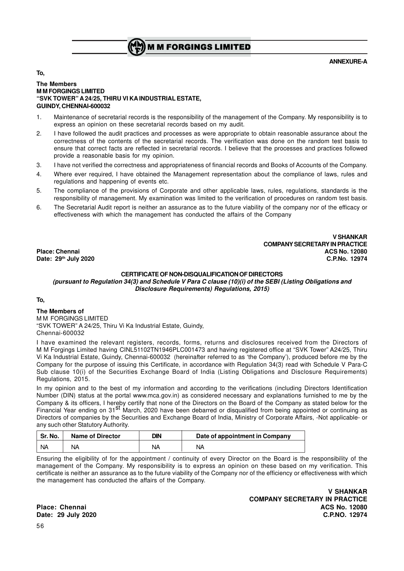

#### **ANNEXURE-A**

**To,**

#### **The Members M M FORGINGS LIMITED "SVK TOWER" A 24/25, THIRU VI KA INDUSTRIAL ESTATE, GUINDY, CHENNAI-600032**

- 1. Maintenance of secretarial records is the responsibility of the management of the Company. My responsibility is to express an opinion on these secretarial records based on my audit.
- 2. I have followed the audit practices and processes as were appropriate to obtain reasonable assurance about the correctness of the contents of the secretarial records. The verification was done on the random test basis to ensure that correct facts are reflected in secretarial records. I believe that the processes and practices followed provide a reasonable basis for my opinion.
- 3. I have not verified the correctness and appropriateness of financial records and Books of Accounts of the Company.
- 4. Where ever required, I have obtained the Management representation about the compliance of laws, rules and regulations and happening of events etc.
- 5. The compliance of the provisions of Corporate and other applicable laws, rules, regulations, standards is the responsibility of management. My examination was limited to the verification of procedures on random test basis.
- 6. The Secretarial Audit report is neither an assurance as to the future viability of the company nor of the efficacy or effectiveness with which the management has conducted the affairs of the Company

**V SHANKAR COMPANY SECRETARY IN PRACTICE Place: Chennai ACS No. 12080 Date: 29th July 2020 C.P.No. 12974**

#### **CERTIFICATE OF NON-DISQUALIFICATION OF DIRECTORS**

*(pursuant to Regulation 34(3) and Schedule V Para C clause (10)(i) of the SEBI (Listing Obligations and Disclosure Requirements) Regulations, 2015)*

#### **To,**

**The Members of** MM FORGINGS LIMITED "SVK TOWER" A 24/25, Thiru Vi Ka Industrial Estate, Guindy, Chennai-600032

I have examined the relevant registers, records, forms, returns and disclosures received from the Directors of M M Forgings Limited having CINL51102TN1946PLC001473 and having registered office at "SVK Tower" A24/25, Thiru Vi Ka Industrial Estate, Guindy, Chennai-600032 (hereinafter referred to as 'the Company'), produced before me by the Company for the purpose of issuing this Certificate, in accordance with Regulation 34(3) read with Schedule V Para-C Sub clause 10(i) of the Securities Exchange Board of India (Listing Obligations and Disclosure Requirements) Regulations, 2015.

In my opinion and to the best of my information and according to the verifications (including Directors Identification Number (DIN) status at the portal www.mca.gov.in) as considered necessary and explanations furnished to me by the Company & its officers, I hereby certify that none of the Directors on the Board of the Company as stated below for the Financial Year ending on 31<sup>st</sup> March, 2020 have been debarred or disqualified from being appointed or continuing as Directors of companies by the Securities and Exchange Board of India, Ministry of Corporate Affairs, -Not applicable- or any such other Statutory Authority.

| Sr. No. | <b>Name of Director</b> | DIN | Date of appointment in Company |
|---------|-------------------------|-----|--------------------------------|
| NΑ      | ΝA                      | NА  | NΑ                             |

Ensuring the eligibility of for the appointment / continuity of every Director on the Board is the responsibility of the management of the Company. My responsibility is to express an opinion on these based on my verification. This certificate is neither an assurance as to the future viability of the Company nor of the efficiency or effectiveness with which the management has conducted the affairs of the Company.

**V SHANKAR COMPANY SECRETARY IN PRACTICE Place: Chennai ACS No. 12080 Date: 29 July 2020 C.P.NO. 12974**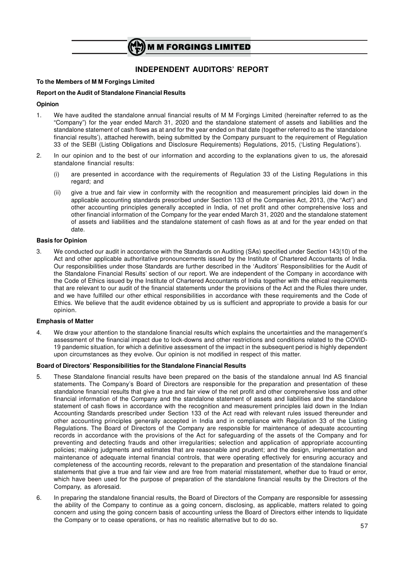

# **INDEPENDENT AUDITORS' REPORT**

#### **To the Members of M M Forgings Limited**

#### **Report on the Audit of Standalone Financial Results**

#### **Opinion**

- 1. We have audited the standalone annual financial results of M M Forgings Limited (hereinafter referred to as the "Company") for the year ended March 31, 2020 and the standalone statement of assets and liabilities and the standalone statement of cash flows as at and for the year ended on that date (together referred to as the 'standalone financial results'), attached herewith, being submitted by the Company pursuant to the requirement of Regulation 33 of the SEBI (Listing Obligations and Disclosure Requirements) Regulations, 2015, ('Listing Regulations').
- 2. In our opinion and to the best of our information and according to the explanations given to us, the aforesaid standalone financial results:
	- (i) are presented in accordance with the requirements of Regulation 33 of the Listing Regulations in this regard; and
	- (ii) give a true and fair view in conformity with the recognition and measurement principles laid down in the applicable accounting standards prescribed under Section 133 of the Companies Act, 2013, (the "Act") and other accounting principles generally accepted in India, of net profit and other comprehensive loss and other financial information of the Company for the year ended March 31, 2020 and the standalone statement of assets and liabilities and the standalone statement of cash flows as at and for the year ended on that date.

#### **Basis for Opinion**

3. We conducted our audit in accordance with the Standards on Auditing (SAs) specified under Section 143(10) of the Act and other applicable authoritative pronouncements issued by the Institute of Chartered Accountants of India. Our responsibilities under those Standards are further described in the 'Auditors' Responsibilities for the Audit of the Standalone Financial Results' section of our report. We are independent of the Company in accordance with the Code of Ethics issued by the Institute of Chartered Accountants of India together with the ethical requirements that are relevant to our audit of the financial statements under the provisions of the Act and the Rules there under, and we have fulfilled our other ethical responsibilities in accordance with these requirements and the Code of Ethics. We believe that the audit evidence obtained by us is sufficient and appropriate to provide a basis for our opinion.

#### **Emphasis of Matter**

4. We draw your attention to the standalone financial results which explains the uncertainties and the management's assessment of the financial impact due to lock-downs and other restrictions and conditions related to the COVID-19 pandemic situation, for which a definitive assessment of the impact in the subsequent period is highly dependent upon circumstances as they evolve. Our opinion is not modified in respect of this matter.

#### **Board of Directors' Responsibilities for the Standalone Financial Results**

- 5. These Standalone financial results have been prepared on the basis of the standalone annual Ind AS financial statements. The Company's Board of Directors are responsible for the preparation and presentation of these standalone financial results that give a true and fair view of the net profit and other comprehensive loss and other financial information of the Company and the standalone statement of assets and liabilities and the standalone statement of cash flows in accordance with the recognition and measurement principles laid down in the Indian Accounting Standards prescribed under Section 133 of the Act read with relevant rules issued thereunder and other accounting principles generally accepted in India and in compliance with Regulation 33 of the Listing Regulations. The Board of Directors of the Company are responsible for maintenance of adequate accounting records in accordance with the provisions of the Act for safeguarding of the assets of the Company and for preventing and detecting frauds and other irregularities; selection and application of appropriate accounting policies; making judgments and estimates that are reasonable and prudent; and the design, implementation and maintenance of adequate internal financial controls, that were operating effectively for ensuring accuracy and completeness of the accounting records, relevant to the preparation and presentation of the standalone financial statements that give a true and fair view and are free from material misstatement, whether due to fraud or error, which have been used for the purpose of preparation of the standalone financial results by the Directors of the Company, as aforesaid.
- 6. In preparing the standalone financial results, the Board of Directors of the Company are responsible for assessing the ability of the Company to continue as a going concern, disclosing, as applicable, matters related to going concern and using the going concern basis of accounting unless the Board of Directors either intends to liquidate the Company or to cease operations, or has no realistic alternative but to do so.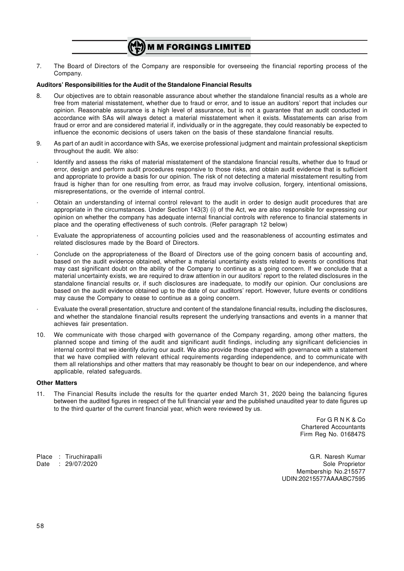7. The Board of Directors of the Company are responsible for overseeing the financial reporting process of the Company.

#### **Auditors' Responsibilities for the Audit of the Standalone Financial Results**

- 8. Our objectives are to obtain reasonable assurance about whether the standalone financial results as a whole are free from material misstatement, whether due to fraud or error, and to issue an auditors' report that includes our opinion. Reasonable assurance is a high level of assurance, but is not a guarantee that an audit conducted in accordance with SAs will always detect a material misstatement when it exists. Misstatements can arise from fraud or error and are considered material if, individually or in the aggregate, they could reasonably be expected to influence the economic decisions of users taken on the basis of these standalone financial results.
- 9. As part of an audit in accordance with SAs, we exercise professional judgment and maintain professional skepticism throughout the audit. We also:
- · Identify and assess the risks of material misstatement of the standalone financial results, whether due to fraud or error, design and perform audit procedures responsive to those risks, and obtain audit evidence that is sufficient and appropriate to provide a basis for our opinion. The risk of not detecting a material misstatement resulting from fraud is higher than for one resulting from error, as fraud may involve collusion, forgery, intentional omissions, misrepresentations, or the override of internal control.
- · Obtain an understanding of internal control relevant to the audit in order to design audit procedures that are appropriate in the circumstances. Under Section 143(3) (i) of the Act, we are also responsible for expressing our opinion on whether the company has adequate internal financial controls with reference to financial statements in place and the operating effectiveness of such controls. (Refer paragraph 12 below)
- · Evaluate the appropriateness of accounting policies used and the reasonableness of accounting estimates and related disclosures made by the Board of Directors.
- · Conclude on the appropriateness of the Board of Directors use of the going concern basis of accounting and, based on the audit evidence obtained, whether a material uncertainty exists related to events or conditions that may cast significant doubt on the ability of the Company to continue as a going concern. If we conclude that a material uncertainty exists, we are required to draw attention in our auditors' report to the related disclosures in the standalone financial results or, if such disclosures are inadequate, to modify our opinion. Our conclusions are based on the audit evidence obtained up to the date of our auditors' report. However, future events or conditions may cause the Company to cease to continue as a going concern.
- · Evaluate the overall presentation, structure and content of the standalone financial results, including the disclosures, and whether the standalone financial results represent the underlying transactions and events in a manner that achieves fair presentation.
- 10. We communicate with those charged with governance of the Company regarding, among other matters, the planned scope and timing of the audit and significant audit findings, including any significant deficiencies in internal control that we identify during our audit. We also provide those charged with governance with a statement that we have complied with relevant ethical requirements regarding independence, and to communicate with them all relationships and other matters that may reasonably be thought to bear on our independence, and where applicable, related safeguards.

#### **Other Matters**

11. The Financial Results include the results for the quarter ended March 31, 2020 being the balancing figures between the audited figures in respect of the full financial year and the published unaudited year to date figures up to the third quarter of the current financial year, which were reviewed by us.

> For G R N K & Co Chartered Accountants Firm Reg No. 016847S

Place : Tiruchirapalli G.R. Naresh Kumar Date : 29/07/2020 Sole Proprietor Sole Proprietor Membership No.215577 UDIN:20215577AAAABC7595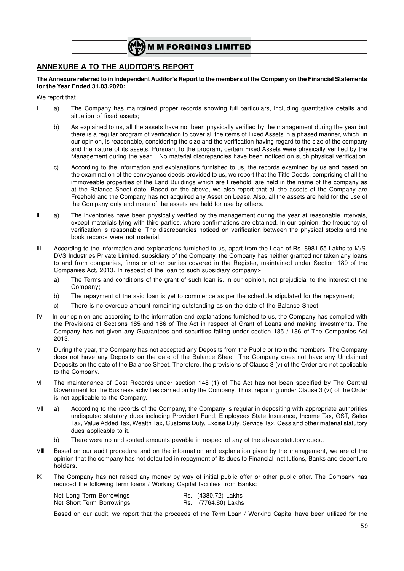

# **ANNEXURE A TO THE AUDITOR'S REPORT**

**The Annexure referred to in Independent Auditor's Report to the members of the Company on the Financial Statements for the Year Ended 31.03.2020:**

We report that

- I a) The Company has maintained proper records showing full particulars, including quantitative details and situation of fixed assets;
	- b) As explained to us, all the assets have not been physically verified by the management during the year but there is a regular program of verification to cover all the items of Fixed Assets in a phased manner, which, in our opinion, is reasonable, considering the size and the verification having regard to the size of the company and the nature of its assets. Pursuant to the program, certain Fixed Assets were physically verified by the Management during the year. No material discrepancies have been noticed on such physical verification.
	- c) According to the information and explanations furnished to us, the records examined by us and based on the examination of the conveyance deeds provided to us, we report that the Title Deeds, comprising of all the immoveable properties of the Land Buildings which are Freehold, are held in the name of the company as at the Balance Sheet date. Based on the above, we also report that all the assets of the Company are Freehold and the Company has not acquired any Asset on Lease. Also, all the assets are held for the use of the Company only and none of the assets are held for use by others.
- II a) The inventories have been physically verified by the management during the year at reasonable intervals, except materials lying with third parties, where confirmations are obtained. In our opinion, the frequency of verification is reasonable. The discrepancies noticed on verification between the physical stocks and the book records were not material.
- III According to the information and explanations furnished to us, apart from the Loan of Rs. 8981.55 Lakhs to M/S. DVS Industries Private Limited, subsidiary of the Company, the Company has neither granted nor taken any loans to and from companies, firms or other parties covered in the Register, maintained under Section 189 of the Companies Act, 2013. In respect of the loan to such subsidiary company:
	- a) The Terms and conditions of the grant of such loan is, in our opinion, not prejudicial to the interest of the Company;
	- b) The repayment of the said loan is yet to commence as per the schedule stipulated for the repayment;
	- c) There is no overdue amount remaining outstanding as on the date of the Balance Sheet.
- IV In our opinion and according to the information and explanations furnished to us, the Company has complied with the Provisions of Sections 185 and 186 of The Act in respect of Grant of Loans and making investments. The Company has not given any Guarantees and securities falling under section 185 / 186 of The Companies Act 2013.
- V During the year, the Company has not accepted any Deposits from the Public or from the members. The Company does not have any Deposits on the date of the Balance Sheet. The Company does not have any Unclaimed Deposits on the date of the Balance Sheet. Therefore, the provisions of Clause 3 (v) of the Order are not applicable to the Company.
- VI The maintenance of Cost Records under section 148 (1) of The Act has not been specified by The Central Government for the Business activities carried on by the Company. Thus, reporting under Clause 3 (vi) of the Order is not applicable to the Company.
- VII a) According to the records of the Company, the Company is regular in depositing with appropriate authorities undisputed statutory dues including Provident Fund, Employees State Insurance, Income Tax, GST, Sales Tax, Value Added Tax, Wealth Tax, Customs Duty, Excise Duty, Service Tax, Cess and other material statutory dues applicable to it.
	- b) There were no undisputed amounts payable in respect of any of the above statutory dues..
- VIII Based on our audit procedure and on the information and explanation given by the management, we are of the opinion that the company has not defaulted in repayment of its dues to Financial Institutions, Banks and debenture holders.
- IX The Company has not raised any money by way of initial public offer or other public offer. The Company has reduced the following term loans / Working Capital facilities from Banks:

|  | Net Long Term Borrowings  | Rs. (4380.72) Lakhs |
|--|---------------------------|---------------------|
|  | Net Short Term Borrowings | Rs. (7764.80) Lakhs |

Based on our audit, we report that the proceeds of the Term Loan / Working Capital have been utilized for the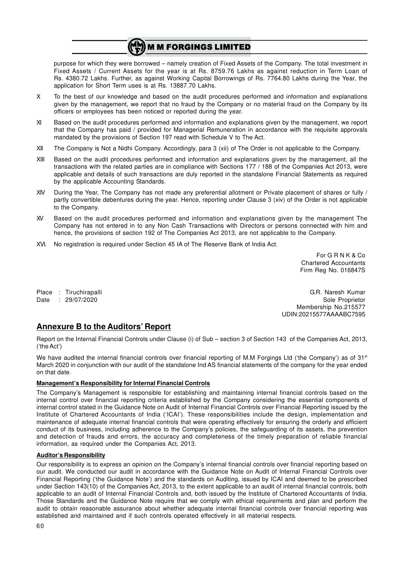purpose for which they were borrowed – namely creation of Fixed Assets of the Company. The total investment in Fixed Assets / Current Assets for the year is at Rs. 8759.76 Lakhs as against reduction in Term Loan of Rs. 4380.72 Lakhs. Further, as against Working Capital Borrowings of Rs. 7764.80 Lakhs during the Year, the application for Short Term uses is at Rs. 13887.70 Lakhs.

- X To the best of our knowledge and based on the audit procedures performed and information and explanations given by the management, we report that no fraud by the Company or no material fraud on the Company by its officers or employees has been noticed or reported during the year.
- XI Based on the audit procedures performed and information and explanations given by the management, we report that the Company has paid / provided for Managerial Remuneration in accordance with the requisite approvals mandated by the provisions of Section 197 read with Schedule V to The Act.
- XII The Company is Not a Nidhi Company. Accordingly, para 3 (xii) of The Order is not applicable to the Company.
- XIII Based on the audit procedures performed and information and explanations given by the management, all the transactions with the related parties are in compliance with Sections 177 / 188 of the Companies Act 2013, were applicable and details of such transactions are duly reported in the standalone Financial Statements as required by the applicable Accounting Standards.
- XIV During the Year, The Company has not made any preferential allotment or Private placement of shares or fully / partly convertible debentures during the year. Hence, reporting under Clause 3 (xiv) of the Order is not applicable to the Company.
- XV Based on the audit procedures performed and information and explanations given by the management The Company has not entered in to any Non Cash Transactions with Directors or persons connected with him and hence, the provisions of section 192 of The Companies Act 2013, are not applicable to the Company.
- XVI. No registration is required under Section 45 IA of The Reserve Bank of India Act.

For G R N K & Co Chartered Accountants Firm Reg No. 016847S

Place : Tiruchirapalli G.R. Naresh Kumar Date : 29/07/2020 Sole Proprietor Membership No.215577 UDIN:20215577AAAABC7595

# **Annexure B to the Auditors' Report**

Report on the Internal Financial Controls under Clause (i) of Sub – section 3 of Section 143 of the Companies Act, 2013, ('the Act')

We have audited the internal financial controls over financial reporting of M.M Forgings Ltd ('the Company') as of  $31<sup>st</sup>$ March 2020 in conjunction with our audit of the standalone Ind AS financial statements of the company for the year ended on that date.

#### **Management's Responsibility for Internal Financial Controls**

The Company's Management is responsible for establishing and maintaining internal financial controls based on the internal control over financial reporting criteria established by the Company considering the essential components of internal control stated in the Guidance Note on Audit of Internal Financial Controls over Financial Reporting issued by the Institute of Chartered Accountants of India ('ICAI'). These responsibilities include the design, implementation and maintenance of adequate internal financial controls that were operating effectively for ensuring the orderly and efficient conduct of its business, including adherence to the Company's policies, the safeguarding of its assets, the prevention and detection of frauds and errors, the accuracy and completeness of the timely preparation of reliable financial information, as required under the Companies Act, 2013.

#### **Auditor's Responsibility**

Our responsibility is to express an opinion on the Company's internal financial controls over financial reporting based on our audit. We conducted our audit in accordance with the Guidance Note on Audit of Internal Financial Controls over Financial Reporting ('the Guidance Note') and the standards on Auditing, issued by ICAI and deemed to be prescribed under Section 143(10) of the Companies Act, 2013, to the extent applicable to an audit of internal financial controls, both applicable to an audit of Internal Financial Controls and, both issued by the Institute of Chartered Accountants of India. Those Standards and the Guidance Note require that we comply with ethical requirements and plan and perform the audit to obtain reasonable assurance about whether adequate internal financial controls over financial reporting was established and maintained and if such controls operated effectively in all material respects.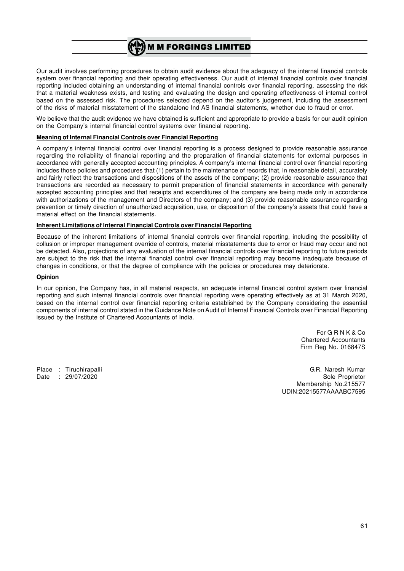Our audit involves performing procedures to obtain audit evidence about the adequacy of the internal financial controls system over financial reporting and their operating effectiveness. Our audit of internal financial controls over financial reporting included obtaining an understanding of internal financial controls over financial reporting, assessing the risk that a material weakness exists, and testing and evaluating the design and operating effectiveness of internal control based on the assessed risk. The procedures selected depend on the auditor's judgement, including the assessment of the risks of material misstatement of the standalone Ind AS financial statements, whether due to fraud or error.

We believe that the audit evidence we have obtained is sufficient and appropriate to provide a basis for our audit opinion on the Company's internal financial control systems over financial reporting.

#### **Meaning of Internal Financial Controls over Financial Reporting**

A company's internal financial control over financial reporting is a process designed to provide reasonable assurance regarding the reliability of financial reporting and the preparation of financial statements for external purposes in accordance with generally accepted accounting principles. A company's internal financial control over financial reporting includes those policies and procedures that (1) pertain to the maintenance of records that, in reasonable detail, accurately and fairly reflect the transactions and dispositions of the assets of the company; (2) provide reasonable assurance that transactions are recorded as necessary to permit preparation of financial statements in accordance with generally accepted accounting principles and that receipts and expenditures of the company are being made only in accordance with authorizations of the management and Directors of the company; and (3) provide reasonable assurance regarding prevention or timely direction of unauthorized acquisition, use, or disposition of the company's assets that could have a material effect on the financial statements.

#### **Inherent Limitations of Internal Financial Controls over Financial Reporting**

Because of the inherent limitations of internal financial controls over financial reporting, including the possibility of collusion or improper management override of controls, material misstatements due to error or fraud may occur and not be detected. Also, projections of any evaluation of the internal financial controls over financial reporting to future periods are subject to the risk that the internal financial control over financial reporting may become inadequate because of changes in conditions, or that the degree of compliance with the policies or procedures may deteriorate.

#### **Opinion**

In our opinion, the Company has, in all material respects, an adequate internal financial control system over financial reporting and such internal financial controls over financial reporting were operating effectively as at 31 March 2020, based on the internal control over financial reporting criteria established by the Company considering the essential components of internal control stated in the Guidance Note on Audit of Internal Financial Controls over Financial Reporting issued by the Institute of Chartered Accountants of India.

> For G R N K & Co Chartered Accountants Firm Reg No. 016847S

Place : Tiruchirapalli G.R. Naresh Kumar Date : 29/07/2020 Sole Proprietor Sole Proprietor Membership No.215577 UDIN:20215577AAAABC7595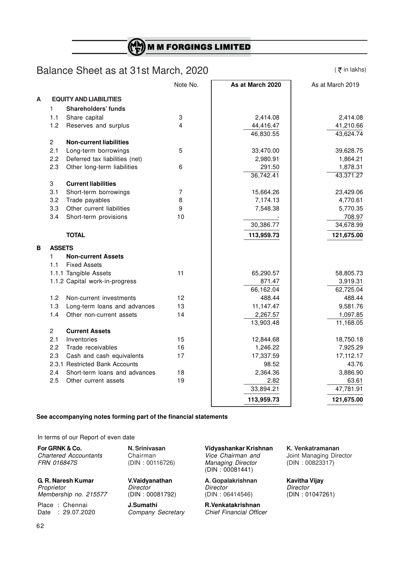# Balance Sheet as at 31st March, 2020

 $($   $\overline{z}$  in lakhs)

|   |                |                                | Note No.       | As at March 2020 | As at March 2019 |
|---|----------------|--------------------------------|----------------|------------------|------------------|
| A |                | <b>EQUITY AND LIABILITIES</b>  |                |                  |                  |
|   | 1              | <b>Shareholders' funds</b>     |                |                  |                  |
|   | 1.1            | Share capital                  | 3              | 2,414.08         | 2,414.08         |
|   | 1.2            | Reserves and surplus           | $\overline{4}$ | 44,416.47        | 41,210.66        |
|   |                |                                |                | 46,830.55        | 43,624.74        |
|   | $\overline{2}$ | <b>Non-current liabilities</b> |                |                  |                  |
|   | 2.1            | Long-term borrowings           | 5              | 33,470.00        | 39,628.75        |
|   | 2.2            | Deferred tax liabilities (net) |                | 2,980.91         | 1,864.21         |
|   | 2.3            | Other long-term liabilities    | 6              | 291.50           | 1,878.31         |
|   |                |                                |                | 36,742.41        | 43,371.27        |
|   | 3              | <b>Current liabilities</b>     |                |                  |                  |
|   | 3.1            | Short-term borrowings          | 7              | 15,664.26        | 23,429.06        |
|   | 3.2            | Trade payables                 | $\bf 8$        | 7,174.13         | 4,770.61         |
|   | 3.3            | Other current liabilities      | 9              | 7,548.38         | 5,770.35         |
|   | 3.4            | Short-term provisions          | 10             |                  | 708.97           |
|   |                |                                |                | 30,386.77        | 34,678.99        |
|   |                | <b>TOTAL</b>                   |                | 113,959.73       | 121,675.00       |
| B | <b>ASSETS</b>  |                                |                |                  |                  |
|   | $\mathbf{1}$   | <b>Non-current Assets</b>      |                |                  |                  |
|   | 1.1            | <b>Fixed Assets</b>            |                |                  |                  |
|   |                | 1.1.1 Tangible Assets          | 11             | 65,290.57        | 58,805.73        |
|   |                | 1.1.2 Capital work-in-progress |                | 871.47           | 3,919.31         |
|   |                |                                |                | 66,162.04        | 62,725.04        |
|   | 1.2            | Non-current investments        | 12             | 488.44           | 488.44           |
|   | 1.3            | Long-term loans and advances   | 13             | 11,147.47        | 9,581.76         |
|   | 1.4            | Other non-current assets       | 14             | 2,267.57         | 1,097.85         |
|   |                |                                |                | 13,903.48        | 11,168.05        |
|   | $\overline{2}$ | <b>Current Assets</b>          |                |                  |                  |
|   | 2.1            | Inventories                    | 15             | 12,844.68        | 18,750.18        |
|   | 2.2            | Trade receivables              | 16             | 1,246.22         | 7,925.29         |
|   | 2.3            | Cash and cash equivalents      | 17             | 17,337.59        | 17,112.17        |
|   |                | 2.3.1 Restricted Bank Accounts |                | 98.52            | 43.76            |
|   | 2.4            | Short-term loans and advances  | 18             | 2,364.36         | 3,886.90         |
|   | 2.5            | Other current assets           | 19             | 2.82             | 63.61            |
|   |                |                                |                | 33,894.21        | 47,781.91        |
|   |                |                                |                | 113,959.73       | 121,675.00       |
|   |                |                                |                |                  |                  |

#### **See accompanying notes forming part of the financial statements**

In terms of our Report of even date

**For GRNK & Co. N. Srinivasan Vidyashankar Krishnan K. Venkatramanan** *Chartered Accountants* Chairman *Vice Chairman and* Joint Managing Director *FRN 016847S* (DIN : 00116726) *Managing Director* (DIN : 00823317) **Managing Director** (DIN : 00081441) **G. R. Naresh Kumar V.Vaidyanathan A. Gopalakrishnan Kavitha Vijay** *Proprietor Director Director Director Membership no. 215577* (DIN : 00081792) (DIN : 06414546) (DIN : 01047261)

 $Company$  Secretary

Place : Chennai **J.Sumathi R.Venkatakrishnan**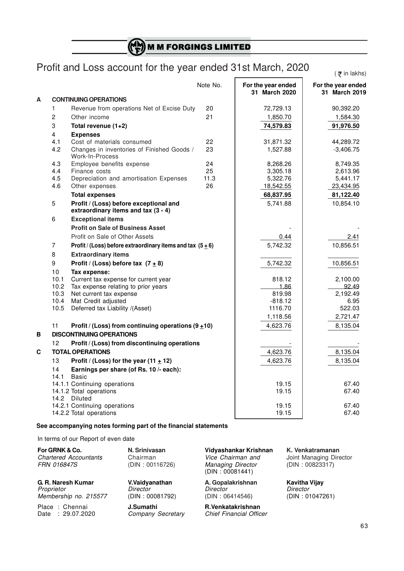$\binom{M_{\rm N}}{\rm E}$  M M FORGINGS LIMITED

# Profit and Loss account for the year ended 31st March, 2020

 $($   $\bar{z}$  in lakhs)

|   |                         |                                                                               | Note No. | For the year ended<br>31 March 2020 | For the year ended<br>31 March 2019 |
|---|-------------------------|-------------------------------------------------------------------------------|----------|-------------------------------------|-------------------------------------|
| A |                         | <b>CONTINUING OPERATIONS</b>                                                  |          |                                     |                                     |
|   | 1                       | Revenue from operations Net of Excise Duty                                    | 20       | 72,729.13                           | 90,392.20                           |
|   | $\overline{c}$          | Other income                                                                  | 21       | 1,850.70                            | 1,584.30                            |
|   | 3                       | Total revenue (1+2)                                                           |          | 74,579.83                           | 91,976.50                           |
|   | $\overline{\mathbf{4}}$ | <b>Expenses</b>                                                               |          |                                     |                                     |
|   | 4.1                     | Cost of materials consumed                                                    | 22       | 31,871.32                           | 44,289.72                           |
|   | 4.2                     | Changes in inventories of Finished Goods /<br>Work-In-Process                 | 23       | 1,527.88                            | $-3,406.75$                         |
|   | 4.3                     | Employee benefits expense                                                     | 24       | 8,268.26                            | 8,749.35                            |
|   | 4.4                     | Finance costs                                                                 | 25       | 3,305.18                            | 2,613.96                            |
|   | 4.5                     | Depreciation and amortisation Expenses                                        | 11.3     | 5,322.76                            | 5,441.17                            |
|   | 4.6                     | Other expenses                                                                | 26       | 18,542.55                           | 23,434.95                           |
|   |                         | <b>Total expenses</b>                                                         |          | 68,837.95                           | 81,122.40                           |
|   | 5                       | Profit / (Loss) before exceptional and<br>extraordinary items and tax (3 - 4) |          | 5,741.88                            | 10,854.10                           |
|   | 6                       | <b>Exceptional items</b>                                                      |          |                                     |                                     |
|   |                         | <b>Profit on Sale of Business Asset</b>                                       |          |                                     |                                     |
|   |                         | Profit on Sale of Other Assets                                                |          | 0.44                                | 2.41                                |
|   | 7                       | Profit / (Loss) before extraordinary items and tax $(5 \pm 6)$                |          | 5,742.32                            | 10,856.51                           |
|   | 8                       | <b>Extraordinary items</b>                                                    |          |                                     |                                     |
|   | 9                       | Profit / (Loss) before tax $(7 \pm 8)$                                        |          | 5,742.32                            | 10,856.51                           |
|   | 10                      | Tax expense:                                                                  |          |                                     |                                     |
|   | 10.1                    | Current tax expense for current year                                          |          | 818.12                              | 2,100.00                            |
|   | 10.2                    | Tax expense relating to prior years                                           |          | 1.86                                | 92.49                               |
|   | 10.3                    | Net current tax expense                                                       |          | 819.98                              | 2,192.49                            |
|   | 10.4                    | Mat Credit adjusted                                                           |          | $-818.12$                           | 6.95                                |
|   | 10.5                    | Deferred tax Liability /(Asset)                                               |          | 1116.70                             | 522.03                              |
|   |                         |                                                                               |          | 1,118.56                            | 2,721.47                            |
|   | 11                      | Profit / (Loss) from continuing operations $(9+10)$                           |          | 4,623.76                            | 8,135.04                            |
| В |                         | <b>DISCONTINUING OPERATIONS</b>                                               |          |                                     |                                     |
|   | 12                      | Profit / (Loss) from discontinuing operations                                 |          |                                     |                                     |
| C |                         | <b>TOTAL OPERATIONS</b>                                                       |          | 4,623.76                            | 8,135.04                            |
|   | 13                      | Profit / (Loss) for the year (11 $\pm$ 12)                                    |          | 4,623.76                            | 8,135.04                            |
|   | 14<br>14.1              | Earnings per share (of Rs. 10 /- each):<br>Basic                              |          |                                     |                                     |
|   |                         | 14.1.1 Continuing operations                                                  |          | 19.15                               | 67.40                               |
|   |                         | 14.1.2 Total operations                                                       |          | 19.15                               | 67.40                               |
|   |                         | 14.2 Diluted                                                                  |          |                                     |                                     |
|   |                         | 14.2.1 Continuing operations                                                  |          | 19.15                               | 67.40                               |
|   |                         | 14.2.2 Total operations                                                       |          | 19.15                               | 67.40                               |

### **See accompanying notes forming part of the financial statements**

In terms of our Report of even date

| For GRNK & Co.<br><b>Chartered Accountants</b><br><b>FRN 016847S</b> | N. Srinivasan<br>Chairman<br>(DIN: 00116726)  | Vidyashankar Krishnan<br>Vice Chairman and<br><b>Managing Director</b><br>(DIN: 00081441) | K. Venkatramanan<br>Joint Managing Director<br>(DIN: 00823317) |
|----------------------------------------------------------------------|-----------------------------------------------|-------------------------------------------------------------------------------------------|----------------------------------------------------------------|
| G. R. Naresh Kumar<br>Proprietor<br>Membership no. 215577            | V.Vaidyanathan<br>Director<br>(DIN: 00081792) | A. Gopalakrishnan<br>Director<br>(DIN: 06414546)                                          | <b>Kavitha Vijay</b><br>Director<br>(DIN: 01047261)            |
| Place: Chennai                                                       | J.Sumathi                                     | R.Venkatakrishnan                                                                         |                                                                |

Date : 29.07.2020 *Company Secretary Chief Financial Officer*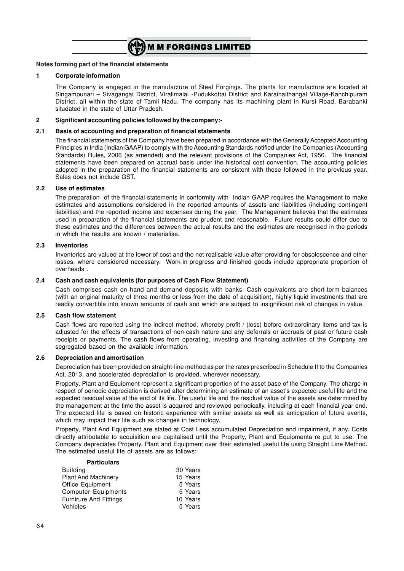

#### **Notes forming part of the financial statements**

#### **1 Corporate information**

The Company is engaged in the manufacture of Steel Forgings. The plants for manufacture are located at Singampunari – Sivagangai District, Viralimalai -Pudukkottai District and Karainaithangal Village-Kanchipuram District, all within the state of Tamil Nadu. The company has its machining plant in Kursi Road, Barabanki situdated in the state of Uttar Pradesh.

#### **2 Significant accounting policies followed by the company:-**

#### **2.1 Basis of accounting and preparation of financial statements**

The financial statements of the Company have been prepared in accordance with the Generally Accepted Accounting Principles in India (Indian GAAP) to comply with the Accounting Standards notified under the Companies (Accounting Standards) Rules, 2006 (as amended) and the relevant provisions of the Companies Act, 1956. The financial statements have been prepared on accrual basis under the historical cost convention. The accounting policies adopted in the preparation of the financial statements are consistent with those followed in the previous year. Sales does not include GST.

#### **2.2 Use of estimates**

The preparation of the financial statements in conformity with Indian GAAP requires the Management to make estimates and assumptions considered in the reported amounts of assets and liabilities (including contingent liabilities) and the reported income and expenses during the year. The Management believes that the estimates used in preparation of the financial statements are prudent and reasonable. Future results could differ due to these estimates and the differences between the actual results and the estimates are recognised in the periods in which the results are known / materialise.

#### **2.3 Inventories**

Inventories are valued at the lower of cost and the net realisable value after providing for obsolescence and other losses, where considered necessary. Work-in-progress and finished goods include appropriate proportion of overheads .

#### **2.4 Cash and cash equivalents (for purposes of Cash Flow Statement)**

Cash comprises cash on hand and demand deposits with banks. Cash equivalents are short-term balances (with an original maturity of three months or less from the date of acquisition), highly liquid investments that are readily convertible into known amounts of cash and which are subject to insignificant risk of changes in value.

#### **2.5 Cash flow statement**

Cash flows are reported using the indirect method, whereby profit / (loss) before extraordinary items and tax is adjusted for the effects of transactions of non-cash nature and any deferrals or accruals of past or future cash receipts or payments. The cash flows from operating, investing and financing activities of the Company are segregated based on the available information.

#### **2.6 Depreciation and amortisation**

Depreciation has been provided on straight-line method as per the rates prescribed in Schedule II to the Companies Act, 2013, and accelerated depreciation is provided, wherever necessary.

Property, Plant and Equipment represent a significant proportion of the asset base of the Company. The charge in respect of periodic depreciation is derived after determining an estimate of an asset's expected useful life and the expected residual value at the end of its life. The useful life and the residual value of the assets are determined by the management at the time the asset is acquired and reviewed periodically, including at each financial year end. The expected life is based on historic experience with similar assets as well as anticipation of future events, which may impact their life such as changes in technology.

Property, Plant And Equipment are stated at Cost Less accumulated Depreciation and impairment, if any. Costs directly attributable to acquisition are capitalised until the Property, Plant and Equipmenta re put to use. The Company depreciates Property, Plant and Equipment over their estimated useful life using Straight Line Method. The estimated useful life of assets are as follows:

| <b>Particulars</b>            |          |
|-------------------------------|----------|
| <b>Building</b>               | 30 Years |
| <b>Plant And Machinery</b>    | 15 Years |
| Office Equipment              | 5 Years  |
| <b>Computer Equipments</b>    | 5 Years  |
| <b>Furnirure And Fittings</b> | 10 Years |
| Vehicles                      | 5 Years  |
|                               |          |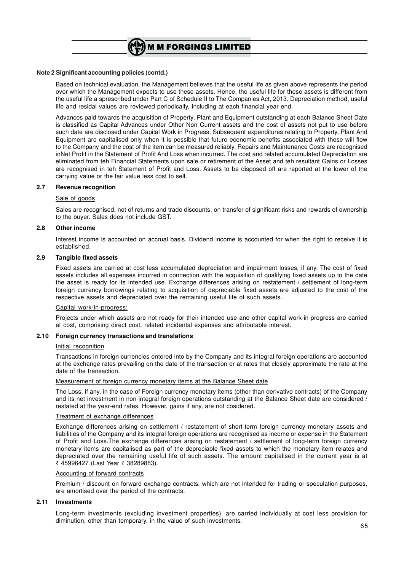

#### **Note 2 Significant accounting policies (contd.)**

Based on technical evaluation, the Management believes that the useful life as given above represents the period over which the Management expects to use these assets. Hence, the useful life for these assets is different from the useful life a sprescribed under Part C of Schedule II to The Companies Act, 2013. Depreciation method, useful life and residal values are reviewed periodically, including at each financial year end.

Advances paid towards the acquisition of Property, Plant and Equipment outstanding at each Balance Sheet Date is classified as Capital Advances under Other Non Current assets and the cost of assets not put to use before such date are disclosed under Capital Work in Progress. Subsequent expenditures relating to Property, Plant And Equipment are capitalised only when it is possible that future economic benefits associated with these will flow to the Company and the cost of the item can be measured reliably. Repairs and Maintenance Costs are recognised inNet Profit in the Statement of Profit And Loss when incurred. The cost and related accumulated Depreciation are eliminated from teh Financial Statements upon sale or retirement of the Asset and teh resultant Gains or Losses are recognised in teh Statement of Profit and Loss. Assets to be disposed off are reported at the lower of the carrying value or the fair value less cost to sell.

#### **2.7 Revenue recognition**

#### Sale of goods

Sales are recognised, net of returns and trade discounts, on transfer of significant risks and rewards of ownership to the buyer. Sales does not include GST.

#### **2.8 Other income**

Interest income is accounted on accrual basis. Dividend income is accounted for when the right to receive it is established.

#### **2.9 Tangible fixed assets**

Fixed assets are carried at cost less accumulated depreciation and impairment losses, if any. The cost of fixed assets includes all expenses incurred in connection with the acquisition of qualifying fixed assets up to the date the asset is ready for its intended use. Exchange differences arising on restatement / settlement of long-term foreign currency borrowings relating to acquisition of depreciable fixed assets are adjusted to the cost of the respective assets and depreciated over the remaining useful life of such assets.

#### Capital work-in-progress:

Projects under which assets are not ready for their intended use and other capital work-in-progress are carried at cost, comprising direct cost, related incidental expenses and attributable interest.

#### **2.10 Foreign currency transactions and translations**

#### Initial recognition

Transactions in foreign currencies entered into by the Company and its integral foreign operations are accounted at the exchange rates prevailing on the date of the transaction or at rates that closely approximate the rate at the date of the transaction.

#### Measurement of foreign currency monetary items at the Balance Sheet date

The Loss, if any, in the case of Foreign currency monetary items (other than derivative contracts) of the Company and its net investment in non-integral foreign operations outstanding at the Balance Sheet date are considered / restated at the year-end rates. However, gains if any, are not cosidered.

#### Treatment of exchange differences

Exchange differences arising on settlement / restatement of short-term foreign currency monetary assets and liabilities of the Company and its integral foreign operations are recognised as income or expense in the Statement of Profit and Loss.The exchange differences arising on restatement / settlement of long-term foreign currency monetary items are capitalised as part of the depreciable fixed assets to which the monetary item relates and depreciated over the remaining useful life of such assets. The amount capitalised in the current year is at ₹ 45996427 (Last Year ₹ 38289883).

#### Accounting of forward contracts

Premium / discount on forward exchange contracts, which are not intended for trading or speculation purposes, are amortised over the period of the contracts.

#### **2.11 Investments**

Long-term investments (excluding investment properties), are carried individually at cost less provision for diminution, other than temporary, in the value of such investments.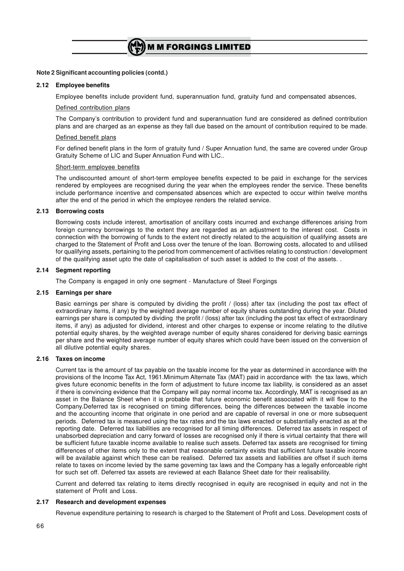

#### **Note 2 Significant accounting policies (contd.)**

#### **2.12 Employee benefits**

Employee benefits include provident fund, superannuation fund, gratuity fund and compensated absences,

#### Defined contribution plans

The Company's contribution to provident fund and superannuation fund are considered as defined contribution plans and are charged as an expense as they fall due based on the amount of contribution required to be made.

#### Defined benefit plans

For defined benefit plans in the form of gratuity fund / Super Annuation fund, the same are covered under Group Gratuity Scheme of LIC and Super Annuation Fund with LIC..

#### Short-term employee benefits

The undiscounted amount of short-term employee benefits expected to be paid in exchange for the services rendered by employees are recognised during the year when the employees render the service. These benefits include performance incentive and compensated absences which are expected to occur within twelve months after the end of the period in which the employee renders the related service.

#### **2.13 Borrowing costs**

Borrowing costs include interest, amortisation of ancillary costs incurred and exchange differences arising from foreign currency borrowings to the extent they are regarded as an adjustment to the interest cost. Costs in connection with the borrowing of funds to the extent not directly related to the acquisition of qualifying assets are charged to the Statement of Profit and Loss over the tenure of the loan. Borrowing costs, allocated to and utilised for qualifying assets, pertaining to the period from commencement of activities relating to construction / development of the qualifying asset upto the date of capitalisation of such asset is added to the cost of the assets. .

#### **2.14 Segment reporting**

The Company is engaged in only one segment - Manufacture of Steel Forgings

#### **2.15 Earnings per share**

Basic earnings per share is computed by dividing the profit / (loss) after tax (including the post tax effect of extraordinary items, if any) by the weighted average number of equity shares outstanding during the year. Diluted earnings per share is computed by dividing the profit / (loss) after tax (including the post tax effect of extraordinary items, if any) as adjusted for dividend, interest and other charges to expense or income relating to the dilutive potential equity shares, by the weighted average number of equity shares considered for deriving basic earnings per share and the weighted average number of equity shares which could have been issued on the conversion of all dilutive potential equity shares.

#### **2.16 Taxes on income**

Current tax is the amount of tax payable on the taxable income for the year as determined in accordance with the provisions of the Income Tax Act, 1961.Minimum Alternate Tax (MAT) paid in accordance with the tax laws, which gives future economic benefits in the form of adjustment to future income tax liability, is considered as an asset if there is convincing evidence that the Company will pay normal income tax. Accordingly, MAT is recognised as an asset in the Balance Sheet when it is probable that future economic benefit associated with it will flow to the Company.Deferred tax is recognised on timing differences, being the differences between the taxable income and the accounting income that originate in one period and are capable of reversal in one or more subsequent periods. Deferred tax is measured using the tax rates and the tax laws enacted or substantially enacted as at the reporting date. Deferred tax liabilities are recognised for all timing differences. Deferred tax assets in respect of unabsorbed depreciation and carry forward of losses are recognised only if there is virtual certainty that there will be sufficient future taxable income available to realise such assets. Deferred tax assets are recognised for timing differences of other items only to the extent that reasonable certainty exists that sufficient future taxable income will be available against which these can be realised. Deferred tax assets and liabilities are offset if such items relate to taxes on income levied by the same governing tax laws and the Company has a legally enforceable right for such set off. Deferred tax assets are reviewed at each Balance Sheet date for their realisability.

Current and deferred tax relating to items directly recognised in equity are recognised in equity and not in the statement of Profit and Loss.

#### **2.17 Research and development expenses**

Revenue expenditure pertaining to research is charged to the Statement of Profit and Loss. Development costs of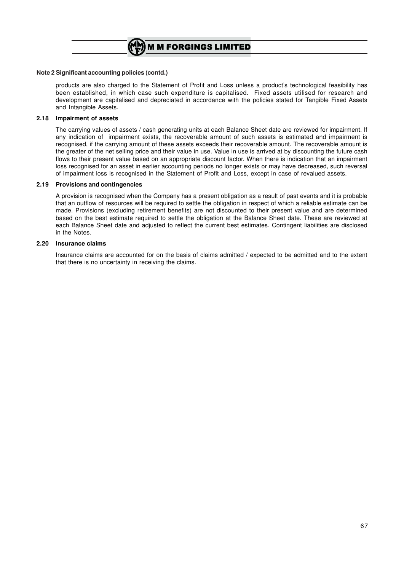

#### **Note 2 Significant accounting policies (contd.)**

products are also charged to the Statement of Profit and Loss unless a product's technological feasibility has been established, in which case such expenditure is capitalised. Fixed assets utilised for research and development are capitalised and depreciated in accordance with the policies stated for Tangible Fixed Assets and Intangible Assets.

#### **2.18 Impairment of assets**

The carrying values of assets / cash generating units at each Balance Sheet date are reviewed for impairment. If any indication of impairment exists, the recoverable amount of such assets is estimated and impairment is recognised, if the carrying amount of these assets exceeds their recoverable amount. The recoverable amount is the greater of the net selling price and their value in use. Value in use is arrived at by discounting the future cash flows to their present value based on an appropriate discount factor. When there is indication that an impairment loss recognised for an asset in earlier accounting periods no longer exists or may have decreased, such reversal of impairment loss is recognised in the Statement of Profit and Loss, except in case of revalued assets.

#### **2.19 Provisions and contingencies**

A provision is recognised when the Company has a present obligation as a result of past events and it is probable that an outflow of resources will be required to settle the obligation in respect of which a reliable estimate can be made. Provisions (excluding retirement benefits) are not discounted to their present value and are determined based on the best estimate required to settle the obligation at the Balance Sheet date. These are reviewed at each Balance Sheet date and adjusted to reflect the current best estimates. Contingent liabilities are disclosed in the Notes.

#### **2.20 Insurance claims**

Insurance claims are accounted for on the basis of claims admitted / expected to be admitted and to the extent that there is no uncertainty in receiving the claims.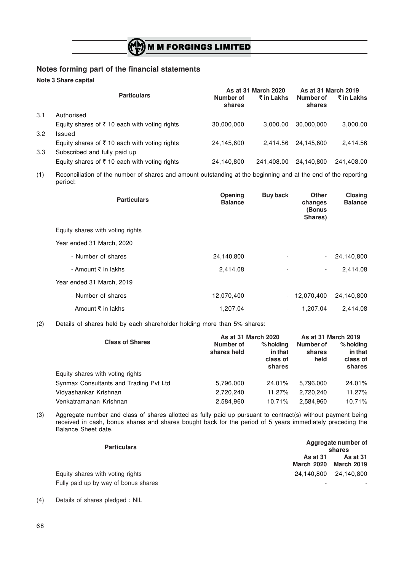### **Notes forming part of the financial statements**

**Note 3 Share capital**

|     |                                                          |                     | As at 31 March 2020 | As at 31 March 2019 |            |
|-----|----------------------------------------------------------|---------------------|---------------------|---------------------|------------|
|     | <b>Particulars</b>                                       | Number of<br>shares | ₹ in Lakhs          | Number of<br>shares | ₹ in Lakhs |
| 3.1 | Authorised                                               |                     |                     |                     |            |
|     | Equity shares of ₹10 each with voting rights             | 30,000,000          | 3.000.00            | 30.000.000          | 3,000.00   |
| 3.2 | Issued                                                   |                     |                     |                     |            |
|     | Equity shares of $\bar{\tau}$ 10 each with voting rights | 24,145,600          | 2.414.56            | 24.145.600          | 2.414.56   |
| 3.3 | Subscribed and fully paid up                             |                     |                     |                     |            |
|     | Equity shares of $\bar{\tau}$ 10 each with voting rights | 24,140,800          | 241.408.00          | 24.140.800          | 241,408.00 |

(1) Reconciliation of the number of shares and amount outstanding at the beginning and at the end of the reporting period:

| <b>Particulars</b>               | <b>Opening</b><br><b>Balance</b> | <b>Buy back</b>          | Other<br>changes<br>(Bonus<br>Shares) | Closing<br><b>Balance</b> |
|----------------------------------|----------------------------------|--------------------------|---------------------------------------|---------------------------|
| Equity shares with voting rights |                                  |                          |                                       |                           |
| Year ended 31 March, 2020        |                                  |                          |                                       |                           |
| - Number of shares               | 24,140,800                       |                          |                                       | 24,140,800                |
| - Amount ₹ in lakhs              | 2,414.08                         | $\overline{\phantom{0}}$ | $\overline{\phantom{a}}$              | 2,414.08                  |
| Year ended 31 March, 2019        |                                  |                          |                                       |                           |
| - Number of shares               | 12,070,400                       |                          | 12,070,400                            | 24,140,800                |
| - Amount ₹ in lakhs              | 1,207.04                         | Ξ.                       | 1.207.04                              | 2.414.08                  |

(2) Details of shares held by each shareholder holding more than 5% shares:

|                                        | As at 31 March 2020      | As at 31 March 2019                        |                             |                                              |
|----------------------------------------|--------------------------|--------------------------------------------|-----------------------------|----------------------------------------------|
| <b>Class of Shares</b>                 | Number of<br>shares held | % holding<br>in that<br>class of<br>shares | Number of<br>shares<br>held | $%$ holding<br>in that<br>class of<br>shares |
| Equity shares with voting rights       |                          |                                            |                             |                                              |
| Synmax Consultants and Trading Pvt Ltd | 5,796,000                | 24.01%                                     | 5,796,000                   | 24.01%                                       |
| Vidyashankar Krishnan                  | 2,720,240                | 11.27%                                     | 2.720.240                   | 11.27%                                       |
| Venkatramanan Krishnan                 | 2,584,960                | 10.71%                                     | 2.584.960                   | 10.71%                                       |

(3) Aggregate number and class of shares allotted as fully paid up pursuant to contract(s) without payment being received in cash, bonus shares and shares bought back for the period of 5 years immediately preceding the Balance Sheet date.

| <b>Particulars</b>                   |                                      | Aggregate number of<br>shares        |
|--------------------------------------|--------------------------------------|--------------------------------------|
|                                      | <b>As at 31</b><br><b>March 2020</b> | <b>As at 31</b><br><b>March 2019</b> |
| Equity shares with voting rights     |                                      | 24.140.800 24.140.800                |
| Fully paid up by way of bonus shares | $\overline{\phantom{a}}$             |                                      |

(4) Details of shares pledged : NIL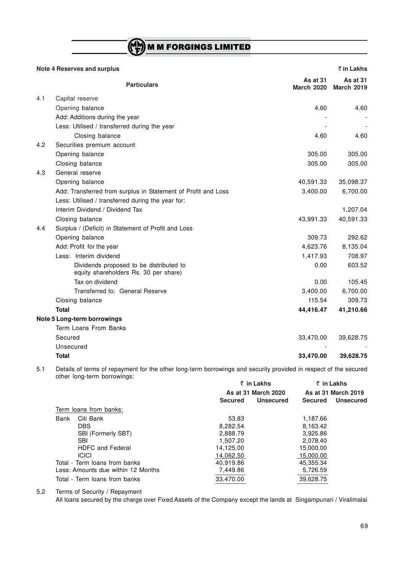# (CM) M M FORGINGS LIMITED

|     | <b>Note 4 Reserves and surplus</b>                                               |                               | ₹ in Lakhs                    |
|-----|----------------------------------------------------------------------------------|-------------------------------|-------------------------------|
|     | <b>Particulars</b>                                                               | As at 31<br><b>March 2020</b> | As at 31<br><b>March 2019</b> |
| 4.1 | Capital reserve                                                                  |                               |                               |
|     | Opening balance                                                                  | 4.60                          | 4.60                          |
|     | Add: Additions during the year                                                   |                               |                               |
|     | Less: Utilised / transferred during the year                                     |                               |                               |
|     | Closing balance                                                                  | 4.60                          | 4.60                          |
| 4.2 | Securities premium account                                                       |                               |                               |
|     | Opening balance                                                                  | 305.00                        | 305.00                        |
|     | Closing balance                                                                  | 305.00                        | 305.00                        |
| 4.3 | General reserve                                                                  |                               |                               |
|     | Opening balance                                                                  | 40,591.33                     | 35,098.37                     |
|     | Add: Transferred from surplus in Statement of Profit and Loss                    | 3,400.00                      | 6,700.00                      |
|     | Less: Utilised / transferred during the year for:                                |                               |                               |
|     | Interim Dividend / Dividend Tax                                                  |                               | 1,207.04                      |
|     | Closing balance                                                                  | 43,991.33                     | 40,591.33                     |
| 4.4 | Surplus / (Deficit) in Statement of Profit and Loss                              |                               |                               |
|     | Opening balance                                                                  | 309.73                        | 292.62                        |
|     | Add: Profit for the year                                                         | 4,623.76                      | 8,135.04                      |
|     | Less: Interim dividend                                                           | 1,417.93                      | 708.97                        |
|     | Dividends proposed to be distributed to<br>equity shareholders Rs. 30 per share) | 0.00                          | 603.52                        |
|     | Tax on dividend                                                                  | 0.00                          | 105.45                        |
|     | Transferred to: General Reserve                                                  | 3,400.00                      | 6,700.00                      |
|     | Closing balance                                                                  | 115.54                        | 309.73                        |
|     | <b>Total</b>                                                                     | 44,416.47                     | 41,210.66                     |
|     | Note 5 Long-term borrowings                                                      |                               |                               |
|     | Term Loans From Banks                                                            |                               |                               |
|     | Secured                                                                          | 33,470.00                     | 39,628.75                     |
|     | Unsecured                                                                        |                               |                               |
|     | Total                                                                            | 33,470.00                     | 39,628.75                     |

5.1 Details of terms of repayment for the other long-term borrowings and security provided in respect of the secured other long-term borrowings:

|                                    | ₹ in Lakhs<br>As at 31 March 2020 |           | ₹ in Lakhs     |                     |
|------------------------------------|-----------------------------------|-----------|----------------|---------------------|
|                                    |                                   |           |                | As at 31 March 2019 |
|                                    | <b>Secured</b>                    | Unsecured | <b>Secured</b> | <b>Unsecured</b>    |
| Term loans from banks:             |                                   |           |                |                     |
| Citi Bank<br>Bank                  | 53.83                             |           | 1,187.66       |                     |
| DBS.                               | 8.282.54                          |           | 8,163.42       |                     |
| <b>SBI (Formerly SBT)</b>          | 2.888.79                          |           | 3.925.86       |                     |
| <b>SBI</b>                         | 1.507.20                          |           | 2,078.40       |                     |
| <b>HDFC and Federal</b>            | 14,125.00                         |           | 15,000.00      |                     |
| <b>ICICI</b>                       | 14.062.50                         |           | 15.000.00      |                     |
| Total - Term loans from banks      | 40,919.86                         |           | 45,355.34      |                     |
| Less: Amounts due within 12 Months | 7,449.86                          |           | 5,726.59       |                     |
| Total - Term loans from banks      | 33,470.00                         |           | 39,628.75      |                     |

5.2 Terms of Security / Repayment

All loans secured by the charge over Fixed Assets of the Company except the lands at Singampunari / Viralimalai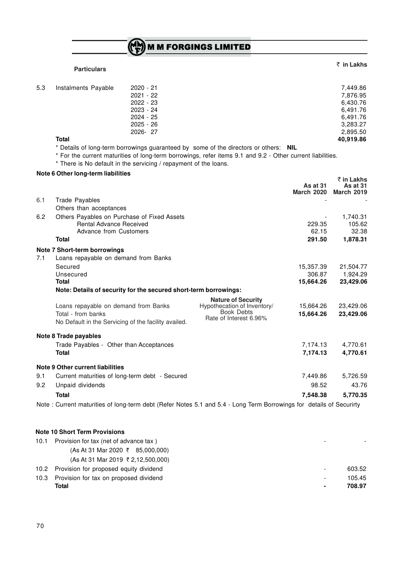|  |  |  |  | $\binom{M}{F}$ M M FORGINGS LIMITED |  |
|--|--|--|--|-------------------------------------|--|
|  |  |  |  |                                     |  |

### **Particulars**

## ` **in Lakhs**

| 5.3 | Instalments Payable | 2020 - 21   | 7,449.86  |
|-----|---------------------|-------------|-----------|
|     |                     | $2021 - 22$ | 7,876.95  |
|     |                     | $2022 - 23$ | 6,430.76  |
|     |                     | $2023 - 24$ | 6,491.76  |
|     |                     | $2024 - 25$ | 6,491.76  |
|     |                     | $2025 - 26$ | 3,283.27  |
|     |                     | 2026-27     | 2,895.50  |
|     | <b>Total</b>        |             | 40,919.86 |

\* Details of long-term borrowings guaranteed by some of the directors or others: **NIL**

\* For the current maturities of long-term borrowings, refer items 9.1 and 9.2 - Other current liabilities.

\* There is No default in the servicing / repayment of the loans.

#### **Note 6 Other long-term liabilities**

|     |                                                                                                                      |                                                                                                         | As at 31<br><b>March 2020</b> | ₹ in Lakhs<br>As at $31$<br><b>March 2019</b> |
|-----|----------------------------------------------------------------------------------------------------------------------|---------------------------------------------------------------------------------------------------------|-------------------------------|-----------------------------------------------|
| 6.1 | <b>Trade Payables</b>                                                                                                |                                                                                                         |                               |                                               |
|     | Others than acceptances                                                                                              |                                                                                                         |                               |                                               |
| 6.2 | Others Payables on Purchase of Fixed Assets<br><b>Rental Advance Received</b><br>Advance from Customers              |                                                                                                         | 229.35<br>62.15               | 1,740.31<br>105.62<br>32.38                   |
|     | <b>Total</b>                                                                                                         |                                                                                                         | 291.50                        | 1,878.31                                      |
|     | Note 7 Short-term borrowings                                                                                         |                                                                                                         |                               |                                               |
| 7.1 | Loans repayable on demand from Banks                                                                                 |                                                                                                         |                               |                                               |
|     | Secured<br>Unsecured                                                                                                 |                                                                                                         | 15,357.39<br>306.87           | 21,504.77<br>1,924.29                         |
|     | <b>Total</b>                                                                                                         |                                                                                                         | 15,664.26                     | 23,429.06                                     |
|     | Note: Details of security for the secured short-term borrowings:                                                     |                                                                                                         |                               |                                               |
|     | Loans repayable on demand from Banks<br>Total - from banks<br>No Default in the Servicing of the facility availed.   | <b>Nature of Security</b><br>Hypothecation of Inventory/<br><b>Book Debts</b><br>Rate of Interest 6.96% | 15,664.26<br>15,664.26        | 23,429.06<br>23,429.06                        |
|     | Note 8 Trade payables                                                                                                |                                                                                                         |                               |                                               |
|     | Trade Payables - Other than Acceptances<br><b>Total</b>                                                              |                                                                                                         | 7,174.13<br>7,174.13          | 4,770.61<br>4,770.61                          |
|     | Note 9 Other current liabilities                                                                                     |                                                                                                         |                               |                                               |
| 9.1 | Current maturities of long-term debt - Secured                                                                       |                                                                                                         | 7,449.86                      | 5,726.59                                      |
| 9.2 | Unpaid dividends                                                                                                     |                                                                                                         | 98.52                         | 43.76                                         |
|     | <b>Total</b>                                                                                                         |                                                                                                         | 7,548.38                      | 5,770.35                                      |
|     | Note : Current maturities of long-term debt (Refer Notes 5.1 and 5.4 - Long Term Borrowings for details of Securirty |                                                                                                         |                               |                                               |

#### **Note 10 Short Term Provisions**

| 10.1 | Provision for tax (net of advance tax)                                       | -                        |        |
|------|------------------------------------------------------------------------------|--------------------------|--------|
|      | $(As At 31 \text{ Mar } 2020 \space \text{\textsterling} \space 85,000,000)$ |                          |        |
|      | $(As At 31$ Mar 2019 ₹ 2,12,500,000)                                         |                          |        |
|      | 10.2 Provision for proposed equity dividend                                  | $\overline{\phantom{a}}$ | 603.52 |
| 10.3 | Provision for tax on proposed dividend                                       |                          | 105.45 |
|      | Total                                                                        | $\blacksquare$           | 708.97 |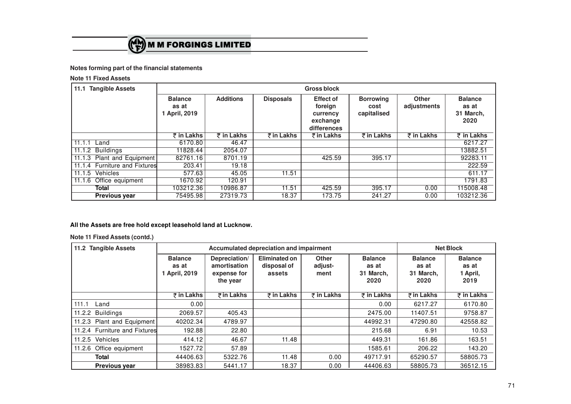

### **Notes forming part of the financial statements**

**Note 11 Fixed Assets**

| <b>Tangible Assets</b><br>11.1 |                                          | <b>Gross block</b> |                         |                                                                    |                                         |                      |                                              |
|--------------------------------|------------------------------------------|--------------------|-------------------------|--------------------------------------------------------------------|-----------------------------------------|----------------------|----------------------------------------------|
|                                | <b>Balance</b><br>as at<br>1 April, 2019 | <b>Additions</b>   | <b>Disposals</b>        | <b>Effect of</b><br>foreign<br>currency<br>exchange<br>differences | <b>Borrowing</b><br>cost<br>capitalised | Other<br>adjustments | <b>Balance</b><br>as at<br>31 March,<br>2020 |
|                                | ₹ in Lakhs                               | ₹ in Lakhs         | $\overline{z}$ in Lakhs | ₹ in Lakhs                                                         | ₹ in Lakhs                              | ₹ in Lakhs           | ₹ in Lakhs                                   |
| 11.1.1<br>Land                 | 6170.80                                  | 46.47              |                         |                                                                    |                                         |                      | 6217.27                                      |
| 11.1.2 Buildings               | 11828.44                                 | 2054.07            |                         |                                                                    |                                         |                      | 13882.51                                     |
| Plant and Equipment<br>11.1.3  | 82761.16                                 | 8701.19            |                         | 425.59                                                             | 395.17                                  |                      | 92283.11                                     |
| 11.1.4 Furniture and Fixtures  | 203.41                                   | 19.18              |                         |                                                                    |                                         |                      | 222.59                                       |
| 11.1.5 Vehicles                | 577.63                                   | 45.05              | 11.51                   |                                                                    |                                         |                      | 611.17                                       |
| 11.1.6<br>Office equipment     | 1670.92                                  | 120.91             |                         |                                                                    |                                         |                      | 1791.83                                      |
| Total                          | 103212.36                                | 10986.87           | 11.51                   | 425.59                                                             | 395.17                                  | 0.00                 | 115008.48                                    |
| <b>Previous year</b>           | 75495.98                                 | 27319.73           | 18.37                   | 173.75                                                             | 241.27                                  | 0.00                 | 103212.36                                    |

### **All the Assets are free hold except leasehold land at Lucknow.**

**Note 11 Fixed Assets (contd.)**

| 11.2 Tangible Assets          |                                          |                                                          | Accumulated depreciation and impairment |                                 |                                              | <b>Net Block</b>                             |                                             |  |
|-------------------------------|------------------------------------------|----------------------------------------------------------|-----------------------------------------|---------------------------------|----------------------------------------------|----------------------------------------------|---------------------------------------------|--|
|                               | <b>Balance</b><br>as at<br>1 April, 2019 | Depreciation/<br>amortisation<br>expense for<br>the year | Eliminated on<br>disposal of<br>assets  | <b>Other</b><br>adjust-<br>ment | <b>Balance</b><br>as at<br>31 March,<br>2020 | <b>Balance</b><br>as at<br>31 March,<br>2020 | <b>Balance</b><br>as at<br>1 April,<br>2019 |  |
|                               | ₹ in Lakhs                               | ₹in Lakhs                                                | ₹ in Lakhs                              | ₹ in Lakhs                      | ₹ in Lakhs                                   | $\bar{z}$ in Lakhs                           | ₹ in Lakhs                                  |  |
| 111.1<br>Land                 | 0.00                                     |                                                          |                                         |                                 | 0.00                                         | 6217.27                                      | 6170.80                                     |  |
| 11.2.2 Buildings              | 2069.57                                  | 405.43                                                   |                                         |                                 | 2475.00                                      | 11407.51                                     | 9758.87                                     |  |
| 11.2.3 Plant and Equipment    | 40202.34                                 | 4789.97                                                  |                                         |                                 | 44992.31                                     | 47290.80                                     | 42558.82                                    |  |
| 11.2.4 Furniture and Fixtures | 192.88                                   | 22.80                                                    |                                         |                                 | 215.68                                       | 6.91                                         | 10.53                                       |  |
| 11.2.5 Vehicles               | 414.12                                   | 46.67                                                    | 11.48                                   |                                 | 449.31                                       | 161.86                                       | 163.51                                      |  |
| 11.2.6 Office equipment       | 1527.72                                  | 57.89                                                    |                                         |                                 | 1585.61                                      | 206.22                                       | 143.20                                      |  |
| <b>Total</b>                  | 44406.63                                 | 5322.76                                                  | 11.48                                   | 0.00                            | 49717.91                                     | 65290.57                                     | 58805.73                                    |  |
| <b>Previous year</b>          | 38983.83                                 | 5441.17                                                  | 18.37                                   | 0.00                            | 44406.63                                     | 58805.73                                     | 36512.15                                    |  |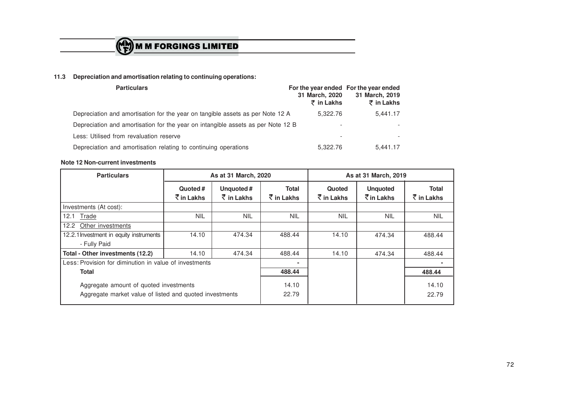

# **11.3 Depreciation and amortisation relating to continuing operations:**

| <b>Particulars</b>                                                               | 31 March, 2020<br>₹ in Lakhs | For the year ended For the year ended<br>31 March, 2019<br>₹ in Lakhs |  |
|----------------------------------------------------------------------------------|------------------------------|-----------------------------------------------------------------------|--|
| Depreciation and amortisation for the year on tangible assets as per Note 12 A   | 5.322.76                     | 5.441.17                                                              |  |
| Depreciation and amortisation for the year on intangible assets as per Note 12 B | $\overline{\phantom{a}}$     | $\overline{\phantom{a}}$                                              |  |
| Less: Utilised from revaluation reserve                                          | $\overline{\phantom{a}}$     | $\overline{\phantom{a}}$                                              |  |
| Depreciation and amortisation relating to continuing operations                  | 5.322.76                     | 5.441.17                                                              |  |

#### **Note 12 Non-current investments**

| <b>Particulars</b>                                                                                | As at 31 March, 2020              |                                    | As at 31 March, 2019         |                        |                                          |                            |
|---------------------------------------------------------------------------------------------------|-----------------------------------|------------------------------------|------------------------------|------------------------|------------------------------------------|----------------------------|
|                                                                                                   | Quoted #<br>$\bar{\tau}$ in Lakhs | Unquoted#<br>$\bar{\tau}$ in Lakhs | <b>Total</b><br>रें in Lakhs | Quoted<br>रें in Lakhs | <b>Unquoted</b><br>$\bar{\tau}$ in Lakhs | <b>Total</b><br>₹ in Lakhs |
| Investments (At cost):                                                                            |                                   |                                    |                              |                        |                                          |                            |
| Trade<br>12.1                                                                                     | <b>NIL</b>                        | <b>NIL</b>                         | <b>NIL</b>                   | <b>NIL</b>             | <b>NIL</b>                               | <b>NIL</b>                 |
| Other investments<br>12.2                                                                         |                                   |                                    |                              |                        |                                          |                            |
| 12.2.1 Investment in equity instruments                                                           | 14.10                             | 474.34                             | 488.44                       | 14.10                  | 474.34                                   | 488.44                     |
| - Fully Paid                                                                                      |                                   |                                    |                              |                        |                                          |                            |
| Total - Other investments (12.2)                                                                  | 14.10                             | 474.34                             | 488.44                       | 14.10                  | 474.34                                   | 488.44                     |
| Less: Provision for diminution in value of investments                                            |                                   |                                    |                              |                        |                                          | ٠                          |
| Total                                                                                             |                                   | 488.44                             |                              |                        | 488.44                                   |                            |
| Aggregate amount of quoted investments<br>Aggregate market value of listed and quoted investments |                                   |                                    | 14.10<br>22.79               |                        |                                          | 14.10<br>22.79             |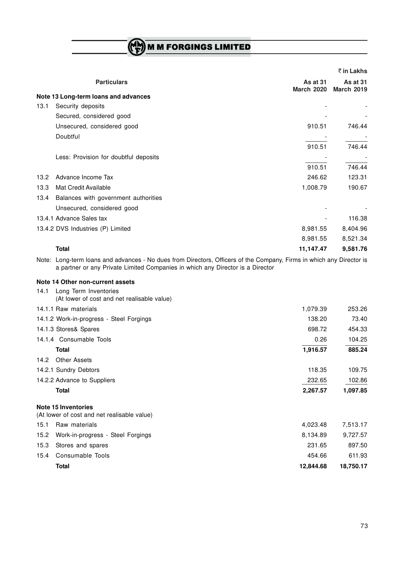# (CH) M M FORGINGS LIMITED

|                                                                                                                                                                                                        |                               | ₹ in Lakhs                    |
|--------------------------------------------------------------------------------------------------------------------------------------------------------------------------------------------------------|-------------------------------|-------------------------------|
| <b>Particulars</b>                                                                                                                                                                                     | As at 31<br><b>March 2020</b> | As at 31<br><b>March 2019</b> |
| Note 13 Long-term loans and advances                                                                                                                                                                   |                               |                               |
| 13.1<br>Security deposits                                                                                                                                                                              |                               |                               |
| Secured, considered good                                                                                                                                                                               |                               |                               |
| Unsecured, considered good                                                                                                                                                                             | 910.51                        | 746.44                        |
| Doubtful                                                                                                                                                                                               |                               |                               |
|                                                                                                                                                                                                        | 910.51                        | 746.44                        |
| Less: Provision for doubtful deposits                                                                                                                                                                  |                               |                               |
|                                                                                                                                                                                                        | 910.51                        | 746.44                        |
| Advance Income Tax<br>13.2                                                                                                                                                                             | 246.62                        | 123.31                        |
| 13.3<br>Mat Credit Available                                                                                                                                                                           | 1,008.79                      | 190.67                        |
| 13.4<br>Balances with government authorities                                                                                                                                                           |                               |                               |
| Unsecured, considered good                                                                                                                                                                             |                               |                               |
| 13.4.1 Advance Sales tax                                                                                                                                                                               |                               | 116.38                        |
| 13.4.2 DVS Industries (P) Limited                                                                                                                                                                      | 8,981.55                      | 8,404.96                      |
|                                                                                                                                                                                                        | 8,981.55                      | 8,521.34                      |
| <b>Total</b>                                                                                                                                                                                           | 11,147.47                     | 9,581.76                      |
| Note: Long-term loans and advances - No dues from Directors, Officers of the Company, Firms in which any Director is<br>a partner or any Private Limited Companies in which any Director is a Director |                               |                               |
| Note 14 Other non-current assets                                                                                                                                                                       |                               |                               |
| Long Term Inventories<br>14.1<br>(At lower of cost and net realisable value)                                                                                                                           |                               |                               |
| 14.1.1 Raw materials                                                                                                                                                                                   | 1,079.39                      | 253.26                        |
| 14.1.2 Work-in-progress - Steel Forgings                                                                                                                                                               | 138.20                        | 73.40                         |
| 14.1.3 Stores& Spares                                                                                                                                                                                  | 698.72                        | 454.33                        |
| 14.1.4 Consumable Tools                                                                                                                                                                                | 0.26                          | 104.25                        |
| <b>Total</b>                                                                                                                                                                                           | 1,916.57                      | 885.24                        |

14.2 Other Assets 14.2.1 Sundry Debtors 109.75 109.75

14.2.2 Advance to Suppliers 232.65 102.86 **Total 2,267.57 1,097.85**

# **Note 15 Inventories**

(At lower of cost and net realisable value)

|      | Total                                  | 12,844.68 | 18.750.17 |
|------|----------------------------------------|-----------|-----------|
|      | 15.4 Consumable Tools                  | 454.66    | 611.93    |
|      | 15.3 Stores and spares                 | 231.65    | 897.50    |
|      | 15.2 Work-in-progress - Steel Forgings | 8.134.89  | 9.727.57  |
| 15.1 | Raw materials                          | 4.023.48  | 7.513.17  |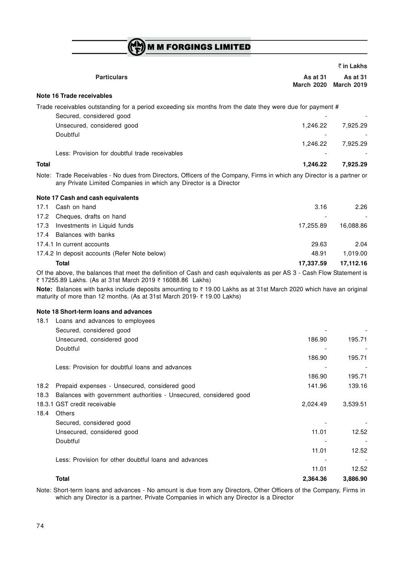$\binom{M}{k}$  M M FORGINGS LIMITED

|              |                                                                                                                                                                                              |                                      | ₹ in Lakhs                           |
|--------------|----------------------------------------------------------------------------------------------------------------------------------------------------------------------------------------------|--------------------------------------|--------------------------------------|
|              | <b>Particulars</b>                                                                                                                                                                           | <b>As at 31</b><br><b>March 2020</b> | <b>As at 31</b><br><b>March 2019</b> |
|              | Note 16 Trade receivables                                                                                                                                                                    |                                      |                                      |
|              | Trade receivables outstanding for a period exceeding six months from the date they were due for payment #                                                                                    |                                      |                                      |
|              | Secured, considered good                                                                                                                                                                     |                                      |                                      |
|              | Unsecured, considered good                                                                                                                                                                   | 1,246.22                             | 7,925.29                             |
|              | Doubtful                                                                                                                                                                                     |                                      |                                      |
|              |                                                                                                                                                                                              | 1,246.22                             | 7,925.29                             |
|              | Less: Provision for doubtful trade receivables                                                                                                                                               |                                      |                                      |
| <b>Total</b> |                                                                                                                                                                                              | 1,246.22                             | 7,925.29                             |
|              | Note: Trade Receivables - No dues from Directors, Officers of the Company, Firms in which any Director is a partner or<br>any Private Limited Companies in which any Director is a Director  |                                      |                                      |
|              | Note 17 Cash and cash equivalents                                                                                                                                                            |                                      |                                      |
| 17.1         | Cash on hand                                                                                                                                                                                 | 3.16                                 | 2.26                                 |
| 17.2         | Cheques, drafts on hand                                                                                                                                                                      |                                      |                                      |
| 17.3         | Investments in Liquid funds                                                                                                                                                                  | 17,255.89                            | 16,088.86                            |
| 17.4         | Balances with banks                                                                                                                                                                          |                                      |                                      |
|              | 17.4.1 In current accounts                                                                                                                                                                   | 29.63                                | 2.04                                 |
|              | 17.4.2 In deposit accounts (Refer Note below)                                                                                                                                                | 48.91                                | 1,019.00                             |
|              | <b>Total</b>                                                                                                                                                                                 | 17,337.59                            | 17,112.16                            |
|              | Of the above, the balances that meet the definition of Cash and cash equivalents as per AS 3 - Cash Flow Statement is<br>₹ 17255.89 Lakhs. (As at 31st March 2019 ₹ 16088.86 Lakhs)          |                                      |                                      |
|              | Note: Balances with banks include deposits amounting to ₹19.00 Lakhs as at 31st March 2020 which have an original<br>maturity of more than 12 months. (As at 31st March 2019- ₹ 19.00 Lakhs) |                                      |                                      |
|              | Note 18 Short-term loans and advances                                                                                                                                                        |                                      |                                      |
| 18.1         | Loans and advances to employees                                                                                                                                                              |                                      |                                      |
|              | Secured, considered good                                                                                                                                                                     |                                      |                                      |
|              | Unsecured, considered good                                                                                                                                                                   | 186.90                               | 195.71                               |
|              | Doubtful                                                                                                                                                                                     |                                      |                                      |
|              |                                                                                                                                                                                              | 186.90                               | 195.71                               |
|              | Less: Provision for doubtful loans and advances                                                                                                                                              |                                      |                                      |
|              |                                                                                                                                                                                              | 186.90                               | 195.71                               |
| 18.2         | Prepaid expenses - Unsecured, considered good                                                                                                                                                | 141.96                               | 139.16                               |
| 18.3         | Balances with government authorities - Unsecured, considered good                                                                                                                            |                                      |                                      |
|              | 18.3.1 GST credit receivable                                                                                                                                                                 | 2,024.49                             | 3,539.51                             |
| 18.4         | Others                                                                                                                                                                                       |                                      |                                      |
|              | Secured, considered good                                                                                                                                                                     |                                      |                                      |
|              | Unsecured, considered good                                                                                                                                                                   | 11.01                                | 12.52                                |
|              | Doubtful                                                                                                                                                                                     |                                      |                                      |
|              |                                                                                                                                                                                              | 11.01                                | 12.52                                |

Less: Provision for other doubtful loans and advances

**Total 2,364.36 3,886.90** Note: Short-term loans and advances - No amount is due from any Directors, Other Officers of the Company, Firms in which any Director is a partner, Private Companies in which any Director is a Director

11.01 12.52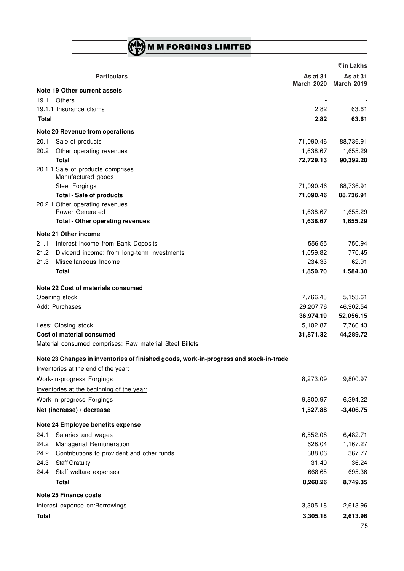M M FORGINGS LIMITED

|              |                                                                                       |                               | ₹ in Lakhs                    |
|--------------|---------------------------------------------------------------------------------------|-------------------------------|-------------------------------|
|              | <b>Particulars</b>                                                                    | As at 31<br><b>March 2020</b> | As at 31<br><b>March 2019</b> |
|              | Note 19 Other current assets                                                          |                               |                               |
| 19.1         | Others                                                                                |                               |                               |
|              | 19.1.1 Insurance claims                                                               | 2.82                          | 63.61                         |
| Total        |                                                                                       | 2.82                          | 63.61                         |
|              | Note 20 Revenue from operations                                                       |                               |                               |
| 20.1         | Sale of products                                                                      | 71,090.46                     | 88,736.91                     |
| 20.2         | Other operating revenues                                                              | 1,638.67                      | 1,655.29                      |
|              | <b>Total</b>                                                                          | 72,729.13                     | 90,392.20                     |
|              | 20.1.1 Sale of products comprises<br>Manufactured goods                               |                               |                               |
|              | Steel Forgings                                                                        | 71,090.46                     | 88,736.91                     |
|              | <b>Total - Sale of products</b>                                                       | 71,090.46                     | 88,736.91                     |
|              | 20.2.1 Other operating revenues<br>Power Generated                                    | 1,638.67                      | 1,655.29                      |
|              | <b>Total - Other operating revenues</b>                                               | 1,638.67                      | 1,655.29                      |
|              |                                                                                       |                               |                               |
|              | Note 21 Other income                                                                  | 556.55                        | 750.94                        |
| 21.1<br>21.2 | Interest income from Bank Deposits                                                    |                               | 770.45                        |
| 21.3         | Dividend income: from long-term investments<br>Miscellaneous Income                   | 1,059.82<br>234.33            | 62.91                         |
|              | <b>Total</b>                                                                          | 1,850.70                      | 1,584.30                      |
|              |                                                                                       |                               |                               |
|              | Note 22 Cost of materials consumed                                                    |                               |                               |
|              | Opening stock                                                                         | 7,766.43                      | 5,153.61                      |
|              | Add: Purchases                                                                        | 29,207.76                     | 46,902.54                     |
|              |                                                                                       | 36,974.19                     | 52,056.15                     |
|              | Less: Closing stock                                                                   | 5,102.87                      | 7,766.43                      |
|              | <b>Cost of material consumed</b>                                                      | 31,871.32                     | 44,289.72                     |
|              | Material consumed comprises: Raw material Steel Billets                               |                               |                               |
|              | Note 23 Changes in inventories of finished goods, work-in-progress and stock-in-trade |                               |                               |
|              | Inventories at the end of the year:                                                   |                               |                               |
|              | Work-in-progress Forgings                                                             | 8,273.09                      | 9,800.97                      |
|              | Inventories at the beginning of the year:                                             |                               |                               |
|              | Work-in-progress Forgings                                                             | 9,800.97                      | 6,394.22                      |
|              | Net (increase) / decrease                                                             | 1,527.88                      | $-3,406.75$                   |
|              | Note 24 Employee benefits expense                                                     |                               |                               |
| 24.1         | Salaries and wages                                                                    | 6,552.08                      | 6,482.71                      |
| 24.2         | Managerial Remuneration                                                               | 628.04                        | 1,167.27                      |
| 24.2         | Contributions to provident and other funds                                            | 388.06                        | 367.77                        |
| 24.3         | <b>Staff Gratuity</b>                                                                 | 31.40                         | 36.24                         |
| 24.4         | Staff welfare expenses                                                                | 668.68                        | 695.36                        |
|              | <b>Total</b>                                                                          | 8,268.26                      | 8,749.35                      |
|              | <b>Note 25 Finance costs</b>                                                          |                               |                               |
|              | Interest expense on: Borrowings                                                       | 3,305.18                      | 2,613.96                      |
|              |                                                                                       |                               |                               |
| <b>Total</b> |                                                                                       | 3,305.18                      | 2,613.96                      |
|              |                                                                                       |                               | 75                            |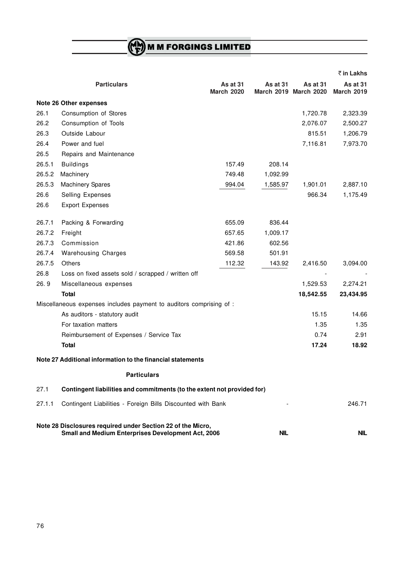**M M FORGINGS LIMITED** 

|        |                                                                                                                          |                               |            |                                          | ₹ in Lakhs                           |
|--------|--------------------------------------------------------------------------------------------------------------------------|-------------------------------|------------|------------------------------------------|--------------------------------------|
|        | <b>Particulars</b>                                                                                                       | As at 31<br><b>March 2020</b> | As at 31   | <b>As at 31</b><br>March 2019 March 2020 | <b>As at 31</b><br><b>March 2019</b> |
|        | Note 26 Other expenses                                                                                                   |                               |            |                                          |                                      |
| 26.1   | Consumption of Stores                                                                                                    |                               |            | 1,720.78                                 | 2,323.39                             |
| 26.2   | Consumption of Tools                                                                                                     |                               |            | 2,076.07                                 | 2,500.27                             |
| 26.3   | Outside Labour                                                                                                           |                               |            | 815.51                                   | 1,206.79                             |
| 26.4   | Power and fuel                                                                                                           |                               |            | 7,116.81                                 | 7,973.70                             |
| 26.5   | Repairs and Maintenance                                                                                                  |                               |            |                                          |                                      |
| 26.5.1 | <b>Buildings</b>                                                                                                         | 157.49                        | 208.14     |                                          |                                      |
| 26.5.2 | Machinery                                                                                                                | 749.48                        | 1,092.99   |                                          |                                      |
| 26.5.3 | <b>Machinery Spares</b>                                                                                                  | 994.04                        | 1,585.97   | 1,901.01                                 | 2,887.10                             |
| 26.6   | Selling Expenses                                                                                                         |                               |            | 966.34                                   | 1,175.49                             |
| 26.6   | <b>Export Expenses</b>                                                                                                   |                               |            |                                          |                                      |
| 26.7.1 | Packing & Forwarding                                                                                                     | 655.09                        | 836.44     |                                          |                                      |
| 26.7.2 | Freight                                                                                                                  | 657.65                        | 1,009.17   |                                          |                                      |
| 26.7.3 | Commission                                                                                                               | 421.86                        | 602.56     |                                          |                                      |
| 26.7.4 | <b>Warehousing Charges</b>                                                                                               | 569.58                        | 501.91     |                                          |                                      |
| 26.7.5 | Others                                                                                                                   | 112.32                        | 143.92     | 2,416.50                                 | 3,094.00                             |
| 26.8   | Loss on fixed assets sold / scrapped / written off                                                                       |                               |            |                                          |                                      |
| 26.9   | Miscellaneous expenses                                                                                                   |                               |            | 1,529.53                                 | 2,274.21                             |
|        | Total                                                                                                                    |                               |            | 18,542.55                                | 23,434.95                            |
|        | Miscellaneous expenses includes payment to auditors comprising of :                                                      |                               |            |                                          |                                      |
|        | As auditors - statutory audit                                                                                            |                               |            | 15.15                                    | 14.66                                |
|        | For taxation matters                                                                                                     |                               |            | 1.35                                     | 1.35                                 |
|        | Reimbursement of Expenses / Service Tax                                                                                  |                               |            | 0.74                                     | 2.91                                 |
|        | <b>Total</b>                                                                                                             |                               |            | 17.24                                    | 18.92                                |
|        | Note 27 Additional information to the financial statements                                                               |                               |            |                                          |                                      |
|        | <b>Particulars</b>                                                                                                       |                               |            |                                          |                                      |
| 27.1   | Contingent liabilities and commitments (to the extent not provided for)                                                  |                               |            |                                          |                                      |
| 27.1.1 | Contingent Liabilities - Foreign Bills Discounted with Bank                                                              |                               |            |                                          | 246.71                               |
|        | Note 28 Disclosures required under Section 22 of the Micro,<br><b>Small and Medium Enterprises Development Act, 2006</b> |                               | <b>NIL</b> |                                          | <b>NIL</b>                           |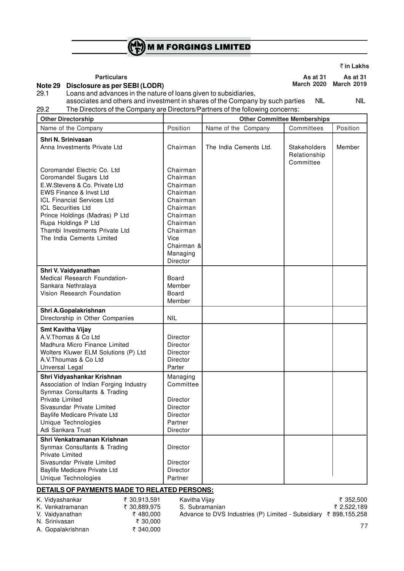

` **in Lakhs**

**Particulars As at 31** As at 31 As at 31 **March 2020 March 2019**

# **Note 29 Disclosure as per SEBI (LODR)**

Loans and advances in the nature of loans given to subsidiaries, associates and others and investment in shares of the Company by such parties NIL NIL

29.2 The Directors of the Company are Directors/Partners of the following concerns:

| <b>Other Directorship</b>                                                                                                                                                                                                                                                                                  |                                                                                                                                                        | <b>Other Committee Memberships</b> |                                           |           |  |  |
|------------------------------------------------------------------------------------------------------------------------------------------------------------------------------------------------------------------------------------------------------------------------------------------------------------|--------------------------------------------------------------------------------------------------------------------------------------------------------|------------------------------------|-------------------------------------------|-----------|--|--|
| Name of the Company                                                                                                                                                                                                                                                                                        | Position                                                                                                                                               | Name of the Company                | Committees                                | Position  |  |  |
| Shri N. Srinivasan<br>Anna Investments Private Ltd                                                                                                                                                                                                                                                         | Chairman                                                                                                                                               | The India Cements Ltd.             | Stakeholders<br>Relationship<br>Committee | Member    |  |  |
| Coromandel Electric Co. Ltd<br>Coromandel Sugars Ltd<br>E.W.Stevens & Co. Private Ltd<br>EWS Finance & Invst Ltd<br><b>ICL Financial Services Ltd</b><br><b>ICL Securities Ltd</b><br>Prince Holdings (Madras) P Ltd<br>Rupa Holdings P Ltd<br>Thambi Investments Private Ltd<br>The India Cements Limited | Chairman<br>Chairman<br>Chairman<br>Chairman<br>Chairman<br>Chairman<br>Chairman<br>Chairman<br>Chairman<br>Vice<br>Chairman &<br>Managing<br>Director |                                    |                                           |           |  |  |
| Shri V. Vaidyanathan<br>Medical Research Foundation-                                                                                                                                                                                                                                                       | Board<br>Member                                                                                                                                        |                                    |                                           |           |  |  |
| Sankara Nethralaya<br>Vision Research Foundation                                                                                                                                                                                                                                                           | Board<br>Member                                                                                                                                        |                                    |                                           |           |  |  |
| Shri A.Gopalakrishnan<br>Directorship in Other Companies                                                                                                                                                                                                                                                   | <b>NIL</b>                                                                                                                                             |                                    |                                           |           |  |  |
| <b>Smt Kavitha Vijay</b><br>A.V. Thomas & Co Ltd<br>Madhura Micro Finance Limited<br>Wolters Kluwer ELM Solutions (P) Ltd<br>A.V. Thoumas & Co Ltd<br>Unversal Legal                                                                                                                                       | <b>Director</b><br><b>Director</b><br><b>Director</b><br><b>Director</b><br>Parter                                                                     |                                    |                                           |           |  |  |
| Shri Vidyashankar Krishnan<br>Association of Indian Forging Industry<br>Synmax Consultants & Trading<br>Private Limited<br>Sivasundar Private Limited<br>Baylife Medicare Private Ltd<br>Unique Technologies<br>Adi Sankara Trust                                                                          | Managing<br>Committee<br>Director<br>Director<br>Director<br>Partner<br>Director                                                                       |                                    |                                           |           |  |  |
| Shri Venkatramanan Krishnan<br>Synmax Consultants & Trading<br><b>Private Limited</b><br>Sivasundar Private Limited<br>Baylife Medicare Private Ltd<br>Unique Technologies                                                                                                                                 | Director<br>Director<br><b>Director</b><br>Partner                                                                                                     |                                    |                                           |           |  |  |
| DETAILS OF PAYMENTS MADE TO RELATED PERSONS:                                                                                                                                                                                                                                                               |                                                                                                                                                        |                                    |                                           |           |  |  |
| ₹ 30,913,591<br>K. Vidyashankar                                                                                                                                                                                                                                                                            | Kavitha Vijay                                                                                                                                          |                                    |                                           | ₹ 352,500 |  |  |

| $\cdots$ $\cdots$ | $\sqrt{2}$   |
|-------------------|--------------|
| K. Venkatramanan  | ₹ 30,889,975 |
| V. Vaidvanathan   | ₹480.000     |
| N. Srinivasan     | ₹ 30.000     |
| A. Gopalakrishnan | ₹ 340.000    |

 $\frac{1}{2}$  S. Subramanian  $\frac{1}{2}$  S. Subramanian  $\frac{1}{2}$  2,522,189 Advance to DVS Industries (P) Limited - Subsidiary  $\bar{\tau}$  898,155,258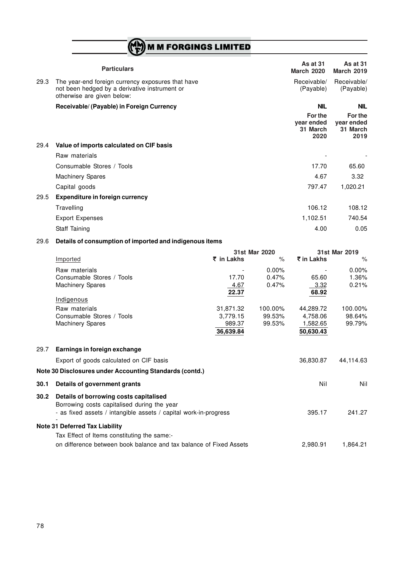# **ME M M FORGINGS LIMITED**

|      | <b>Particulars</b>                                                                                                               | <b>As at 31</b><br><b>March 2020</b>      | <b>As at 31</b><br><b>March 2019</b>      |
|------|----------------------------------------------------------------------------------------------------------------------------------|-------------------------------------------|-------------------------------------------|
| 29.3 | The year-end foreign currency exposures that have<br>not been hedged by a derivative instrument or<br>otherwise are given below: | Receivable/<br>(Payable)                  | Receivable/<br>(Payable)                  |
|      | Receivable/ (Payable) in Foreign Currency                                                                                        | <b>NIL</b>                                | <b>NIL</b>                                |
|      |                                                                                                                                  | For the<br>year ended<br>31 March<br>2020 | For the<br>year ended<br>31 March<br>2019 |
| 29.4 | Value of imports calculated on CIF basis                                                                                         |                                           |                                           |
|      | Raw materials                                                                                                                    |                                           |                                           |
|      | Consumable Stores / Tools                                                                                                        | 17.70                                     | 65.60                                     |
|      | <b>Machinery Spares</b>                                                                                                          | 4.67                                      | 3.32                                      |
|      | Capital goods                                                                                                                    | 797.47                                    | 1,020.21                                  |
| 29.5 | <b>Expenditure in foreign currency</b>                                                                                           |                                           |                                           |
|      | Travelling                                                                                                                       | 106.12                                    | 108.12                                    |
|      | <b>Export Expenses</b>                                                                                                           | 1,102.51                                  | 740.54                                    |

Staff Taining 0.05

# 29.6 **Details of consumption of imported and indigenous items**

|      |                                                                                       | 31st Mar 2020 |          | 31st Mar 2019 |           |
|------|---------------------------------------------------------------------------------------|---------------|----------|---------------|-----------|
|      | Imported                                                                              | ₹ in Lakhs    | $\%$     | ₹ in Lakhs    | $\%$      |
|      | Raw materials                                                                         |               | $0.00\%$ |               | $0.00\%$  |
|      | Consumable Stores / Tools                                                             | 17.70         | 0.47%    | 65.60         | 1.36%     |
|      | <b>Machinery Spares</b>                                                               | 4.67          | 0.47%    | 3.32          | 0.21%     |
|      |                                                                                       | 22.37         |          | 68.92         |           |
|      | Indigenous                                                                            |               |          |               |           |
|      | Raw materials                                                                         | 31,871.32     | 100.00%  | 44,289.72     | 100.00%   |
|      | Consumable Stores / Tools                                                             | 3,779.15      | 99.53%   | 4,758.06      | 98.64%    |
|      | <b>Machinery Spares</b>                                                               | 989.37        | 99.53%   | 1,582.65      | 99.79%    |
|      |                                                                                       | 36,639.84     |          | 50,630.43     |           |
| 29.7 | Earnings in foreign exchange                                                          |               |          |               |           |
|      | Export of goods calculated on CIF basis                                               |               |          | 36,830.87     | 44,114.63 |
|      | Note 30 Disclosures under Accounting Standards (contd.)                               |               |          |               |           |
| 30.1 | Details of government grants                                                          |               |          | Nil           | Nil       |
| 30.2 | Details of borrowing costs capitalised<br>Borrowing costs capitalised during the year |               |          |               |           |
|      | - as fixed assets / intangible assets / capital work-in-progress                      |               |          | 395.17        | 241.27    |
|      | <b>Note 31 Deferred Tax Liability</b>                                                 |               |          |               |           |
|      | Tax Effect of Items constituting the same:-                                           |               |          |               |           |
|      | on difference between book balance and tax balance of Fixed Assets                    |               |          | 2,980.91      | 1,864.21  |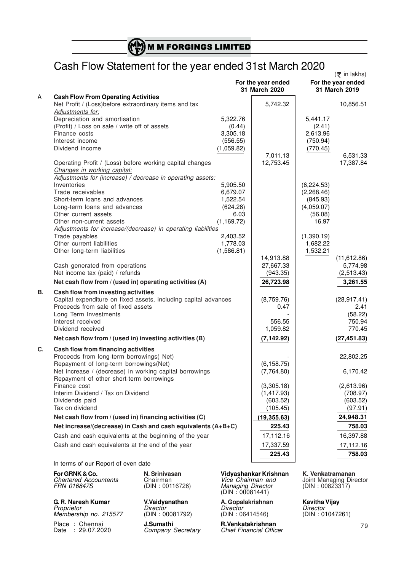# Cash Flow Statement for the year ended 31st March 2020

|    |                                                                                         |             | For the year ended<br>31 March 2020 |            | $(\bar{z}$ in lakhs)<br>For the year ended<br>31 March 2019 |
|----|-----------------------------------------------------------------------------------------|-------------|-------------------------------------|------------|-------------------------------------------------------------|
| Α  | <b>Cash Flow From Operating Activities</b>                                              |             |                                     |            |                                                             |
|    | Net Profit / (Loss)before extraordinary items and tax                                   |             | 5,742.32                            |            | 10,856.51                                                   |
|    | Adjustments for:                                                                        |             |                                     |            |                                                             |
|    | Depreciation and amortisation                                                           | 5,322.76    |                                     | 5,441.17   |                                                             |
|    | (Profit) / Loss on sale / write off of assets                                           | (0.44)      |                                     | (2.41)     |                                                             |
|    | Finance costs                                                                           | 3,305.18    |                                     | 2,613.96   |                                                             |
|    | Interest income                                                                         | (556.55)    |                                     | (750.94)   |                                                             |
|    | Dividend income                                                                         | (1,059.82)  |                                     | (770.45)   |                                                             |
|    |                                                                                         |             | 7,011.13                            |            | 6,531.33                                                    |
|    | Operating Profit / (Loss) before working capital changes<br>Changes in working capital: |             | 12,753.45                           |            | 17,387.84                                                   |
|    | Adjustments for (increase) / decrease in operating assets:                              |             |                                     |            |                                                             |
|    | Inventories                                                                             | 5,905.50    |                                     | (6,224.53) |                                                             |
|    | Trade receivables                                                                       | 6,679.07    |                                     | (2,268.46) |                                                             |
|    | Short-term loans and advances                                                           | 1,522.54    |                                     | (845.93)   |                                                             |
|    | Long-term loans and advances                                                            | (624.28)    |                                     | (4,059.07) |                                                             |
|    | Other current assets                                                                    | 6.03        |                                     | (56.08)    |                                                             |
|    | Other non-current assets                                                                | (1, 169.72) |                                     | 16.97      |                                                             |
|    | Adjustments for increase/(decrease) in operating liabilities                            |             |                                     |            |                                                             |
|    | Trade payables                                                                          | 2,403.52    |                                     | (1,390.19) |                                                             |
|    | Other current liabilities                                                               | 1,778.03    |                                     | 1,682.22   |                                                             |
|    | Other long-term liabilities                                                             | (1,586.81)  |                                     | 1,532.21   |                                                             |
|    |                                                                                         |             | 14,913.88                           |            | (11, 612.86)                                                |
|    | Cash generated from operations                                                          |             | 27,667.33                           |            | 5,774.98                                                    |
|    | Net income tax (paid) / refunds                                                         |             | (943.35)                            |            | (2,513.43)                                                  |
|    | Net cash flow from / (used in) operating activities (A)                                 |             | 26,723.98                           |            | 3,261.55                                                    |
| В. | Cash flow from investing activities                                                     |             |                                     |            |                                                             |
|    | Capital expenditure on fixed assets, including capital advances                         |             | (8,759.76)                          |            | (28, 917.41)                                                |
|    | Proceeds from sale of fixed assets                                                      |             | 0.47                                |            | 2.41                                                        |
|    | Long Term Investments                                                                   |             |                                     |            | (58.22)                                                     |
|    | Interest received                                                                       |             | 556.55                              |            | 750.94                                                      |
|    | Dividend received                                                                       |             | 1,059.82                            |            | 770.45                                                      |
|    | Net cash flow from / (used in) investing activities (B)                                 |             | (7, 142.92)                         |            | (27, 451.83)                                                |
| C. | Cash flow from financing activities                                                     |             |                                     |            |                                                             |
|    | Proceeds from long-term borrowings( Net)                                                |             |                                     |            | 22,802.25                                                   |
|    | Repayment of long-term borrowings(Net)                                                  |             | (6, 158.75)                         |            |                                                             |
|    | Net increase / (decrease) in working capital borrowings                                 |             | (7, 764.80)                         |            | 6,170.42                                                    |
|    | Repayment of other short-term borrowings                                                |             |                                     |            |                                                             |
|    | Finance cost                                                                            |             | (3,305.18)                          |            | (2,613.96)                                                  |
|    | Interim Dividend / Tax on Dividend                                                      |             | (1, 417.93)                         |            | (708.97)                                                    |
|    | Dividends paid                                                                          |             | (603.52)                            |            | (603.52)                                                    |
|    | Tax on dividend                                                                         |             | (105.45)                            |            | (97.91)                                                     |
|    | Net cash flow from / (used in) financing activities (C)                                 |             | (19, 355.63)                        |            | 24,948.31                                                   |
|    | Net increase/(decrease) in Cash and cash equivalents (A+B+C)                            |             | 225.43                              |            | 758.03                                                      |
|    | Cash and cash equivalents at the beginning of the year                                  |             | 17,112.16                           |            | 16,397.88                                                   |
|    | Cash and cash equivalents at the end of the year                                        |             | 17,337.59                           |            | 17,112.16                                                   |
|    |                                                                                         |             | 225.43                              |            | 758.03                                                      |
|    |                                                                                         |             |                                     |            |                                                             |

In terms of our Report of even date

**FRIGHT COMMITS**<br>Chartered Accountants<br>FRN 016847S

**G. R. Naresh Kumar V.Vaidyanathan A. Gopalakrishnan Kavitha Vijay** *Membership no. 215577* 

 $Company$  Secretary

**For GRNK & Co. N. Srinivasan Vidyashankar Krishnan K. Venkatramanan Chairman** *Vice Chairman and Joint Managing Director*<br>
(DIN : 00116726) *Managing Director* (DIN : 00823317) Managing Director<br>Managing Director<br>(DIN : 00081441)

*Proprietor*<br> *Pirector Director Director Director Director (DIN*: 00081792) (DIN: 06414546) (DIN: 01047261)

Place : Chennai **J.Sumathi R.Venkatakrishnan**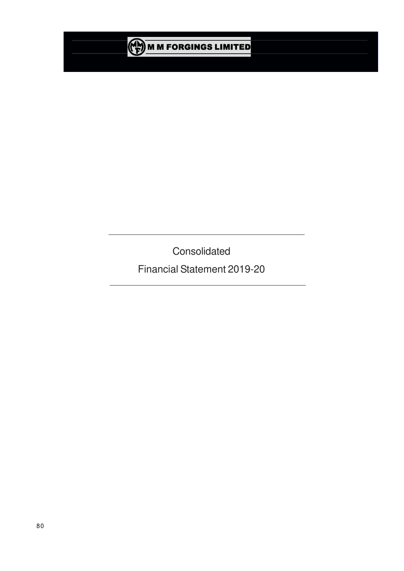

**Consolidated** 

Financial Statement 2019-20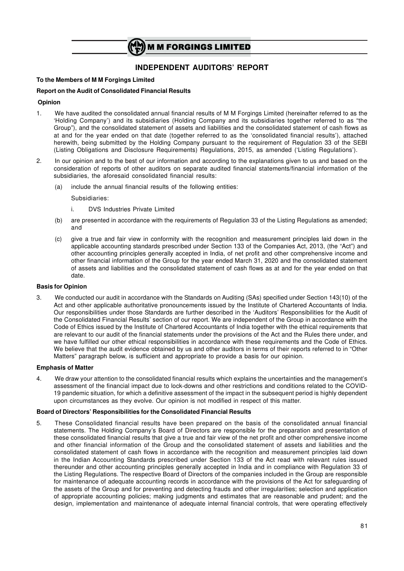

## **INDEPENDENT AUDITORS' REPORT**

#### **To the Members of M M Forgings Limited**

#### **Report on the Audit of Consolidated Financial Results**

#### **Opinion**

- 1. We have audited the consolidated annual financial results of M M Forgings Limited (hereinafter referred to as the 'Holding Company') and its subsidiaries (Holding Company and its subsidiaries together referred to as "the Group"), and the consolidated statement of assets and liabilities and the consolidated statement of cash flows as at and for the year ended on that date (together referred to as the 'consolidated financial results'), attached herewith, being submitted by the Holding Company pursuant to the requirement of Regulation 33 of the SEBI (Listing Obligations and Disclosure Requirements) Regulations, 2015, as amended ('Listing Regulations').
- 2. In our opinion and to the best of our information and according to the explanations given to us and based on the consideration of reports of other auditors on separate audited financial statements/financial information of the subsidiaries, the aforesaid consolidated financial results:
	- (a) include the annual financial results of the following entities:

Subsidiaries:

- i. DVS Industries Private Limited
- (b) are presented in accordance with the requirements of Regulation 33 of the Listing Regulations as amended; and
- (c) give a true and fair view in conformity with the recognition and measurement principles laid down in the applicable accounting standards prescribed under Section 133 of the Companies Act, 2013, (the "Act") and other accounting principles generally accepted in India, of net profit and other comprehensive income and other financial information of the Group for the year ended March 31, 2020 and the consolidated statement of assets and liabilities and the consolidated statement of cash flows as at and for the year ended on that date.

#### **Basis for Opinion**

3. We conducted our audit in accordance with the Standards on Auditing (SAs) specified under Section 143(10) of the Act and other applicable authoritative pronouncements issued by the Institute of Chartered Accountants of India. Our responsibilities under those Standards are further described in the 'Auditors' Responsibilities for the Audit of the Consolidated Financial Results' section of our report. We are independent of the Group in accordance with the Code of Ethics issued by the Institute of Chartered Accountants of India together with the ethical requirements that are relevant to our audit of the financial statements under the provisions of the Act and the Rules there under, and we have fulfilled our other ethical responsibilities in accordance with these requirements and the Code of Ethics. We believe that the audit evidence obtained by us and other auditors in terms of their reports referred to in "Other Matters" paragraph below, is sufficient and appropriate to provide a basis for our opinion.

#### **Emphasis of Matter**

4. We draw your attention to the consolidated financial results which explains the uncertainties and the management's assessment of the financial impact due to lock-downs and other restrictions and conditions related to the COVID-19 pandemic situation, for which a definitive assessment of the impact in the subsequent period is highly dependent upon circumstances as they evolve. Our opinion is not modified in respect of this matter.

#### **Board of Directors' Responsibilities for the Consolidated Financial Results**

5. These Consolidated financial results have been prepared on the basis of the consolidated annual financial statements. The Holding Company's Board of Directors are responsible for the preparation and presentation of these consolidated financial results that give a true and fair view of the net profit and other comprehensive income and other financial information of the Group and the consolidated statement of assets and liabilities and the consolidated statement of cash flows in accordance with the recognition and measurement principles laid down in the Indian Accounting Standards prescribed under Section 133 of the Act read with relevant rules issued thereunder and other accounting principles generally accepted in India and in compliance with Regulation 33 of the Listing Regulations. The respective Board of Directors of the companies included in the Group are responsible for maintenance of adequate accounting records in accordance with the provisions of the Act for safeguarding of the assets of the Group and for preventing and detecting frauds and other irregularities; selection and application of appropriate accounting policies; making judgments and estimates that are reasonable and prudent; and the design, implementation and maintenance of adequate internal financial controls, that were operating effectively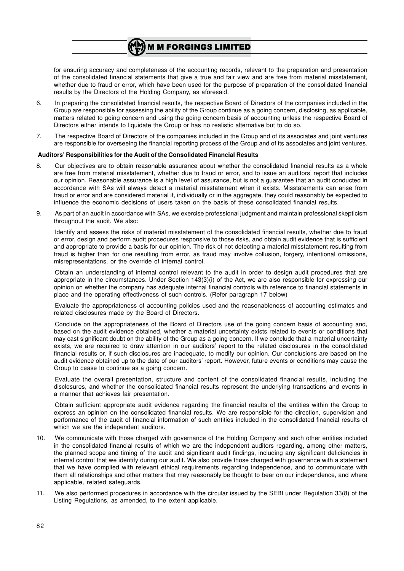for ensuring accuracy and completeness of the accounting records, relevant to the preparation and presentation of the consolidated financial statements that give a true and fair view and are free from material misstatement, whether due to fraud or error, which have been used for the purpose of preparation of the consolidated financial results by the Directors of the Holding Company, as aforesaid.

6. In preparing the consolidated financial results, the respective Board of Directors of the companies included in the Group are responsible for assessing the ability of the Group continue as a going concern, disclosing, as applicable, matters related to going concern and using the going concern basis of accounting unless the respective Board of Directors either intends to liquidate the Group or has no realistic alternative but to do so.

**M M FORGINGS LIMITED** 

7. The respective Board of Directors of the companies included in the Group and of its associates and joint ventures are responsible for overseeing the financial reporting process of the Group and of its associates and joint ventures.

#### **Auditors' Responsibilities for the Audit of the Consolidated Financial Results**

- 8. Our objectives are to obtain reasonable assurance about whether the consolidated financial results as a whole are free from material misstatement, whether due to fraud or error, and to issue an auditors' report that includes our opinion. Reasonable assurance is a high level of assurance, but is not a guarantee that an audit conducted in accordance with SAs will always detect a material misstatement when it exists. Misstatements can arise from fraud or error and are considered material if, individually or in the aggregate, they could reasonably be expected to influence the economic decisions of users taken on the basis of these consolidated financial results.
- 9. As part of an audit in accordance with SAs, we exercise professional judgment and maintain professional skepticism throughout the audit. We also:

Identify and assess the risks of material misstatement of the consolidated financial results, whether due to fraud or error, design and perform audit procedures responsive to those risks, and obtain audit evidence that is sufficient and appropriate to provide a basis for our opinion. The risk of not detecting a material misstatement resulting from fraud is higher than for one resulting from error, as fraud may involve collusion, forgery, intentional omissions, misrepresentations, or the override of internal control.

Obtain an understanding of internal control relevant to the audit in order to design audit procedures that are appropriate in the circumstances. Under Section 143(3)(i) of the Act, we are also responsible for expressing our opinion on whether the company has adequate internal financial controls with reference to financial statements in place and the operating effectiveness of such controls. (Refer paragraph 17 below)

Evaluate the appropriateness of accounting policies used and the reasonableness of accounting estimates and related disclosures made by the Board of Directors.

Conclude on the appropriateness of the Board of Directors use of the going concern basis of accounting and, based on the audit evidence obtained, whether a material uncertainty exists related to events or conditions that may cast significant doubt on the ability of the Group as a going concern. If we conclude that a material uncertainty exists, we are required to draw attention in our auditors' report to the related disclosures in the consolidated financial results or, if such disclosures are inadequate, to modify our opinion. Our conclusions are based on the audit evidence obtained up to the date of our auditors' report. However, future events or conditions may cause the Group to cease to continue as a going concern.

Evaluate the overall presentation, structure and content of the consolidated financial results, including the disclosures, and whether the consolidated financial results represent the underlying transactions and events in a manner that achieves fair presentation.

Obtain sufficient appropriate audit evidence regarding the financial results of the entities within the Group to express an opinion on the consolidated financial results. We are responsible for the direction, supervision and performance of the audit of financial information of such entities included in the consolidated financial results of which we are the independent auditors.

- 10. We communicate with those charged with governance of the Holding Company and such other entities included in the consolidated financial results of which we are the independent auditors regarding, among other matters, the planned scope and timing of the audit and significant audit findings, including any significant deficiencies in internal control that we identify during our audit. We also provide those charged with governance with a statement that we have complied with relevant ethical requirements regarding independence, and to communicate with them all relationships and other matters that may reasonably be thought to bear on our independence, and where applicable, related safeguards.
- 11. We also performed procedures in accordance with the circular issued by the SEBI under Regulation 33(8) of the Listing Regulations, as amended, to the extent applicable.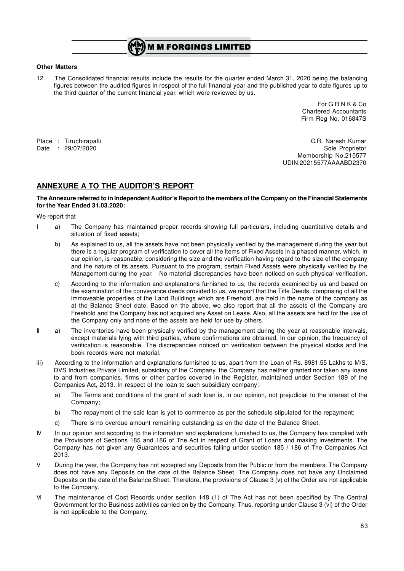# **M M FORGINGS LIMITED**

#### **Other Matters**

12. The Consolidated financial results include the results for the quarter ended March 31, 2020 being the balancing figures between the audited figures in respect of the full financial year and the published year to date figures up to the third quarter of the current financial year, which were reviewed by us.

> For G R N K & Co Chartered Accountants Firm Reg No. 016847S

Place : Tiruchirapalli G.R. Naresh Kumar Date : 29/07/2020 Sole Proprietor Membership No.215577 UDIN:20215577AAAABD2370

### **ANNEXURE A TO THE AUDITOR'S REPORT**

#### **The Annexure referred to in Independent Auditor's Report to the members of the Company on the Financial Statements for the Year Ended 31.03.2020:**

We report that

- I a) The Company has maintained proper records showing full particulars, including quantitative details and situation of fixed assets;
	- b) As explained to us, all the assets have not been physically verified by the management during the year but there is a regular program of verification to cover all the items of Fixed Assets in a phased manner, which, in our opinion, is reasonable, considering the size and the verification having regard to the size of the company and the nature of its assets. Pursuant to the program, certain Fixed Assets were physically verified by the Management during the year. No material discrepancies have been noticed on such physical verification.
	- c) According to the information and explanations furnished to us, the records examined by us and based on the examination of the conveyance deeds provided to us, we report that the Title Deeds, comprising of all the immoveable properties of the Land Buildings which are Freehold, are held in the name of the company as at the Balance Sheet date. Based on the above, we also report that all the assets of the Company are Freehold and the Company has not acquired any Asset on Lease. Also, all the assets are held for the use of the Company only and none of the assets are held for use by others.
- II a) The inventories have been physically verified by the management during the year at reasonable intervals, except materials lying with third parties, where confirmations are obtained. In our opinion, the frequency of verification is reasonable. The discrepancies noticed on verification between the physical stocks and the book records were not material.
- iii) According to the information and explanations furnished to us, apart from the Loan of Rs. 8981.55 Lakhs to M/S. DVS Industries Private Limited, subsidiary of the Company, the Company has neither granted nor taken any loans to and from companies, firms or other parties covered in the Register, maintained under Section 189 of the Companies Act, 2013. In respect of the loan to such subsidiary company:
	- a) The Terms and conditions of the grant of such loan is, in our opinion, not prejudicial to the interest of the Company;
	- b) The repayment of the said loan is yet to commence as per the schedule stipulated for the repayment;
	- c) There is no overdue amount remaining outstanding as on the date of the Balance Sheet.
- IV In our opinion and according to the information and explanations furnished to us, the Company has complied with the Provisions of Sections 185 and 186 of The Act in respect of Grant of Loans and making investments. The Company has not given any Guarantees and securities falling under section 185 / 186 of The Companies Act 2013.
- V During the year, the Company has not accepted any Deposits from the Public or from the members. The Company does not have any Deposits on the date of the Balance Sheet. The Company does not have any Unclaimed Deposits on the date of the Balance Sheet. Therefore, the provisions of Clause 3 (v) of the Order are not applicable to the Company.
- VI The maintenance of Cost Records under section 148 (1) of The Act has not been specified by The Central Government for the Business activities carried on by the Company. Thus, reporting under Clause 3 (vi) of the Order is not applicable to the Company.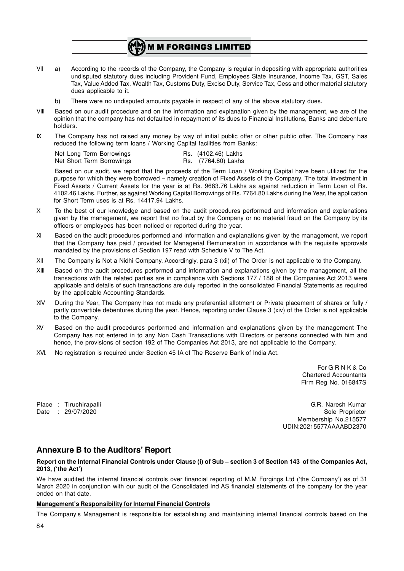# **M M FORGINGS LIMITED**

- VII a) According to the records of the Company, the Company is regular in depositing with appropriate authorities undisputed statutory dues including Provident Fund, Employees State Insurance, Income Tax, GST, Sales Tax, Value Added Tax, Wealth Tax, Customs Duty, Excise Duty, Service Tax, Cess and other material statutory dues applicable to it.
	- b) There were no undisputed amounts payable in respect of any of the above statutory dues.
- VIII Based on our audit procedure and on the information and explanation given by the management, we are of the opinion that the company has not defaulted in repayment of its dues to Financial Institutions, Banks and debenture holders.
- IX The Company has not raised any money by way of initial public offer or other public offer. The Company has reduced the following term loans / Working Capital facilities from Banks:

| Net Long Term Borrowings  |  | Rs. (4102.46) Lakhs |
|---------------------------|--|---------------------|
| Net Short Term Borrowings |  | Rs. (7764.80) Lakhs |

Based on our audit, we report that the proceeds of the Term Loan / Working Capital have been utilized for the purpose for which they were borrowed – namely creation of Fixed Assets of the Company. The total investment in Fixed Assets / Current Assets for the year is at Rs. 9683.76 Lakhs as against reduction in Term Loan of Rs. 4102.46 Lakhs. Further, as against Working Capital Borrowings of Rs. 7764.80 Lakhs during the Year, the application for Short Term uses is at Rs. 14417.94 Lakhs.

- X To the best of our knowledge and based on the audit procedures performed and information and explanations given by the management, we report that no fraud by the Company or no material fraud on the Company by its officers or employees has been noticed or reported during the year.
- XI Based on the audit procedures performed and information and explanations given by the management, we report that the Company has paid / provided for Managerial Remuneration in accordance with the requisite approvals mandated by the provisions of Section 197 read with Schedule V to The Act.
- XII The Company is Not a Nidhi Company. Accordingly, para 3 (xii) of The Order is not applicable to the Company.
- XIII Based on the audit procedures performed and information and explanations given by the management, all the transactions with the related parties are in compliance with Sections 177 / 188 of the Companies Act 2013 were applicable and details of such transactions are duly reported in the consolidated Financial Statements as required by the applicable Accounting Standards.
- XIV During the Year, The Company has not made any preferential allotment or Private placement of shares or fully / partly convertible debentures during the year. Hence, reporting under Clause 3 (xiv) of the Order is not applicable to the Company.
- XV Based on the audit procedures performed and information and explanations given by the management The Company has not entered in to any Non Cash Transactions with Directors or persons connected with him and hence, the provisions of section 192 of The Companies Act 2013, are not applicable to the Company.
- XVI. No registration is required under Section 45 IA of The Reserve Bank of India Act.

For G R N K & Co Chartered Accountants Firm Reg No. 016847S

Place : Tiruchirapalli G.R. Naresh Kumar Date : 29/07/2020 Sole Proprietor Membership No.215577 UDIN:20215577AAAABD2370

# **Annexure B to the Auditors' Report**

#### **Report on the Internal Financial Controls under Clause (i) of Sub – section 3 of Section 143 of the Companies Act, 2013, ('the Act')**

We have audited the internal financial controls over financial reporting of M.M Forgings Ltd ('the Company') as of 31 March 2020 in conjunction with our audit of the Consolidated Ind AS financial statements of the company for the year ended on that date.

### **Management's Responsibility for Internal Financial Controls**

The Company's Management is responsible for establishing and maintaining internal financial controls based on the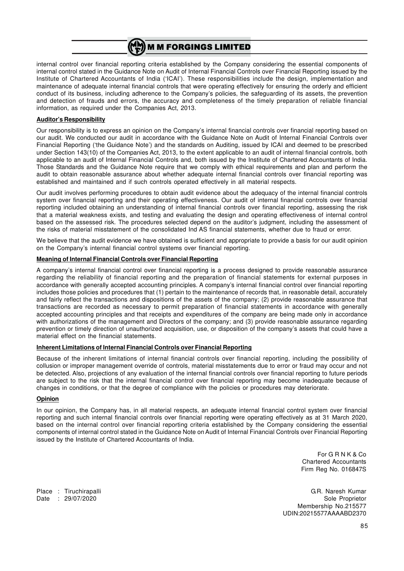

internal control over financial reporting criteria established by the Company considering the essential components of internal control stated in the Guidance Note on Audit of Internal Financial Controls over Financial Reporting issued by the Institute of Chartered Accountants of India ('ICAI'). These responsibilities include the design, implementation and maintenance of adequate internal financial controls that were operating effectively for ensuring the orderly and efficient conduct of its business, including adherence to the Company's policies, the safeguarding of its assets, the prevention and detection of frauds and errors, the accuracy and completeness of the timely preparation of reliable financial information, as required under the Companies Act, 2013.

#### **Auditor's Responsibility**

Our responsibility is to express an opinion on the Company's internal financial controls over financial reporting based on our audit. We conducted our audit in accordance with the Guidance Note on Audit of Internal Financial Controls over Financial Reporting ('the Guidance Note') and the standards on Auditing, issued by ICAI and deemed to be prescribed under Section 143(10) of the Companies Act, 2013, to the extent applicable to an audit of internal financial controls, both applicable to an audit of Internal Financial Controls and, both issued by the Institute of Chartered Accountants of India. Those Standards and the Guidance Note require that we comply with ethical requirements and plan and perform the audit to obtain reasonable assurance about whether adequate internal financial controls over financial reporting was established and maintained and if such controls operated effectively in all material respects.

Our audit involves performing procedures to obtain audit evidence about the adequacy of the internal financial controls system over financial reporting and their operating effectiveness. Our audit of internal financial controls over financial reporting included obtaining an understanding of internal financial controls over financial reporting, assessing the risk that a material weakness exists, and testing and evaluating the design and operating effectiveness of internal control based on the assessed risk. The procedures selected depend on the auditor's judgment, including the assessment of the risks of material misstatement of the consolidated Ind AS financial statements, whether due to fraud or error.

We believe that the audit evidence we have obtained is sufficient and appropriate to provide a basis for our audit opinion on the Company's internal financial control systems over financial reporting.

#### **Meaning of Internal Financial Controls over Financial Reporting**

A company's internal financial control over financial reporting is a process designed to provide reasonable assurance regarding the reliability of financial reporting and the preparation of financial statements for external purposes in accordance with generally accepted accounting principles. A company's internal financial control over financial reporting includes those policies and procedures that (1) pertain to the maintenance of records that, in reasonable detail, accurately and fairly reflect the transactions and dispositions of the assets of the company; (2) provide reasonable assurance that transactions are recorded as necessary to permit preparation of financial statements in accordance with generally accepted accounting principles and that receipts and expenditures of the company are being made only in accordance with authorizations of the management and Directors of the company; and (3) provide reasonable assurance regarding prevention or timely direction of unauthorized acquisition, use, or disposition of the company's assets that could have a material effect on the financial statements.

### **Inherent Limitations of Internal Financial Controls over Financial Reporting**

Because of the inherent limitations of internal financial controls over financial reporting, including the possibility of collusion or improper management override of controls, material misstatements due to error or fraud may occur and not be detected. Also, projections of any evaluation of the internal financial controls over financial reporting to future periods are subject to the risk that the internal financial control over financial reporting may become inadequate because of changes in conditions, or that the degree of compliance with the policies or procedures may deteriorate.

#### **Opinion**

In our opinion, the Company has, in all material respects, an adequate internal financial control system over financial reporting and such internal financial controls over financial reporting were operating effectively as at 31 March 2020, based on the internal control over financial reporting criteria established by the Company considering the essential components of internal control stated in the Guidance Note on Audit of Internal Financial Controls over Financial Reporting issued by the Institute of Chartered Accountants of India.

> For G R N K & Co Chartered Accountants Firm Reg No. 016847S

Place : Tiruchirapalli G.R. Naresh Kumar Date : 29/07/2020 Sole Proprietor Sole Proprietor Membership No.215577 UDIN:20215577AAAABD2370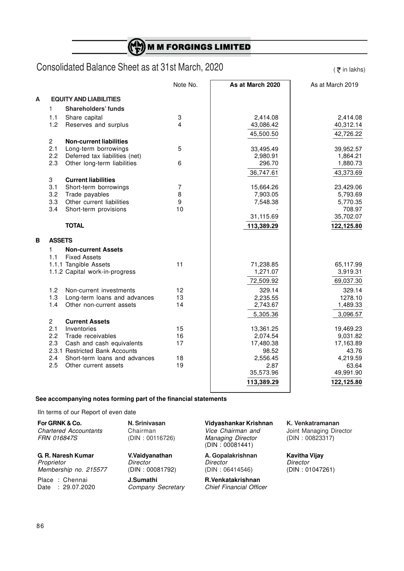$\binom{M}{F}$  M M FORGINGS LIMITED

# Consolidated Balance Sheet as at 31st March, 2020

 $($   $\overline{\xi}$  in lakhs)

|   |                |                                  | Note No.       | As at March 2020      | As at March 2019      |
|---|----------------|----------------------------------|----------------|-----------------------|-----------------------|
| A |                | <b>EQUITY AND LIABILITIES</b>    |                |                       |                       |
|   | $\mathbf{1}$   | <b>Shareholders' funds</b>       |                |                       |                       |
|   | 1.1            | Share capital                    | 3              | 2,414.08              | 2,414.08              |
|   | 1.2            | Reserves and surplus             | 4              | 43,086.42             | 40,312.14             |
|   |                |                                  |                | 45,500.50             | 42,726.22             |
|   | $\overline{2}$ | <b>Non-current liabilities</b>   |                |                       |                       |
|   | 2.1            | Long-term borrowings             | 5              | 33,495.49             | 39,952.57             |
|   | 2.2            | Deferred tax liabilities (net)   |                | 2,980.91              | 1,864.21              |
|   | 2.3            | Other long-term liabilities      | 6              | 296.70                | 1,880.73              |
|   |                | <b>Current liabilities</b>       |                | 36,747.61             | 43,373.69             |
|   | 3<br>3.1       | Short-term borrowings            | $\overline{7}$ | 15,664.26             | 23,429.06             |
|   | 3.2            | Trade payables                   | 8              | 7,903.05              | 5,793.69              |
|   | 3.3            | Other current liabilities        | 9              | 7,548.38              | 5,770.35              |
|   | 3.4            | Short-term provisions            | 10             |                       | 708.97                |
|   |                |                                  |                | 31,115.69             | 35,702.07             |
|   |                | <b>TOTAL</b>                     |                | 113,389.29            | 122,125.80            |
| B | <b>ASSETS</b>  |                                  |                |                       |                       |
|   | 1              | <b>Non-current Assets</b>        |                |                       |                       |
|   | 1.1            | <b>Fixed Assets</b>              |                |                       |                       |
|   |                | 1.1.1 Tangible Assets            | 11             | 71,238.85             | 65,117.99             |
|   |                | 1.1.2 Capital work-in-progress   |                | 1,271.07              | 3,919.31              |
|   |                |                                  |                | 72,509.92             | 69,037.30             |
|   | 1.2            | Non-current investments          | 12             | 329.14                | 329.14                |
|   | 1.3            | Long-term loans and advances     | 13             | 2,235.55              | 1278.10               |
|   | 1.4            | Other non-current assets         | 14             | 2,743.67              | 1,489.33              |
|   |                |                                  |                | 5,305.36              | 3,096.57              |
|   | $\overline{2}$ | <b>Current Assets</b>            |                |                       |                       |
|   | 2.1<br>2.2     | Inventories<br>Trade receivables | 15<br>16       | 13,361.25<br>2,074.54 | 19,469.23<br>9,031.82 |
|   | 2.3            | Cash and cash equivalents        | 17             | 17,480.38             | 17,163.89             |
|   |                | 2.3.1 Restricted Bank Accounts   |                | 98.52                 | 43.76                 |
|   | 2.4            | Short-term loans and advances    | 18             | 2,556.45              | 4,219.59              |
|   | 2.5            | Other current assets             | 19             | 2.87                  | 63.64                 |
|   |                |                                  |                | 35,573.96             | 49,991.90             |
|   |                |                                  |                | 113,389.29            | 122,125.80            |
|   |                |                                  |                |                       |                       |

### **See accompanying notes forming part of the financial statements**

IIn terms of our Report of even date

| For GRNK & Co.<br><b>Chartered Accountants</b><br><i>FRN 016847S</i> | N. Srinivasan<br>Chairman<br>(DIN: 00116726) | Vidyashankar Krishnan<br>Vice Chairman and<br><b>Managing Director</b><br>(DIN: 00081441) | K. Venk<br>Joint Ma<br>(DIN:0 |
|----------------------------------------------------------------------|----------------------------------------------|-------------------------------------------------------------------------------------------|-------------------------------|
| G. R. Naresh Kumar                                                   | V.Vaidyanathan                               | A. Gopalakrishnan                                                                         | <b>Kavitha</b>                |
| Proprietor                                                           | Director                                     | Director                                                                                  | Director                      |
| Membership no. 215577                                                | (DIN: 00081792)                              | (DIN: 06414546)                                                                           | (DIN:0                        |
| Place: Chennai                                                       | J.Sumathi                                    | R.Venkatakrishnan                                                                         |                               |
| Date: 29.07.2020                                                     | Company Secretary                            | <b>Chief Financial Officer</b>                                                            |                               |

**Form Grand K. Venkatramanan<br>For Grand Brith Managing Dire Strings Angles Corport Managing Dire** *g Director*<br>)081441)

**Joint Managing Director** *FRN 016847S* (DIN : 00116726) *Managing Director* (DIN : 00823317)

**G. R. Naresh Kumar V.Vaidyanathan A. Gopalakrishnan Kavitha Vijay** *Membership* 1000817 (DIN : 01047261)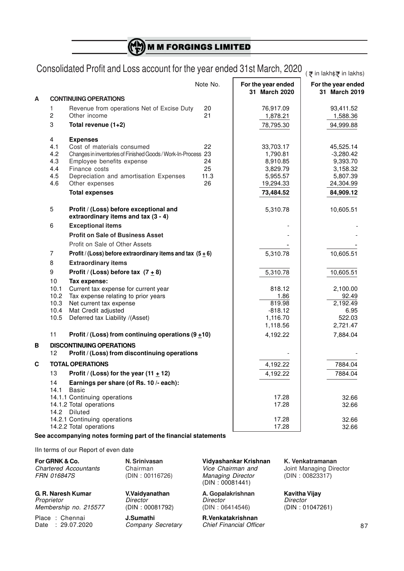(H) **M M FORGINGS LIMITED** 

# Consolidated Profit and Loss account for the year ended 31st March, 2020  $_{(\bar{\vec{\tau}}^{\text{ in } \text{lakh}\xi\bar{\vec{\tau}}^{\text{ in } \text{lakhs}})}}$

|   |                |                                                                               | Note No. | For the year ended<br>31 March 2020 | For the year ended<br>31 March 2019 |
|---|----------------|-------------------------------------------------------------------------------|----------|-------------------------------------|-------------------------------------|
| Α |                | <b>CONTINUING OPERATIONS</b>                                                  |          |                                     |                                     |
|   | 1              | Revenue from operations Net of Excise Duty                                    | 20       | 76,917.09                           | 93,411.52                           |
|   | $\overline{c}$ | Other income                                                                  | 21       | 1,878.21                            | 1,588.36                            |
|   | 3              | Total revenue $(1+2)$                                                         |          | 78,795.30                           | 94,999.88                           |
|   | 4              | <b>Expenses</b>                                                               |          |                                     |                                     |
|   | 4.1            | Cost of materials consumed                                                    | 22       | 33,703.17                           | 45,525.14                           |
|   | 4.2            | Changes in inventories of Finished Goods / Work-In-Process 23                 |          | 1,790.81                            | $-3,280.42$                         |
|   | 4.3            | Employee benefits expense                                                     | 24       | 8,910.85                            | 9,393.70                            |
|   | 4.4            | Finance costs                                                                 | 25       | 3,829.79                            | 3,158.32                            |
|   | 4.5            | Depreciation and amortisation Expenses                                        | 11.3     | 5,955.57                            | 5,807.39                            |
|   | 4.6            | Other expenses                                                                | 26       | 19,294.33                           | 24,304.99                           |
|   |                | <b>Total expenses</b>                                                         |          | 73,484.52                           | 84,909.12                           |
|   | $\overline{5}$ | Profit / (Loss) before exceptional and<br>extraordinary items and tax (3 - 4) |          | 5,310.78                            | 10,605.51                           |
|   | 6              | <b>Exceptional items</b>                                                      |          |                                     |                                     |
|   |                | <b>Profit on Sale of Business Asset</b>                                       |          |                                     |                                     |
|   |                | Profit on Sale of Other Assets                                                |          |                                     |                                     |
|   | 7              | Profit / (Loss) before extraordinary items and tax $(5 \pm 6)$                |          | 5,310.78                            | 10,605.51                           |
|   | 8              | <b>Extraordinary items</b>                                                    |          |                                     |                                     |
|   |                |                                                                               |          |                                     |                                     |
|   | 9              | Profit / (Loss) before tax $(7 + 8)$                                          |          | 5,310.78                            | 10,605.51                           |
|   | 10             | Tax expense:                                                                  |          |                                     |                                     |
|   | 10.1           | Current tax expense for current year                                          |          | 818.12                              | 2,100.00                            |
|   | 10.2<br>10.3   | Tax expense relating to prior years                                           |          | 1.86<br>819.98                      | 92.49<br>2,192.49                   |
|   | 10.4           | Net current tax expense<br>Mat Credit adjusted                                |          | $-818.12$                           | 6.95                                |
|   | 10.5           | Deferred tax Liability /(Asset)                                               |          | 1,116.70                            | 522.03                              |
|   |                |                                                                               |          | 1,118.56                            | 2,721.47                            |
|   | 11             | Profit / (Loss) from continuing operations $(9 \pm 10)$                       |          | 4,192.22                            | 7,884.04                            |
| B |                | <b>DISCONTINUING OPERATIONS</b>                                               |          |                                     |                                     |
|   | 12             | Profit / (Loss) from discontinuing operations                                 |          |                                     |                                     |
| C |                | <b>TOTAL OPERATIONS</b>                                                       |          | 4,192.22                            | 7884.04                             |
|   | 13             | Profit / (Loss) for the year (11 $\pm$ 12)                                    |          | 4,192.22                            | 7884.04                             |
|   | 14             | Earnings per share (of Rs. 10 /- each):                                       |          |                                     |                                     |
|   | 14.1           | Basic                                                                         |          |                                     |                                     |
|   |                | 14.1.1 Continuing operations                                                  |          | 17.28                               | 32.66                               |
|   |                | 14.1.2 Total operations                                                       |          | 17.28                               | 32.66                               |
|   | 14.2           | Diluted                                                                       |          |                                     |                                     |
|   |                | 14.2.1 Continuing operations                                                  |          | 17.28                               | 32.66                               |
|   |                | 14.2.2 Total operations                                                       |          | 17.28                               | 32.66                               |

### **See accompanying notes forming part of the financial statements**

IIn terms of our Report of even date

| For GRNK & Co.               | N. Srinivasa |
|------------------------------|--------------|
| <b>Chartered Accountants</b> | Chairman     |
| <b>FRN 016847S</b>           | (DIN: 00116  |

**G. R. Naresh Kumar V.Vaidyanathan A. Gopalakrishnan Kavitha Vijay** *Proprietor Director Director Director Membership no. 215577* 

 $Company$  Secretary

**For GRNK & Co. N. Srinivasan Vidyashankar Krishnan K. Venkatramanan** *FRA* 00823317) *Managing Director* (DIN : 00823317) (DIN : 00081441)

Place : Chennai **J.Sumathi R.Venkatakrishnan**

**Joint Managing Director**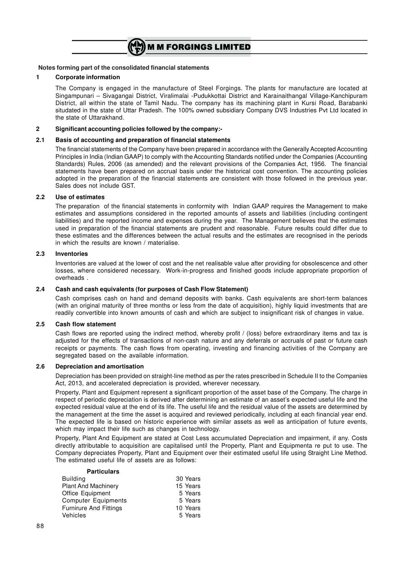

#### **1 Corporate information**

The Company is engaged in the manufacture of Steel Forgings. The plants for manufacture are located at Singampunari – Sivagangai District, Viralimalai -Pudukkottai District and Karainaithangal Village-Kanchipuram District, all within the state of Tamil Nadu. The company has its machining plant in Kursi Road, Barabanki situdated in the state of Uttar Pradesh. The 100% owned subsidiary Company DVS Industries Pvt Ltd located in the state of Uttarakhand.

#### **2 Significant accounting policies followed by the company:-**

#### **2.1 Basis of accounting and preparation of financial statements**

The financial statements of the Company have been prepared in accordance with the Generally Accepted Accounting Principles in India (Indian GAAP) to comply with the Accounting Standards notified under the Companies (Accounting Standards) Rules, 2006 (as amended) and the relevant provisions of the Companies Act, 1956. The financial statements have been prepared on accrual basis under the historical cost convention. The accounting policies adopted in the preparation of the financial statements are consistent with those followed in the previous year. Sales does not include GST.

#### **2.2 Use of estimates**

The preparation of the financial statements in conformity with Indian GAAP requires the Management to make estimates and assumptions considered in the reported amounts of assets and liabilities (including contingent liabilities) and the reported income and expenses during the year. The Management believes that the estimates used in preparation of the financial statements are prudent and reasonable. Future results could differ due to these estimates and the differences between the actual results and the estimates are recognised in the periods in which the results are known / materialise.

#### **2.3 Inventories**

Inventories are valued at the lower of cost and the net realisable value after providing for obsolescence and other losses, where considered necessary. Work-in-progress and finished goods include appropriate proportion of overheads .

#### **2.4 Cash and cash equivalents (for purposes of Cash Flow Statement)**

Cash comprises cash on hand and demand deposits with banks. Cash equivalents are short-term balances (with an original maturity of three months or less from the date of acquisition), highly liquid investments that are readily convertible into known amounts of cash and which are subject to insignificant risk of changes in value.

#### **2.5 Cash flow statement**

Cash flows are reported using the indirect method, whereby profit / (loss) before extraordinary items and tax is adjusted for the effects of transactions of non-cash nature and any deferrals or accruals of past or future cash receipts or payments. The cash flows from operating, investing and financing activities of the Company are segregated based on the available information.

#### **2.6 Depreciation and amortisation**

Depreciation has been provided on straight-line method as per the rates prescribed in Schedule II to the Companies Act, 2013, and accelerated depreciation is provided, wherever necessary.

Property, Plant and Equipment represent a significant proportion of the asset base of the Company. The charge in respect of periodic depreciation is derived after determining an estimate of an asset's expected useful life and the expected residual value at the end of its life. The useful life and the residual value of the assets are determined by the management at the time the asset is acquired and reviewed periodically, including at each financial year end. The expected life is based on historic experience with similar assets as well as anticipation of future events, which may impact their life such as changes in technology.

Property, Plant And Equipment are stated at Cost Less accumulated Depreciation and impairment, if any. Costs directly attributable to acquisition are capitalised until the Property, Plant and Equipmenta re put to use. The Company depreciates Property, Plant and Equipment over their estimated useful life using Straight Line Method. The estimated useful life of assets are as follows:

#### **Particulars**

| 30 Years |
|----------|
| 15 Years |
| 5 Years  |
| 5 Years  |
| 10 Years |
| 5 Years  |
|          |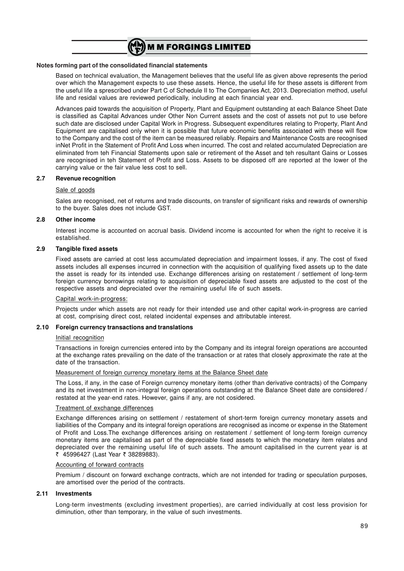

Based on technical evaluation, the Management believes that the useful life as given above represents the period over which the Management expects to use these assets. Hence, the useful life for these assets is different from the useful life a sprescribed under Part C of Schedule II to The Companies Act, 2013. Depreciation method, useful life and residal values are reviewed periodically, including at each financial year end.

Advances paid towards the acquisition of Property, Plant and Equipment outstanding at each Balance Sheet Date is classified as Capital Advances under Other Non Current assets and the cost of assets not put to use before such date are disclosed under Capital Work in Progress. Subsequent expenditures relating to Property, Plant And Equipment are capitalised only when it is possible that future economic benefits associated with these will flow to the Company and the cost of the item can be measured reliably. Repairs and Maintenance Costs are recognised inNet Profit in the Statement of Profit And Loss when incurred. The cost and related accumulated Depreciation are eliminated from teh Financial Statements upon sale or retirement of the Asset and teh resultant Gains or Losses are recognised in teh Statement of Profit and Loss. Assets to be disposed off are reported at the lower of the carrying value or the fair value less cost to sell.

#### **2.7 Revenue recognition**

#### Sale of goods

Sales are recognised, net of returns and trade discounts, on transfer of significant risks and rewards of ownership to the buyer. Sales does not include GST.

#### **2.8 Other income**

Interest income is accounted on accrual basis. Dividend income is accounted for when the right to receive it is established.

#### **2.9 Tangible fixed assets**

Fixed assets are carried at cost less accumulated depreciation and impairment losses, if any. The cost of fixed assets includes all expenses incurred in connection with the acquisition of qualifying fixed assets up to the date the asset is ready for its intended use. Exchange differences arising on restatement / settlement of long-term foreign currency borrowings relating to acquisition of depreciable fixed assets are adjusted to the cost of the respective assets and depreciated over the remaining useful life of such assets.

#### Capital work-in-progress:

Projects under which assets are not ready for their intended use and other capital work-in-progress are carried at cost, comprising direct cost, related incidental expenses and attributable interest.

#### **2.10 Foreign currency transactions and translations**

#### Initial recognition

Transactions in foreign currencies entered into by the Company and its integral foreign operations are accounted at the exchange rates prevailing on the date of the transaction or at rates that closely approximate the rate at the date of the transaction.

#### Measurement of foreign currency monetary items at the Balance Sheet date

The Loss, if any, in the case of Foreign currency monetary items (other than derivative contracts) of the Company and its net investment in non-integral foreign operations outstanding at the Balance Sheet date are considered / restated at the year-end rates. However, gains if any, are not cosidered.

#### Treatment of exchange differences

Exchange differences arising on settlement / restatement of short-term foreign currency monetary assets and liabilities of the Company and its integral foreign operations are recognised as income or expense in the Statement of Profit and Loss.The exchange differences arising on restatement / settlement of long-term foreign currency monetary items are capitalised as part of the depreciable fixed assets to which the monetary item relates and depreciated over the remaining useful life of such assets. The amount capitalised in the current year is at ₹ 45996427 (Last Year ₹ 38289883).

#### Accounting of forward contracts

Premium / discount on forward exchange contracts, which are not intended for trading or speculation purposes, are amortised over the period of the contracts.

#### **2.11 Investments**

Long-term investments (excluding investment properties), are carried individually at cost less provision for diminution, other than temporary, in the value of such investments.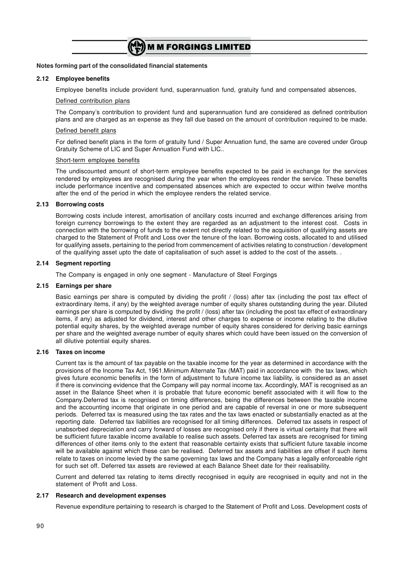

#### **2.12 Employee benefits**

Employee benefits include provident fund, superannuation fund, gratuity fund and compensated absences,

#### Defined contribution plans

The Company's contribution to provident fund and superannuation fund are considered as defined contribution plans and are charged as an expense as they fall due based on the amount of contribution required to be made.

#### Defined benefit plans

For defined benefit plans in the form of gratuity fund / Super Annuation fund, the same are covered under Group Gratuity Scheme of LIC and Super Annuation Fund with LIC..

#### Short-term employee benefits

The undiscounted amount of short-term employee benefits expected to be paid in exchange for the services rendered by employees are recognised during the year when the employees render the service. These benefits include performance incentive and compensated absences which are expected to occur within twelve months after the end of the period in which the employee renders the related service.

#### **2.13 Borrowing costs**

Borrowing costs include interest, amortisation of ancillary costs incurred and exchange differences arising from foreign currency borrowings to the extent they are regarded as an adjustment to the interest cost. Costs in connection with the borrowing of funds to the extent not directly related to the acquisition of qualifying assets are charged to the Statement of Profit and Loss over the tenure of the loan. Borrowing costs, allocated to and utilised for qualifying assets, pertaining to the period from commencement of activities relating to construction / development of the qualifying asset upto the date of capitalisation of such asset is added to the cost of the assets. .

### **2.14 Segment reporting**

The Company is engaged in only one segment - Manufacture of Steel Forgings

#### **2.15 Earnings per share**

Basic earnings per share is computed by dividing the profit / (loss) after tax (including the post tax effect of extraordinary items, if any) by the weighted average number of equity shares outstanding during the year. Diluted earnings per share is computed by dividing the profit / (loss) after tax (including the post tax effect of extraordinary items, if any) as adjusted for dividend, interest and other charges to expense or income relating to the dilutive potential equity shares, by the weighted average number of equity shares considered for deriving basic earnings per share and the weighted average number of equity shares which could have been issued on the conversion of all dilutive potential equity shares.

#### **2.16 Taxes on income**

Current tax is the amount of tax payable on the taxable income for the year as determined in accordance with the provisions of the Income Tax Act, 1961.Minimum Alternate Tax (MAT) paid in accordance with the tax laws, which gives future economic benefits in the form of adjustment to future income tax liability, is considered as an asset if there is convincing evidence that the Company will pay normal income tax. Accordingly, MAT is recognised as an asset in the Balance Sheet when it is probable that future economic benefit associated with it will flow to the Company.Deferred tax is recognised on timing differences, being the differences between the taxable income and the accounting income that originate in one period and are capable of reversal in one or more subsequent periods. Deferred tax is measured using the tax rates and the tax laws enacted or substantially enacted as at the reporting date. Deferred tax liabilities are recognised for all timing differences. Deferred tax assets in respect of unabsorbed depreciation and carry forward of losses are recognised only if there is virtual certainty that there will be sufficient future taxable income available to realise such assets. Deferred tax assets are recognised for timing differences of other items only to the extent that reasonable certainty exists that sufficient future taxable income will be available against which these can be realised. Deferred tax assets and liabilities are offset if such items relate to taxes on income levied by the same governing tax laws and the Company has a legally enforceable right for such set off. Deferred tax assets are reviewed at each Balance Sheet date for their realisability.

Current and deferred tax relating to items directly recognised in equity are recognised in equity and not in the statement of Profit and Loss.

#### **2.17 Research and development expenses**

Revenue expenditure pertaining to research is charged to the Statement of Profit and Loss. Development costs of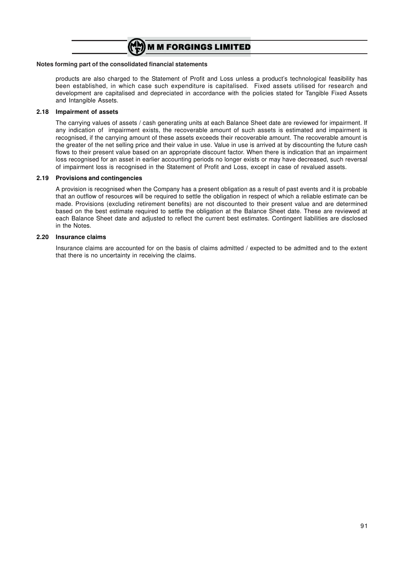

products are also charged to the Statement of Profit and Loss unless a product's technological feasibility has been established, in which case such expenditure is capitalised. Fixed assets utilised for research and development are capitalised and depreciated in accordance with the policies stated for Tangible Fixed Assets and Intangible Assets.

#### **2.18 Impairment of assets**

The carrying values of assets / cash generating units at each Balance Sheet date are reviewed for impairment. If any indication of impairment exists, the recoverable amount of such assets is estimated and impairment is recognised, if the carrying amount of these assets exceeds their recoverable amount. The recoverable amount is the greater of the net selling price and their value in use. Value in use is arrived at by discounting the future cash flows to their present value based on an appropriate discount factor. When there is indication that an impairment loss recognised for an asset in earlier accounting periods no longer exists or may have decreased, such reversal of impairment loss is recognised in the Statement of Profit and Loss, except in case of revalued assets.

#### **2.19 Provisions and contingencies**

A provision is recognised when the Company has a present obligation as a result of past events and it is probable that an outflow of resources will be required to settle the obligation in respect of which a reliable estimate can be made. Provisions (excluding retirement benefits) are not discounted to their present value and are determined based on the best estimate required to settle the obligation at the Balance Sheet date. These are reviewed at each Balance Sheet date and adjusted to reflect the current best estimates. Contingent liabilities are disclosed in the Notes.

#### **2.20 Insurance claims**

Insurance claims are accounted for on the basis of claims admitted / expected to be admitted and to the extent that there is no uncertainty in receiving the claims.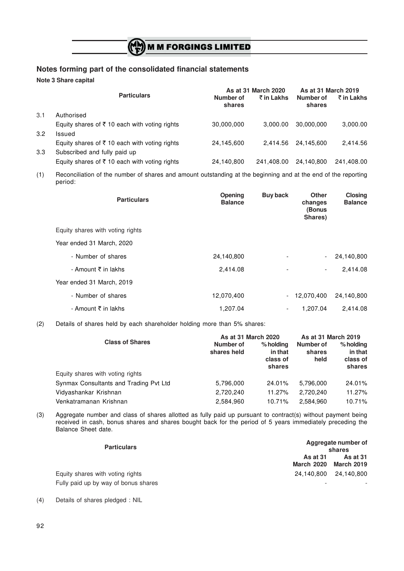# $\binom{M}{F}$  M M FORGINGS LIMITED

# **Notes forming part of the consolidated financial statements**

**Note 3 Share capital**

|     |                                                          |                     | As at 31 March 2020 | As at 31 March 2019 |            |
|-----|----------------------------------------------------------|---------------------|---------------------|---------------------|------------|
|     | <b>Particulars</b>                                       | Number of<br>shares | ₹ in Lakhs          | Number of<br>shares | ₹ in Lakhs |
| 3.1 | Authorised                                               |                     |                     |                     |            |
|     | Equity shares of ₹10 each with voting rights             | 30,000,000          | 3.000.00            | 30.000.000          | 3,000.00   |
| 3.2 | Issued                                                   |                     |                     |                     |            |
|     | Equity shares of $\bar{\tau}$ 10 each with voting rights | 24,145,600          | 2.414.56            | 24.145.600          | 2,414.56   |
| 3.3 | Subscribed and fully paid up                             |                     |                     |                     |            |
|     | Equity shares of ₹10 each with voting rights             | 24,140,800          | 241.408.00          | 24,140,800          | 241,408.00 |

(1) Reconciliation of the number of shares and amount outstanding at the beginning and at the end of the reporting period:

| <b>Particulars</b>               | <b>Opening</b><br><b>Balance</b> | <b>Buy back</b>          | <b>Other</b><br>changes<br>(Bonus<br>Shares) | Closing<br><b>Balance</b> |
|----------------------------------|----------------------------------|--------------------------|----------------------------------------------|---------------------------|
| Equity shares with voting rights |                                  |                          |                                              |                           |
| Year ended 31 March, 2020        |                                  |                          |                                              |                           |
| - Number of shares               | 24,140,800                       |                          |                                              | 24,140,800                |
| - Amount ₹ in lakhs              | 2,414.08                         | -                        | $\sim$                                       | 2,414.08                  |
| Year ended 31 March, 2019        |                                  |                          |                                              |                           |
| - Number of shares               | 12,070,400                       |                          | 12,070,400                                   | 24,140,800                |
| - Amount ₹ in lakhs              | 1.207.04                         | $\overline{\phantom{a}}$ | 1.207.04                                     | 2.414.08                  |

(2) Details of shares held by each shareholder holding more than 5% shares:

|                                        | As at 31 March 2020      |                                            | As at 31 March 2019         |                                              |
|----------------------------------------|--------------------------|--------------------------------------------|-----------------------------|----------------------------------------------|
| <b>Class of Shares</b>                 | Number of<br>shares held | % holding<br>in that<br>class of<br>shares | Number of<br>shares<br>held | $%$ holding<br>in that<br>class of<br>shares |
| Equity shares with voting rights       |                          |                                            |                             |                                              |
| Synmax Consultants and Trading Pvt Ltd | 5,796,000                | 24.01%                                     | 5.796.000                   | 24.01%                                       |
| Vidyashankar Krishnan                  | 2,720,240                | 11.27%                                     | 2.720.240                   | 11.27%                                       |
| Venkatramanan Krishnan                 | 2,584,960                | 10.71%                                     | 2.584.960                   | 10.71%                                       |

(3) Aggregate number and class of shares allotted as fully paid up pursuant to contract(s) without payment being received in cash, bonus shares and shares bought back for the period of 5 years immediately preceding the Balance Sheet date.

| <b>Particulars</b>                   |                                      | Aggregate number of<br>shares        |
|--------------------------------------|--------------------------------------|--------------------------------------|
|                                      | <b>As at 31</b><br><b>March 2020</b> | <b>As at 31</b><br><b>March 2019</b> |
| Equity shares with voting rights     |                                      | 24.140.800 24.140.800                |
| Fully paid up by way of bonus shares | $\overline{\phantom{a}}$             |                                      |

(4) Details of shares pledged : NIL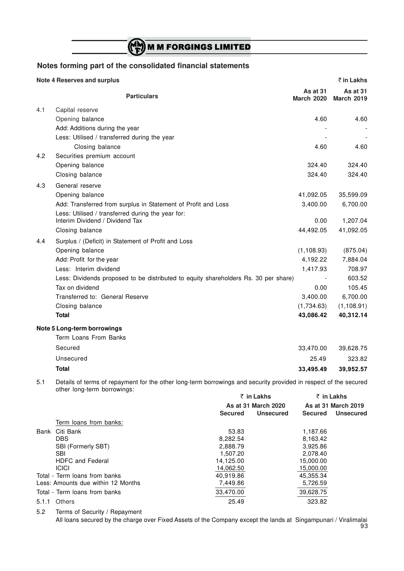# (N) M M FORGINGS LIMITED

# **Notes forming part of the consolidated financial statements**

### **Note 4 Reserves and surplus** ` **in Lakhs**

|     | <b>Particulars</b>                                                                                                                              | <b>As at 31</b><br><b>March 2020</b> | <b>As at 31</b><br><b>March 2019</b> |
|-----|-------------------------------------------------------------------------------------------------------------------------------------------------|--------------------------------------|--------------------------------------|
| 4.1 | Capital reserve                                                                                                                                 |                                      |                                      |
|     | Opening balance                                                                                                                                 | 4.60                                 | 4.60                                 |
|     | Add: Additions during the year                                                                                                                  |                                      |                                      |
|     | Less: Utilised / transferred during the year                                                                                                    |                                      |                                      |
|     | Closing balance                                                                                                                                 | 4.60                                 | 4.60                                 |
| 4.2 | Securities premium account                                                                                                                      |                                      |                                      |
|     | Opening balance                                                                                                                                 | 324.40                               | 324.40                               |
|     | Closing balance                                                                                                                                 | 324.40                               | 324.40                               |
| 4.3 | General reserve                                                                                                                                 |                                      |                                      |
|     | Opening balance                                                                                                                                 | 41,092.05                            | 35,599.09                            |
|     | Add: Transferred from surplus in Statement of Profit and Loss                                                                                   | 3,400.00                             | 6,700.00                             |
|     | Less: Utilised / transferred during the year for:                                                                                               |                                      |                                      |
|     | Interim Dividend / Dividend Tax                                                                                                                 | 0.00                                 | 1,207.04                             |
|     | Closing balance                                                                                                                                 | 44,492.05                            | 41,092.05                            |
| 4.4 | Surplus / (Deficit) in Statement of Profit and Loss                                                                                             |                                      |                                      |
|     | Opening balance                                                                                                                                 | (1, 108.93)                          | (875.04)                             |
|     | Add: Profit for the year                                                                                                                        | 4,192.22                             | 7,884.04                             |
|     | Less: Interim dividend                                                                                                                          | 1,417.93                             | 708.97                               |
|     | Less: Dividends proposed to be distributed to equity shareholders Rs. 30 per share)                                                             |                                      | 603.52                               |
|     | Tax on dividend                                                                                                                                 | 0.00                                 | 105.45                               |
|     | Transferred to: General Reserve                                                                                                                 | 3,400.00                             | 6,700.00                             |
|     | Closing balance                                                                                                                                 | (1,734.63)                           | (1, 108.91)                          |
|     | <b>Total</b>                                                                                                                                    | 43,086.42                            | 40,312.14                            |
|     | Note 5 Long-term borrowings                                                                                                                     |                                      |                                      |
|     | Term Loans From Banks                                                                                                                           |                                      |                                      |
|     | Secured                                                                                                                                         | 33,470.00                            | 39,628.75                            |
|     | Unsecured                                                                                                                                       | 25.49                                | 323.82                               |
|     | <b>Total</b>                                                                                                                                    | 33,495.49                            | 39,952.57                            |
|     |                                                                                                                                                 |                                      |                                      |
| 5.1 | Details of terms of repayment for the other long-term borrowings and security provided in respect of the secured<br>other long-term borrowings: |                                      |                                      |
|     | ₹ in Lakhs                                                                                                                                      |                                      | ₹ in Lakhs                           |
|     | As at 31 March 2020                                                                                                                             |                                      | As at 31 March 2019                  |

|       |                                    | <b>Secured</b> | <b>Unsecured</b><br><b>Secured</b> | <b>Unsecured</b> |
|-------|------------------------------------|----------------|------------------------------------|------------------|
|       | Term loans from banks:             |                |                                    |                  |
| Bank  | Citi Bank                          | 53.83          | 1,187.66                           |                  |
|       | <b>DBS</b>                         | 8,282.54       | 8,163.42                           |                  |
|       | <b>SBI (Formerly SBT)</b>          | 2,888.79       | 3,925.86                           |                  |
|       | <b>SBI</b>                         | 1,507.20       | 2,078.40                           |                  |
|       | <b>HDFC</b> and Federal            | 14,125.00      | 15,000.00                          |                  |
|       | <b>ICICI</b>                       | 14,062.50      | 15,000.00                          |                  |
|       | Total - Term loans from banks      | 40,919.86      | 45,355.34                          |                  |
|       | Less: Amounts due within 12 Months | 7,449.86       | 5,726.59                           |                  |
|       | Total - Term loans from banks      | 33,470.00      | 39,628.75                          |                  |
| 5.1.1 | Others                             | 25.49          | 323.82                             |                  |

5.2 Terms of Security / Repayment

All loans secured by the charge over Fixed Assets of the Company except the lands at Singampunari / Viralimalai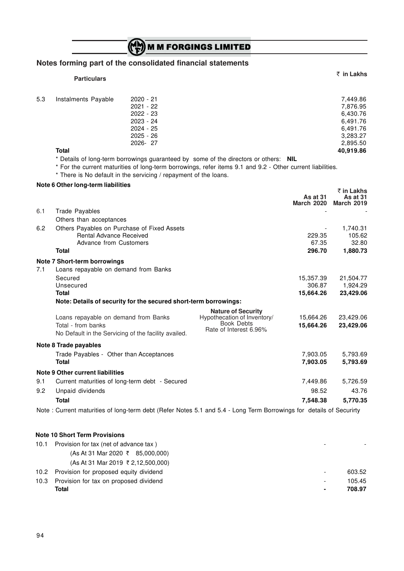# (CH) M M FORGINGS LIMITED

# **Notes forming part of the consolidated financial statements**

|      | <b>Particulars</b>                                                                                                 |                                                                              |                                                                                                                                                                                                    |                                  | ₹ in Lakhs                                                           |
|------|--------------------------------------------------------------------------------------------------------------------|------------------------------------------------------------------------------|----------------------------------------------------------------------------------------------------------------------------------------------------------------------------------------------------|----------------------------------|----------------------------------------------------------------------|
|      |                                                                                                                    |                                                                              |                                                                                                                                                                                                    |                                  |                                                                      |
| 5.3  | Instalments Payable                                                                                                | 2020 - 21<br>$2021 - 22$<br>2022 - 23<br>2023 - 24<br>2024 - 25<br>2025 - 26 |                                                                                                                                                                                                    |                                  | 7,449.86<br>7,876.95<br>6,430.76<br>6,491.76<br>6,491.76<br>3,283.27 |
|      |                                                                                                                    | 2026-27                                                                      |                                                                                                                                                                                                    |                                  | 2,895.50                                                             |
|      | <b>Total</b><br>* There is No default in the servicing / repayment of the loans.                                   |                                                                              | * Details of long-term borrowings guaranteed by some of the directors or others: NIL<br>* For the current maturities of long-term borrowings, refer items 9.1 and 9.2 - Other current liabilities. |                                  | 40,919.86                                                            |
|      | Note 6 Other long-term liabilities                                                                                 |                                                                              |                                                                                                                                                                                                    |                                  | ₹ in Lakhs                                                           |
|      |                                                                                                                    |                                                                              |                                                                                                                                                                                                    | As at 31<br><b>March 2020</b>    | As at $31$<br><b>March 2019</b>                                      |
| 6.1  | <b>Trade Payables</b><br>Others than acceptances                                                                   |                                                                              |                                                                                                                                                                                                    |                                  |                                                                      |
| 6.2  | Others Payables on Purchase of Fixed Assets<br><b>Rental Advance Received</b><br>Advance from Customers            |                                                                              |                                                                                                                                                                                                    | 229.35<br>67.35                  | 1,740.31<br>105.62<br>32.80                                          |
|      | <b>Total</b>                                                                                                       |                                                                              |                                                                                                                                                                                                    | 296.70                           | 1,880.73                                                             |
| 7.1  | Note 7 Short-term borrowings<br>Loans repayable on demand from Banks                                               |                                                                              |                                                                                                                                                                                                    |                                  |                                                                      |
|      | Secured<br>Unsecured<br><b>Total</b>                                                                               |                                                                              |                                                                                                                                                                                                    | 15,357.39<br>306.87<br>15,664.26 | 21,504.77<br>1,924.29<br>23,429.06                                   |
|      | Note: Details of security for the secured short-term borrowings:                                                   |                                                                              |                                                                                                                                                                                                    |                                  |                                                                      |
|      | Loans repayable on demand from Banks<br>Total - from banks<br>No Default in the Servicing of the facility availed. |                                                                              | <b>Nature of Security</b><br>Hypothecation of Inventory/<br><b>Book Debts</b><br>Rate of Interest 6.96%                                                                                            | 15,664.26<br>15,664.26           | 23,429.06<br>23,429.06                                               |
|      | <b>Note 8 Trade payables</b>                                                                                       |                                                                              |                                                                                                                                                                                                    |                                  |                                                                      |
|      | Trade Payables - Other than Acceptances<br><b>Total</b>                                                            |                                                                              |                                                                                                                                                                                                    | 7,903.05<br>7,903.05             | 5,793.69<br>5,793.69                                                 |
|      | <b>Note 9 Other current liabilities</b>                                                                            |                                                                              |                                                                                                                                                                                                    |                                  |                                                                      |
| 9.1  | Current maturities of long-term debt - Secured                                                                     |                                                                              |                                                                                                                                                                                                    | 7,449.86                         | 5,726.59                                                             |
| 9.2  | Unpaid dividends                                                                                                   |                                                                              |                                                                                                                                                                                                    | 98.52                            | 43.76                                                                |
|      | <b>Total</b>                                                                                                       |                                                                              | Note: Current maturities of long-term debt (Refer Notes 5.1 and 5.4 - Long Term Borrowings for details of Securirty                                                                                | 7,548.38                         | 5,770.35                                                             |
|      |                                                                                                                    |                                                                              |                                                                                                                                                                                                    |                                  |                                                                      |
| 10.1 | <b>Note 10 Short Term Provisions</b><br>Provision for tax (net of advance tax)                                     |                                                                              |                                                                                                                                                                                                    |                                  |                                                                      |
|      | (As At 31 Mar 2020 ₹ 85,000,000)                                                                                   |                                                                              |                                                                                                                                                                                                    |                                  |                                                                      |
|      | (As At 31 Mar 2019 ₹ 2,12,500,000)                                                                                 |                                                                              |                                                                                                                                                                                                    |                                  |                                                                      |

10.2 Provision for proposed equity dividend  $\sim$  603.52 10.3 Provision for tax on proposed dividend and the state of the 105.45 contract of the 105.45 contract of the 105.45 contract of the 105.45 contract of the 105.45 contract of the 105.45 contract of the 105.45 contract of **Total - 708.97**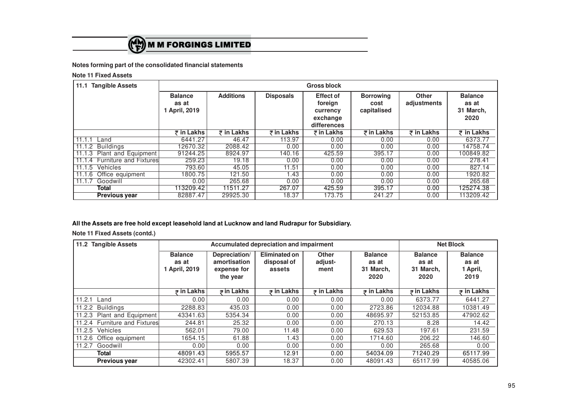

**Note 11 Fixed Assets**

| <b>Tangible Assets</b><br>11.1 |                                          | <b>Gross block</b> |                       |                                                                    |                                         |                             |                                              |
|--------------------------------|------------------------------------------|--------------------|-----------------------|--------------------------------------------------------------------|-----------------------------------------|-----------------------------|----------------------------------------------|
|                                | <b>Balance</b><br>as at<br>1 April, 2019 | <b>Additions</b>   | <b>Disposals</b>      | <b>Effect of</b><br>foreign<br>currency<br>exchange<br>differences | <b>Borrowing</b><br>cost<br>capitalised | <b>Other</b><br>adjustments | <b>Balance</b><br>as at<br>31 March,<br>2020 |
|                                | ₹ in Lakhs                               | $\bar{z}$ in Lakhs | $\bar{\tau}$ in Lakhs | ₹ in Lakhs                                                         | $\bar{\tau}$ in Lakhs                   | ₹ in Lakhs                  | $\overline{z}$ in Lakhs                      |
| 11.1.1<br>Land                 | 6441.27                                  | 46.47              | 113.97                | 0.00                                                               | 0.00                                    | 0.00                        | 6373.77                                      |
| Buildings<br>11.1.2            | 12670.32                                 | 2088.42            | 0.00                  | 0.00                                                               | 0.00                                    | 0.00                        | 14758.74                                     |
| 11.1.3<br>Plant and Equipment  | 91244.25                                 | 8924.97            | 140.16                | 425.59                                                             | 395.17                                  | 0.00                        | 100849.82                                    |
| 11.1.4 Furniture and Fixtures  | 259.23                                   | 19.18              | 0.00                  | 0.00                                                               | 0.00                                    | 0.00                        | 278.41                                       |
| Vehicles<br>11.1.5             | 793.60                                   | 45.05              | 11.51                 | 0.00                                                               | 0.00                                    | 0.00                        | 827.14                                       |
| 11.1.6<br>Office equipment     | 1800.75                                  | 121.50             | l.43                  | 0.00                                                               | 0.00                                    | 0.00                        | 1920.82                                      |
| Goodwill<br>11.1.7             | 0.00                                     | 265.68             | 0.00                  | 0.00                                                               | 0.00                                    | 0.00                        | 265.68                                       |
| Total                          | 113209.42                                | 11511.27           | 267.07                | 425.59                                                             | 395.17                                  | 0.00                        | 125274.38                                    |
| <b>Previous year</b>           | 82887.47                                 | 29925.30           | 18.37                 | 173.75                                                             | 241.27                                  | 0.00                        | 113209.42                                    |

**All the Assets are free hold except leasehold land at Lucknow and land Rudrapur for Subsidiary.**

**Note 11 Fixed Assets (contd.)**

| 11.2 Tangible Assets          | Accumulated depreciation and impairment       |                                                          |                                        |                                 |                                              | <b>Net Block</b>                             |                                             |
|-------------------------------|-----------------------------------------------|----------------------------------------------------------|----------------------------------------|---------------------------------|----------------------------------------------|----------------------------------------------|---------------------------------------------|
|                               | <b>Balance</b><br>as at<br><b>April, 2019</b> | Depreciation/<br>amortisation<br>expense for<br>the year | Eliminated on<br>disposal of<br>assets | <b>Other</b><br>adjust-<br>ment | <b>Balance</b><br>as at<br>31 March,<br>2020 | <b>Balance</b><br>as at<br>31 March,<br>2020 | <b>Balance</b><br>as at<br>1 April,<br>2019 |
|                               | $\bar{z}$ in Lakhs                            | $\overline{z}$ in Lakhs                                  | $\bar{z}$ in Lakhs                     | $\bar{z}$ in Lakhs              | $\overline{z}$ in Lakhs                      | $\bar{z}$ in Lakhs                           | $\overline{z}$ in Lakhs                     |
| 11.2.1 Land                   | 0.00                                          | 0.00                                                     | 0.00                                   | 0.00                            | 0.00                                         | 6373.77                                      | 6441.27                                     |
| 11.2.2 Buildings              | 2288.83                                       | 435.03                                                   | 0.00                                   | 0.00                            | 2723.86                                      | 12034.88                                     | 10381.49                                    |
| Plant and Equipment<br>11.2.3 | 43341.63                                      | 5354.34                                                  | 0.00                                   | 0.00                            | 48695.97                                     | 52153.85                                     | 47902.62                                    |
| 11.2.4 Furniture and Fixtures | 244.81                                        | 25.32                                                    | 0.00                                   | 0.00                            | 270.13                                       | 8.28                                         | 14.42                                       |
| Vehicles<br>11.2.5            | 562.01                                        | 79.00                                                    | 11.48                                  | 0.00                            | 629.53                                       | 197.61                                       | 231.59                                      |
| Office equipment<br>11.2.6    | 1654.15                                       | 61.88                                                    | 1.43                                   | 0.00                            | 1714.60                                      | 206.22                                       | 146.60                                      |
| Goodwill<br>11.2.7            | 0.00                                          | 0.00                                                     | 0.00                                   | 0.00                            | 0.00                                         | 265.68                                       | 0.00                                        |
| Total                         | 48091.43                                      | 5955.57                                                  | 12.91                                  | 0.00                            | 54034.09                                     | 71240.29                                     | 65117.99                                    |
| Previous year                 | 42302.41                                      | 5807.39                                                  | 18.37                                  | 0.00                            | 48091.43                                     | 65117.99                                     | 40585.06                                    |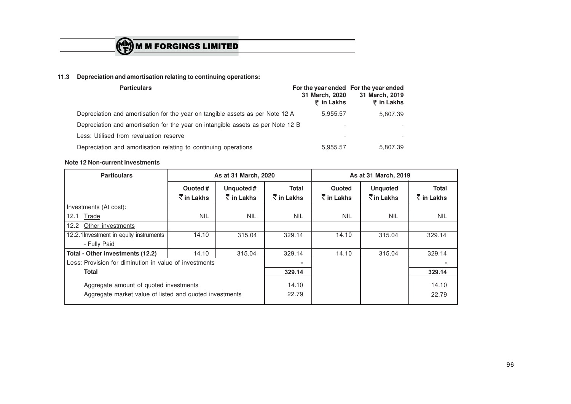

# **11.3 Depreciation and amortisation relating to continuing operations:**

| <b>Particulars</b>                                                               | For the year ended For the year ended<br>31 March, 2020<br>$\bar{\tau}$ in Lakhs | 31 March, 2019<br>₹ in Lakhs |  |
|----------------------------------------------------------------------------------|----------------------------------------------------------------------------------|------------------------------|--|
| Depreciation and amortisation for the year on tangible assets as per Note 12 A   | 5.955.57                                                                         | 5.807.39                     |  |
| Depreciation and amortisation for the year on intangible assets as per Note 12 B |                                                                                  |                              |  |
| Less: Utilised from revaluation reserve                                          |                                                                                  |                              |  |
| Depreciation and amortisation relating to continuing operations                  | 5,955.57                                                                         | 5.807.39                     |  |

### **Note 12 Non-current investments**

| <b>Particulars</b>                                                                                |                          | As at 31 March, 2020               |                                                    | As at 31 March, 2019 |                                                       |                                       |
|---------------------------------------------------------------------------------------------------|--------------------------|------------------------------------|----------------------------------------------------|----------------------|-------------------------------------------------------|---------------------------------------|
|                                                                                                   | Quoted #<br>रें in Lakhs | Unquoted#<br>$\bar{\tau}$ in Lakhs | <b>Total</b><br>$\bar{\bar{\mathcal{K}}}$ in Lakhs | Quoted<br>₹ in Lakhs | <b>Unquoted</b><br>$\bar{\bar{\mathcal{K}}}$ in Lakhs | Total<br>$\bar{\mathcal{F}}$ in Lakhs |
| Investments (At cost):                                                                            |                          |                                    |                                                    |                      |                                                       |                                       |
| 12.1<br>Trade                                                                                     | <b>NIL</b>               | <b>NIL</b>                         | <b>NIL</b>                                         | <b>NIL</b>           | <b>NIL</b>                                            | <b>NIL</b>                            |
| Other investments<br>12.2                                                                         |                          |                                    |                                                    |                      |                                                       |                                       |
| 12.2.1 Investment in equity instruments                                                           | 14.10                    | 315.04                             | 329.14                                             | 14.10                | 315.04                                                | 329.14                                |
| - Fully Paid                                                                                      |                          |                                    |                                                    |                      |                                                       |                                       |
| Total - Other investments (12.2)                                                                  | 14.10                    | 315.04                             | 329.14                                             | 14.10                | 315.04                                                | 329.14                                |
| Less: Provision for diminution in value of investments                                            |                          |                                    | $\blacksquare$                                     |                      |                                                       | $\blacksquare$                        |
| <b>Total</b>                                                                                      |                          |                                    | 329.14                                             |                      |                                                       | 329.14                                |
| Aggregate amount of quoted investments<br>Aggregate market value of listed and quoted investments |                          |                                    | 14.10<br>22.79                                     |                      |                                                       | 14.10<br>22.79                        |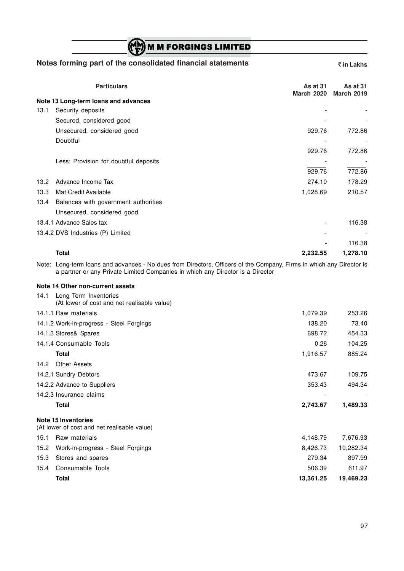# (CH) M M FORGINGS LIMITED

### **Notes forming part of the consolidated financial statements**  $\bar{\epsilon}$  **in Lakhs**

|                | <b>Particulars</b>                    | As at 31<br><b>March 2020</b> | As at $31$<br><b>March 2019</b> |
|----------------|---------------------------------------|-------------------------------|---------------------------------|
|                | Note 13 Long-term loans and advances  |                               |                                 |
| 13.1           | Security deposits                     |                               |                                 |
|                | Secured, considered good              |                               |                                 |
|                | Unsecured, considered good            | 929.76                        | 772.86                          |
|                | Doubtful                              | $\overline{\phantom{a}}$      | $\overline{\phantom{a}}$        |
|                |                                       | 929.76                        | 772.86                          |
|                | Less: Provision for doubtful deposits |                               |                                 |
|                |                                       | 929.76                        | 772.86                          |
| $13.2^{\circ}$ | Advance Income Tax                    | 274.10                        | 178.29                          |
| 13.3           | Mat Credit Available                  | 1,028.69                      | 210.57                          |
| 13.4           | Balances with government authorities  |                               |                                 |
|                | Unsecured, considered good            |                               |                                 |
|                | 13.4.1 Advance Sales tax              | $\overline{\phantom{a}}$      | 116.38                          |
|                | 13.4.2 DVS Industries (P) Limited     |                               |                                 |
|                |                                       |                               | 116.38                          |
|                | <b>Total</b>                          | 2,232.55                      | 1,278.10                        |

Note: Long-term loans and advances - No dues from Directors, Officers of the Company, Firms in which any Director is a partner or any Private Limited Companies in which any Director is a Director

## **Note 14 Other non-current assets**

| 14.1 | Long Term Inventories<br>(At lower of cost and net realisable value) |           |           |
|------|----------------------------------------------------------------------|-----------|-----------|
|      | 14.1.1 Raw materials                                                 | 1,079.39  | 253.26    |
|      | 14.1.2 Work-in-progress - Steel Forgings                             | 138.20    | 73.40     |
|      | 14.1.3 Stores& Spares                                                | 698.72    | 454.33    |
|      | 14.1.4 Consumable Tools                                              | 0.26      | 104.25    |
|      | <b>Total</b>                                                         | 1,916.57  | 885.24    |
| 14.2 | <b>Other Assets</b>                                                  |           |           |
|      | 14.2.1 Sundry Debtors                                                | 473.67    | 109.75    |
|      | 14.2.2 Advance to Suppliers                                          | 353.43    | 494.34    |
|      | 14.2.3 Insurance claims                                              |           |           |
|      | <b>Total</b>                                                         | 2,743.67  | 1,489.33  |
|      | Note 15 Inventories<br>(At lower of cost and net realisable value)   |           |           |
| 15.1 | Raw materials                                                        | 4,148.79  | 7,676.93  |
| 15.2 | Work-in-progress - Steel Forgings                                    | 8,426.73  | 10,282.34 |
| 15.3 | Stores and spares                                                    | 279.34    | 897.99    |
| 15.4 | Consumable Tools                                                     | 506.39    | 611.97    |
|      | <b>Total</b>                                                         | 13,361.25 | 19,469.23 |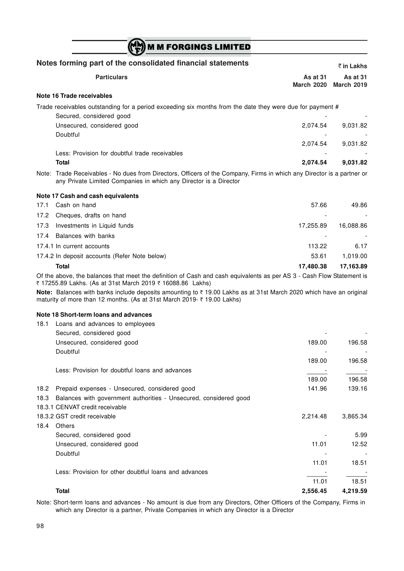|      | <b>M M FORGINGS LIMITED</b>                                                                                                                                                                  |                               |                               |
|------|----------------------------------------------------------------------------------------------------------------------------------------------------------------------------------------------|-------------------------------|-------------------------------|
|      | Notes forming part of the consolidated financial statements                                                                                                                                  |                               | ₹ in Lakhs                    |
|      | <b>Particulars</b>                                                                                                                                                                           | As at 31<br><b>March 2020</b> | As at 31<br><b>March 2019</b> |
|      | Note 16 Trade receivables                                                                                                                                                                    |                               |                               |
|      | Trade receivables outstanding for a period exceeding six months from the date they were due for payment #<br>Secured, considered good                                                        |                               |                               |
|      | Unsecured, considered good<br>Doubtful                                                                                                                                                       | 2,074.54                      | 9,031.82                      |
|      | Less: Provision for doubtful trade receivables                                                                                                                                               | 2,074.54                      | 9,031.82                      |
|      | <b>Total</b>                                                                                                                                                                                 | 2,074.54                      | 9,031.82                      |
|      | Note: Trade Receivables - No dues from Directors, Officers of the Company, Firms in which any Director is a partner or<br>any Private Limited Companies in which any Director is a Director  |                               |                               |
|      | Note 17 Cash and cash equivalents                                                                                                                                                            |                               |                               |
| 17.1 | Cash on hand                                                                                                                                                                                 | 57.66                         | 49.86                         |
| 17.2 | Cheques, drafts on hand                                                                                                                                                                      |                               |                               |
| 17.3 | Investments in Liquid funds                                                                                                                                                                  | 17,255.89                     | 16,088.86                     |
| 17.4 | Balances with banks                                                                                                                                                                          |                               |                               |
|      | 17.4.1 In current accounts                                                                                                                                                                   | 113.22                        | 6.17                          |
|      | 17.4.2 In deposit accounts (Refer Note below)                                                                                                                                                | 53.61                         | 1,019.00                      |
|      | <b>Total</b>                                                                                                                                                                                 | 17,480.38                     | 17,163.89                     |
|      | Of the above, the balances that meet the definition of Cash and cash equivalents as per AS 3 - Cash Flow Statement is<br>₹ 17255.89 Lakhs. (As at 31st March 2019 ₹ 16088.86 Lakhs)          |                               |                               |
|      | Note: Balances with banks include deposits amounting to ₹19.00 Lakhs as at 31st March 2020 which have an original<br>maturity of more than 12 months. (As at 31st March 2019- ₹ 19.00 Lakhs) |                               |                               |
|      | Note 18 Short-term loans and advances                                                                                                                                                        |                               |                               |
| 18.1 | Loans and advances to employees                                                                                                                                                              |                               |                               |
|      | Secured, considered good                                                                                                                                                                     |                               |                               |
|      | Unsecured, considered good                                                                                                                                                                   | 189.00                        | 196.58                        |
|      | Doubtful                                                                                                                                                                                     |                               |                               |
|      |                                                                                                                                                                                              | 189.00                        | 196.58                        |
|      | Less: Provision for doubtful loans and advances                                                                                                                                              |                               |                               |
|      |                                                                                                                                                                                              | 189.00                        | 196.58                        |
| 18.2 | Prepaid expenses - Unsecured, considered good                                                                                                                                                | 141.96                        | 139.16                        |
| 18.3 | Balances with government authorities - Unsecured, considered good<br>18.3.1 CENVAT credit receivable                                                                                         |                               |                               |
|      | 18.3.2 GST credit receivable                                                                                                                                                                 | 2,214.48                      | 3,865.34                      |
| 18.4 | Others                                                                                                                                                                                       |                               |                               |
|      | Secured, considered good                                                                                                                                                                     |                               | 5.99                          |
|      | Unsecured, considered good                                                                                                                                                                   | 11.01                         | 12.52                         |
|      | Doubtful                                                                                                                                                                                     |                               |                               |
|      |                                                                                                                                                                                              | 11.01                         | 18.51                         |
|      | Less: Provision for other doubtful loans and advances                                                                                                                                        |                               |                               |
|      |                                                                                                                                                                                              | 11.01                         | 18.51                         |
|      | <b>Total</b>                                                                                                                                                                                 | 2,556.45                      | 4,219.59                      |

Note: Short-term loans and advances - No amount is due from any Directors, Other Officers of the Company, Firms in which any Director is a partner, Private Companies in which any Director is a Director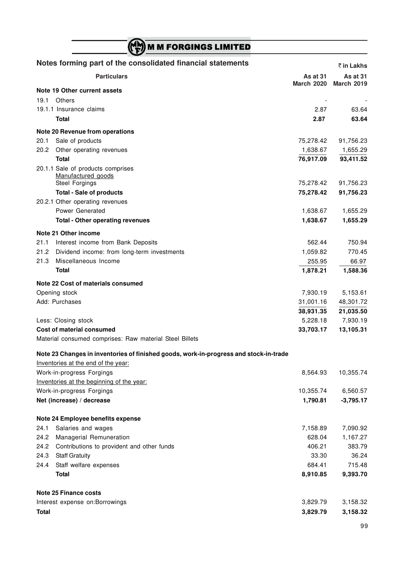|              | <b>M M FORGINGS LIMITED</b>                                                           |                   |                    |
|--------------|---------------------------------------------------------------------------------------|-------------------|--------------------|
|              | Notes forming part of the consolidated financial statements                           |                   | $\bar{z}$ in Lakhs |
|              | <b>Particulars</b>                                                                    | As at 31          | As at 31           |
|              | Note 19 Other current assets                                                          | <b>March 2020</b> | <b>March 2019</b>  |
| 19.1         | Others                                                                                |                   |                    |
|              | 19.1.1 Insurance claims                                                               | 2.87              | 63.64              |
|              | <b>Total</b>                                                                          | 2.87              | 63.64              |
|              | Note 20 Revenue from operations                                                       |                   |                    |
| 20.1         | Sale of products                                                                      | 75,278.42         | 91,756.23          |
| 20.2         | Other operating revenues                                                              | 1,638.67          | 1,655.29           |
|              | <b>Total</b>                                                                          | 76,917.09         | 93,411.52          |
|              | 20.1.1 Sale of products comprises<br>Manufactured goods                               |                   |                    |
|              | Steel Forgings                                                                        | 75,278.42         | 91,756.23          |
|              | <b>Total - Sale of products</b>                                                       | 75,278.42         | 91,756.23          |
|              | 20.2.1 Other operating revenues                                                       |                   |                    |
|              | Power Generated                                                                       | 1,638.67          | 1,655.29           |
|              | <b>Total - Other operating revenues</b>                                               | 1,638.67          | 1,655.29           |
|              |                                                                                       |                   |                    |
|              | Note 21 Other income                                                                  |                   |                    |
| 21.1         | Interest income from Bank Deposits                                                    | 562.44            | 750.94             |
| 21.2         | Dividend income: from long-term investments                                           | 1,059.82          | 770.45             |
| 21.3         | Miscellaneous Income                                                                  | 255.95            | 66.97              |
|              | Total                                                                                 | 1,878.21          | 1,588.36           |
|              | Note 22 Cost of materials consumed                                                    |                   |                    |
|              | Opening stock                                                                         | 7,930.19          | 5,153.61           |
|              | Add: Purchases                                                                        | 31,001.16         | 48,301.72          |
|              |                                                                                       | 38,931.35         | 21,035.50          |
|              | Less: Closing stock                                                                   | 5,228.18          | 7,930.19           |
|              | Cost of material consumed                                                             | 33,703.17         | 13,105.31          |
|              | Material consumed comprises: Raw material Steel Billets                               |                   |                    |
|              | Note 23 Changes in inventories of finished goods, work-in-progress and stock-in-trade |                   |                    |
|              | Inventories at the end of the year:                                                   |                   |                    |
|              | Work-in-progress Forgings                                                             | 8,564.93          | 10,355.74          |
|              | Inventories at the beginning of the year:                                             |                   |                    |
|              | Work-in-progress Forgings                                                             | 10,355.74         | 6,560.57           |
|              | Net (increase) / decrease                                                             | 1,790.81          | $-3,795.17$        |
|              | Note 24 Employee benefits expense                                                     |                   |                    |
| 24.1         | Salaries and wages                                                                    | 7,158.89          | 7,090.92           |
| 24.2         | Managerial Remuneration                                                               | 628.04            | 1,167.27           |
| 24.2         | Contributions to provident and other funds                                            | 406.21            | 383.79             |
| 24.3         | <b>Staff Gratuity</b>                                                                 | 33.30             | 36.24              |
| 24.4         | Staff welfare expenses                                                                | 684.41            | 715.48             |
|              | Total                                                                                 | 8,910.85          | 9,393.70           |
|              |                                                                                       |                   |                    |
|              | <b>Note 25 Finance costs</b>                                                          |                   |                    |
|              | Interest expense on: Borrowings                                                       | 3,829.79          | 3,158.32           |
| <b>Total</b> |                                                                                       | 3,829.79          | 3,158.32           |
|              |                                                                                       |                   |                    |

×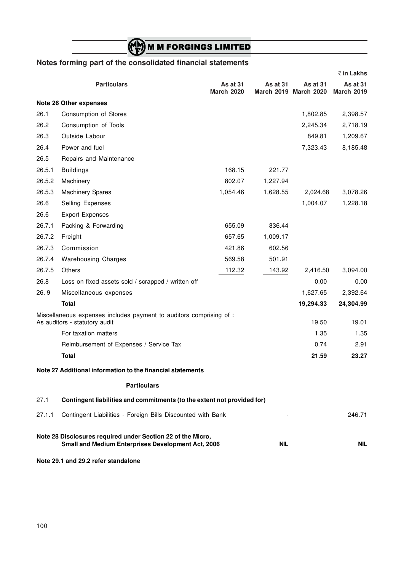# **M M FORGINGS LIMITED**

## **Notes forming part of the consolidated financial statements**

|        |                                                                                                                   |                               |            |                                   | ₹ in Lakhs                    |
|--------|-------------------------------------------------------------------------------------------------------------------|-------------------------------|------------|-----------------------------------|-------------------------------|
|        | <b>Particulars</b>                                                                                                | As at 31<br><b>March 2020</b> | As at 31   | As at 31<br>March 2019 March 2020 | As at 31<br><b>March 2019</b> |
|        | Note 26 Other expenses                                                                                            |                               |            |                                   |                               |
| 26.1   | Consumption of Stores                                                                                             |                               |            | 1,802.85                          | 2,398.57                      |
| 26.2   | Consumption of Tools                                                                                              |                               |            | 2,245.34                          | 2,718.19                      |
| 26.3   | Outside Labour                                                                                                    |                               |            | 849.81                            | 1,209.67                      |
| 26.4   | Power and fuel                                                                                                    |                               |            | 7,323.43                          | 8,185.48                      |
| 26.5   | Repairs and Maintenance                                                                                           |                               |            |                                   |                               |
| 26.5.1 | <b>Buildings</b>                                                                                                  | 168.15                        | 221.77     |                                   |                               |
| 26.5.2 | Machinery                                                                                                         | 802.07                        | 1,227.94   |                                   |                               |
| 26.5.3 | <b>Machinery Spares</b>                                                                                           | 1,054.46                      | 1,628.55   | 2,024.68                          | 3,078.26                      |
| 26.6   | Selling Expenses                                                                                                  |                               |            | 1,004.07                          | 1,228.18                      |
| 26.6   | <b>Export Expenses</b>                                                                                            |                               |            |                                   |                               |
| 26.7.1 | Packing & Forwarding                                                                                              | 655.09                        | 836.44     |                                   |                               |
| 26.7.2 | Freight                                                                                                           | 657.65                        | 1,009.17   |                                   |                               |
| 26.7.3 | Commission                                                                                                        | 421.86                        | 602.56     |                                   |                               |
| 26.7.4 | <b>Warehousing Charges</b>                                                                                        | 569.58                        | 501.91     |                                   |                               |
| 26.7.5 | Others                                                                                                            | 112.32                        | 143.92     | 2,416.50                          | 3,094.00                      |
| 26.8   | Loss on fixed assets sold / scrapped / written off                                                                |                               |            | 0.00                              | 0.00                          |
| 26.9   | Miscellaneous expenses                                                                                            |                               |            | 1,627.65                          | 2,392.64                      |
|        | <b>Total</b>                                                                                                      |                               |            | 19,294.33                         | 24,304.99                     |
|        | Miscellaneous expenses includes payment to auditors comprising of :<br>As auditors - statutory audit              |                               |            | 19.50                             | 19.01                         |
|        | For taxation matters                                                                                              |                               |            | 1.35                              | 1.35                          |
|        | Reimbursement of Expenses / Service Tax                                                                           |                               |            | 0.74                              | 2.91                          |
|        | <b>Total</b>                                                                                                      |                               |            | 21.59                             | 23.27                         |
|        | Note 27 Additional information to the financial statements                                                        |                               |            |                                   |                               |
|        | <b>Particulars</b>                                                                                                |                               |            |                                   |                               |
| 27.1   | Contingent liabilities and commitments (to the extent not provided for)                                           |                               |            |                                   |                               |
| 27.1.1 | Contingent Liabilities - Foreign Bills Discounted with Bank                                                       |                               |            |                                   | 246.71                        |
|        | Note 28 Disclosures required under Section 22 of the Micro,<br>Small and Medium Enterprises Development Act, 2006 |                               | <b>NIL</b> |                                   | <b>NIL</b>                    |
|        | Note 29.1 and 29.2 refer standalone                                                                               |                               |            |                                   |                               |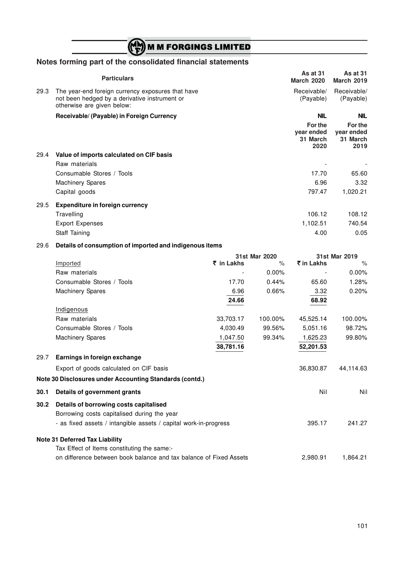# M M FORGINGS LIMITED

## **Notes forming part of the consolidated financial statements**

|      | <b>Particulars</b>                                                                                                               | <b>As at 31</b><br><b>March 2020</b>      | <b>As at 31</b><br><b>March 2019</b>      |
|------|----------------------------------------------------------------------------------------------------------------------------------|-------------------------------------------|-------------------------------------------|
| 29.3 | The year-end foreign currency exposures that have<br>not been hedged by a derivative instrument or<br>otherwise are given below: | Receivable/<br>(Payable)                  | Receivable/<br>(Payable)                  |
|      | Receivable/ (Payable) in Foreign Currency                                                                                        | <b>NIL</b>                                | <b>NIL</b>                                |
|      |                                                                                                                                  | For the<br>year ended<br>31 March<br>2020 | For the<br>year ended<br>31 March<br>2019 |
| 29.4 | Value of imports calculated on CIF basis                                                                                         |                                           |                                           |
|      | Raw materials                                                                                                                    |                                           |                                           |
|      | Consumable Stores / Tools                                                                                                        | 17.70                                     | 65.60                                     |
|      | <b>Machinery Spares</b>                                                                                                          | 6.96                                      | 3.32                                      |
|      | Capital goods                                                                                                                    | 797.47                                    | 1,020.21                                  |
| 29.5 | <b>Expenditure in foreign currency</b>                                                                                           |                                           |                                           |
|      | Travelling                                                                                                                       | 106.12                                    | 108.12                                    |
|      | <b>Export Expenses</b>                                                                                                           | 1,102.51                                  | 740.54                                    |
|      | Staff Taining                                                                                                                    | 4.00                                      | 0.05                                      |
| 29.6 | Details of consumption of imported and indigenous items                                                                          |                                           |                                           |

|      |                                                                                                                                                           | 31st Mar 2020 | 31st Mar 2019 |            |           |
|------|-----------------------------------------------------------------------------------------------------------------------------------------------------------|---------------|---------------|------------|-----------|
|      | Imported                                                                                                                                                  | ₹ in Lakhs    | $\%$          | ₹ in Lakhs | $\%$      |
|      | Raw materials                                                                                                                                             |               | 0.00%         |            | 0.00%     |
|      | Consumable Stores / Tools                                                                                                                                 | 17.70         | 0.44%         | 65.60      | 1.28%     |
|      | <b>Machinery Spares</b>                                                                                                                                   | 6.96          | 0.66%         | 3.32       | 0.20%     |
|      |                                                                                                                                                           | 24.66         |               | 68.92      |           |
|      | Indigenous                                                                                                                                                |               |               |            |           |
|      | Raw materials                                                                                                                                             | 33,703.17     | 100.00%       | 45,525.14  | 100.00%   |
|      | Consumable Stores / Tools                                                                                                                                 | 4,030.49      | 99.56%        | 5,051.16   | 98.72%    |
|      | <b>Machinery Spares</b>                                                                                                                                   | 1,047.50      | 99.34%        | 1,625.23   | 99.80%    |
|      |                                                                                                                                                           | 38,781.16     |               | 52,201.53  |           |
| 29.7 | Earnings in foreign exchange                                                                                                                              |               |               |            |           |
|      | Export of goods calculated on CIF basis                                                                                                                   |               |               | 36,830.87  | 44,114.63 |
|      | Note 30 Disclosures under Accounting Standards (contd.)                                                                                                   |               |               |            |           |
| 30.1 | Details of government grants                                                                                                                              |               |               | Nil        | Nil       |
| 30.2 | Details of borrowing costs capitalised<br>Borrowing costs capitalised during the year<br>- as fixed assets / intangible assets / capital work-in-progress |               |               | 395.17     | 241.27    |
|      |                                                                                                                                                           |               |               |            |           |
|      | <b>Note 31 Deferred Tax Liability</b>                                                                                                                     |               |               |            |           |
|      | Tax Effect of Items constituting the same:-                                                                                                               |               |               | 2.980.91   | 1,864.21  |
|      | on difference between book balance and tax balance of Fixed Assets                                                                                        |               |               |            |           |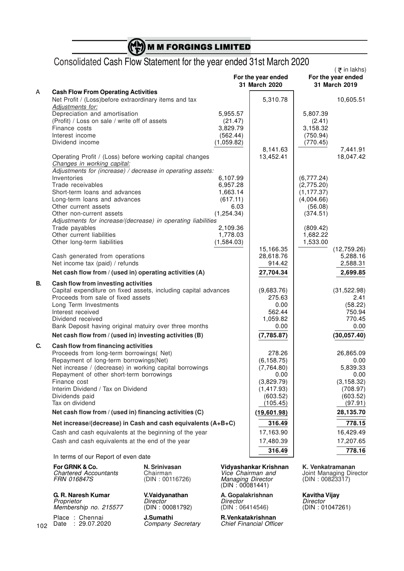|  |  |  |  |  |  | $\binom{M}{F}$ M M FORGINGS LIMITED |  |
|--|--|--|--|--|--|-------------------------------------|--|
|  |  |  |  |  |  |                                     |  |

# Consolidated Cash Flow Statement for the year ended 31st March 2020

|    |                                                                 |                        | For the year ended        | $($ $\overline{z}$ in lakhs)<br>For the year ended |                         |
|----|-----------------------------------------------------------------|------------------------|---------------------------|----------------------------------------------------|-------------------------|
|    |                                                                 |                        | 31 March 2020             |                                                    | 31 March 2019           |
| А  | <b>Cash Flow From Operating Activities</b>                      |                        |                           |                                                    |                         |
|    | Net Profit / (Loss)before extraordinary items and tax           |                        | 5,310.78                  |                                                    | 10,605.51               |
|    | Adjustments for:                                                |                        |                           |                                                    |                         |
|    | Depreciation and amortisation                                   | 5,955.57               |                           | 5,807.39                                           |                         |
|    | (Profit) / Loss on sale / write off of assets<br>Finance costs  | (21.47)<br>3,829.79    |                           | (2.41)<br>3,158.32                                 |                         |
|    | Interest income                                                 |                        |                           | (750.94)                                           |                         |
|    | Dividend income                                                 | (562.44)<br>(1,059.82) |                           | (770.45)                                           |                         |
|    |                                                                 |                        | 8,141.63                  |                                                    | 7,441.91                |
|    | Operating Profit / (Loss) before working capital changes        |                        | 13,452.41                 |                                                    | 18,047.42               |
|    | Changes in working capital:                                     |                        |                           |                                                    |                         |
|    | Adjustments for (increase) / decrease in operating assets:      |                        |                           |                                                    |                         |
|    | Inventories                                                     | 6,107.99               |                           | (6,777.24)                                         |                         |
|    | Trade receivables                                               | 6,957.28               |                           | (2,775.20)                                         |                         |
|    | Short-term loans and advances                                   | 1,663.14               |                           | (1, 177.37)                                        |                         |
|    | Long-term loans and advances                                    | (617.11)               |                           | (4,004.66)                                         |                         |
|    | Other current assets                                            | 6.03                   |                           | (56.08)                                            |                         |
|    | Other non-current assets                                        | (1, 254.34)            |                           | (374.51)                                           |                         |
|    | Adjustments for increase/(decrease) in operating liabilities    |                        |                           |                                                    |                         |
|    | Trade payables<br>Other current liabilities                     | 2,109.36<br>1,778.03   |                           | (809.42)<br>1,682.22                               |                         |
|    | Other long-term liabilities                                     | (1,584.03)             |                           | 1,533.00                                           |                         |
|    |                                                                 |                        | 15,166.35                 |                                                    | (12,759.26)             |
|    | Cash generated from operations                                  |                        | 28,618.76                 |                                                    | 5,288.16                |
|    | Net income tax (paid) / refunds                                 |                        | 914.42                    |                                                    | 2,588.31                |
|    | Net cash flow from / (used in) operating activities (A)         |                        | 27,704.34                 |                                                    | 2,699.85                |
| В. | Cash flow from investing activities                             |                        |                           |                                                    |                         |
|    | Capital expenditure on fixed assets, including capital advances |                        | (9,683.76)                |                                                    | (31,522.98)             |
|    | Proceeds from sale of fixed assets                              |                        | 275.63                    |                                                    | 2.41                    |
|    | Long Term Investments                                           |                        | 0.00                      |                                                    | (58.22)                 |
|    | Interest received                                               |                        | 562.44                    |                                                    | 750.94                  |
|    | Dividend received                                               |                        | 1,059.82                  |                                                    | 770.45                  |
|    | Bank Deposit having original matuiry over three months          |                        | 0.00                      |                                                    | 0.00                    |
|    | Net cash flow from / (used in) investing activities (B)         |                        | (7,785.87)                |                                                    | (30,057.40)             |
| C. | Cash flow from financing activities                             |                        |                           |                                                    |                         |
|    | Proceeds from long-term borrowings( Net)                        |                        | 278.26                    |                                                    | 26,865.09               |
|    | Repayment of long-term borrowings(Net)                          |                        | (6, 158.75)               |                                                    | 0.00                    |
|    | Net increase / (decrease) in working capital borrowings         |                        | (7,764.80)                |                                                    | 5,839.33                |
|    | Repayment of other short-term borrowings                        |                        | 0.00                      |                                                    | 0.00                    |
|    | Finance cost<br>Interim Dividend / Tax on Dividend              |                        | (3,829.79)<br>(1, 417.93) |                                                    | (3, 158.32)<br>(708.97) |
|    | Dividends paid                                                  |                        | (603.52)                  |                                                    | (603.52)                |
|    | Tax on dividend                                                 |                        | (105.45)                  |                                                    | (97.91)                 |
|    | Net cash flow from / (used in) financing activities (C)         |                        | (19,601.98)               |                                                    | 28,135.70               |
|    | Net increase/(decrease) in Cash and cash equivalents (A+B+C)    |                        | 316.49                    |                                                    | 778.15                  |
|    | Cash and cash equivalents at the beginning of the year          |                        | 17,163.90                 |                                                    | 16,429.49               |
|    | Cash and cash equivalents at the end of the year                |                        | 17,480.39                 |                                                    | 17,207.65               |
|    |                                                                 |                        | 316.49                    |                                                    | 778.16                  |
|    | In terms of our Report of even date                             |                        |                           |                                                    |                         |
|    |                                                                 |                        |                           |                                                    |                         |

**For GRNK & Co. N. Srinivasan Vidyashankar Krishnan K. Venkatramanan**<br>
Chartered Accountants Chairman *Vice Chairman and* Joint Managing Director<br>
FRN 016847S (DIN : 00116726) Managing Director (DIN : 00823317) *Chartered Accountants* Chairman *Vice Chairman and* Joint Managing Director *FRN 016847S* (DIN : 00116726) *Managing Director* (DIN : 00823317)

**G. R. Naresh Kumar V.Vaidyanathan A. Gopalakrishnan Kavitha Vijay** *Proprietor Director Director Director Membership no. 215577* (DIN : 00081792) (DIN : 06414546) (DIN : 01047261)

Managing Director<br>(DIN : 00081441)

Place : Chennai **J.Sumathi R.Venkatakrishnan** Date : 29.07.2020 *Company Secretary Chief Financial Officer*

102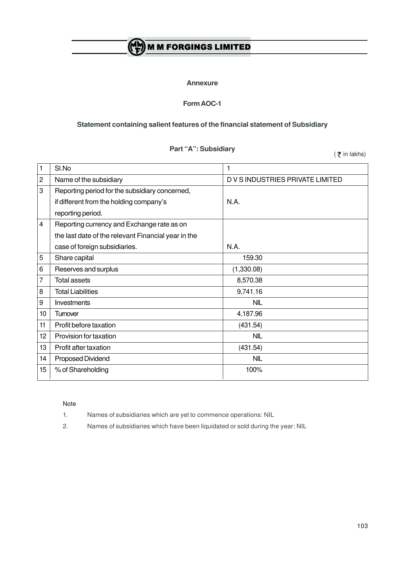# (A) M M FORGINGS LIMITED

#### **Annexure**

## **Form AOC-1**

### **Statement containing salient features of the financial statement of Subsidiary**

### **Part "A": Subsidiary**

 $($   $\overline{\xi}$  in lakhs)

|                | SI.No                                               | 1                                |
|----------------|-----------------------------------------------------|----------------------------------|
| $\overline{c}$ | Name of the subsidiary                              | D V S INDUSTRIES PRIVATE LIMITED |
| 3              | Reporting period for the subsidiary concerned,      |                                  |
|                | if different from the holding company's             | N.A.                             |
|                | reporting period.                                   |                                  |
| 4              | Reporting currency and Exchange rate as on          |                                  |
|                | the last date of the relevant Financial year in the |                                  |
|                | case of foreign subsidiaries.                       | N.A.                             |
| 5              | Share capital                                       | 159.30                           |
| 6              | Reserves and surplus                                | (1,330.08)                       |
| 7              | <b>Total assets</b>                                 | 8,570.38                         |
| 8              | <b>Total Liabilities</b>                            | 9,741.16                         |
| 9              | Investments                                         | <b>NIL</b>                       |
| 10             | Tumover                                             | 4,187.96                         |
| 11             | Profit before taxation                              | (431.54)                         |
| 12             | Provision for taxation                              | <b>NIL</b>                       |
| 13             | Profit after taxation                               | (431.54)                         |
| 14             | Proposed Dividend                                   | <b>NIL</b>                       |
| 15             | % of Shareholding                                   | 100%                             |

#### Note

- 1. Names of subsidiaries which are yet to commence operations: NIL
- 2. Names of subsidiaries which have been liquidated or sold during the year: NIL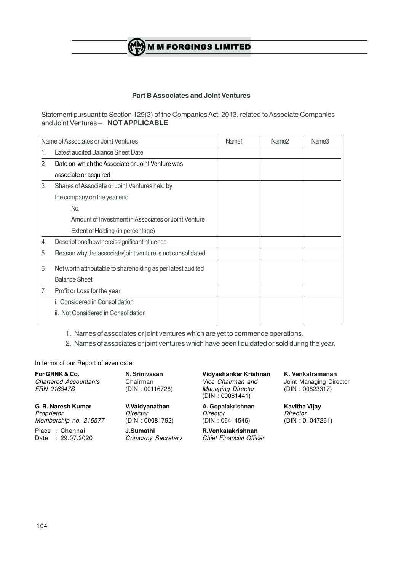# **M M FORGINGS LIMITED**

### **Part B Associates and Joint Ventures**

Statement pursuant to Section 129(3) of the Companies Act, 2013, related to Associate Companies and Joint Ventures – **NOT APPLICABLE**

|    | Name of Associates or Joint Ventures                         | Name1 | Name <sub>2</sub> | Name3 |
|----|--------------------------------------------------------------|-------|-------------------|-------|
|    | Latest audited Balance Sheet Date                            |       |                   |       |
| 2. | Date on which the Associate or Joint Venture was             |       |                   |       |
|    | associate or acquired                                        |       |                   |       |
| 3  | Shares of Associate or Joint Ventures held by                |       |                   |       |
|    | the company on the year end                                  |       |                   |       |
|    | No.                                                          |       |                   |       |
|    | Amount of Investment in Associates or Joint Venture          |       |                   |       |
|    | Extent of Holding (in percentage)                            |       |                   |       |
| 4. | Descriptionofhowthereissignificantinfluence                  |       |                   |       |
| 5. | Reason why the associate/joint venture is not consolidated   |       |                   |       |
| 6. | Net worth attributable to shareholding as per latest audited |       |                   |       |
|    | <b>Balance Sheet</b>                                         |       |                   |       |
| 7. | Profit or Loss for the year                                  |       |                   |       |
|    | i. Considered in Consolidation                               |       |                   |       |
|    | ii. Not Considered in Consolidation                          |       |                   |       |
|    |                                                              |       |                   |       |

1. Names of associates or joint ventures which are yet to commence operations.

2. Names of associates or joint ventures which have been liquidated or sold during the year.

In terms of our Report of even date

*Chartered Accountants* Chairman *Vice Chairman and* Joint Managing Director

**G. R. Naresh Kumar V.Vaidyanathan A. Gopalakrishnan Kavitha Vijay** *Proprietor Director Director Director Membership no. 215577* (DIN : 00081792) (DIN : 06414546) (DIN : 01047261)

 $Company$  Secretary

**For GRNK & Co. N. Srinivasan Vidyashankar Krishnan K. Venkatramanan** *Managing Director* (DIN : 00081441)

Place : Chennai **J.Sumathi R.Venkatakrishnan**